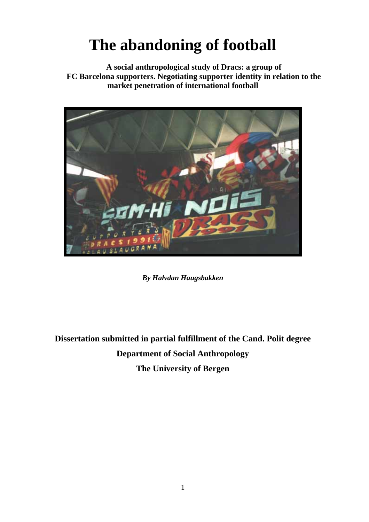# **The abandoning of football**

**A social anthropological study of Dracs: a group of FC Barcelona supporters. Negotiating supporter identity in relation to the market penetration of international football** 



*By Halvdan Haugsbakken* 

**Dissertation submitted in partial fulfillment of the Cand. Polit degree Department of Social Anthropology The University of Bergen**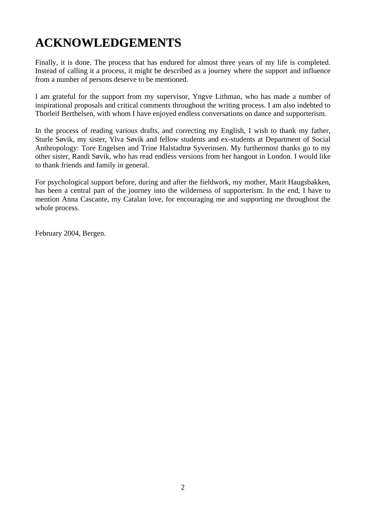## **ACKNOWLEDGEMENTS**

Finally, it is done. The process that has endured for almost three years of my life is completed. Instead of calling it a process, it might be described as a journey where the support and influence from a number of persons deserve to be mentioned.

I am grateful for the support from my supervisor, Yngve Lithman, who has made a number of inspirational proposals and critical comments throughout the writing process. I am also indebted to Thorleif Berthelsen, with whom I have enjoyed endless conversations on dance and supporterism.

In the process of reading various drafts, and correcting my English, I wish to thank my father, Sturle Søvik, my sister, Ylva Søvik and fellow students and ex-students at Department of Social Anthropology: Tore Engelsen and Trine Halstadtrø Syverinsen. My furthermost thanks go to my other sister, Randi Søvik, who has read endless versions from her hangout in London. I would like to thank friends and family in general.

For psychological support before, during and after the fieldwork, my mother, Marit Haugsbakken, has been a central part of the journey into the wilderness of supporterism. In the end, I have to mention Anna Cascante, my Catalan love, for encouraging me and supporting me throughout the whole process.

February 2004, Bergen.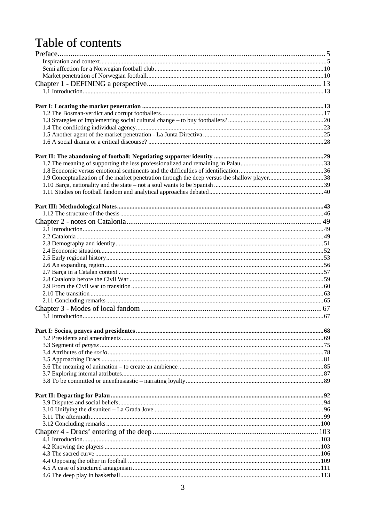## Table of contents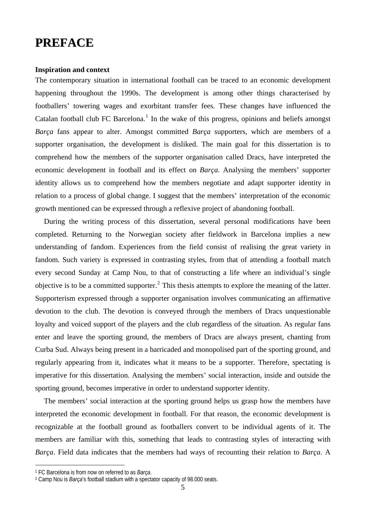## <span id="page-4-0"></span>**PREFACE**

#### **Inspiration and context**

The contemporary situation in international football can be traced to an economic development happening throughout the 1990s. The development is among other things characterised by footballers' towering wages and exorbitant transfer fees. These changes have influenced the Catalan football club FC Barcelona.<sup>[1](#page-4-1)</sup> In the wake of this progress, opinions and beliefs amongst *Barça* fans appear to alter. Amongst committed *Barça* supporters, which are members of a supporter organisation, the development is disliked. The main goal for this dissertation is to comprehend how the members of the supporter organisation called Dracs, have interpreted the economic development in football and its effect on *Barça*. Analysing the members' supporter identity allows us to comprehend how the members negotiate and adapt supporter identity in relation to a process of global change. I suggest that the members' interpretation of the economic growth mentioned can be expressed through a reflexive project of abandoning football.

During the writing process of this dissertation, several personal modifications have been completed. Returning to the Norwegian society after fieldwork in Barcelona implies a new understanding of fandom. Experiences from the field consist of realising the great variety in fandom. Such variety is expressed in contrasting styles, from that of attending a football match every second Sunday at Camp Nou, to that of constructing a life where an individual's single objective is to be a committed supporter.<sup>[2](#page-4-2)</sup> This thesis attempts to explore the meaning of the latter. Supporterism expressed through a supporter organisation involves communicating an affirmative devotion to the club. The devotion is conveyed through the members of Dracs unquestionable loyalty and voiced support of the players and the club regardless of the situation. As regular fans enter and leave the sporting ground, the members of Dracs are always present, chanting from Curba Sud. Always being present in a barricaded and monopolised part of the sporting ground, and regularly appearing from it, indicates what it means to be a supporter. Therefore, spectating is imperative for this dissertation. Analysing the members' social interaction, inside and outside the sporting ground, becomes imperative in order to understand supporter identity.

The members' social interaction at the sporting ground helps us grasp how the members have interpreted the economic development in football. For that reason, the economic development is recognizable at the football ground as footballers convert to be individual agents of it. The members are familiar with this, something that leads to contrasting styles of interacting with *Barça*. Field data indicates that the members had ways of recounting their relation to *Barça*. A

<span id="page-4-2"></span><span id="page-4-1"></span><sup>1</sup> FC Barcelona is from now on referred to as *Barça*. 2 Camp Nou is *Barça*'s football stadium with a spectator capacity of 98.000 seats.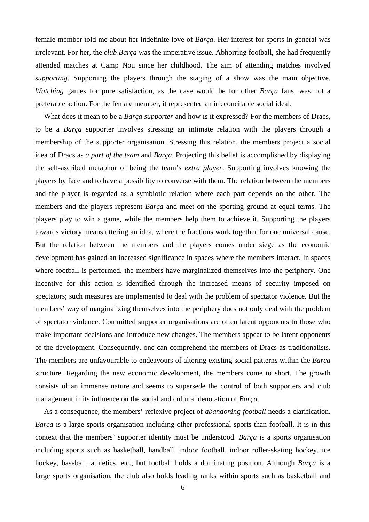female member told me about her indefinite love of *Barça*. Her interest for sports in general was irrelevant. For her, the *club Barça* was the imperative issue. Abhorring football, she had frequently attended matches at Camp Nou since her childhood. The aim of attending matches involved *supporting*. Supporting the players through the staging of a show was the main objective. *Watching* games for pure satisfaction, as the case would be for other *Barça* fans, was not a preferable action. For the female member, it represented an irreconcilable social ideal.

What does it mean to be a *Barça supporter* and how is it expressed? For the members of Dracs, to be a *Barça* supporter involves stressing an intimate relation with the players through a membership of the supporter organisation. Stressing this relation, the members project a social idea of Dracs as *a part of the team* and *Barça*. Projecting this belief is accomplished by displaying the self-ascribed metaphor of being the team's *extra player*. Supporting involves knowing the players by face and to have a possibility to converse with them. The relation between the members and the player is regarded as a symbiotic relation where each part depends on the other. The members and the players represent *Barça* and meet on the sporting ground at equal terms. The players play to win a game, while the members help them to achieve it. Supporting the players towards victory means uttering an idea, where the fractions work together for one universal cause. But the relation between the members and the players comes under siege as the economic development has gained an increased significance in spaces where the members interact. In spaces where football is performed, the members have marginalized themselves into the periphery. One incentive for this action is identified through the increased means of security imposed on spectators; such measures are implemented to deal with the problem of spectator violence. But the members' way of marginalizing themselves into the periphery does not only deal with the problem of spectator violence. Committed supporter organisations are often latent opponents to those who make important decisions and introduce new changes. The members appear to be latent opponents of the development. Consequently, one can comprehend the members of Dracs as traditionalists. The members are unfavourable to endeavours of altering existing social patterns within the *Barça* structure. Regarding the new economic development, the members come to short. The growth consists of an immense nature and seems to supersede the control of both supporters and club management in its influence on the social and cultural denotation of *Barça*.

As a consequence, the members' reflexive project of *abandoning football* needs a clarification. *Barça* is a large sports organisation including other professional sports than football. It is in this context that the members' supporter identity must be understood. *Barça* is a sports organisation including sports such as basketball, handball, indoor football, indoor roller-skating hockey, ice hockey, baseball, athletics, etc., but football holds a dominating position. Although *Barça* is a large sports organisation, the club also holds leading ranks within sports such as basketball and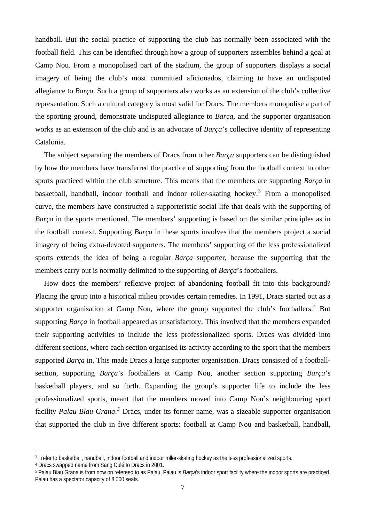handball. But the social practice of supporting the club has normally been associated with the football field. This can be identified through how a group of supporters assembles behind a goal at Camp Nou. From a monopolised part of the stadium, the group of supporters displays a social imagery of being the club's most committed aficionados, claiming to have an undisputed allegiance to *Barça*. Such a group of supporters also works as an extension of the club's collective representation. Such a cultural category is most valid for Dracs. The members monopolise a part of the sporting ground, demonstrate undisputed allegiance to *Barça*, and the supporter organisation works as an extension of the club and is an advocate of *Barça*'s collective identity of representing Catalonia.

The subject separating the members of Dracs from other *Barça* supporters can be distinguished by how the members have transferred the practice of supporting from the football context to other sports practiced within the club structure. This means that the members are supporting *Barça* in basketball, handball, indoor football and indoor roller-skating hockey.<sup>[3](#page-6-0)</sup> From a monopolised curve, the members have constructed a supporteristic social life that deals with the supporting of *Barça* in the sports mentioned. The members' supporting is based on the similar principles as in the football context. Supporting *Barça* in these sports involves that the members project a social imagery of being extra-devoted supporters. The members' supporting of the less professionalized sports extends the idea of being a regular *Barça* supporter, because the supporting that the members carry out is normally delimited to the supporting of *Barça*'s footballers.

How does the members' reflexive project of abandoning football fit into this background? Placing the group into a historical milieu provides certain remedies. In 1991, Dracs started out as a supporter organisation at Camp Nou, where the group supported the club's footballers.<sup>[4](#page-6-1)</sup> But supporting *Barça* in football appeared as unsatisfactory. This involved that the members expanded their supporting activities to include the less professionalized sports. Dracs was divided into different sections, where each section organised its activity according to the sport that the members supported *Barça* in. This made Dracs a large supporter organisation. Dracs consisted of a footballsection, supporting *Barça*'s footballers at Camp Nou, another section supporting *Barça*'s basketball players, and so forth. Expanding the group's supporter life to include the less professionalized sports, meant that the members moved into Camp Nou's neighbouring sport facility *Palau Blau Grana*.<sup>[5](#page-6-2)</sup> Dracs, under its former name, was a sizeable supporter organisation that supported the club in five different sports: football at Camp Nou and basketball, handball,

<span id="page-6-0"></span><sup>3</sup> I refer to basketball, handball, indoor football and indoor roller-skating hockey as the less professionalized sports.

<span id="page-6-1"></span><sup>4</sup> Dracs swapped name from Sang Culé to Dracs in 2001.

<span id="page-6-2"></span><sup>5</sup> Palau Blau Grana is from now on refereed to as Palau. Palau is *Barça*'s indoor sport facility where the indoor sports are practiced. Palau has a spectator capacity of 8.000 seats.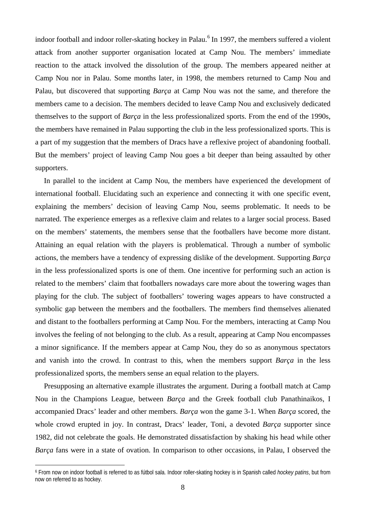indoor football and indoor roller-skating hockey in Palau.<sup>[6](#page-7-0)</sup> In 1997, the members suffered a violent attack from another supporter organisation located at Camp Nou. The members' immediate reaction to the attack involved the dissolution of the group. The members appeared neither at Camp Nou nor in Palau. Some months later, in 1998, the members returned to Camp Nou and Palau, but discovered that supporting *Barça* at Camp Nou was not the same, and therefore the members came to a decision. The members decided to leave Camp Nou and exclusively dedicated themselves to the support of *Barça* in the less professionalized sports. From the end of the 1990s, the members have remained in Palau supporting the club in the less professionalized sports. This is a part of my suggestion that the members of Dracs have a reflexive project of abandoning football. But the members' project of leaving Camp Nou goes a bit deeper than being assaulted by other supporters.

In parallel to the incident at Camp Nou, the members have experienced the development of international football. Elucidating such an experience and connecting it with one specific event, explaining the members' decision of leaving Camp Nou, seems problematic. It needs to be narrated. The experience emerges as a reflexive claim and relates to a larger social process. Based on the members' statements, the members sense that the footballers have become more distant. Attaining an equal relation with the players is problematical. Through a number of symbolic actions, the members have a tendency of expressing dislike of the development. Supporting *Barça* in the less professionalized sports is one of them. One incentive for performing such an action is related to the members' claim that footballers nowadays care more about the towering wages than playing for the club. The subject of footballers' towering wages appears to have constructed a symbolic gap between the members and the footballers. The members find themselves alienated and distant to the footballers performing at Camp Nou. For the members, interacting at Camp Nou involves the feeling of not belonging to the club. As a result, appearing at Camp Nou encompasses a minor significance. If the members appear at Camp Nou, they do so as anonymous spectators and vanish into the crowd. In contrast to this, when the members support *Barça* in the less professionalized sports, the members sense an equal relation to the players.

Presupposing an alternative example illustrates the argument. During a football match at Camp Nou in the Champions League, between *Barça* and the Greek football club Panathinaikos, I accompanied Dracs' leader and other members. *Barça* won the game 3-1. When *Barça* scored, the whole crowd erupted in joy. In contrast, Dracs' leader, Toni, a devoted *Barça* supporter since 1982, did not celebrate the goals. He demonstrated dissatisfaction by shaking his head while other *Barça* fans were in a state of ovation. In comparison to other occasions, in Palau, I observed the

<span id="page-7-0"></span><sup>6</sup> From now on indoor football is referred to as fútbol sala. Indoor roller-skating hockey is in Spanish called *hockey patins*, but from now on referred to as hockey.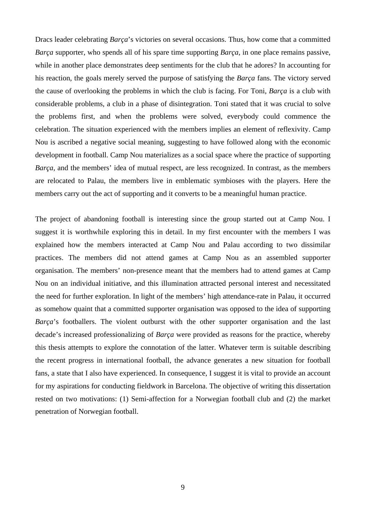Dracs leader celebrating *Barça*'s victories on several occasions. Thus, how come that a committed *Barça* supporter, who spends all of his spare time supporting *Barça*, in one place remains passive, while in another place demonstrates deep sentiments for the club that he adores? In accounting for his reaction, the goals merely served the purpose of satisfying the *Barça* fans. The victory served the cause of overlooking the problems in which the club is facing. For Toni, *Barça* is a club with considerable problems, a club in a phase of disintegration. Toni stated that it was crucial to solve the problems first, and when the problems were solved, everybody could commence the celebration. The situation experienced with the members implies an element of reflexivity. Camp Nou is ascribed a negative social meaning, suggesting to have followed along with the economic development in football. Camp Nou materializes as a social space where the practice of supporting *Barça*, and the members' idea of mutual respect, are less recognized. In contrast, as the members are relocated to Palau, the members live in emblematic symbioses with the players. Here the members carry out the act of supporting and it converts to be a meaningful human practice.

The project of abandoning football is interesting since the group started out at Camp Nou. I suggest it is worthwhile exploring this in detail. In my first encounter with the members I was explained how the members interacted at Camp Nou and Palau according to two dissimilar practices. The members did not attend games at Camp Nou as an assembled supporter organisation. The members' non-presence meant that the members had to attend games at Camp Nou on an individual initiative, and this illumination attracted personal interest and necessitated the need for further exploration. In light of the members' high attendance-rate in Palau, it occurred as somehow quaint that a committed supporter organisation was opposed to the idea of supporting *Barça*'s footballers. The violent outburst with the other supporter organisation and the last decade's increased professionalizing of *Barça* were provided as reasons for the practice, whereby this thesis attempts to explore the connotation of the latter. Whatever term is suitable describing the recent progress in international football, the advance generates a new situation for football fans, a state that I also have experienced. In consequence, I suggest it is vital to provide an account for my aspirations for conducting fieldwork in Barcelona. The objective of writing this dissertation rested on two motivations: (1) Semi-affection for a Norwegian football club and (2) the market penetration of Norwegian football.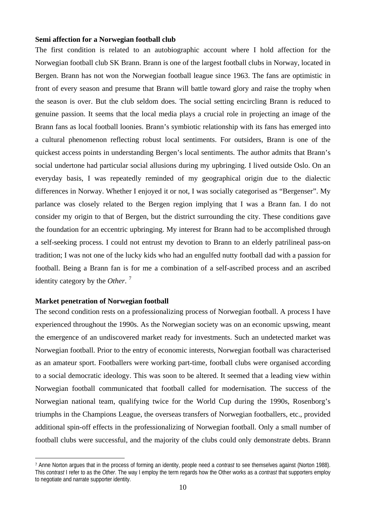#### <span id="page-9-0"></span>**Semi affection for a Norwegian football club**

The first condition is related to an autobiographic account where I hold affection for the Norwegian football club SK Brann. Brann is one of the largest football clubs in Norway, located in Bergen. Brann has not won the Norwegian football league since 1963. The fans are optimistic in front of every season and presume that Brann will battle toward glory and raise the trophy when the season is over. But the club seldom does. The social setting encircling Brann is reduced to genuine passion. It seems that the local media plays a crucial role in projecting an image of the Brann fans as local football loonies. Brann's symbiotic relationship with its fans has emerged into a cultural phenomenon reflecting robust local sentiments. For outsiders, Brann is one of the quickest access points in understanding Bergen's local sentiments. The author admits that Brann's social undertone had particular social allusions during my upbringing. I lived outside Oslo. On an everyday basis, I was repeatedly reminded of my geographical origin due to the dialectic differences in Norway. Whether I enjoyed it or not, I was socially categorised as "Bergenser". My parlance was closely related to the Bergen region implying that I was a Brann fan. I do not consider my origin to that of Bergen, but the district surrounding the city. These conditions gave the foundation for an eccentric upbringing. My interest for Brann had to be accomplished through a self-seeking process. I could not entrust my devotion to Brann to an elderly patrilineal pass-on tradition; I was not one of the lucky kids who had an engulfed nutty football dad with a passion for football. Being a Brann fan is for me a combination of a self-ascribed process and an ascribed identity category by the *Other*. [7](#page-9-1)

### **Market penetration of Norwegian football**

 $\overline{a}$ 

The second condition rests on a professionalizing process of Norwegian football. A process I have experienced throughout the 1990s. As the Norwegian society was on an economic upswing, meant the emergence of an undiscovered market ready for investments. Such an undetected market was Norwegian football. Prior to the entry of economic interests, Norwegian football was characterised as an amateur sport. Footballers were working part-time, football clubs were organised according to a social democratic ideology. This was soon to be altered. It seemed that a leading view within Norwegian football communicated that football called for modernisation. The success of the Norwegian national team, qualifying twice for the World Cup during the 1990s, Rosenborg's triumphs in the Champions League, the overseas transfers of Norwegian footballers, etc., provided additional spin-off effects in the professionalizing of Norwegian football. Only a small number of football clubs were successful, and the majority of the clubs could only demonstrate debts. Brann

<span id="page-9-1"></span><sup>7</sup> Anne Norton argues that in the process of forming an identity, people need a *contrast* to see themselves against (Norton 1988). This *contrast* I refer to as the *Other*. The way I employ the term regards how the Other works as a *contrast* that supporters employ to negotiate and narrate supporter identity.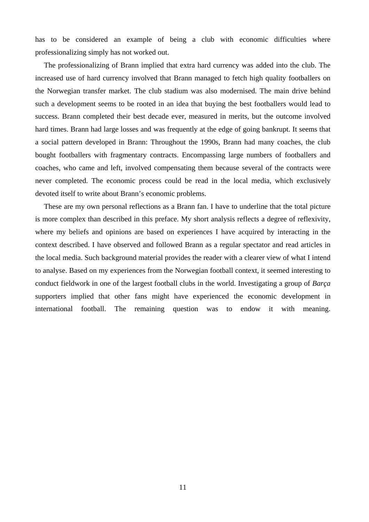has to be considered an example of being a club with economic difficulties where professionalizing simply has not worked out.

The professionalizing of Brann implied that extra hard currency was added into the club. The increased use of hard currency involved that Brann managed to fetch high quality footballers on the Norwegian transfer market. The club stadium was also modernised. The main drive behind such a development seems to be rooted in an idea that buying the best footballers would lead to success. Brann completed their best decade ever, measured in merits, but the outcome involved hard times. Brann had large losses and was frequently at the edge of going bankrupt. It seems that a social pattern developed in Brann: Throughout the 1990s, Brann had many coaches, the club bought footballers with fragmentary contracts. Encompassing large numbers of footballers and coaches, who came and left, involved compensating them because several of the contracts were never completed. The economic process could be read in the local media, which exclusively devoted itself to write about Brann's economic problems.

These are my own personal reflections as a Brann fan. I have to underline that the total picture is more complex than described in this preface. My short analysis reflects a degree of reflexivity, where my beliefs and opinions are based on experiences I have acquired by interacting in the context described. I have observed and followed Brann as a regular spectator and read articles in the local media. Such background material provides the reader with a clearer view of what I intend to analyse. Based on my experiences from the Norwegian football context, it seemed interesting to conduct fieldwork in one of the largest football clubs in the world. Investigating a group of *Barça* supporters implied that other fans might have experienced the economic development in international football. The remaining question was to endow it with meaning.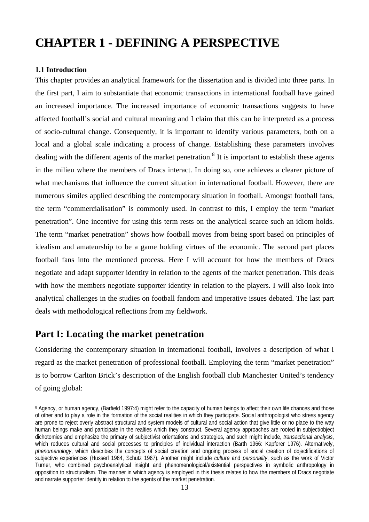## <span id="page-12-0"></span>**CHAPTER 1 - DEFINING A PERSPECTIVE**

## **1.1 Introduction**

 $\overline{a}$ 

This chapter provides an analytical framework for the dissertation and is divided into three parts. In the first part, I aim to substantiate that economic transactions in international football have gained an increased importance. The increased importance of economic transactions suggests to have affected football's social and cultural meaning and I claim that this can be interpreted as a process of socio-cultural change. Consequently, it is important to identify various parameters, both on a local and a global scale indicating a process of change. Establishing these parameters involves dealing with the different agents of the market penetration.<sup>[8](#page-12-1)</sup> It is important to establish these agents in the milieu where the members of Dracs interact. In doing so, one achieves a clearer picture of what mechanisms that influence the current situation in international football. However, there are numerous similes applied describing the contemporary situation in football. Amongst football fans, the term "commercialisation" is commonly used. In contrast to this, I employ the term "market penetration". One incentive for using this term rests on the analytical scarce such an idiom holds. The term "market penetration" shows how football moves from being sport based on principles of idealism and amateurship to be a game holding virtues of the economic. The second part places football fans into the mentioned process. Here I will account for how the members of Dracs negotiate and adapt supporter identity in relation to the agents of the market penetration. This deals with how the members negotiate supporter identity in relation to the players. I will also look into analytical challenges in the studies on football fandom and imperative issues debated. The last part deals with methodological reflections from my fieldwork.

## **Part I: Locating the market penetration**

Considering the contemporary situation in international football, involves a description of what I regard as the market penetration of professional football. Employing the term "market penetration" is to borrow Carlton Brick's description of the English football club Manchester United's tendency of going global:

<span id="page-12-1"></span><sup>8</sup> Agency, or human agency, (Barfield 1997:4) might refer to the capacity of human beings to affect their own life chances and those of other and to play a role in the formation of the social realities in which they participate. Social anthropologist who stress agency are prone to reject overly abstract structural and system models of cultural and social action that give little or no place to the way human beings make and participate in the realties which they construct. Several agency approaches are rooted in subject/object dichotomies and emphasize the primary of subjectivist orientations and strategies, and such might include, *transactional analysis*, which reduces cultural and social processes to principles of individual interaction (Barth 1966: Kapferer 1976). Alternatively, *phenomenology*, which describes the concepts of social creation and ongoing process of social creation of objectifications of subjective experiences (Husserl 1964, Schutz 1967). Another might include *culture* and *personality*, such as the work of Victor Turner, who combined psychoanalytical insight and phenomenological/existential perspectives in symbolic anthropology in opposition to structuralism. The manner in which agency is employed in this thesis relates to how the members of Dracs negotiate and narrate supporter identity in relation to the agents of the market penetration.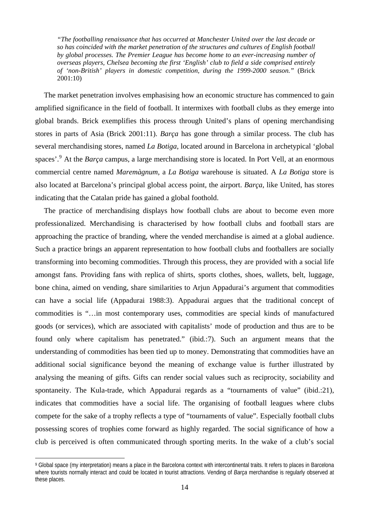*"The footballing renaissance that has occurred at Manchester United over the last decade or so has coincided with the market penetration of the structures and cultures of English football by global processes. The Premier League has become home to an ever-increasing number of overseas players, Chelsea becoming the first 'English' club to field a side comprised entirely of 'non-British' players in domestic competition, during the 1999-2000 season."* (Brick 2001:10)

 The market penetration involves emphasising how an economic structure has commenced to gain amplified significance in the field of football. It intermixes with football clubs as they emerge into global brands. Brick exemplifies this process through United's plans of opening merchandising stores in parts of Asia (Brick 2001:11). *Barça* has gone through a similar process. The club has several merchandising stores, named *La Botiga*, located around in Barcelona in archetypical 'global spaces'.<sup>[9](#page-13-0)</sup> At the *Barça* campus, a large merchandising store is located. In Port Vell, at an enormous commercial centre named *Maremàgnum*, a *La Botiga* warehouse is situated. A *La Botiga* store is also located at Barcelona's principal global access point, the airport. *Barça*, like United, has stores indicating that the Catalan pride has gained a global foothold.

The practice of merchandising displays how football clubs are about to become even more professionalized. Merchandising is characterised by how football clubs and football stars are approaching the practice of branding, where the vended merchandise is aimed at a global audience. Such a practice brings an apparent representation to how football clubs and footballers are socially transforming into becoming commodities. Through this process, they are provided with a social life amongst fans. Providing fans with replica of shirts, sports clothes, shoes, wallets, belt, luggage, bone china, aimed on vending, share similarities to Arjun Appadurai's argument that commodities can have a social life (Appadurai 1988:3). Appadurai argues that the traditional concept of commodities is "…in most contemporary uses, commodities are special kinds of manufactured goods (or services), which are associated with capitalists' mode of production and thus are to be found only where capitalism has penetrated." (ibid.:7). Such an argument means that the understanding of commodities has been tied up to money. Demonstrating that commodities have an additional social significance beyond the meaning of exchange value is further illustrated by analysing the meaning of gifts. Gifts can render social values such as reciprocity, sociability and spontaneity. The Kula-trade, which Appadurai regards as a "tournaments of value" (ibid.:21), indicates that commodities have a social life. The organising of football leagues where clubs compete for the sake of a trophy reflects a type of "tournaments of value". Especially football clubs possessing scores of trophies come forward as highly regarded. The social significance of how a club is perceived is often communicated through sporting merits. In the wake of a club's social

<span id="page-13-0"></span><sup>9</sup> Global space (my interpretation) means a place in the Barcelona context with intercontinental traits. It refers to places in Barcelona where tourists normally interact and could be located in tourist attractions. Vending of *Barça* merchandise is regularly observed at these places.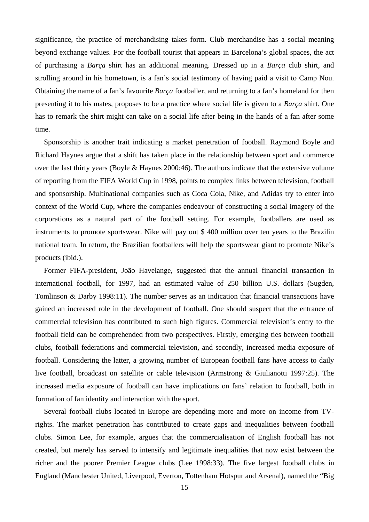significance, the practice of merchandising takes form. Club merchandise has a social meaning beyond exchange values. For the football tourist that appears in Barcelona's global spaces, the act of purchasing a *Barça* shirt has an additional meaning. Dressed up in a *Barça* club shirt, and strolling around in his hometown, is a fan's social testimony of having paid a visit to Camp Nou. Obtaining the name of a fan's favourite *Barça* footballer, and returning to a fan's homeland for then presenting it to his mates, proposes to be a practice where social life is given to a *Barça* shirt. One has to remark the shirt might can take on a social life after being in the hands of a fan after some time.

Sponsorship is another trait indicating a market penetration of football. Raymond Boyle and Richard Haynes argue that a shift has taken place in the relationship between sport and commerce over the last thirty years (Boyle & Haynes 2000:46). The authors indicate that the extensive volume of reporting from the FIFA World Cup in 1998, points to complex links between television, football and sponsorship. Multinational companies such as Coca Cola, Nike, and Adidas try to enter into context of the World Cup, where the companies endeavour of constructing a social imagery of the corporations as a natural part of the football setting. For example, footballers are used as instruments to promote sportswear. Nike will pay out \$ 400 million over ten years to the Brazilin national team. In return, the Brazilian footballers will help the sportswear giant to promote Nike's products (ibid.).

Former FIFA-president, João Havelange, suggested that the annual financial transaction in international football, for 1997, had an estimated value of 250 billion U.S. dollars (Sugden, Tomlinson & Darby 1998:11). The number serves as an indication that financial transactions have gained an increased role in the development of football. One should suspect that the entrance of commercial television has contributed to such high figures. Commercial television's entry to the football field can be comprehended from two perspectives. Firstly, emerging ties between football clubs, football federations and commercial television, and secondly, increased media exposure of football. Considering the latter, a growing number of European football fans have access to daily live football, broadcast on satellite or cable television (Armstrong & Giulianotti 1997:25). The increased media exposure of football can have implications on fans' relation to football, both in formation of fan identity and interaction with the sport.

Several football clubs located in Europe are depending more and more on income from TVrights. The market penetration has contributed to create gaps and inequalities between football clubs. Simon Lee, for example, argues that the commercialisation of English football has not created, but merely has served to intensify and legitimate inequalities that now exist between the richer and the poorer Premier League clubs (Lee 1998:33). The five largest football clubs in England (Manchester United, Liverpool, Everton, Tottenham Hotspur and Arsenal), named the "Big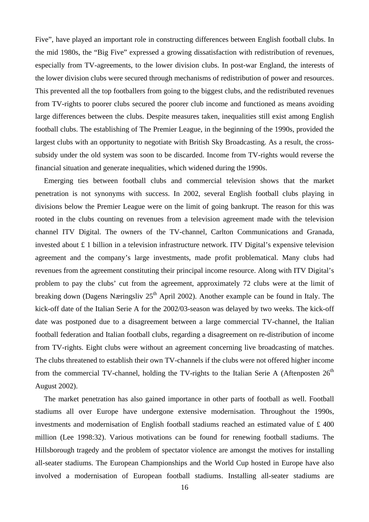Five", have played an important role in constructing differences between English football clubs. In the mid 1980s, the "Big Five" expressed a growing dissatisfaction with redistribution of revenues, especially from TV-agreements, to the lower division clubs. In post-war England, the interests of the lower division clubs were secured through mechanisms of redistribution of power and resources. This prevented all the top footballers from going to the biggest clubs, and the redistributed revenues from TV-rights to poorer clubs secured the poorer club income and functioned as means avoiding large differences between the clubs. Despite measures taken, inequalities still exist among English football clubs. The establishing of The Premier League, in the beginning of the 1990s, provided the largest clubs with an opportunity to negotiate with British Sky Broadcasting. As a result, the crosssubsidy under the old system was soon to be discarded. Income from TV-rights would reverse the financial situation and generate inequalities, which widened during the 1990s.

 Emerging ties between football clubs and commercial television shows that the market penetration is not synonyms with success. In 2002, several English football clubs playing in divisions below the Premier League were on the limit of going bankrupt. The reason for this was rooted in the clubs counting on revenues from a television agreement made with the television channel ITV Digital. The owners of the TV-channel, Carlton Communications and Granada, invested about £ 1 billion in a television infrastructure network. ITV Digital's expensive television agreement and the company's large investments, made profit problematical. Many clubs had revenues from the agreement constituting their principal income resource. Along with ITV Digital's problem to pay the clubs' cut from the agreement, approximately 72 clubs were at the limit of breaking down (Dagens Næringsliv  $25<sup>th</sup>$  April 2002). Another example can be found in Italy. The kick-off date of the Italian Serie A for the 2002/03-season was delayed by two weeks. The kick-off date was postponed due to a disagreement between a large commercial TV-channel, the Italian football federation and Italian football clubs, regarding a disagreement on re-distribution of income from TV-rights. Eight clubs were without an agreement concerning live broadcasting of matches. The clubs threatened to establish their own TV-channels if the clubs were not offered higher income from the commercial TV-channel, holding the TV-rights to the Italian Serie A (Aftenposten  $26<sup>th</sup>$ August 2002).

The market penetration has also gained importance in other parts of football as well. Football stadiums all over Europe have undergone extensive modernisation. Throughout the 1990s, investments and modernisation of English football stadiums reached an estimated value of £ 400 million (Lee 1998:32). Various motivations can be found for renewing football stadiums. The Hillsborough tragedy and the problem of spectator violence are amongst the motives for installing all-seater stadiums. The European Championships and the World Cup hosted in Europe have also involved a modernisation of European football stadiums. Installing all-seater stadiums are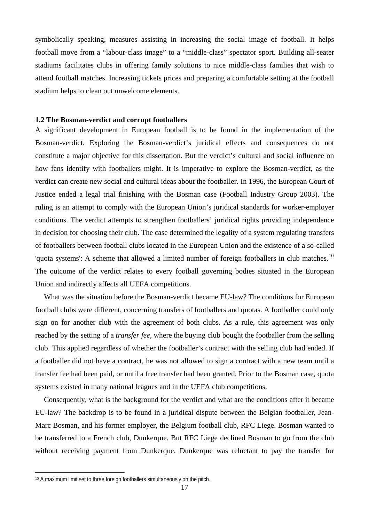<span id="page-16-0"></span>symbolically speaking, measures assisting in increasing the social image of football. It helps football move from a "labour-class image" to a "middle-class" spectator sport. Building all-seater stadiums facilitates clubs in offering family solutions to nice middle-class families that wish to attend football matches. Increasing tickets prices and preparing a comfortable setting at the football stadium helps to clean out unwelcome elements.

## **1.2 The Bosman-verdict and corrupt footballers**

A significant development in European football is to be found in the implementation of the Bosman-verdict. Exploring the Bosman-verdict's juridical effects and consequences do not constitute a major objective for this dissertation. But the verdict's cultural and social influence on how fans identify with footballers might. It is imperative to explore the Bosman-verdict, as the verdict can create new social and cultural ideas about the footballer. In 1996, the European Court of Justice ended a legal trial finishing with the Bosman case (Football Industry Group 2003). The ruling is an attempt to comply with the European Union's juridical standards for worker-employer conditions. The verdict attempts to strengthen footballers' juridical rights providing independence in decision for choosing their club. The case determined the legality of a system regulating transfers of footballers between football clubs located in the European Union and the existence of a so-called 'quota systems': A scheme that allowed a limited number of foreign footballers in club matches.<sup>[10](#page-16-1)</sup> The outcome of the verdict relates to every football governing bodies situated in the European Union and indirectly affects all UEFA competitions.

What was the situation before the Bosman-verdict became EU-law? The conditions for European football clubs were different, concerning transfers of footballers and quotas. A footballer could only sign on for another club with the agreement of both clubs. As a rule, this agreement was only reached by the setting of a *transfer fee*, where the buying club bought the footballer from the selling club. This applied regardless of whether the footballer's contract with the selling club had ended. If a footballer did not have a contract, he was not allowed to sign a contract with a new team until a transfer fee had been paid, or until a free transfer had been granted. Prior to the Bosman case, quota systems existed in many national leagues and in the UEFA club competitions.

Consequently, what is the background for the verdict and what are the conditions after it became EU-law? The backdrop is to be found in a juridical dispute between the Belgian footballer, Jean-Marc Bosman, and his former employer, the Belgium football club, RFC Liege. Bosman wanted to be transferred to a French club, Dunkerque. But RFC Liege declined Bosman to go from the club without receiving payment from Dunkerque. Dunkerque was reluctant to pay the transfer for

<span id="page-16-1"></span><sup>&</sup>lt;sup>10</sup> A maximum limit set to three foreign footballers simultaneously on the pitch.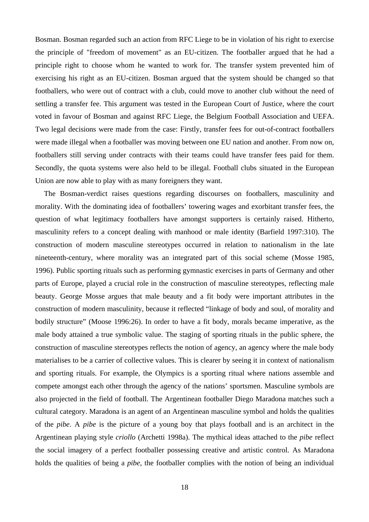Bosman. Bosman regarded such an action from RFC Liege to be in violation of his right to exercise the principle of "freedom of movement" as an EU-citizen. The footballer argued that he had a principle right to choose whom he wanted to work for. The transfer system prevented him of exercising his right as an EU-citizen. Bosman argued that the system should be changed so that footballers, who were out of contract with a club, could move to another club without the need of settling a transfer fee. This argument was tested in the European Court of Justice, where the court voted in favour of Bosman and against RFC Liege, the Belgium Football Association and UEFA. Two legal decisions were made from the case: Firstly, transfer fees for out-of-contract footballers were made illegal when a footballer was moving between one EU nation and another. From now on, footballers still serving under contracts with their teams could have transfer fees paid for them. Secondly, the quota systems were also held to be illegal. Football clubs situated in the European Union are now able to play with as many foreigners they want.

The Bosman-verdict raises questions regarding discourses on footballers, masculinity and morality. With the dominating idea of footballers' towering wages and exorbitant transfer fees, the question of what legitimacy footballers have amongst supporters is certainly raised. Hitherto, masculinity refers to a concept dealing with manhood or male identity (Barfield 1997:310). The construction of modern masculine stereotypes occurred in relation to nationalism in the late nineteenth-century, where morality was an integrated part of this social scheme (Mosse 1985, 1996). Public sporting rituals such as performing gymnastic exercises in parts of Germany and other parts of Europe, played a crucial role in the construction of masculine stereotypes, reflecting male beauty. George Mosse argues that male beauty and a fit body were important attributes in the construction of modern masculinity, because it reflected "linkage of body and soul, of morality and bodily structure" (Moose 1996:26). In order to have a fit body, morals became imperative, as the male body attained a true symbolic value. The staging of sporting rituals in the public sphere, the construction of masculine stereotypes reflects the notion of agency, an agency where the male body materialises to be a carrier of collective values. This is clearer by seeing it in context of nationalism and sporting rituals. For example, the Olympics is a sporting ritual where nations assemble and compete amongst each other through the agency of the nations' sportsmen. Masculine symbols are also projected in the field of football. The Argentinean footballer Diego Maradona matches such a cultural category. Maradona is an agent of an Argentinean masculine symbol and holds the qualities of the *pibe*. A *pibe* is the picture of a young boy that plays football and is an architect in the Argentinean playing style *criollo* (Archetti 1998a). The mythical ideas attached to the *pibe* reflect the social imagery of a perfect footballer possessing creative and artistic control. As Maradona holds the qualities of being a *pibe*, the footballer complies with the notion of being an individual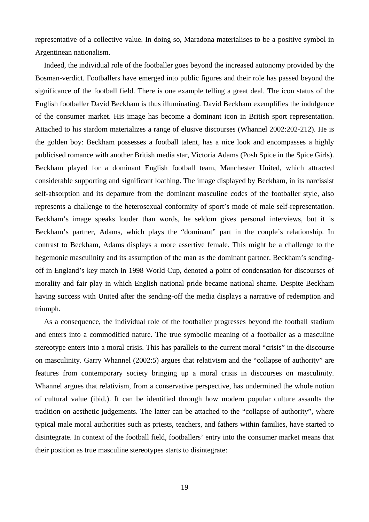representative of a collective value. In doing so, Maradona materialises to be a positive symbol in Argentinean nationalism.

Indeed, the individual role of the footballer goes beyond the increased autonomy provided by the Bosman-verdict. Footballers have emerged into public figures and their role has passed beyond the significance of the football field. There is one example telling a great deal. The icon status of the English footballer David Beckham is thus illuminating. David Beckham exemplifies the indulgence of the consumer market. His image has become a dominant icon in British sport representation. Attached to his stardom materializes a range of elusive discourses (Whannel 2002:202-212). He is the golden boy: Beckham possesses a football talent, has a nice look and encompasses a highly publicised romance with another British media star, Victoria Adams (Posh Spice in the Spice Girls). Beckham played for a dominant English football team, Manchester United, which attracted considerable supporting and significant loathing. The image displayed by Beckham, in its narcissist self-absorption and its departure from the dominant masculine codes of the footballer style, also represents a challenge to the heterosexual conformity of sport's mode of male self-representation. Beckham's image speaks louder than words, he seldom gives personal interviews, but it is Beckham's partner, Adams, which plays the "dominant" part in the couple's relationship. In contrast to Beckham, Adams displays a more assertive female. This might be a challenge to the hegemonic masculinity and its assumption of the man as the dominant partner. Beckham's sendingoff in England's key match in 1998 World Cup, denoted a point of condensation for discourses of morality and fair play in which English national pride became national shame. Despite Beckham having success with United after the sending-off the media displays a narrative of redemption and triumph.

As a consequence, the individual role of the footballer progresses beyond the football stadium and enters into a commodified nature. The true symbolic meaning of a footballer as a masculine stereotype enters into a moral crisis. This has parallels to the current moral "crisis" in the discourse on masculinity. Garry Whannel (2002:5) argues that relativism and the "collapse of authority" are features from contemporary society bringing up a moral crisis in discourses on masculinity. Whannel argues that relativism, from a conservative perspective, has undermined the whole notion of cultural value (ibid.). It can be identified through how modern popular culture assaults the tradition on aesthetic judgements. The latter can be attached to the "collapse of authority", where typical male moral authorities such as priests, teachers, and fathers within families, have started to disintegrate. In context of the football field, footballers' entry into the consumer market means that their position as true masculine stereotypes starts to disintegrate: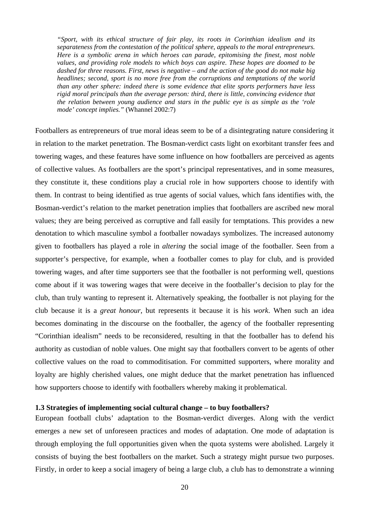<span id="page-19-0"></span>*"Sport, with its ethical structure of fair play, its roots in Corinthian idealism and its separateness from the contestation of the political sphere, appeals to the moral entrepreneurs. Here is a symbolic arena in which heroes can parade, epitomising the finest, most noble values, and providing role models to which boys can aspire. These hopes are doomed to be dashed for three reasons. First, news is negative – and the action of the good do not make big headlines; second, sport is no more free from the corruptions and temptations of the world than any other sphere: indeed there is some evidence that elite sports performers have less rigid moral principals than the average person: third, there is little, convincing evidence that the relation between young audience and stars in the public eye is as simple as the 'role mode' concept implies."* (Whannel 2002:7)

Footballers as entrepreneurs of true moral ideas seem to be of a disintegrating nature considering it in relation to the market penetration. The Bosman-verdict casts light on exorbitant transfer fees and towering wages, and these features have some influence on how footballers are perceived as agents of collective values. As footballers are the sport's principal representatives, and in some measures, they constitute it, these conditions play a crucial role in how supporters choose to identify with them. In contrast to being identified as true agents of social values, which fans identifies with, the Bosman-verdict's relation to the market penetration implies that footballers are ascribed new moral values; they are being perceived as corruptive and fall easily for temptations. This provides a new denotation to which masculine symbol a footballer nowadays symbolizes. The increased autonomy given to footballers has played a role in *altering* the social image of the footballer. Seen from a supporter's perspective, for example, when a footballer comes to play for club, and is provided towering wages, and after time supporters see that the footballer is not performing well, questions come about if it was towering wages that were deceive in the footballer's decision to play for the club, than truly wanting to represent it. Alternatively speaking, the footballer is not playing for the club because it is a *great honour*, but represents it because it is his *work*. When such an idea becomes dominating in the discourse on the footballer, the agency of the footballer representing "Corinthian idealism" needs to be reconsidered, resulting in that the footballer has to defend his authority as custodian of noble values. One might say that footballers convert to be agents of other collective values on the road to commoditisation. For committed supporters, where morality and loyalty are highly cherished values, one might deduce that the market penetration has influenced how supporters choose to identify with footballers whereby making it problematical.

## **1.3 Strategies of implementing social cultural change – to buy footballers?**

European football clubs' adaptation to the Bosman-verdict diverges. Along with the verdict emerges a new set of unforeseen practices and modes of adaptation. One mode of adaptation is through employing the full opportunities given when the quota systems were abolished. Largely it consists of buying the best footballers on the market. Such a strategy might pursue two purposes. Firstly, in order to keep a social imagery of being a large club, a club has to demonstrate a winning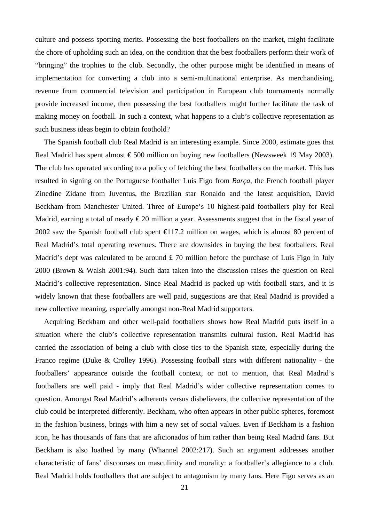culture and possess sporting merits. Possessing the best footballers on the market, might facilitate the chore of upholding such an idea, on the condition that the best footballers perform their work of "bringing" the trophies to the club. Secondly, the other purpose might be identified in means of implementation for converting a club into a semi-multinational enterprise. As merchandising, revenue from commercial television and participation in European club tournaments normally provide increased income, then possessing the best footballers might further facilitate the task of making money on football. In such a context, what happens to a club's collective representation as such business ideas begin to obtain foothold?

The Spanish football club Real Madrid is an interesting example. Since 2000, estimate goes that Real Madrid has spent almost €500 million on buying new footballers (Newsweek 19 May 2003). The club has operated according to a policy of fetching the best footballers on the market. This has resulted in signing on the Portuguese footballer Luis Figo from *Barça*, the French football player Zinedine Zidane from Juventus, the Brazilian star Ronaldo and the latest acquisition, David Beckham from Manchester United. Three of Europe's 10 highest-paid footballers play for Real Madrid, earning a total of nearly  $\epsilon$ 20 million a year. Assessments suggest that in the fiscal year of 2002 saw the Spanish football club spent  $\bigoplus$  17.2 million on wages, which is almost 80 percent of Real Madrid's total operating revenues. There are downsides in buying the best footballers. Real Madrid's dept was calculated to be around £70 million before the purchase of Luis Figo in July 2000 (Brown & Walsh 2001:94). Such data taken into the discussion raises the question on Real Madrid's collective representation. Since Real Madrid is packed up with football stars, and it is widely known that these footballers are well paid, suggestions are that Real Madrid is provided a new collective meaning, especially amongst non-Real Madrid supporters.

Acquiring Beckham and other well-paid footballers shows how Real Madrid puts itself in a situation where the club's collective representation transmits cultural fusion. Real Madrid has carried the association of being a club with close ties to the Spanish state, especially during the Franco regime (Duke & Crolley 1996). Possessing football stars with different nationality - the footballers' appearance outside the football context, or not to mention, that Real Madrid's footballers are well paid - imply that Real Madrid's wider collective representation comes to question. Amongst Real Madrid's adherents versus disbelievers, the collective representation of the club could be interpreted differently. Beckham, who often appears in other public spheres, foremost in the fashion business, brings with him a new set of social values. Even if Beckham is a fashion icon, he has thousands of fans that are aficionados of him rather than being Real Madrid fans. But Beckham is also loathed by many (Whannel 2002:217). Such an argument addresses another characteristic of fans' discourses on masculinity and morality: a footballer's allegiance to a club. Real Madrid holds footballers that are subject to antagonism by many fans. Here Figo serves as an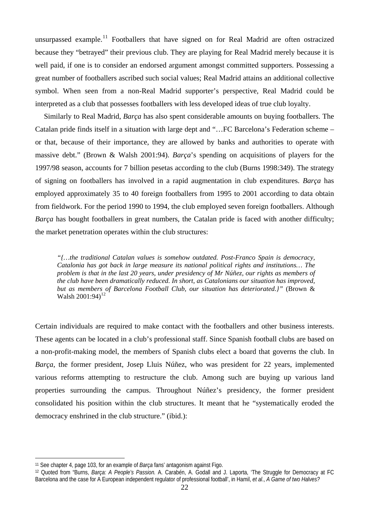unsurpassed example.<sup>[11](#page-21-0)</sup> Footballers that have signed on for Real Madrid are often ostracized because they "betrayed" their previous club. They are playing for Real Madrid merely because it is well paid, if one is to consider an endorsed argument amongst committed supporters. Possessing a great number of footballers ascribed such social values; Real Madrid attains an additional collective symbol. When seen from a non-Real Madrid supporter's perspective, Real Madrid could be interpreted as a club that possesses footballers with less developed ideas of true club loyalty.

Similarly to Real Madrid, *Barça* has also spent considerable amounts on buying footballers. The Catalan pride finds itself in a situation with large dept and "…FC Barcelona's Federation scheme – or that, because of their importance, they are allowed by banks and authorities to operate with massive debt." (Brown & Walsh 2001:94). *Barça*'s spending on acquisitions of players for the 1997/98 season, accounts for 7 billion pesetas according to the club (Burns 1998:349). The strategy of signing on footballers has involved in a rapid augmentation in club expenditures. *Barça* has employed approximately 35 to 40 foreign footballers from 1995 to 2001 according to data obtain from fieldwork. For the period 1990 to 1994, the club employed seven foreign footballers. Although *Barça* has bought footballers in great numbers, the Catalan pride is faced with another difficulty; the market penetration operates within the club structures:

*"{…the traditional Catalan values is somehow outdated. Post-Franco Spain is democracy, Catalonia has got back in large measure its national political rights and institutions… The problem is that in the last 20 years, under presidency of Mr Núñez, our rights as members of the club have been dramatically reduced. In short, as Catalonians our situation has improved, but as members of Barcelona Football Club, our situation has deteriorated.}"* (Brown & Walsh  $2001:94$ <sup>[12](#page-21-1)</sup>

Certain individuals are required to make contact with the footballers and other business interests. These agents can be located in a club's professional staff. Since Spanish football clubs are based on a non-profit-making model, the members of Spanish clubs elect a board that governs the club. In *Barça*, the former president, Josep Lluis Núñez, who was president for 22 years, implemented various reforms attempting to restructure the club. Among such are buying up various land properties surrounding the campus. Throughout Núñez's presidency, the former president consolidated his position within the club structures. It meant that he "systematically eroded the democracy enshrined in the club structure." (ibid.):

<span id="page-21-0"></span><sup>11</sup> See chapter 4, page 103, for an example of *Barça* fans' antagonism against Figo.

<span id="page-21-1"></span><sup>12</sup> Quoted from "Burns, *Barça: A People's Passion.* A. Carabén, A. Godall and J. Laporta, 'The Struggle for Democracy at FC Barcelona and the case for A European independent regulator of professional football', in Hamil, *et al*., *A Game of two Halves?*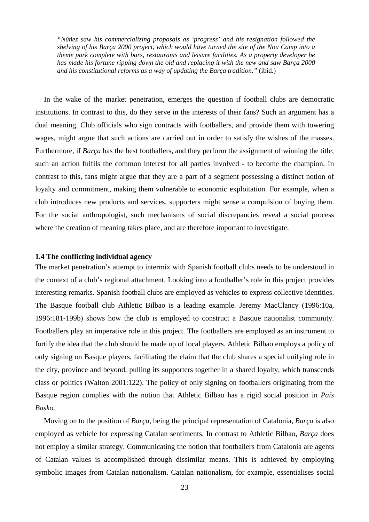<span id="page-22-0"></span>*"Núñez saw his commercializing proposals as 'progress' and his resignation followed the shelving of his Barça 2000 project, which would have turned the site of the Nou Camp into a theme park complete with bars, restaurants and leisure facilities. As a property developer he has made his fortune ripping down the old and replacing it with the new and saw Barça 2000 and his constitutional reforms as a way of updating the Barça tradition."* (ibid.)

In the wake of the market penetration, emerges the question if football clubs are democratic institutions. In contrast to this, do they serve in the interests of their fans? Such an argument has a dual meaning. Club officials who sign contracts with footballers, and provide them with towering wages, might argue that such actions are carried out in order to satisfy the wishes of the masses. Furthermore, if *Barça* has the best footballers, and they perform the assignment of winning the title; such an action fulfils the common interest for all parties involved - to become the champion. In contrast to this, fans might argue that they are a part of a segment possessing a distinct notion of loyalty and commitment, making them vulnerable to economic exploitation. For example, when a club introduces new products and services, supporters might sense a compulsion of buying them. For the social anthropologist, such mechanisms of social discrepancies reveal a social process where the creation of meaning takes place, and are therefore important to investigate.

## **1.4 The conflicting individual agency**

The market penetration's attempt to intermix with Spanish football clubs needs to be understood in the context of a club's regional attachment. Looking into a footballer's role in this project provides interesting remarks. Spanish football clubs are employed as vehicles to express collective identities. The Basque football club Athletic Bilbao is a leading example. Jeremy MacClancy (1996:10a, 1996:181-199b) shows how the club is employed to construct a Basque nationalist community. Footballers play an imperative role in this project. The footballers are employed as an instrument to fortify the idea that the club should be made up of local players. Athletic Bilbao employs a policy of only signing on Basque players, facilitating the claim that the club shares a special unifying role in the city, province and beyond, pulling its supporters together in a shared loyalty, which transcends class or politics (Walton 2001:122). The policy of only signing on footballers originating from the Basque region complies with the notion that Athletic Bilbao has a rigid social position in *País Basko*.

Moving on to the position of *Barça*, being the principal representation of Catalonia, *Barça* is also employed as vehicle for expressing Catalan sentiments. In contrast to Athletic Bilbao, *Barça* does not employ a similar strategy. Communicating the notion that footballers from Catalonia are agents of Catalan values is accomplished through dissimilar means. This is achieved by employing symbolic images from Catalan nationalism. Catalan nationalism, for example, essentialises social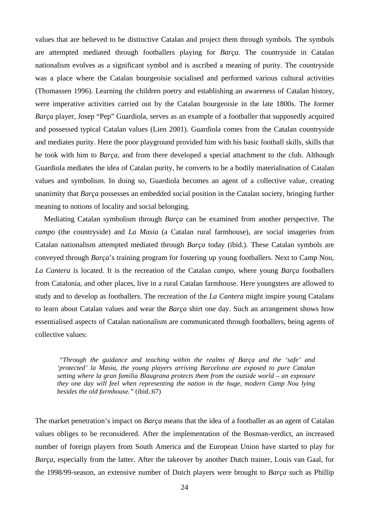values that are believed to be distinctive Catalan and project them through symbols. The symbols are attempted mediated through footballers playing for *Barça*. The countryside in Catalan nationalism evolves as a significant symbol and is ascribed a meaning of purity. The countryside was a place where the Catalan bourgeoisie socialised and performed various cultural activities (Thomassen 1996). Learning the children poetry and establishing an awareness of Catalan history, were imperative activities carried out by the Catalan bourgeoisie in the late 1800s. The former *Barça* player, Josep "Pep" Guardiola, serves as an example of a footballer that supposedly acquired and possessed typical Catalan values (Lien 2001). Guardiola comes from the Catalan countryside and mediates purity. Here the poor playground provided him with his basic football skills, skills that he took with him to *Barça*, and from there developed a special attachment to the club. Although Guardiola mediates the idea of Catalan purity, he converts to be a bodily materialisation of Catalan values and symbolism. In doing so, Guardiola becomes an agent of a collective value, creating unanimity that *Barça* possesses an embedded social position in the Catalan society, bringing further meaning to notions of locality and social belonging.

Mediating Catalan symbolism through *Barça* can be examined from another perspective. The *campo* (the countryside) and *La Masia* (a Catalan rural farmhouse), are social imageries from Catalan nationalism attempted mediated through *Barça* today (ibid.). These Catalan symbols are conveyed through *Barça*'s training program for fostering up young footballers. Next to Camp Nou, *La Cantera* is located. It is the recreation of the Catalan *campo*, where young *Barça* footballers from Catalonia, and other places, live in a rural Catalan farmhouse. Here youngsters are allowed to study and to develop as footballers. The recreation of the *La Cantera* might inspire young Catalans to learn about Catalan values and wear the *Barça* shirt one day. Such an arrangement shows how essentialised aspects of Catalan nationalism are communicated through footballers, being agents of collective values:

*"Through the guidance and teaching within the realms of Barça and the 'safe' and 'protected' la Masia, the young players arriving Barcelona are exposed to pure Catalan setting where la gran familia Blaugrana protects them from the outside world – an exposure they one day will feel when representing the nation in the huge, modern Camp Nou lying besides the old farmhouse."* (ibid.:67)

The market penetration's impact on *Barça* means that the idea of a footballer as an agent of Catalan values obliges to be reconsidered. After the implementation of the Bosman-verdict, an increased number of foreign players from South America and the European Union have started to play for *Barça*, especially from the latter. After the takeover by another Dutch trainer, Louis van Gaal, for the 1998/99-season, an extensive number of Dutch players were brought to *Barça* such as Phillip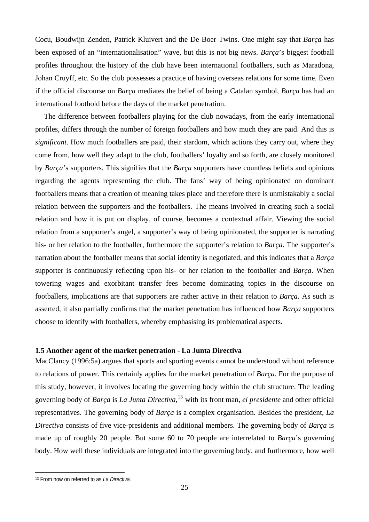<span id="page-24-0"></span>Cocu, Boudwijn Zenden, Patrick Kluivert and the De Boer Twins. One might say that *Barça* has been exposed of an "internationalisation" wave, but this is not big news. *Barça*'s biggest football profiles throughout the history of the club have been international footballers, such as Maradona, Johan Cruyff, etc. So the club possesses a practice of having overseas relations for some time. Even if the official discourse on *Barça* mediates the belief of being a Catalan symbol, *Barça* has had an international foothold before the days of the market penetration.

The difference between footballers playing for the club nowadays, from the early international profiles, differs through the number of foreign footballers and how much they are paid. And this is *significant*. How much footballers are paid, their stardom, which actions they carry out, where they come from, how well they adapt to the club, footballers' loyalty and so forth, are closely monitored by *Barça*'s supporters. This signifies that the *Barça* supporters have countless beliefs and opinions regarding the agents representing the club. The fans' way of being opinionated on dominant footballers means that a creation of meaning takes place and therefore there is unmistakably a social relation between the supporters and the footballers. The means involved in creating such a social relation and how it is put on display, of course, becomes a contextual affair. Viewing the social relation from a supporter's angel, a supporter's way of being opinionated, the supporter is narrating his- or her relation to the footballer, furthermore the supporter's relation to *Barça*. The supporter's narration about the footballer means that social identity is negotiated, and this indicates that a *Barça* supporter is continuously reflecting upon his- or her relation to the footballer and *Barça*. When towering wages and exorbitant transfer fees become dominating topics in the discourse on footballers, implications are that supporters are rather active in their relation to *Barça*. As such is asserted, it also partially confirms that the market penetration has influenced how *Barça* supporters choose to identify with footballers, whereby emphasising its problematical aspects.

## **1.5 Another agent of the market penetration - La Junta Directiva**

MacClancy (1996:5a) argues that sports and sporting events cannot be understood without reference to relations of power. This certainly applies for the market penetration of *Barça*. For the purpose of this study, however, it involves locating the governing body within the club structure. The leading governing body of *Barça* is *La Junta Directiva*, [13](#page-24-1) with its front man, *el presidente* and other official representatives. The governing body of *Barça* is a complex organisation. Besides the president, *La Directiva* consists of five vice-presidents and additional members. The governing body of *Barça* is made up of roughly 20 people. But some 60 to 70 people are interrelated to *Barça*'s governing body. How well these individuals are integrated into the governing body, and furthermore, how well

<span id="page-24-1"></span><sup>13</sup> From now on referred to as *La Directiva*.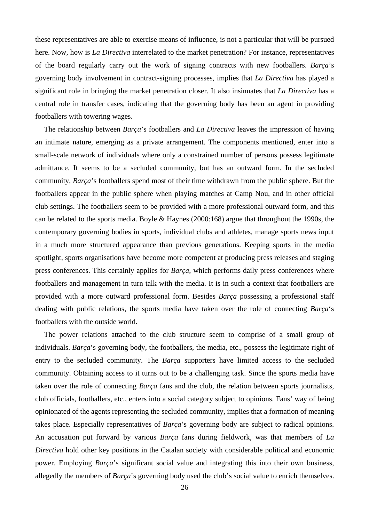these representatives are able to exercise means of influence, is not a particular that will be pursued here. Now, how is *La Directiva* interrelated to the market penetration? For instance, representatives of the board regularly carry out the work of signing contracts with new footballers. *Barça*'s governing body involvement in contract-signing processes, implies that *La Directiva* has played a significant role in bringing the market penetration closer. It also insinuates that *La Directiva* has a central role in transfer cases, indicating that the governing body has been an agent in providing footballers with towering wages.

The relationship between *Barça*'s footballers and *La Directiva* leaves the impression of having an intimate nature, emerging as a private arrangement. The components mentioned, enter into a small-scale network of individuals where only a constrained number of persons possess legitimate admittance. It seems to be a secluded community, but has an outward form. In the secluded community, *Barça*'s footballers spend most of their time withdrawn from the public sphere. But the footballers appear in the public sphere when playing matches at Camp Nou, and in other official club settings. The footballers seem to be provided with a more professional outward form, and this can be related to the sports media. Boyle & Haynes (2000:168) argue that throughout the 1990s, the contemporary governing bodies in sports, individual clubs and athletes, manage sports news input in a much more structured appearance than previous generations. Keeping sports in the media spotlight, sports organisations have become more competent at producing press releases and staging press conferences. This certainly applies for *Barça*, which performs daily press conferences where footballers and management in turn talk with the media. It is in such a context that footballers are provided with a more outward professional form. Besides *Barça* possessing a professional staff dealing with public relations, the sports media have taken over the role of connecting *Barça*'s footballers with the outside world.

The power relations attached to the club structure seem to comprise of a small group of individuals. *Barça*'s governing body, the footballers, the media, etc., possess the legitimate right of entry to the secluded community. The *Barça* supporters have limited access to the secluded community. Obtaining access to it turns out to be a challenging task. Since the sports media have taken over the role of connecting *Barça* fans and the club, the relation between sports journalists, club officials, footballers, etc., enters into a social category subject to opinions. Fans' way of being opinionated of the agents representing the secluded community, implies that a formation of meaning takes place. Especially representatives of *Barça*'s governing body are subject to radical opinions. An accusation put forward by various *Barça* fans during fieldwork, was that members of *La Directiva* hold other key positions in the Catalan society with considerable political and economic power. Employing *Barça*'s significant social value and integrating this into their own business, allegedly the members of *Barça*'s governing body used the club's social value to enrich themselves.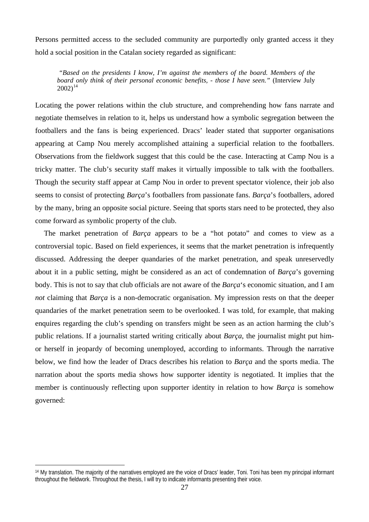Persons permitted access to the secluded community are purportedly only granted access it they hold a social position in the Catalan society regarded as significant:

*"Based on the presidents I know, I'm against the members of the board. Members of the board only think of their personal economic benefits, - those I have seen."* (Interview July  $2002$ <sup>[14](#page-26-0)</sup>

Locating the power relations within the club structure, and comprehending how fans narrate and negotiate themselves in relation to it, helps us understand how a symbolic segregation between the footballers and the fans is being experienced. Dracs' leader stated that supporter organisations appearing at Camp Nou merely accomplished attaining a superficial relation to the footballers. Observations from the fieldwork suggest that this could be the case. Interacting at Camp Nou is a tricky matter. The club's security staff makes it virtually impossible to talk with the footballers. Though the security staff appear at Camp Nou in order to prevent spectator violence, their job also seems to consist of protecting *Barça*'s footballers from passionate fans. *Barça*'s footballers, adored by the many, bring an opposite social picture. Seeing that sports stars need to be protected, they also come forward as symbolic property of the club.

The market penetration of *Barça* appears to be a "hot potato" and comes to view as a controversial topic. Based on field experiences, it seems that the market penetration is infrequently discussed. Addressing the deeper quandaries of the market penetration, and speak unreservedly about it in a public setting, might be considered as an act of condemnation of *Barça*'s governing body. This is not to say that club officials are not aware of the *Barça*'s economic situation, and I am *not* claiming that *Barça* is a non-democratic organisation. My impression rests on that the deeper quandaries of the market penetration seem to be overlooked. I was told, for example, that making enquires regarding the club's spending on transfers might be seen as an action harming the club's public relations. If a journalist started writing critically about *Barça*, the journalist might put himor herself in jeopardy of becoming unemployed, according to informants. Through the narrative below, we find how the leader of Dracs describes his relation to *Barça* and the sports media. The narration about the sports media shows how supporter identity is negotiated. It implies that the member is continuously reflecting upon supporter identity in relation to how *Barça* is somehow governed:

<span id="page-26-0"></span><sup>14</sup> My translation. The majority of the narratives employed are the voice of Dracs' leader, Toni. Toni has been my principal informant throughout the fieldwork. Throughout the thesis, I will try to indicate informants presenting their voice.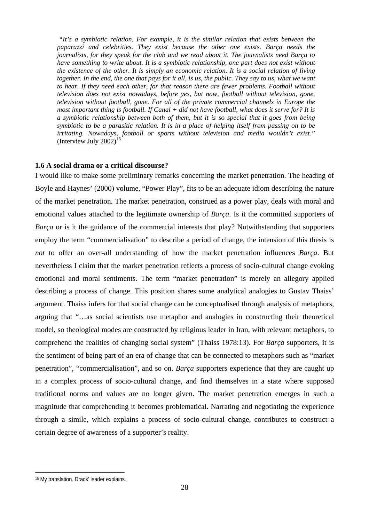<span id="page-27-0"></span> *"It's a symbiotic relation. For example, it is the similar relation that exists between the paparazzi and celebrities. They exist because the other one exists. Barça needs the journalists, for they speak for the club and we read about it. The journalists need Barça to have something to write about. It is a symbiotic relationship, one part does not exist without the existence of the other. It is simply an economic relation. It is a social relation of living together. In the end, the one that pays for it all, is us, the public. They say to us, what we want to hear. If they need each other, for that reason there are fewer problems. Football without television does not exist nowadays, before yes, but now, football without television, gone, television without football, gone. For all of the private commercial channels in Europe the most important thing is football. If Canal + did not have football, what does it serve for? It is a symbiotic relationship between both of them, but it is so special that it goes from being symbiotic to be a parasitic relation. It is in a place of helping itself from passing on to be irritating. Nowadays, football or sports without television and media wouldn't exist."*  (Interview July 2002)<sup>1</sup>

## **1.6 A social drama or a critical discourse?**

I would like to make some preliminary remarks concerning the market penetration. The heading of Boyle and Haynes' (2000) volume, "Power Play", fits to be an adequate idiom describing the nature of the market penetration. The market penetration, construed as a power play, deals with moral and emotional values attached to the legitimate ownership of *Barça*. Is it the committed supporters of *Barça* or is it the guidance of the commercial interests that play? Notwithstanding that supporters employ the term "commercialisation" to describe a period of change, the intension of this thesis is *not* to offer an over-all understanding of how the market penetration influences *Barça*. But nevertheless I claim that the market penetration reflects a process of socio-cultural change evoking emotional and moral sentiments. The term "market penetration" is merely an allegory applied describing a process of change. This position shares some analytical analogies to Gustav Thaiss' argument. Thaiss infers for that social change can be conceptualised through analysis of metaphors, arguing that "…as social scientists use metaphor and analogies in constructing their theoretical model, so theological modes are constructed by religious leader in Iran, with relevant metaphors, to comprehend the realities of changing social system" (Thaiss 1978:13). For *Barça* supporters, it is the sentiment of being part of an era of change that can be connected to metaphors such as "market penetration", "commercialisation", and so on. *Barça* supporters experience that they are caught up in a complex process of socio-cultural change, and find themselves in a state where supposed traditional norms and values are no longer given. The market penetration emerges in such a magnitude that comprehending it becomes problematical. Narrating and negotiating the experience through a simile, which explains a process of socio-cultural change, contributes to construct a certain degree of awareness of a supporter's reality.

<span id="page-27-1"></span><sup>15</sup> My translation. Dracs' leader explains.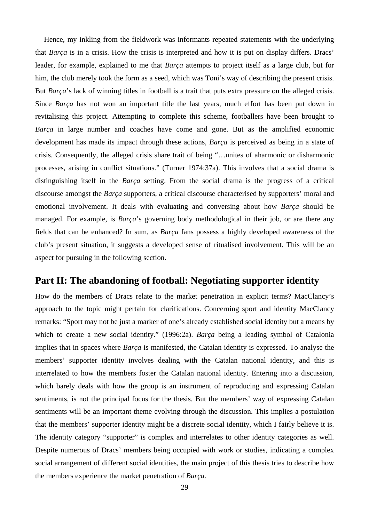<span id="page-28-0"></span>Hence, my inkling from the fieldwork was informants repeated statements with the underlying that *Barça* is in a crisis. How the crisis is interpreted and how it is put on display differs. Dracs' leader, for example, explained to me that *Barça* attempts to project itself as a large club, but for him, the club merely took the form as a seed, which was Toni's way of describing the present crisis. But *Barça*'s lack of winning titles in football is a trait that puts extra pressure on the alleged crisis. Since *Barça* has not won an important title the last years, much effort has been put down in revitalising this project. Attempting to complete this scheme, footballers have been brought to *Barça* in large number and coaches have come and gone. But as the amplified economic development has made its impact through these actions, *Barça* is perceived as being in a state of crisis. Consequently, the alleged crisis share trait of being "…unites of aharmonic or disharmonic processes, arising in conflict situations." (Turner 1974:37a). This involves that a social drama is distinguishing itself in the *Barça* setting. From the social drama is the progress of a critical discourse amongst the *Barça* supporters, a critical discourse characterised by supporters' moral and emotional involvement. It deals with evaluating and conversing about how *Barça* should be managed. For example, is *Barça*'s governing body methodological in their job, or are there any fields that can be enhanced? In sum, as *Barça* fans possess a highly developed awareness of the club's present situation, it suggests a developed sense of ritualised involvement. This will be an aspect for pursuing in the following section.

## **Part II: The abandoning of football: Negotiating supporter identity**

How do the members of Dracs relate to the market penetration in explicit terms? MacClancy's approach to the topic might pertain for clarifications. Concerning sport and identity MacClancy remarks: "Sport may not be just a marker of one's already established social identity but a means by which to create a new social identity." (1996:2a). *Barça* being a leading symbol of Catalonia implies that in spaces where *Barça* is manifested, the Catalan identity is expressed. To analyse the members' supporter identity involves dealing with the Catalan national identity, and this is interrelated to how the members foster the Catalan national identity. Entering into a discussion, which barely deals with how the group is an instrument of reproducing and expressing Catalan sentiments, is not the principal focus for the thesis. But the members' way of expressing Catalan sentiments will be an important theme evolving through the discussion. This implies a postulation that the members' supporter identity might be a discrete social identity, which I fairly believe it is. The identity category "supporter" is complex and interrelates to other identity categories as well. Despite numerous of Dracs' members being occupied with work or studies, indicating a complex social arrangement of different social identities, the main project of this thesis tries to describe how the members experience the market penetration of *Barça*.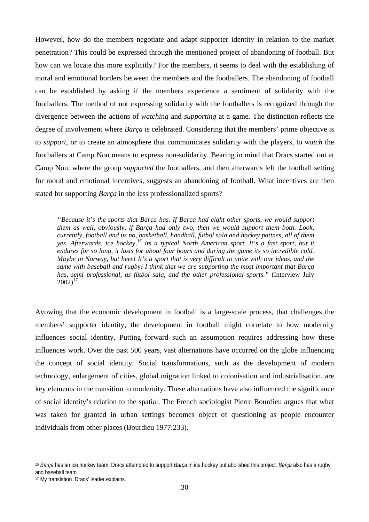However, how do the members negotiate and adapt supporter identity in relation to the market penetration? This could be expressed through the mentioned project of abandoning of football. But how can we locate this more explicitly? For the members, it seems to deal with the establishing of moral and emotional borders between the members and the footballers. The abandoning of football can be established by asking if the members experience a sentiment of solidarity with the footballers. The method of not expressing solidarity with the footballers is recognized through the divergence between the actions of *watching* and *supporting* at a game. The distinction reflects the degree of involvement where *Barça* is celebrated. Considering that the members' prime objective is to *support*, or to create an atmosphere that communicates solidarity with the players, to *watch* the footballers at Camp Nou means to express non-solidarity. Bearing in mind that Dracs started out at Camp Nou, where the group *supported* the footballers, and then afterwards left the football setting for moral and emotional incentives, suggests an abandoning of football. What incentives are then stated for supporting *Barça* in the less professionalized sports?

*"Because it's the sports that Barça has. If Barça had eight other sports, we would support them as well, obviously, if Barça had only two, then we would support them both. Look, currently, football and us no, basketball, handball, fútbol sala and hockey patines, all of them yes. Afterwards, ice hockey,[16](#page-29-0) its a typical North American sport. It's a fast sport, but it endures for so long, it lasts for about four hours and during the game its so incredible cold. Maybe in Norway, but here! It's a sport that is very difficult to unite with our ideas, and the same with baseball and rugby! I think that we are supporting the most important that Barça has, semi professional, as fútbol sala, and the other professional sports."* (Interview July  $2002$ <sup>[17](#page-29-1)</sup>

Avowing that the economic development in football is a large-scale process, that challenges the members' supporter identity, the development in football might correlate to how modernity influences social identity. Putting forward such an assumption requires addressing how these influences work. Over the past 500 years, vast alternations have occurred on the globe influencing the concept of social identity. Social transformations, such as the development of modern technology, enlargement of cities, global migration linked to colonisation and industrialisation, are key elements in the transition to modernity. These alternations have also influenced the significance of social identity's relation to the spatial. The French sociologist Pierre Bourdieu argues that what was taken for granted in urban settings becomes object of questioning as people encounter individuals from other places (Bourdieu 1977:233).

<span id="page-29-0"></span><sup>16</sup> *Barça* has an ice hockey team. Dracs attempted to support *Barça* in ice hockey but abolished this project. *Barça* also has a rugby and baseball team.

<span id="page-29-1"></span><sup>17</sup> My translation. Dracs' leader explains.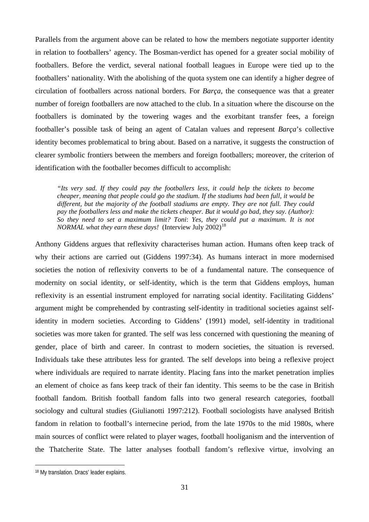Parallels from the argument above can be related to how the members negotiate supporter identity in relation to footballers' agency. The Bosman-verdict has opened for a greater social mobility of footballers. Before the verdict, several national football leagues in Europe were tied up to the footballers' nationality. With the abolishing of the quota system one can identify a higher degree of circulation of footballers across national borders. For *Barça*, the consequence was that a greater number of foreign footballers are now attached to the club. In a situation where the discourse on the footballers is dominated by the towering wages and the exorbitant transfer fees, a foreign footballer's possible task of being an agent of Catalan values and represent *Barça*'s collective identity becomes problematical to bring about. Based on a narrative, it suggests the construction of clearer symbolic frontiers between the members and foreign footballers; moreover, the criterion of identification with the footballer becomes difficult to accomplish:

*"Its very sad. If they could pay the footballers less, it could help the tickets to become cheaper, meaning that people could go the stadium. If the stadiums had been full, it would be different, but the majority of the football stadiums are empty. They are not full. They could pay the footballers less and make the tickets cheaper. But it would go bad, they say. (Author): So they need to set a maximum limit? Toni*: *Yes, they could put a maximum. It is not NORMAL what they earn these days!* (Interview July 2002)<sup>[18](#page-30-0)</sup>

Anthony Giddens argues that reflexivity characterises human action. Humans often keep track of why their actions are carried out (Giddens 1997:34). As humans interact in more modernised societies the notion of reflexivity converts to be of a fundamental nature. The consequence of modernity on social identity, or self-identity, which is the term that Giddens employs, human reflexivity is an essential instrument employed for narrating social identity. Facilitating Giddens' argument might be comprehended by contrasting self-identity in traditional societies against selfidentity in modern societies. According to Giddens' (1991) model, self-identity in traditional societies was more taken for granted. The self was less concerned with questioning the meaning of gender, place of birth and career. In contrast to modern societies, the situation is reversed. Individuals take these attributes less for granted. The self develops into being a reflexive project where individuals are required to narrate identity. Placing fans into the market penetration implies an element of choice as fans keep track of their fan identity. This seems to be the case in British football fandom. British football fandom falls into two general research categories, football sociology and cultural studies (Giulianotti 1997:212). Football sociologists have analysed British fandom in relation to football's internecine period, from the late 1970s to the mid 1980s, where main sources of conflict were related to player wages, football hooliganism and the intervention of the Thatcherite State. The latter analyses football fandom's reflexive virtue, involving an

<span id="page-30-0"></span><sup>18</sup> My translation. Dracs' leader explains.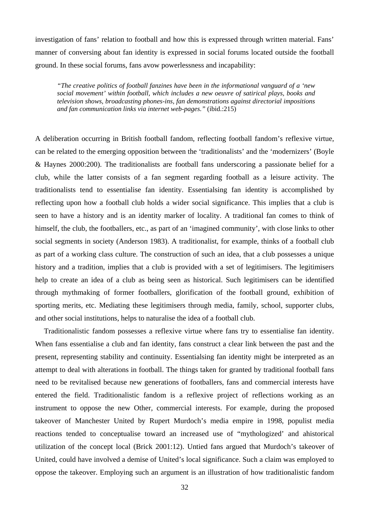investigation of fans' relation to football and how this is expressed through written material. Fans' manner of conversing about fan identity is expressed in social forums located outside the football ground. In these social forums, fans avow powerlessness and incapability:

*"The creative politics of football fanzines have been in the informational vanguard of a 'new social movement' within football, which includes a new oeuvre of satirical plays, books and television shows, broadcasting phones-ins, fan demonstrations against directorial impositions and fan communication links via internet web-pages."* (ibid.:215)

A deliberation occurring in British football fandom, reflecting football fandom's reflexive virtue, can be related to the emerging opposition between the 'traditionalists' and the 'modernizers' (Boyle & Haynes 2000:200). The traditionalists are football fans underscoring a passionate belief for a club, while the latter consists of a fan segment regarding football as a leisure activity. The traditionalists tend to essentialise fan identity. Essentialsing fan identity is accomplished by reflecting upon how a football club holds a wider social significance. This implies that a club is seen to have a history and is an identity marker of locality. A traditional fan comes to think of himself, the club, the footballers, etc., as part of an 'imagined community', with close links to other social segments in society (Anderson 1983). A traditionalist, for example, thinks of a football club as part of a working class culture. The construction of such an idea, that a club possesses a unique history and a tradition, implies that a club is provided with a set of legitimisers. The legitimisers help to create an idea of a club as being seen as historical. Such legitimisers can be identified through mythmaking of former footballers, glorification of the football ground, exhibition of sporting merits, etc. Mediating these legitimisers through media, family, school, supporter clubs, and other social institutions, helps to naturalise the idea of a football club.

Traditionalistic fandom possesses a reflexive virtue where fans try to essentialise fan identity. When fans essentialise a club and fan identity, fans construct a clear link between the past and the present, representing stability and continuity. Essentialsing fan identity might be interpreted as an attempt to deal with alterations in football. The things taken for granted by traditional football fans need to be revitalised because new generations of footballers, fans and commercial interests have entered the field. Traditionalistic fandom is a reflexive project of reflections working as an instrument to oppose the new Other, commercial interests. For example, during the proposed takeover of Manchester United by Rupert Murdoch's media empire in 1998, populist media reactions tended to conceptualise toward an increased use of "mythologized' and ahistorical utilization of the concept local (Brick 2001:12). Untied fans argued that Murdoch's takeover of United, could have involved a demise of United's local significance. Such a claim was employed to oppose the takeover. Employing such an argument is an illustration of how traditionalistic fandom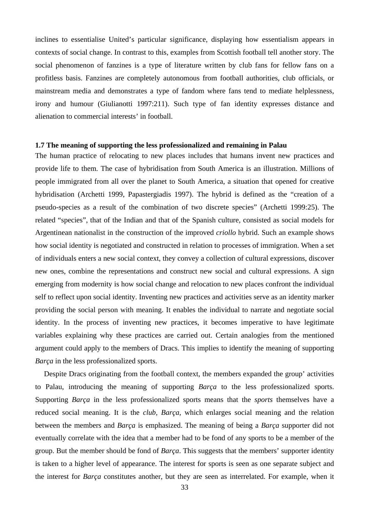<span id="page-32-0"></span>inclines to essentialise United's particular significance, displaying how essentialism appears in contexts of social change. In contrast to this, examples from Scottish football tell another story. The social phenomenon of fanzines is a type of literature written by club fans for fellow fans on a profitless basis. Fanzines are completely autonomous from football authorities, club officials, or mainstream media and demonstrates a type of fandom where fans tend to mediate helplessness, irony and humour (Giulianotti 1997:211). Such type of fan identity expresses distance and alienation to commercial interests' in football.

### **1.7 The meaning of supporting the less professionalized and remaining in Palau**

The human practice of relocating to new places includes that humans invent new practices and provide life to them. The case of hybridisation from South America is an illustration. Millions of people immigrated from all over the planet to South America, a situation that opened for creative hybridisation (Archetti 1999, Papastergiadis 1997). The hybrid is defined as the "creation of a pseudo-species as a result of the combination of two discrete species" (Archetti 1999:25). The related "species", that of the Indian and that of the Spanish culture, consisted as social models for Argentinean nationalist in the construction of the improved *criollo* hybrid. Such an example shows how social identity is negotiated and constructed in relation to processes of immigration. When a set of individuals enters a new social context, they convey a collection of cultural expressions, discover new ones, combine the representations and construct new social and cultural expressions. A sign emerging from modernity is how social change and relocation to new places confront the individual self to reflect upon social identity. Inventing new practices and activities serve as an identity marker providing the social person with meaning. It enables the individual to narrate and negotiate social identity. In the process of inventing new practices, it becomes imperative to have legitimate variables explaining why these practices are carried out. Certain analogies from the mentioned argument could apply to the members of Dracs. This implies to identify the meaning of supporting *Barça* in the less professionalized sports.

Despite Dracs originating from the football context, the members expanded the group' activities to Palau, introducing the meaning of supporting *Barça* to the less professionalized sports. Supporting *Barça* in the less professionalized sports means that the *sports* themselves have a reduced social meaning. It is the *club*, *Barça*, which enlarges social meaning and the relation between the members and *Barça* is emphasized. The meaning of being a *Barça* supporter did not eventually correlate with the idea that a member had to be fond of any sports to be a member of the group. But the member should be fond of *Barça*. This suggests that the members' supporter identity is taken to a higher level of appearance. The interest for sports is seen as one separate subject and the interest for *Barça* constitutes another, but they are seen as interrelated. For example, when it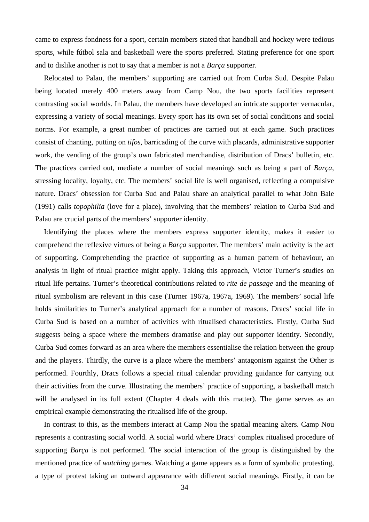came to express fondness for a sport, certain members stated that handball and hockey were tedious sports, while fútbol sala and basketball were the sports preferred. Stating preference for one sport and to dislike another is not to say that a member is not a *Barça* supporter.

Relocated to Palau, the members' supporting are carried out from Curba Sud. Despite Palau being located merely 400 meters away from Camp Nou, the two sports facilities represent contrasting social worlds. In Palau, the members have developed an intricate supporter vernacular, expressing a variety of social meanings. Every sport has its own set of social conditions and social norms. For example, a great number of practices are carried out at each game. Such practices consist of chanting, putting on *tifos*, barricading of the curve with placards, administrative supporter work, the vending of the group's own fabricated merchandise, distribution of Dracs' bulletin, etc. The practices carried out, mediate a number of social meanings such as being a part of *Barça*, stressing locality, loyalty, etc. The members' social life is well organised, reflecting a compulsive nature. Dracs' obsession for Curba Sud and Palau share an analytical parallel to what John Bale (1991) calls *topophilia* (love for a place), involving that the members' relation to Curba Sud and Palau are crucial parts of the members' supporter identity.

Identifying the places where the members express supporter identity, makes it easier to comprehend the reflexive virtues of being a *Barça* supporter. The members' main activity is the act of supporting. Comprehending the practice of supporting as a human pattern of behaviour, an analysis in light of ritual practice might apply. Taking this approach, Victor Turner's studies on ritual life pertains. Turner's theoretical contributions related to *rite de passage* and the meaning of ritual symbolism are relevant in this case (Turner 1967a, 1967a, 1969). The members' social life holds similarities to Turner's analytical approach for a number of reasons. Dracs' social life in Curba Sud is based on a number of activities with ritualised characteristics. Firstly, Curba Sud suggests being a space where the members dramatise and play out supporter identity. Secondly, Curba Sud comes forward as an area where the members essentialise the relation between the group and the players. Thirdly, the curve is a place where the members' antagonism against the Other is performed. Fourthly, Dracs follows a special ritual calendar providing guidance for carrying out their activities from the curve. Illustrating the members' practice of supporting, a basketball match will be analysed in its full extent (Chapter 4 deals with this matter). The game serves as an empirical example demonstrating the ritualised life of the group.

In contrast to this, as the members interact at Camp Nou the spatial meaning alters. Camp Nou represents a contrasting social world. A social world where Dracs' complex ritualised procedure of supporting *Barça* is not performed. The social interaction of the group is distinguished by the mentioned practice of *watching* games. Watching a game appears as a form of symbolic protesting, a type of protest taking an outward appearance with different social meanings. Firstly, it can be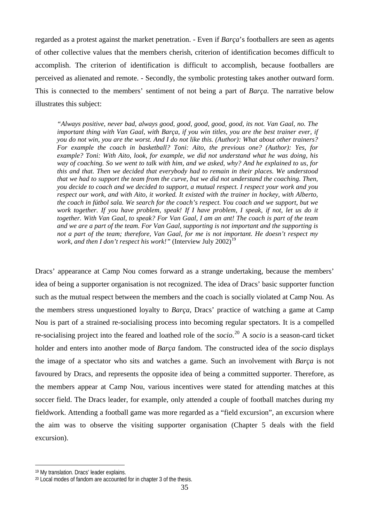regarded as a protest against the market penetration. - Even if *Barça*'s footballers are seen as agents of other collective values that the members cherish, criterion of identification becomes difficult to accomplish. The criterion of identification is difficult to accomplish, because footballers are perceived as alienated and remote. - Secondly, the symbolic protesting takes another outward form. This is connected to the members' sentiment of not being a part of *Barça*. The narrative below illustrates this subject:

*"Always positive, never bad, always good, good, good, good, good, its not. Van Gaal, no. The important thing with Van Gaal, with Barça, if you win titles, you are the best trainer ever, if you do not win, you are the worst. And I do not like this. (Author): What about other trainers? For example the coach in basketball? Toni: Aito, the previous one? (Author): Yes, for example? Toni: With Aito, look, for example, we did not understand what he was doing, his way of coaching. So we went to talk with him, and we asked, why? And he explained to us, for this and that. Then we decided that everybody had to remain in their places. We understood that we had to support the team from the curve, but we did not understand the coaching. Then, you decide to coach and we decided to support, a mutual respect. I respect your work and you respect our work, and with Aito, it worked. It existed with the trainer in hockey, with Alberto, the coach in fútbol sala. We search for the coach's respect. You coach and we support, but we work together. If you have problem, speak! If I have problem, I speak, if not, let us do it together. With Van Gaal, to speak? For Van Gaal, I am an ant! The coach is part of the team and we are a part of the team. For Van Gaal, supporting is not important and the supporting is not a part of the team; therefore, Van Gaal, for me is not important. He doesn't respect my work, and then I don't respect his work!"* (Interview July 2002)<sup>[19](#page-34-0)</sup>

Dracs' appearance at Camp Nou comes forward as a strange undertaking, because the members' idea of being a supporter organisation is not recognized. The idea of Dracs' basic supporter function such as the mutual respect between the members and the coach is socially violated at Camp Nou. As the members stress unquestioned loyalty to *Barça*, Dracs' practice of watching a game at Camp Nou is part of a strained re-socialising process into becoming regular spectators. It is a compelled re-socialising project into the feared and loathed role of the *socio*. [20](#page-34-1) A *socio* is a season-card ticket holder and enters into another mode of *Barça* fandom. The constructed idea of the *socio* displays the image of a spectator who sits and watches a game. Such an involvement with *Barça* is not favoured by Dracs, and represents the opposite idea of being a committed supporter. Therefore, as the members appear at Camp Nou, various incentives were stated for attending matches at this soccer field. The Dracs leader, for example, only attended a couple of football matches during my fieldwork. Attending a football game was more regarded as a "field excursion", an excursion where the aim was to observe the visiting supporter organisation (Chapter 5 deals with the field excursion).

<span id="page-34-0"></span><sup>19</sup> My translation. Dracs' leader explains.

<span id="page-34-1"></span><sup>20</sup> Local modes of fandom are accounted for in chapter 3 of the thesis.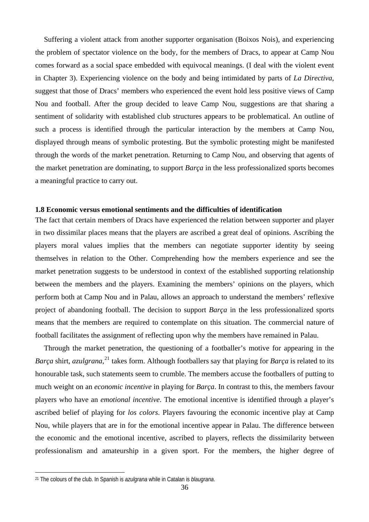<span id="page-35-0"></span>Suffering a violent attack from another supporter organisation (Boixos Nois), and experiencing the problem of spectator violence on the body, for the members of Dracs, to appear at Camp Nou comes forward as a social space embedded with equivocal meanings. (I deal with the violent event in Chapter 3). Experiencing violence on the body and being intimidated by parts of *La Directiva*, suggest that those of Dracs' members who experienced the event hold less positive views of Camp Nou and football. After the group decided to leave Camp Nou, suggestions are that sharing a sentiment of solidarity with established club structures appears to be problematical. An outline of such a process is identified through the particular interaction by the members at Camp Nou, displayed through means of symbolic protesting. But the symbolic protesting might be manifested through the words of the market penetration*.* Returning to Camp Nou, and observing that agents of the market penetration are dominating, to support *Barça* in the less professionalized sports becomes a meaningful practice to carry out.

## **1.8 Economic versus emotional sentiments and the difficulties of identification**

The fact that certain members of Dracs have experienced the relation between supporter and player in two dissimilar places means that the players are ascribed a great deal of opinions. Ascribing the players moral values implies that the members can negotiate supporter identity by seeing themselves in relation to the Other. Comprehending how the members experience and see the market penetration suggests to be understood in context of the established supporting relationship between the members and the players. Examining the members' opinions on the players, which perform both at Camp Nou and in Palau, allows an approach to understand the members' reflexive project of abandoning football. The decision to support *Barça* in the less professionalized sports means that the members are required to contemplate on this situation. The commercial nature of football facilitates the assignment of reflecting upon why the members have remained in Palau.

Through the market penetration, the questioning of a footballer's motive for appearing in the *Barça* shirt, *azulgrana*, [21](#page-35-1) takes form. Although footballers say that playing for *Barça* is related to its honourable task, such statements seem to crumble. The members accuse the footballers of putting to much weight on an *economic incentive* in playing for *Barça*. In contrast to this, the members favour players who have an *emotional incentive*. The emotional incentive is identified through a player's ascribed belief of playing for *los colors*. Players favouring the economic incentive play at Camp Nou, while players that are in for the emotional incentive appear in Palau. The difference between the economic and the emotional incentive, ascribed to players, reflects the dissimilarity between professionalism and amateurship in a given sport. For the members, the higher degree of

<span id="page-35-1"></span><sup>21</sup> The colours of the club. In Spanish is *azulgrana* while in Catalan is *blaugrana*.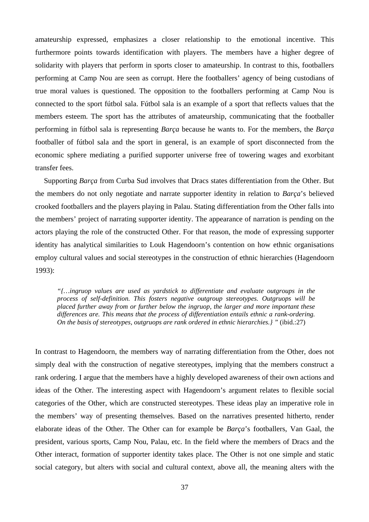amateurship expressed, emphasizes a closer relationship to the emotional incentive. This furthermore points towards identification with players. The members have a higher degree of solidarity with players that perform in sports closer to amateurship. In contrast to this, footballers performing at Camp Nou are seen as corrupt. Here the footballers' agency of being custodians of true moral values is questioned. The opposition to the footballers performing at Camp Nou is connected to the sport fútbol sala. Fútbol sala is an example of a sport that reflects values that the members esteem. The sport has the attributes of amateurship, communicating that the footballer performing in fútbol sala is representing *Barça* because he wants to. For the members, the *Barça* footballer of fútbol sala and the sport in general, is an example of sport disconnected from the economic sphere mediating a purified supporter universe free of towering wages and exorbitant transfer fees.

Supporting *Barça* from Curba Sud involves that Dracs states differentiation from the Other. But the members do not only negotiate and narrate supporter identity in relation to *Barça*'s believed crooked footballers and the players playing in Palau. Stating differentiation from the Other falls into the members' project of narrating supporter identity. The appearance of narration is pending on the actors playing the role of the constructed Other. For that reason, the mode of expressing supporter identity has analytical similarities to Louk Hagendoorn's contention on how ethnic organisations employ cultural values and social stereotypes in the construction of ethnic hierarchies (Hagendoorn 1993):

*"{…ingruop values are used as yardstick to differentiate and evaluate outgroups in the process of self-definition. This fosters negative outgroup stereotypes. Outgruops will be placed further away from or further below the ingruop, the larger and more important these differences are. This means that the process of differentiation entails ethnic a rank-ordering. On the basis of stereotypes, outgruops are rank ordered in ethnic hierarchies.} "* (ibid.:27)

In contrast to Hagendoorn, the members way of narrating differentiation from the Other, does not simply deal with the construction of negative stereotypes, implying that the members construct a rank ordering. I argue that the members have a highly developed awareness of their own actions and ideas of the Other. The interesting aspect with Hagendoorn's argument relates to flexible social categories of the Other, which are constructed stereotypes. These ideas play an imperative role in the members' way of presenting themselves. Based on the narratives presented hitherto, render elaborate ideas of the Other. The Other can for example be *Barça*'s footballers, Van Gaal, the president, various sports, Camp Nou, Palau, etc. In the field where the members of Dracs and the Other interact, formation of supporter identity takes place. The Other is not one simple and static social category, but alters with social and cultural context, above all, the meaning alters with the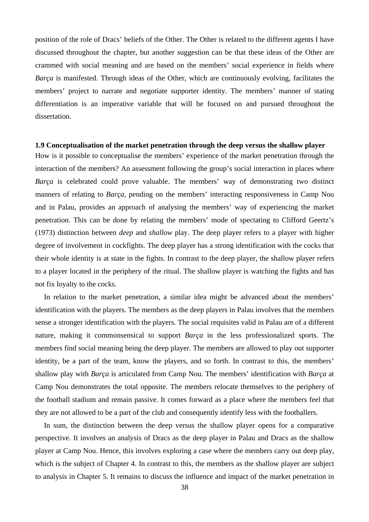position of the role of Dracs' beliefs of the Other. The Other is related to the different agents I have discussed throughout the chapter, but another suggestion can be that these ideas of the Other are crammed with social meaning and are based on the members' social experience in fields where *Barça* is manifested. Through ideas of the Other, which are continuously evolving, facilitates the members' project to narrate and negotiate supporter identity. The members' manner of stating differentiation is an imperative variable that will be focused on and pursued throughout the dissertation.

### **1.9 Conceptualisation of the market penetration through the deep versus the shallow player**

How is it possible to conceptualise the members' experience of the market penetration through the interaction of the members? An assessment following the group's social interaction in places where *Barça* is celebrated could prove valuable. The members' way of demonstrating two distinct manners of relating to *Barça*, pending on the members' interacting responsiveness in Camp Nou and in Palau, provides an approach of analysing the members' way of experiencing the market penetration. This can be done by relating the members' mode of spectating to Clifford Geertz's (1973) distinction between *deep* and *shallow* play. The deep player refers to a player with higher degree of involvement in cockfights. The deep player has a strong identification with the cocks that their whole identity is at state in the fights. In contrast to the deep player, the shallow player refers to a player located in the periphery of the ritual. The shallow player is watching the fights and has not fix loyalty to the cocks.

In relation to the market penetration, a similar idea might be advanced about the members' identification with the players. The members as the deep players in Palau involves that the members sense a stronger identification with the players. The social requisites valid in Palau are of a different nature, making it commonsensical to support *Barça* in the less professionalized sports. The members find social meaning being the deep player. The members are allowed to play out supporter identity, be a part of the team, know the players, and so forth. In contrast to this, the members' shallow play with *Barça* is articulated from Camp Nou. The members' identification with *Barça* at Camp Nou demonstrates the total opposite. The members relocate themselves to the periphery of the football stadium and remain passive. It comes forward as a place where the members feel that they are not allowed to be a part of the club and consequently identify less with the footballers.

In sum, the distinction between the deep versus the shallow player opens for a comparative perspective. It involves an analysis of Dracs as the deep player in Palau and Dracs as the shallow player at Camp Nou. Hence, this involves exploring a case where the members carry out deep play, which is the subject of Chapter 4. In contrast to this, the members as the shallow player are subject to analysis in Chapter 5. It remains to discuss the influence and impact of the market penetration in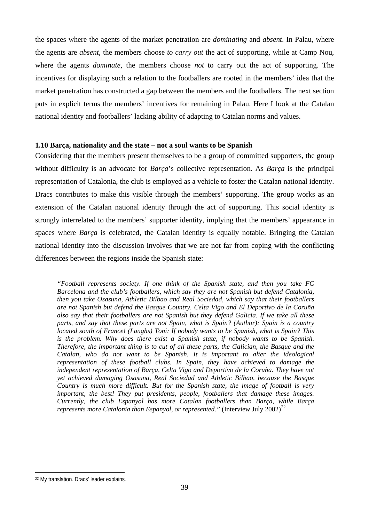the spaces where the agents of the market penetration are *dominating* and *absent*. In Palau, where the agents are *absent*, the members choose *to carry out* the act of supporting, while at Camp Nou, where the agents *dominate*, the members choose *not* to carry out the act of supporting. The incentives for displaying such a relation to the footballers are rooted in the members' idea that the market penetration has constructed a gap between the members and the footballers. The next section puts in explicit terms the members' incentives for remaining in Palau. Here I look at the Catalan national identity and footballers' lacking ability of adapting to Catalan norms and values.

## **1.10 Barça, nationality and the state – not a soul wants to be Spanish**

Considering that the members present themselves to be a group of committed supporters, the group without difficulty is an advocate for *Barça*'s collective representation. As *Barça* is the principal representation of Catalonia, the club is employed as a vehicle to foster the Catalan national identity. Dracs contributes to make this visible through the members' supporting. The group works as an extension of the Catalan national identity through the act of supporting. This social identity is strongly interrelated to the members' supporter identity, implying that the members' appearance in spaces where *Barça* is celebrated, the Catalan identity is equally notable. Bringing the Catalan national identity into the discussion involves that we are not far from coping with the conflicting differences between the regions inside the Spanish state:

*"Football represents society. If one think of the Spanish state, and then you take FC Barcelona and the club's footballers, which say they are not Spanish but defend Catalonia, then you take Osasuna, Athletic Bilbao and Real Sociedad, which say that their footballers are not Spanish but defend the Basque Country. Celta Vigo and El Deportivo de la Coruña also say that their footballers are not Spanish but they defend Galicia. If we take all these parts, and say that these parts are not Spain, what is Spain? (Author): Spain is a country located south of France! (Laughs) Toni: If nobody wants to be Spanish, what is Spain? This is the problem. Why does there exist a Spanish state, if nobody wants to be Spanish. Therefore, the important thing is to cut of all these parts, the Galician, the Basque and the Catalan, who do not want to be Spanish. It is important to alter the ideological representation of these football clubs. In Spain, they have achieved to damage the independent representation of Barça, Celta Vigo and Deportivo de la Coruña. They have not yet achieved damaging Osasuna, Real Sociedad and Athletic Bilbao, because the Basque Country is much more difficult. But for the Spanish state, the image of football is very important, the best! They put presidents, people, footballers that damage these images. Currently, the club Espanyol has more Catalan footballers than Barça, while Barça represents more Catalonia than Espanyol, or represented.*" (Interview July 2002)<sup>[22](#page-38-0)</sup>

<span id="page-38-0"></span><sup>22</sup> My translation. Dracs' leader explains.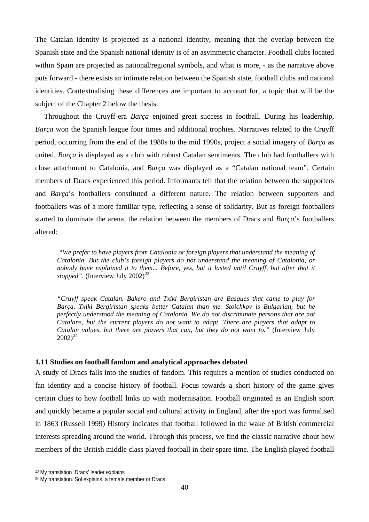The Catalan identity is projected as a national identity, meaning that the overlap between the Spanish state and the Spanish national identity is of an asymmetric character. Football clubs located within Spain are projected as national/regional symbols, and what is more, - as the narrative above puts forward - there exists an intimate relation between the Spanish state, football clubs and national identities. Contextualising these differences are important to account for, a topic that will be the subject of the Chapter 2 below the thesis.

Throughout the Cruyff-era *Barça* enjoined great success in football. During his leadership, *Barça* won the Spanish league four times and additional trophies. Narratives related to the Cruyff period, occurring from the end of the 1980s to the mid 1990s, project a social imagery of *Barça* as united. *Barça* is displayed as a club with robust Catalan sentiments. The club had footballers with close attachment to Catalonia, and *Barça* was displayed as a "Catalan national team". Certain members of Dracs experienced this period. Informants tell that the relation between the supporters and *Barça*'s footballers constituted a different nature. The relation between supporters and footballers was of a more familiar type, reflecting a sense of solidarity. But as foreign footballers started to dominate the arena, the relation between the members of Dracs and *Barça*'s footballers altered:

 *"We prefer to have players from Catalonia or foreign players that understand the meaning of Catalonia. But the club's foreign players do not understand the meaning of Catalonia, or nobody have explained it to them... Before, yes, but it lasted until Cruyff, but after that it stopped".* (Interview July  $2002^{23}$  $2002^{23}$  $2002^{23}$ 

*"Cruyff speak Catalan. Bakero and Txiki Bergiristan are Basques that came to play for Barça. Txiki Bergiristan speaks better Catalan than me. Stoichkov is Bulgarian, but he perfectly understood the meaning of Catalonia. We do not discriminate persons that are not Catalans, but the current players do not want to adapt. There are players that adapt to Catalan values, but there are players that can, but they do not want to."* (Interview July  $2002^{24}$  $2002^{24}$  $2002^{24}$ 

#### **1.11 Studies on football fandom and analytical approaches debated**

A study of Dracs falls into the studies of fandom. This requires a mention of studies conducted on fan identity and a concise history of football. Focus towards a short history of the game gives certain clues to how football links up with modernisation. Football originated as an English sport and quickly became a popular social and cultural activity in England, after the sport was formalised in 1863 (Russell 1999) History indicates that football followed in the wake of British commercial interests spreading around the world. Through this process, we find the classic narrative about how members of the British middle class played football in their spare time. The English played football

<span id="page-39-0"></span><sup>23</sup> My translation. Dracs' leader explains.

<span id="page-39-1"></span><sup>24</sup> My translation. Sol explains, a female member or Dracs.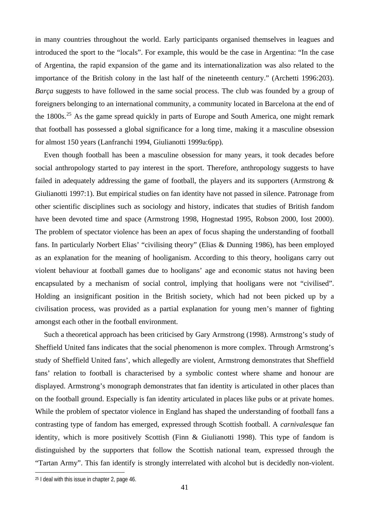in many countries throughout the world. Early participants organised themselves in leagues and introduced the sport to the "locals". For example, this would be the case in Argentina: "In the case of Argentina, the rapid expansion of the game and its internationalization was also related to the importance of the British colony in the last half of the nineteenth century." (Archetti 1996:203). *Barça* suggests to have followed in the same social process. The club was founded by a group of foreigners belonging to an international community, a community located in Barcelona at the end of the  $1800s$ <sup>[25](#page-40-0)</sup> As the game spread quickly in parts of Europe and South America, one might remark that football has possessed a global significance for a long time, making it a masculine obsession for almost 150 years (Lanfranchi 1994, Giulianotti 1999a:6pp).

Even though football has been a masculine obsession for many years, it took decades before social anthropology started to pay interest in the sport. Therefore, anthropology suggests to have failed in adequately addressing the game of football, the players and its supporters (Armstrong & Giulianotti 1997:1). But empirical studies on fan identity have not passed in silence. Patronage from other scientific disciplines such as sociology and history, indicates that studies of British fandom have been devoted time and space (Armstrong 1998, Hognestad 1995, Robson 2000, Iost 2000). The problem of spectator violence has been an apex of focus shaping the understanding of football fans. In particularly Norbert Elias' "civilising theory" (Elias & Dunning 1986), has been employed as an explanation for the meaning of hooliganism. According to this theory, hooligans carry out violent behaviour at football games due to hooligans' age and economic status not having been encapsulated by a mechanism of social control, implying that hooligans were not "civilised". Holding an insignificant position in the British society, which had not been picked up by a civilisation process, was provided as a partial explanation for young men's manner of fighting amongst each other in the football environment.

 Such a theoretical approach has been criticised by Gary Armstrong (1998). Armstrong's study of Sheffield United fans indicates that the social phenomenon is more complex. Through Armstrong's study of Sheffield United fans', which allegedly are violent, Armstrong demonstrates that Sheffield fans' relation to football is characterised by a symbolic contest where shame and honour are displayed. Armstrong's monograph demonstrates that fan identity is articulated in other places than on the football ground. Especially is fan identity articulated in places like pubs or at private homes. While the problem of spectator violence in England has shaped the understanding of football fans a contrasting type of fandom has emerged, expressed through Scottish football. A *carnivalesque* fan identity, which is more positively Scottish (Finn & Giulianotti 1998). This type of fandom is distinguished by the supporters that follow the Scottish national team, expressed through the "Tartan Army". This fan identify is strongly interrelated with alcohol but is decidedly non-violent.

<span id="page-40-0"></span><sup>25</sup> I deal with this issue in chapter 2, page 46.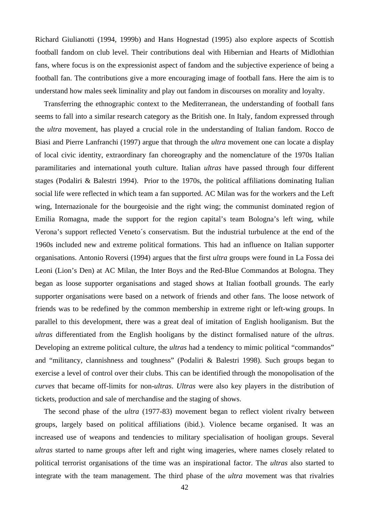Richard Giulianotti (1994, 1999b) and Hans Hognestad (1995) also explore aspects of Scottish football fandom on club level. Their contributions deal with Hibernian and Hearts of Midlothian fans, where focus is on the expressionist aspect of fandom and the subjective experience of being a football fan. The contributions give a more encouraging image of football fans. Here the aim is to understand how males seek liminality and play out fandom in discourses on morality and loyalty.

 Transferring the ethnographic context to the Mediterranean, the understanding of football fans seems to fall into a similar research category as the British one. In Italy, fandom expressed through the *ultra* movement, has played a crucial role in the understanding of Italian fandom. Rocco de Biasi and Pierre Lanfranchi (1997) argue that through the *ultra* movement one can locate a display of local civic identity, extraordinary fan choreography and the nomenclature of the 1970s Italian paramilitaries and international youth culture. Italian *ultras* have passed through four different stages (Podaliri & Balestri 1994). Prior to the 1970s, the political affiliations dominating Italian social life were reflected in which team a fan supported. AC Milan was for the workers and the Left wing, Internazionale for the bourgeoisie and the right wing; the communist dominated region of Emilia Romagna, made the support for the region capital's team Bologna's left wing, while Verona's support reflected Veneto´s conservatism. But the industrial turbulence at the end of the 1960s included new and extreme political formations. This had an influence on Italian supporter organisations. Antonio Roversi (1994) argues that the first *ultra* groups were found in La Fossa dei Leoni (Lion's Den) at AC Milan, the Inter Boys and the Red-Blue Commandos at Bologna. They began as loose supporter organisations and staged shows at Italian football grounds. The early supporter organisations were based on a network of friends and other fans. The loose network of friends was to be redefined by the common membership in extreme right or left-wing groups. In parallel to this development, there was a great deal of imitation of English hooliganism. But the *ultras* differentiated from the English hooligans by the distinct formalised nature of the *ultras*. Developing an extreme political culture, the *ultras* had a tendency to mimic political "commandos" and "militancy, clannishness and toughness" (Podaliri & Balestri 1998). Such groups began to exercise a level of control over their clubs. This can be identified through the monopolisation of the *curves* that became off-limits for non-*ultras*. *Ultras* were also key players in the distribution of tickets, production and sale of merchandise and the staging of shows.

The second phase of the *ultra* (1977-83) movement began to reflect violent rivalry between groups, largely based on political affiliations (ibid.). Violence became organised. It was an increased use of weapons and tendencies to military specialisation of hooligan groups. Several *ultras* started to name groups after left and right wing imageries, where names closely related to political terrorist organisations of the time was an inspirational factor. The *ultras* also started to integrate with the team management. The third phase of the *ultra* movement was that rivalries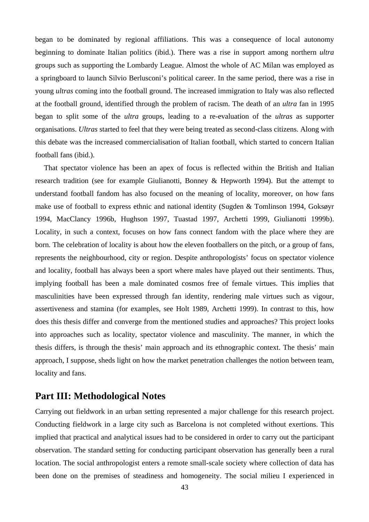began to be dominated by regional affiliations. This was a consequence of local autonomy beginning to dominate Italian politics (ibid.). There was a rise in support among northern *ultra* groups such as supporting the Lombardy League. Almost the whole of AC Milan was employed as a springboard to launch Silvio Berlusconi's political career. In the same period, there was a rise in young *ultras* coming into the football ground. The increased immigration to Italy was also reflected at the football ground, identified through the problem of racism. The death of an *ultra* fan in 1995 began to split some of the *ultra* groups, leading to a re-evaluation of the *ultras* as supporter organisations. *Ultras* started to feel that they were being treated as second-class citizens. Along with this debate was the increased commercialisation of Italian football, which started to concern Italian football fans (ibid.).

That spectator violence has been an apex of focus is reflected within the British and Italian research tradition (see for example Giulianotti, Bonney & Hepworth 1994). But the attempt to understand football fandom has also focused on the meaning of locality, moreover, on how fans make use of football to express ethnic and national identity (Sugden & Tomlinson 1994, Goksøyr 1994, MacClancy 1996b, Hughson 1997, Tuastad 1997, Archetti 1999, Giulianotti 1999b). Locality, in such a context, focuses on how fans connect fandom with the place where they are born. The celebration of locality is about how the eleven footballers on the pitch, or a group of fans, represents the neighbourhood, city or region. Despite anthropologists' focus on spectator violence and locality, football has always been a sport where males have played out their sentiments. Thus, implying football has been a male dominated cosmos free of female virtues. This implies that masculinities have been expressed through fan identity, rendering male virtues such as vigour, assertiveness and stamina (for examples, see Holt 1989, Archetti 1999). In contrast to this, how does this thesis differ and converge from the mentioned studies and approaches? This project looks into approaches such as locality, spectator violence and masculinity. The manner, in which the thesis differs, is through the thesis' main approach and its ethnographic context. The thesis' main approach, I suppose, sheds light on how the market penetration challenges the notion between team, locality and fans.

## **Part III: Methodological Notes**

Carrying out fieldwork in an urban setting represented a major challenge for this research project. Conducting fieldwork in a large city such as Barcelona is not completed without exertions. This implied that practical and analytical issues had to be considered in order to carry out the participant observation. The standard setting for conducting participant observation has generally been a rural location. The social anthropologist enters a remote small-scale society where collection of data has been done on the premises of steadiness and homogeneity. The social milieu I experienced in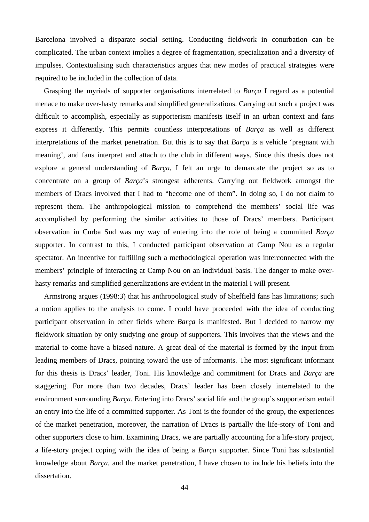Barcelona involved a disparate social setting. Conducting fieldwork in conurbation can be complicated. The urban context implies a degree of fragmentation, specialization and a diversity of impulses. Contextualising such characteristics argues that new modes of practical strategies were required to be included in the collection of data.

Grasping the myriads of supporter organisations interrelated to *Barça* I regard as a potential menace to make over-hasty remarks and simplified generalizations. Carrying out such a project was difficult to accomplish, especially as supporterism manifests itself in an urban context and fans express it differently. This permits countless interpretations of *Barça* as well as different interpretations of the market penetration. But this is to say that *Barça* is a vehicle 'pregnant with meaning', and fans interpret and attach to the club in different ways. Since this thesis does not explore a general understanding of *Barça*, I felt an urge to demarcate the project so as to concentrate on a group of *Barça*'s strongest adherents. Carrying out fieldwork amongst the members of Dracs involved that I had to "become one of them". In doing so, I do not claim to represent them. The anthropological mission to comprehend the members' social life was accomplished by performing the similar activities to those of Dracs' members. Participant observation in Curba Sud was my way of entering into the role of being a committed *Barça*  supporter. In contrast to this, I conducted participant observation at Camp Nou as a regular spectator. An incentive for fulfilling such a methodological operation was interconnected with the members' principle of interacting at Camp Nou on an individual basis. The danger to make overhasty remarks and simplified generalizations are evident in the material I will present.

Armstrong argues (1998:3) that his anthropological study of Sheffield fans has limitations; such a notion applies to the analysis to come. I could have proceeded with the idea of conducting participant observation in other fields where *Barça* is manifested. But I decided to narrow my fieldwork situation by only studying one group of supporters. This involves that the views and the material to come have a biased nature. A great deal of the material is formed by the input from leading members of Dracs, pointing toward the use of informants. The most significant informant for this thesis is Dracs' leader, Toni. His knowledge and commitment for Dracs and *Barça* are staggering. For more than two decades, Dracs' leader has been closely interrelated to the environment surrounding *Barça*. Entering into Dracs' social life and the group's supporterism entail an entry into the life of a committed supporter. As Toni is the founder of the group, the experiences of the market penetration, moreover, the narration of Dracs is partially the life-story of Toni and other supporters close to him. Examining Dracs, we are partially accounting for a life-story project, a life-story project coping with the idea of being a *Barça* supporter. Since Toni has substantial knowledge about *Barça,* and the market penetration, I have chosen to include his beliefs into the dissertation.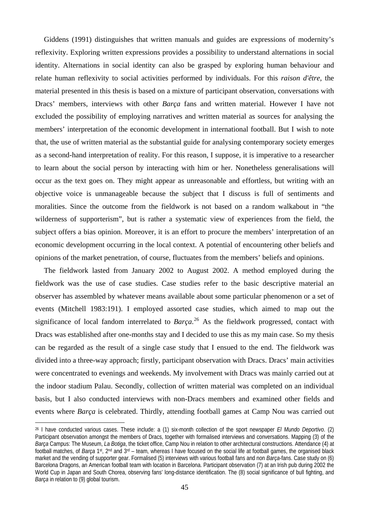Giddens (1991) distinguishes that written manuals and guides are expressions of modernity's reflexivity. Exploring written expressions provides a possibility to understand alternations in social identity. Alternations in social identity can also be grasped by exploring human behaviour and relate human reflexivity to social activities performed by individuals. For this *raison d'être*, the material presented in this thesis is based on a mixture of participant observation, conversations with Dracs' members, interviews with other *Barça* fans and written material. However I have not excluded the possibility of employing narratives and written material as sources for analysing the members' interpretation of the economic development in international football. But I wish to note that, the use of written material as the substantial guide for analysing contemporary society emerges as a second-hand interpretation of reality. For this reason, I suppose, it is imperative to a researcher to learn about the social person by interacting with him or her. Nonetheless generalisations will occur as the text goes on. They might appear as unreasonable and effortless, but writing with an objective voice is unmanageable because the subject that I discuss is full of sentiments and moralities. Since the outcome from the fieldwork is not based on a random walkabout in "the wilderness of supporterism", but is rather a systematic view of experiences from the field, the subject offers a bias opinion. Moreover, it is an effort to procure the members' interpretation of an economic development occurring in the local context. A potential of encountering other beliefs and opinions of the market penetration, of course, fluctuates from the members' beliefs and opinions.

The fieldwork lasted from January 2002 to August 2002. A method employed during the fieldwork was the use of case studies. Case studies refer to the basic descriptive material an observer has assembled by whatever means available about some particular phenomenon or a set of events (Mitchell 1983:191). I employed assorted case studies, which aimed to map out the significance of local fandom interrelated to *Barça*. [26](#page-44-0) As the fieldwork progressed, contact with Dracs was established after one-months stay and I decided to use this as my main case. So my thesis can be regarded as the result of a single case study that I ensued to the end. The fieldwork was divided into a three-way approach; firstly, participant observation with Dracs. Dracs' main activities were concentrated to evenings and weekends. My involvement with Dracs was mainly carried out at the indoor stadium Palau. Secondly, collection of written material was completed on an individual basis, but I also conducted interviews with non-Dracs members and examined other fields and events where *Barça* is celebrated. Thirdly, attending football games at Camp Nou was carried out

<span id="page-44-0"></span><sup>26</sup> I have conducted various cases. These include: a (1) six-month collection of the sport newspaper *El Mundo Deportivo*. (2) Participant observation amongst the members of Dracs, together with formalised interviews and conversations. Mapping (3) of the *Barça* Campus: The Museum, *La Botiga*, the ticket office, Camp Nou in relation to other architectural constructions. Attendance (4) at football matches, of *Barça* 1st, 2nd and 3rd – team, whereas I have focused on the social life at football games, the organised black market and the vending of supporter gear. Formalised (5) interviews with various football fans and non *Barça*-fans. Case study on (6) Barcelona Dragons, an American football team with location in Barcelona. Participant observation (7) at an Irish pub during 2002 the World Cup in Japan and South Chorea, observing fans' long-distance identification. The (8) social significance of bull fighting, and *Barça* in relation to (9) global tourism.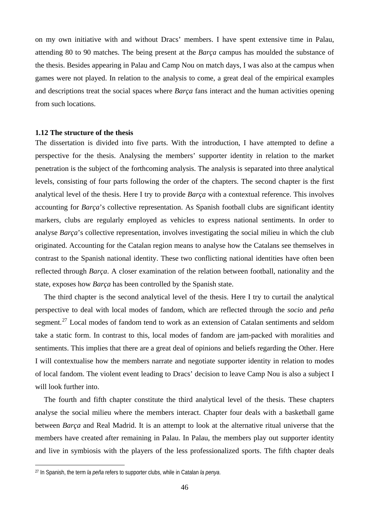on my own initiative with and without Dracs' members. I have spent extensive time in Palau, attending 80 to 90 matches. The being present at the *Barça* campus has moulded the substance of the thesis. Besides appearing in Palau and Camp Nou on match days, I was also at the campus when games were not played. In relation to the analysis to come, a great deal of the empirical examples and descriptions treat the social spaces where *Barça* fans interact and the human activities opening from such locations.

#### **1.12 The structure of the thesis**

The dissertation is divided into five parts. With the introduction, I have attempted to define a perspective for the thesis. Analysing the members' supporter identity in relation to the market penetration is the subject of the forthcoming analysis. The analysis is separated into three analytical levels, consisting of four parts following the order of the chapters. The second chapter is the first analytical level of the thesis. Here I try to provide *Barça* with a contextual reference. This involves accounting for *Barça*'s collective representation. As Spanish football clubs are significant identity markers, clubs are regularly employed as vehicles to express national sentiments. In order to analyse *Barça*'s collective representation, involves investigating the social milieu in which the club originated. Accounting for the Catalan region means to analyse how the Catalans see themselves in contrast to the Spanish national identity. These two conflicting national identities have often been reflected through *Barça*. A closer examination of the relation between football, nationality and the state, exposes how *Barça* has been controlled by the Spanish state.

The third chapter is the second analytical level of the thesis. Here I try to curtail the analytical perspective to deal with local modes of fandom, which are reflected through the *socio* and *peña* segment.<sup>[27](#page-45-0)</sup> Local modes of fandom tend to work as an extension of Catalan sentiments and seldom take a static form. In contrast to this, local modes of fandom are jam-packed with moralities and sentiments. This implies that there are a great deal of opinions and beliefs regarding the Other. Here I will contextualise how the members narrate and negotiate supporter identity in relation to modes of local fandom. The violent event leading to Dracs' decision to leave Camp Nou is also a subject I will look further into.

The fourth and fifth chapter constitute the third analytical level of the thesis. These chapters analyse the social milieu where the members interact. Chapter four deals with a basketball game between *Barça* and Real Madrid. It is an attempt to look at the alternative ritual universe that the members have created after remaining in Palau. In Palau, the members play out supporter identity and live in symbiosis with the players of the less professionalized sports. The fifth chapter deals

<span id="page-45-0"></span><sup>27</sup> In Spanish, the term *la peña* refers to supporter clubs, while in Catalan *la penya*.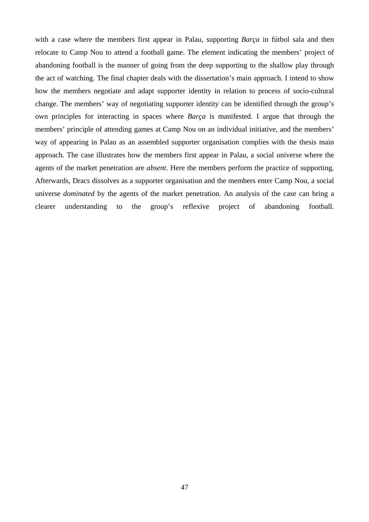with a case where the members first appear in Palau, supporting *Barça* in fútbol sala and then relocate to Camp Nou to attend a football game. The element indicating the members' project of abandoning football is the manner of going from the deep supporting to the shallow play through the act of watching. The final chapter deals with the dissertation's main approach. I intend to show how the members negotiate and adapt supporter identity in relation to process of socio-cultural change. The members' way of negotiating supporter identity can be identified through the group's own principles for interacting in spaces where *Barça* is manifested. I argue that through the members' principle of attending games at Camp Nou on an individual initiative, and the members' way of appearing in Palau as an assembled supporter organisation complies with the thesis main approach. The case illustrates how the members first appear in Palau, a social universe where the agents of the market penetration are *absent*. Here the members perform the practice of supporting. Afterwards, Dracs dissolves as a supporter organisation and the members enter Camp Nou, a social universe *dominated* by the agents of the market penetration. An analysis of the case can bring a clearer understanding to the group's reflexive project of abandoning football.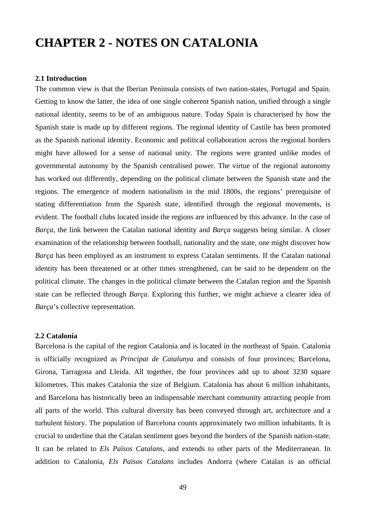# **CHAPTER 2 - NOTES ON CATALONIA**

## **2.1 Introduction**

The common view is that the Iberian Peninsula consists of two nation-states, Portugal and Spain. Getting to know the latter, the idea of one single coherent Spanish nation, unified through a single national identity, seems to be of an ambiguous nature. Today Spain is characterised by how the Spanish state is made up by different regions. The regional identity of Castile has been promoted as the Spanish national identity. Economic and political collaboration across the regional borders might have allowed for a sense of national unity. The regions were granted unlike modes of governmental autonomy by the Spanish centralised power. The virtue of the regional autonomy has worked out differently, depending on the political climate between the Spanish state and the regions. The emergence of modern nationalism in the mid 1800s, the regions' prerequisite of stating differentiation from the Spanish state, identified through the regional movements, is evident. The football clubs located inside the regions are influenced by this advance. In the case of *Barça*, the link between the Catalan national identity and *Barça* suggests being similar. A closer examination of the relationship between football, nationality and the state, one might discover how *Barça* has been employed as an instrument to express Catalan sentiments. If the Catalan national identity has been threatened or at other times strengthened, can be said to be dependent on the political climate. The changes in the political climate between the Catalan region and the Spanish state can be reflected through *Barça*. Exploring this further, we might achieve a clearer idea of *Barça*'s collective representation.

## **2.2 Catalonia**

Barcelona is the capital of the region Catalonia and is located in the northeast of Spain. Catalonia is officially recognized as *Principat de Catalunya* and consists of four provinces; Barcelona, Girona, Tarragona and Lleida. All together, the four provinces add up to about 3230 square kilometres. This makes Catalonia the size of Belgium. Catalonia has about 6 million inhabitants, and Barcelona has historically been an indispensable merchant community attracting people from all parts of the world. This cultural diversity has been conveyed through art, architecture and a turbulent history. The population of Barcelona counts approximately two million inhabitants. It is crucial to underline that the Catalan sentiment goes beyond the borders of the Spanish nation-state. It can be related to *Els Països Catalans*, and extends to other parts of the Mediterranean. In addition to Catalonia, *Els Països Catalans* includes Andorra (where Catalan is an official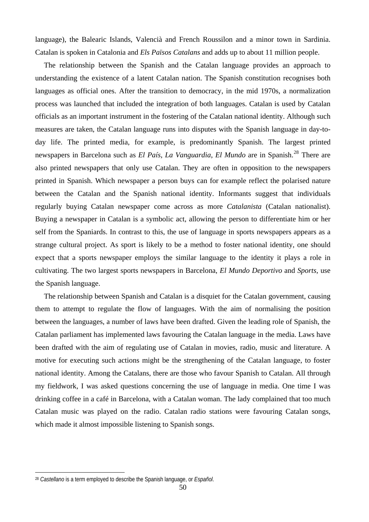language), the Balearic Islands, Valencià and French Roussilon and a minor town in Sardinia. Catalan is spoken in Catalonia and *Els Països Catalans* and adds up to about 11 million people.

The relationship between the Spanish and the Catalan language provides an approach to understanding the existence of a latent Catalan nation. The Spanish constitution recognises both languages as official ones. After the transition to democracy, in the mid 1970s, a normalization process was launched that included the integration of both languages. Catalan is used by Catalan officials as an important instrument in the fostering of the Catalan national identity. Although such measures are taken, the Catalan language runs into disputes with the Spanish language in day-today life. The printed media, for example, is predominantly Spanish. The largest printed newspapers in Barcelona such as *El País*, *La Vanguardia*, *El Mundo* are in Spanish.[28](#page-49-0) There are also printed newspapers that only use Catalan. They are often in opposition to the newspapers printed in Spanish. Which newspaper a person buys can for example reflect the polarised nature between the Catalan and the Spanish national identity. Informants suggest that individuals regularly buying Catalan newspaper come across as more *Catalanista* (Catalan nationalist). Buying a newspaper in Catalan is a symbolic act, allowing the person to differentiate him or her self from the Spaniards. In contrast to this, the use of language in sports newspapers appears as a strange cultural project. As sport is likely to be a method to foster national identity, one should expect that a sports newspaper employs the similar language to the identity it plays a role in cultivating. The two largest sports newspapers in Barcelona, *El Mundo Deportivo* and *Sports*, use the Spanish language.

The relationship between Spanish and Catalan is a disquiet for the Catalan government, causing them to attempt to regulate the flow of languages. With the aim of normalising the position between the languages, a number of laws have been drafted. Given the leading role of Spanish, the Catalan parliament has implemented laws favouring the Catalan language in the media. Laws have been drafted with the aim of regulating use of Catalan in movies, radio, music and literature. A motive for executing such actions might be the strengthening of the Catalan language, to foster national identity. Among the Catalans, there are those who favour Spanish to Catalan. All through my fieldwork, I was asked questions concerning the use of language in media. One time I was drinking coffee in a café in Barcelona, with a Catalan woman. The lady complained that too much Catalan music was played on the radio. Catalan radio stations were favouring Catalan songs, which made it almost impossible listening to Spanish songs.

<span id="page-49-0"></span><sup>28</sup> *Castellano* is a term employed to describe the Spanish language, or *Español*.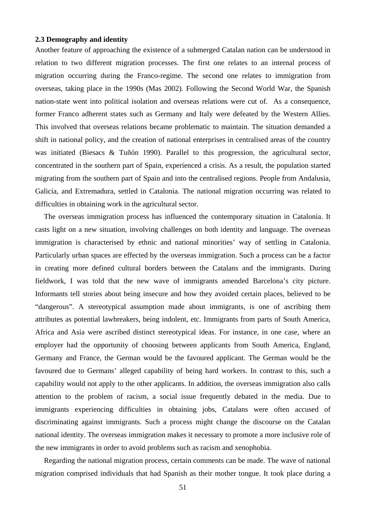## **2.3 Demography and identity**

Another feature of approaching the existence of a submerged Catalan nation can be understood in relation to two different migration processes. The first one relates to an internal process of migration occurring during the Franco-regime. The second one relates to immigration from overseas, taking place in the 1990s (Mas 2002). Following the Second World War, the Spanish nation-state went into political isolation and overseas relations were cut of. As a consequence, former Franco adherent states such as Germany and Italy were defeated by the Western Allies. This involved that overseas relations became problematic to maintain. The situation demanded a shift in national policy, and the creation of national enterprises in centralised areas of the country was initiated (Biesacs & Tuñón 1990). Parallel to this progression, the agricultural sector, concentrated in the southern part of Spain, experienced a crisis. As a result, the population started migrating from the southern part of Spain and into the centralised regions. People from Andalusia, Galicia, and Extremadura, settled in Catalonia. The national migration occurring was related to difficulties in obtaining work in the agricultural sector.

The overseas immigration process has influenced the contemporary situation in Catalonia. It casts light on a new situation, involving challenges on both identity and language. The overseas immigration is characterised by ethnic and national minorities' way of settling in Catalonia. Particularly urban spaces are effected by the overseas immigration. Such a process can be a factor in creating more defined cultural borders between the Catalans and the immigrants. During fieldwork, I was told that the new wave of immigrants amended Barcelona's city picture. Informants tell stories about being insecure and how they avoided certain places, believed to be "dangerous". A stereotypical assumption made about immigrants, is one of ascribing them attributes as potential lawbreakers, being indolent, etc. Immigrants from parts of South America, Africa and Asia were ascribed distinct stereotypical ideas. For instance, in one case, where an employer had the opportunity of choosing between applicants from South America, England, Germany and France, the German would be the favoured applicant. The German would be the favoured due to Germans' alleged capability of being hard workers. In contrast to this, such a capability would not apply to the other applicants. In addition, the overseas immigration also calls attention to the problem of racism, a social issue frequently debated in the media. Due to immigrants experiencing difficulties in obtaining jobs, Catalans were often accused of discriminating against immigrants. Such a process might change the discourse on the Catalan national identity. The overseas immigration makes it necessary to promote a more inclusive role of the new immigrants in order to avoid problems such as racism and xenophobia.

Regarding the national migration process, certain comments can be made. The wave of national migration comprised individuals that had Spanish as their mother tongue. It took place during a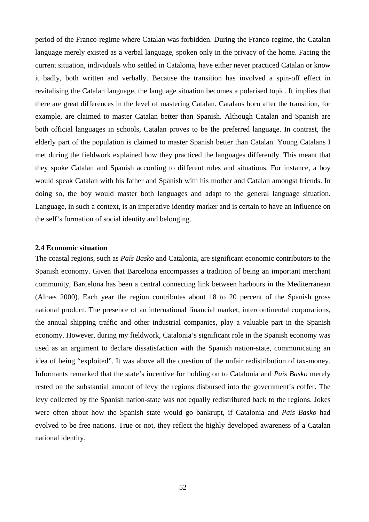period of the Franco-regime where Catalan was forbidden. During the Franco-regime, the Catalan language merely existed as a verbal language, spoken only in the privacy of the home. Facing the current situation, individuals who settled in Catalonia, have either never practiced Catalan or know it badly, both written and verbally. Because the transition has involved a spin-off effect in revitalising the Catalan language, the language situation becomes a polarised topic. It implies that there are great differences in the level of mastering Catalan. Catalans born after the transition, for example, are claimed to master Catalan better than Spanish. Although Catalan and Spanish are both official languages in schools, Catalan proves to be the preferred language. In contrast, the elderly part of the population is claimed to master Spanish better than Catalan. Young Catalans I met during the fieldwork explained how they practiced the languages differently. This meant that they spoke Catalan and Spanish according to different rules and situations. For instance, a boy would speak Catalan with his father and Spanish with his mother and Catalan amongst friends. In doing so, the boy would master both languages and adapt to the general language situation. Language, in such a context, is an imperative identity marker and is certain to have an influence on the self's formation of social identity and belonging.

## **2.4 Economic situation**

The coastal regions, such as *País Basko* and Catalonia, are significant economic contributors to the Spanish economy. Given that Barcelona encompasses a tradition of being an important merchant community, Barcelona has been a central connecting link between harbours in the Mediterranean (Alnæs 2000). Each year the region contributes about 18 to 20 percent of the Spanish gross national product. The presence of an international financial market, intercontinental corporations, the annual shipping traffic and other industrial companies, play a valuable part in the Spanish economy. However, during my fieldwork, Catalonia's significant role in the Spanish economy was used as an argument to declare dissatisfaction with the Spanish nation-state, communicating an idea of being "exploited". It was above all the question of the unfair redistribution of tax-money. Informants remarked that the state's incentive for holding on to Catalonia and *País Basko* merely rested on the substantial amount of levy the regions disbursed into the government's coffer. The levy collected by the Spanish nation-state was not equally redistributed back to the regions. Jokes were often about how the Spanish state would go bankrupt, if Catalonia and *País Basko* had evolved to be free nations. True or not, they reflect the highly developed awareness of a Catalan national identity.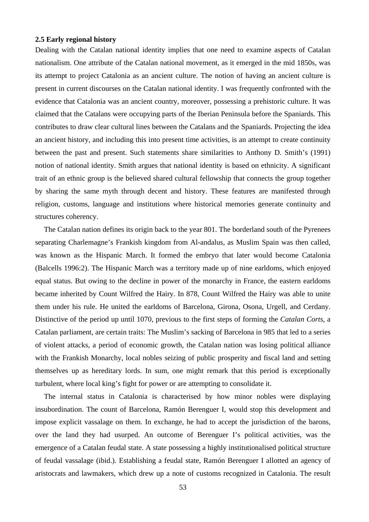#### **2.5 Early regional history**

Dealing with the Catalan national identity implies that one need to examine aspects of Catalan nationalism. One attribute of the Catalan national movement, as it emerged in the mid 1850s, was its attempt to project Catalonia as an ancient culture. The notion of having an ancient culture is present in current discourses on the Catalan national identity. I was frequently confronted with the evidence that Catalonia was an ancient country, moreover, possessing a prehistoric culture. It was claimed that the Catalans were occupying parts of the Iberian Peninsula before the Spaniards. This contributes to draw clear cultural lines between the Catalans and the Spaniards. Projecting the idea an ancient history, and including this into present time activities, is an attempt to create continuity between the past and present. Such statements share similarities to Anthony D. Smith's (1991) notion of national identity. Smith argues that national identity is based on ethnicity. A significant trait of an ethnic group is the believed shared cultural fellowship that connects the group together by sharing the same myth through decent and history. These features are manifested through religion, customs, language and institutions where historical memories generate continuity and structures coherency.

The Catalan nation defines its origin back to the year 801. The borderland south of the Pyrenees separating Charlemagne's Frankish kingdom from Al-andalus, as Muslim Spain was then called, was known as the Hispanic March. It formed the embryo that later would become Catalonia (Balcells 1996:2). The Hispanic March was a territory made up of nine earldoms, which enjoyed equal status. But owing to the decline in power of the monarchy in France, the eastern earldoms became inherited by Count Wilfred the Hairy. In 878, Count Wilfred the Hairy was able to unite them under his rule. He united the earldoms of Barcelona, Girona, Osona, Urgell, and Cerdany. Distinctive of the period up until 1070, previous to the first steps of forming the *Catalan Corts*, a Catalan parliament, are certain traits: The Muslim's sacking of Barcelona in 985 that led to a series of violent attacks, a period of economic growth, the Catalan nation was losing political alliance with the Frankish Monarchy, local nobles seizing of public prosperity and fiscal land and setting themselves up as hereditary lords. In sum, one might remark that this period is exceptionally turbulent, where local king's fight for power or are attempting to consolidate it.

The internal status in Catalonia is characterised by how minor nobles were displaying insubordination. The count of Barcelona, Ramón Berenguer I, would stop this development and impose explicit vassalage on them. In exchange, he had to accept the jurisdiction of the barons, over the land they had usurped. An outcome of Berenguer I's political activities, was the emergence of a Catalan feudal state. A state possessing a highly institutionalised political structure of feudal vassalage (ibid.). Establishing a feudal state, Ramón Berenguer I allotted an agency of aristocrats and lawmakers, which drew up a note of customs recognized in Catalonia. The result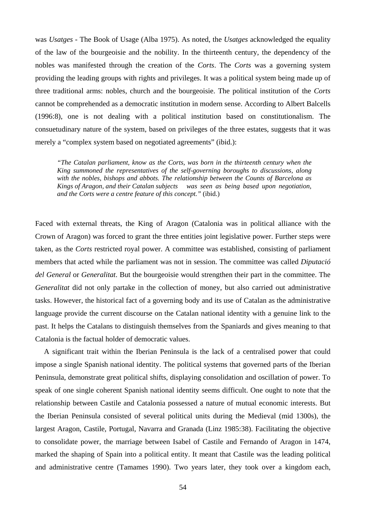was *Usatges* - The Book of Usage (Alba 1975). As noted, the *Usatges* acknowledged the equality of the law of the bourgeoisie and the nobility. In the thirteenth century, the dependency of the nobles was manifested through the creation of the *Corts*. The *Corts* was a governing system providing the leading groups with rights and privileges. It was a political system being made up of three traditional arms: nobles, church and the bourgeoisie. The political institution of the *Corts* cannot be comprehended as a democratic institution in modern sense. According to Albert Balcells (1996:8), one is not dealing with a political institution based on constitutionalism. The consuetudinary nature of the system, based on privileges of the three estates, suggests that it was merely a "complex system based on negotiated agreements" (ibid.):

*"The Catalan parliament, know as the Corts, was born in the thirteenth century when the King summoned the representatives of the self-governing boroughs to discussions, along with the nobles, bishops and abbots. The relationship between the Counts of Barcelona as Kings of Aragon, and their Catalan subjects was seen as being based upon negotiation, and the Corts were a centre feature of this concept."* (ibid.)

Faced with external threats, the King of Aragon (Catalonia was in political alliance with the Crown of Aragon) was forced to grant the three entities joint legislative power. Further steps were taken, as the *Corts* restricted royal power. A committee was established, consisting of parliament members that acted while the parliament was not in session. The committee was called *Diputació del General* or *Generalitat*. But the bourgeoisie would strengthen their part in the committee. The *Generalitat* did not only partake in the collection of money, but also carried out administrative tasks. However, the historical fact of a governing body and its use of Catalan as the administrative language provide the current discourse on the Catalan national identity with a genuine link to the past. It helps the Catalans to distinguish themselves from the Spaniards and gives meaning to that Catalonia is the factual holder of democratic values.

A significant trait within the Iberian Peninsula is the lack of a centralised power that could impose a single Spanish national identity. The political systems that governed parts of the Iberian Peninsula, demonstrate great political shifts, displaying consolidation and oscillation of power. To speak of one single coherent Spanish national identity seems difficult. One ought to note that the relationship between Castile and Catalonia possessed a nature of mutual economic interests. But the Iberian Peninsula consisted of several political units during the Medieval (mid 1300s), the largest Aragon, Castile, Portugal, Navarra and Granada (Linz 1985:38). Facilitating the objective to consolidate power, the marriage between Isabel of Castile and Fernando of Aragon in 1474, marked the shaping of Spain into a political entity. It meant that Castile was the leading political and administrative centre (Tamames 1990). Two years later, they took over a kingdom each,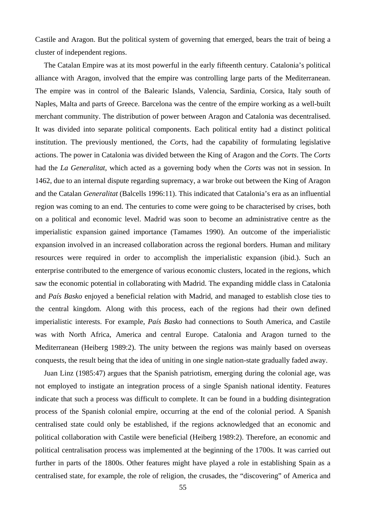Castile and Aragon. But the political system of governing that emerged, bears the trait of being a cluster of independent regions.

The Catalan Empire was at its most powerful in the early fifteenth century. Catalonia's political alliance with Aragon, involved that the empire was controlling large parts of the Mediterranean. The empire was in control of the Balearic Islands, Valencia, Sardinia, Corsica, Italy south of Naples, Malta and parts of Greece. Barcelona was the centre of the empire working as a well-built merchant community. The distribution of power between Aragon and Catalonia was decentralised. It was divided into separate political components. Each political entity had a distinct political institution. The previously mentioned, the *Corts*, had the capability of formulating legislative actions. The power in Catalonia was divided between the King of Aragon and the *Corts*. The *Corts*  had the *La Generalitat*, which acted as a governing body when the *Corts* was not in session. In 1462, due to an internal dispute regarding supremacy, a war broke out between the King of Aragon and the Catalan *Generalitat* (Balcells 1996:11). This indicated that Catalonia's era as an influential region was coming to an end. The centuries to come were going to be characterised by crises, both on a political and economic level. Madrid was soon to become an administrative centre as the imperialistic expansion gained importance (Tamames 1990). An outcome of the imperialistic expansion involved in an increased collaboration across the regional borders. Human and military resources were required in order to accomplish the imperialistic expansion (ibid.). Such an enterprise contributed to the emergence of various economic clusters, located in the regions, which saw the economic potential in collaborating with Madrid. The expanding middle class in Catalonia and *País Basko* enjoyed a beneficial relation with Madrid, and managed to establish close ties to the central kingdom. Along with this process, each of the regions had their own defined imperialistic interests. For example, *País Basko* had connections to South America, and Castile was with North Africa, America and central Europe. Catalonia and Aragon turned to the Mediterranean (Heiberg 1989:2). The unity between the regions was mainly based on overseas conquests, the result being that the idea of uniting in one single nation-state gradually faded away.

Juan Linz (1985:47) argues that the Spanish patriotism, emerging during the colonial age, was not employed to instigate an integration process of a single Spanish national identity. Features indicate that such a process was difficult to complete. It can be found in a budding disintegration process of the Spanish colonial empire, occurring at the end of the colonial period. A Spanish centralised state could only be established, if the regions acknowledged that an economic and political collaboration with Castile were beneficial (Heiberg 1989:2). Therefore, an economic and political centralisation process was implemented at the beginning of the 1700s. It was carried out further in parts of the 1800s. Other features might have played a role in establishing Spain as a centralised state, for example, the role of religion, the crusades, the "discovering" of America and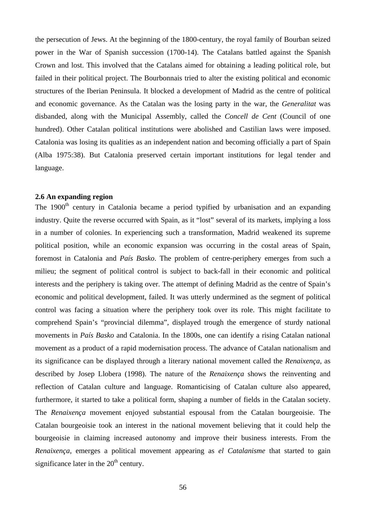the persecution of Jews. At the beginning of the 1800-century, the royal family of Bourban seized power in the War of Spanish succession (1700-14). The Catalans battled against the Spanish Crown and lost. This involved that the Catalans aimed for obtaining a leading political role, but failed in their political project. The Bourbonnais tried to alter the existing political and economic structures of the Iberian Peninsula. It blocked a development of Madrid as the centre of political and economic governance. As the Catalan was the losing party in the war, the *Generalitat* was disbanded, along with the Municipal Assembly, called the *Concell de Cent* (Council of one hundred). Other Catalan political institutions were abolished and Castilian laws were imposed. Catalonia was losing its qualities as an independent nation and becoming officially a part of Spain (Alba 1975:38). But Catalonia preserved certain important institutions for legal tender and language.

## **2.6 An expanding region**

The 1900<sup>th</sup> century in Catalonia became a period typified by urbanisation and an expanding industry. Quite the reverse occurred with Spain, as it "lost" several of its markets, implying a loss in a number of colonies. In experiencing such a transformation, Madrid weakened its supreme political position, while an economic expansion was occurring in the costal areas of Spain, foremost in Catalonia and *País Basko*. The problem of centre-periphery emerges from such a milieu; the segment of political control is subject to back-fall in their economic and political interests and the periphery is taking over. The attempt of defining Madrid as the centre of Spain's economic and political development, failed. It was utterly undermined as the segment of political control was facing a situation where the periphery took over its role. This might facilitate to comprehend Spain's "provincial dilemma", displayed trough the emergence of sturdy national movements in *País Basko* and Catalonia. In the 1800s, one can identify a rising Catalan national movement as a product of a rapid modernisation process. The advance of Catalan nationalism and its significance can be displayed through a literary national movement called the *Renaixença*, as described by Josep Llobera (1998). The nature of the *Renaixença* shows the reinventing and reflection of Catalan culture and language. Romanticising of Catalan culture also appeared, furthermore, it started to take a political form, shaping a number of fields in the Catalan society. The *Renaixença* movement enjoyed substantial espousal from the Catalan bourgeoisie. The Catalan bourgeoisie took an interest in the national movement believing that it could help the bourgeoisie in claiming increased autonomy and improve their business interests. From the *Renaixença*, emerges a political movement appearing as *el Catalanisme* that started to gain significance later in the  $20<sup>th</sup>$  century.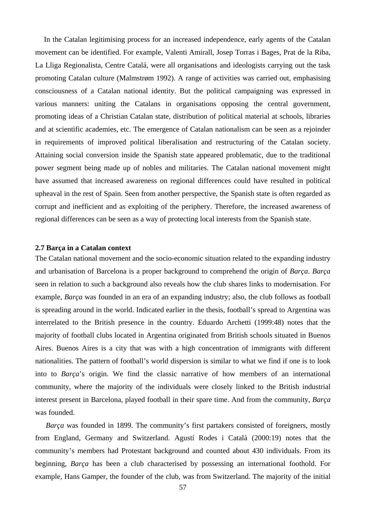In the Catalan legitimising process for an increased independence, early agents of the Catalan movement can be identified. For example, Valenti Amirall, Josep Torras i Bages, Prat de la Riba, La Lliga Regionalista, Centre Catalá, were all organisations and ideologists carrying out the task promoting Catalan culture (Malmstrøm 1992). A range of activities was carried out, emphasising consciousness of a Catalan national identity. But the political campaigning was expressed in various manners: uniting the Catalans in organisations opposing the central government, promoting ideas of a Christian Catalan state, distribution of political material at schools, libraries and at scientific academies, etc. The emergence of Catalan nationalism can be seen as a rejoinder in requirements of improved political liberalisation and restructuring of the Catalan society. Attaining social conversion inside the Spanish state appeared problematic, due to the traditional power segment being made up of nobles and militaries. The Catalan national movement might have assumed that increased awareness on regional differences could have resulted in political upheaval in the rest of Spain. Seen from another perspective, the Spanish state is often regarded as corrupt and inefficient and as exploiting of the periphery. Therefore, the increased awareness of regional differences can be seen as a way of protecting local interests from the Spanish state.

#### **2.7 Barça in a Catalan context**

The Catalan national movement and the socio-economic situation related to the expanding industry and urbanisation of Barcelona is a proper background to comprehend the origin of *Barça*. *Barça* seen in relation to such a background also reveals how the club shares links to modernisation. For example, *Barça* was founded in an era of an expanding industry; also, the club follows as football is spreading around in the world. Indicated earlier in the thesis, football's spread to Argentina was interrelated to the British presence in the country. Eduardo Archetti (1999:48) notes that the majority of football clubs located in Argentina originated from British schools situated in Buenos Aires. Buenos Aires is a city that was with a high concentration of immigrants with different nationalities. The pattern of football's world dispersion is similar to what we find if one is to look into to *Barça*'s origin. We find the classic narrative of how members of an international community, where the majority of the individuals were closely linked to the British industrial interest present in Barcelona, played football in their spare time. And from the community, *Barça* was founded.

 *Barça* was founded in 1899. The community's first partakers consisted of foreigners, mostly from England, Germany and Switzerland. Agustí Rodes i Català (2000:19) notes that the community's members had Protestant background and counted about 430 individuals. From its beginning, *Barça* has been a club characterised by possessing an international foothold. For example, Hans Gamper, the founder of the club, was from Switzerland. The majority of the initial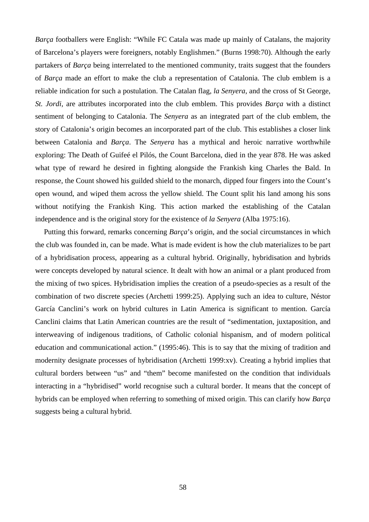*Barça* footballers were English: "While FC Catala was made up mainly of Catalans, the majority of Barcelona's players were foreigners, notably Englishmen." (Burns 1998:70). Although the early partakers of *Barça* being interrelated to the mentioned community, traits suggest that the founders of *Barça* made an effort to make the club a representation of Catalonia. The club emblem is a reliable indication for such a postulation. The Catalan flag, *la Senyera*, and the cross of St George, *St. Jordi*, are attributes incorporated into the club emblem. This provides *Barça* with a distinct sentiment of belonging to Catalonia. The *Senyera* as an integrated part of the club emblem, the story of Catalonia's origin becomes an incorporated part of the club. This establishes a closer link between Catalonia and *Barça*. The *Senyera* has a mythical and heroic narrative worthwhile exploring: The Death of Guifeé el Pilós, the Count Barcelona, died in the year 878. He was asked what type of reward he desired in fighting alongside the Frankish king Charles the Bald. In response, the Count showed his guilded shield to the monarch, dipped four fingers into the Count's open wound, and wiped them across the yellow shield. The Count split his land among his sons without notifying the Frankish King. This action marked the establishing of the Catalan independence and is the original story for the existence of *la Senyera* (Alba 1975:16).

Putting this forward, remarks concerning *Barça*'s origin, and the social circumstances in which the club was founded in, can be made. What is made evident is how the club materializes to be part of a hybridisation process, appearing as a cultural hybrid. Originally, hybridisation and hybrids were concepts developed by natural science. It dealt with how an animal or a plant produced from the mixing of two spices. Hybridisation implies the creation of a pseudo-species as a result of the combination of two discrete species (Archetti 1999:25). Applying such an idea to culture, Néstor García Canclini's work on hybrid cultures in Latin America is significant to mention. García Canclini claims that Latin American countries are the result of "sedimentation, juxtaposition, and interweaving of indigenous traditions, of Catholic colonial hispanism, and of modern political education and communicational action." (1995:46). This is to say that the mixing of tradition and modernity designate processes of hybridisation (Archetti 1999:xv). Creating a hybrid implies that cultural borders between "us" and "them" become manifested on the condition that individuals interacting in a "hybridised" world recognise such a cultural border. It means that the concept of hybrids can be employed when referring to something of mixed origin. This can clarify how *Barça* suggests being a cultural hybrid.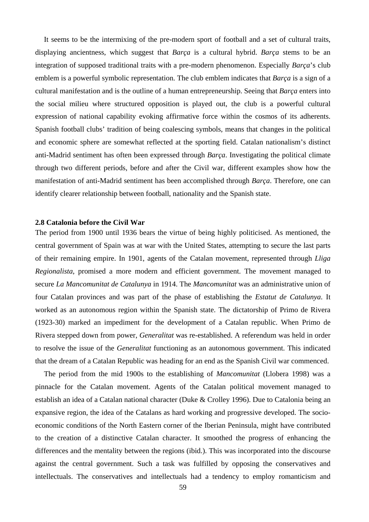It seems to be the intermixing of the pre-modern sport of football and a set of cultural traits, displaying ancientness, which suggest that *Barça* is a cultural hybrid. *Barça* stems to be an integration of supposed traditional traits with a pre-modern phenomenon. Especially *Barça*'s club emblem is a powerful symbolic representation. The club emblem indicates that *Barça* is a sign of a cultural manifestation and is the outline of a human entrepreneurship. Seeing that *Barça* enters into the social milieu where structured opposition is played out, the club is a powerful cultural expression of national capability evoking affirmative force within the cosmos of its adherents. Spanish football clubs' tradition of being coalescing symbols, means that changes in the political and economic sphere are somewhat reflected at the sporting field. Catalan nationalism's distinct anti-Madrid sentiment has often been expressed through *Barça*. Investigating the political climate through two different periods, before and after the Civil war, different examples show how the manifestation of anti-Madrid sentiment has been accomplished through *Barça*. Therefore, one can identify clearer relationship between football, nationality and the Spanish state.

#### **2.8 Catalonia before the Civil War**

The period from 1900 until 1936 bears the virtue of being highly politicised. As mentioned, the central government of Spain was at war with the United States, attempting to secure the last parts of their remaining empire. In 1901, agents of the Catalan movement, represented through *Lliga Regionalista*, promised a more modern and efficient government. The movement managed to secure *La Mancomunitat de Catalunya* in 1914. The *Mancomunitat* was an administrative union of four Catalan provinces and was part of the phase of establishing the *Estatut de Catalunya*. It worked as an autonomous region within the Spanish state. The dictatorship of Primo de Rivera (1923-30) marked an impediment for the development of a Catalan republic. When Primo de Rivera stepped down from power, *Generalitat* was re-established. A referendum was held in order to resolve the issue of the *Generalitat* functioning as an autonomous government. This indicated that the dream of a Catalan Republic was heading for an end as the Spanish Civil war commenced.

The period from the mid 1900s to the establishing of *Mancomunitat* (Llobera 1998) was a pinnacle for the Catalan movement. Agents of the Catalan political movement managed to establish an idea of a Catalan national character (Duke & Crolley 1996). Due to Catalonia being an expansive region, the idea of the Catalans as hard working and progressive developed. The socioeconomic conditions of the North Eastern corner of the Iberian Peninsula, might have contributed to the creation of a distinctive Catalan character. It smoothed the progress of enhancing the differences and the mentality between the regions (ibid.). This was incorporated into the discourse against the central government. Such a task was fulfilled by opposing the conservatives and intellectuals. The conservatives and intellectuals had a tendency to employ romanticism and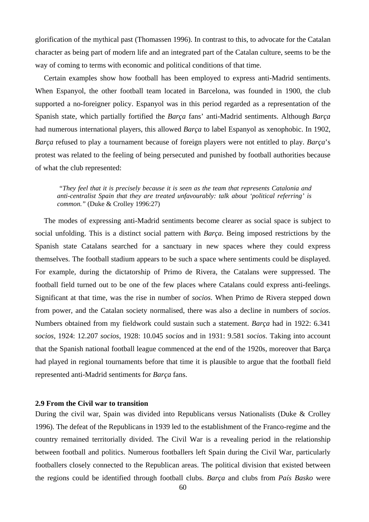glorification of the mythical past (Thomassen 1996). In contrast to this, to advocate for the Catalan character as being part of modern life and an integrated part of the Catalan culture, seems to be the way of coming to terms with economic and political conditions of that time.

Certain examples show how football has been employed to express anti-Madrid sentiments. When Espanyol, the other football team located in Barcelona, was founded in 1900, the club supported a no-foreigner policy. Espanyol was in this period regarded as a representation of the Spanish state, which partially fortified the *Barça* fans' anti-Madrid sentiments. Although *Barça* had numerous international players, this allowed *Barça* to label Espanyol as xenophobic. In 1902, *Barça* refused to play a tournament because of foreign players were not entitled to play. *Barça*'s protest was related to the feeling of being persecuted and punished by football authorities because of what the club represented:

 *"They feel that it is precisely because it is seen as the team that represents Catalonia and anti-centralist Spain that they are treated unfavourably: talk about 'political referring' is common."* (Duke & Crolley 1996:27)

The modes of expressing anti-Madrid sentiments become clearer as social space is subject to social unfolding. This is a distinct social pattern with *Barça*. Being imposed restrictions by the Spanish state Catalans searched for a sanctuary in new spaces where they could express themselves. The football stadium appears to be such a space where sentiments could be displayed. For example, during the dictatorship of Primo de Rivera, the Catalans were suppressed. The football field turned out to be one of the few places where Catalans could express anti-feelings. Significant at that time, was the rise in number of *socios*. When Primo de Rivera stepped down from power, and the Catalan society normalised, there was also a decline in numbers of *socios*. Numbers obtained from my fieldwork could sustain such a statement. *Barça* had in 1922: 6.341 *socios*, 1924: 12.207 *socios*, 1928: 10.045 *socios* and in 1931: 9.581 *socios*. Taking into account that the Spanish national football league commenced at the end of the 1920s, moreover that Barça had played in regional tournaments before that time it is plausible to argue that the football field represented anti-Madrid sentiments for *Barça* fans.

#### **2.9 From the Civil war to transition**

During the civil war, Spain was divided into Republicans versus Nationalists (Duke & Crolley 1996). The defeat of the Republicans in 1939 led to the establishment of the Franco-regime and the country remained territorially divided. The Civil War is a revealing period in the relationship between football and politics. Numerous footballers left Spain during the Civil War, particularly footballers closely connected to the Republican areas. The political division that existed between the regions could be identified through football clubs. *Barça* and clubs from *País Basko* were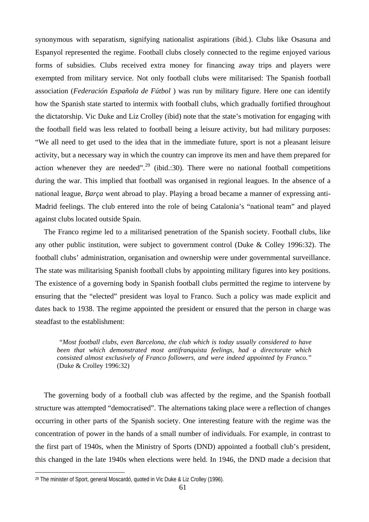synonymous with separatism, signifying nationalist aspirations (ibid.). Clubs like Osasuna and Espanyol represented the regime. Football clubs closely connected to the regime enjoyed various forms of subsidies. Clubs received extra money for financing away trips and players were exempted from military service. Not only football clubs were militarised: The Spanish football association (*Federación Española de Fútbol* ) was run by military figure. Here one can identify how the Spanish state started to intermix with football clubs, which gradually fortified throughout the dictatorship. Vic Duke and Liz Crolley (ibid) note that the state's motivation for engaging with the football field was less related to football being a leisure activity, but had military purposes: "We all need to get used to the idea that in the immediate future, sport is not a pleasant leisure activity, but a necessary way in which the country can improve its men and have them prepared for action whenever they are needed".<sup>[29](#page-60-0)</sup> (ibid.:30). There were no national football competitions during the war. This implied that football was organised in regional leagues. In the absence of a national league, *Barça* went abroad to play. Playing a broad became a manner of expressing anti-Madrid feelings. The club entered into the role of being Catalonia's "national team" and played against clubs located outside Spain.

The Franco regime led to a militarised penetration of the Spanish society. Football clubs, like any other public institution, were subject to government control (Duke & Colley 1996:32). The football clubs' administration, organisation and ownership were under governmental surveillance. The state was militarising Spanish football clubs by appointing military figures into key positions. The existence of a governing body in Spanish football clubs permitted the regime to intervene by ensuring that the "elected" president was loyal to Franco. Such a policy was made explicit and dates back to 1938. The regime appointed the president or ensured that the person in charge was steadfast to the establishment:

 *"Most football clubs, even Barcelona, the club which is today usually considered to have been that which demonstrated most antifranquista feelings, had a directorate which consisted almost exclusively of Franco followers, and were indeed appointed by Franco."* (Duke & Crolley 1996:32)

The governing body of a football club was affected by the regime, and the Spanish football structure was attempted "democratised". The alternations taking place were a reflection of changes occurring in other parts of the Spanish society. One interesting feature with the regime was the concentration of power in the hands of a small number of individuals. For example, in contrast to the first part of 1940s, when the Ministry of Sports (DND) appointed a football club's president, this changed in the late 1940s when elections were held. In 1946, the DND made a decision that

<span id="page-60-0"></span><sup>29</sup> The minister of Sport, general Moscardó, quoted in Vic Duke & Liz Crolley (1996).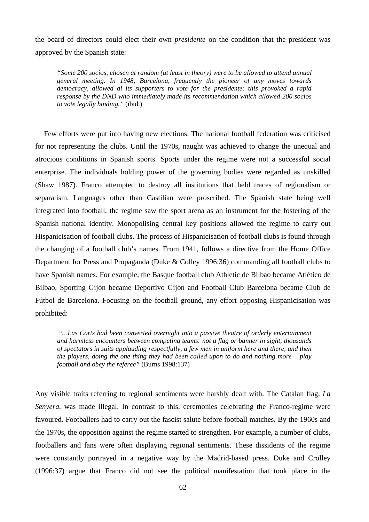the board of directors could elect their own *presidente* on the condition that the president was approved by the Spanish state:

*"Some 200 socios, chosen at random (at least in theory) were to be allowed to attend annual general meeting. In 1948, Barcelona, frequently the pioneer of any moves towards democracy, allowed al its supporters to vote for the presidente: this provoked a rapid response by the DND who immediately made its recommendation which allowed 200 socios to vote legally binding."* (ibid.)

Few efforts were put into having new elections. The national football federation was criticised for not representing the clubs. Until the 1970s, naught was achieved to change the unequal and atrocious conditions in Spanish sports. Sports under the regime were not a successful social enterprise. The individuals holding power of the governing bodies were regarded as unskilled (Shaw 1987). Franco attempted to destroy all institutions that held traces of regionalism or separatism. Languages other than Castilian were proscribed. The Spanish state being well integrated into football, the regime saw the sport arena as an instrument for the fostering of the Spanish national identity. Monopolising central key positions allowed the regime to carry out Hispanicisation of football clubs. The process of Hispanicisation of football clubs is found through the changing of a football club's names. From 1941, follows a directive from the Home Office Department for Press and Propaganda (Duke & Colley 1996:36) commanding all football clubs to have Spanish names. For example, the Basque football club Athletic de Bilbao became Atlético de Bilbao, Sporting Gijón became Deportivo Gijón and Football Club Barcelona became Club de Fútbol de Barcelona. Focusing on the football ground, any effort opposing Hispanicisation was prohibited:

 *"…Las Corts had been converted overnight into a passive theatre of orderly entertainment and harmless encounters between competing teams: not a flag or banner in sight, thousands of spectators in suits applauding respectfully, a few men in uniform here and there, and then the players, doing the one thing they had been called upon to do and nothing more – play football and obey the referee"* (Burns 1998:137)

Any visible traits referring to regional sentiments were harshly dealt with. The Catalan flag, *La Senyera*, was made illegal. In contrast to this, ceremonies celebrating the Franco-regime were favoured. Footballers had to carry out the fascist salute before football matches. By the 1960s and the 1970s, the opposition against the regime started to strengthen. For example, a number of clubs, footballers and fans were often displaying regional sentiments. These dissidents of the regime were constantly portrayed in a negative way by the Madrid-based press. Duke and Crolley (1996:37) argue that Franco did not see the political manifestation that took place in the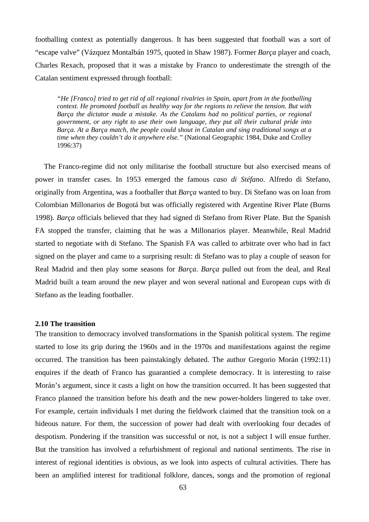footballing context as potentially dangerous. It has been suggested that football was a sort of "escape valve" (Vázquez Montalbán 1975, quoted in Shaw 1987). Former *Barça* player and coach, Charles Rexach, proposed that it was a mistake by Franco to underestimate the strength of the Catalan sentiment expressed through football:

*"He [Franco] tried to get rid of all regional rivalries in Spain, apart from in the footballing context. He promoted football as healthy way for the regions to relieve the tension. But with Barça the dictator made a mistake. As the Catalans had no political parties, or regional government, or any right to use their own language, they put all their cultural pride into Barça. At a Barça match, the people could shout in Catalan and sing traditional songs at a time when they couldn't do it anywhere else."* (National Geographic 1984, Duke and Crolley 1996:37)

The Franco-regime did not only militarise the football structure but also exercised means of power in transfer cases. In 1953 emerged the famous *caso di Stéfano*. Alfredo di Stefano, originally from Argentina, was a footballer that *Barça* wanted to buy. Di Stefano was on loan from Colombian Millonarios de Bogotá but was officially registered with Argentine River Plate (Burns 1998). *Barça* officials believed that they had signed di Stefano from River Plate. But the Spanish FA stopped the transfer, claiming that he was a Millonarios player. Meanwhile, Real Madrid started to negotiate with di Stefano. The Spanish FA was called to arbitrate over who had in fact signed on the player and came to a surprising result: di Stefano was to play a couple of season for Real Madrid and then play some seasons for *Barça*. *Barça* pulled out from the deal, and Real Madrid built a team around the new player and won several national and European cups with di Stefano as the leading footballer.

#### **2.10 The transition**

The transition to democracy involved transformations in the Spanish political system. The regime started to lose its grip during the 1960s and in the 1970s and manifestations against the regime occurred. The transition has been painstakingly debated. The author Gregorio Morán (1992:11) enquires if the death of Franco has guarantied a complete democracy. It is interesting to raise Morán's argument, since it casts a light on how the transition occurred. It has been suggested that Franco planned the transition before his death and the new power-holders lingered to take over. For example, certain individuals I met during the fieldwork claimed that the transition took on a hideous nature. For them, the succession of power had dealt with overlooking four decades of despotism. Pondering if the transition was successful or not, is not a subject I will ensue further. But the transition has involved a refurbishment of regional and national sentiments. The rise in interest of regional identities is obvious, as we look into aspects of cultural activities. There has been an amplified interest for traditional folklore, dances, songs and the promotion of regional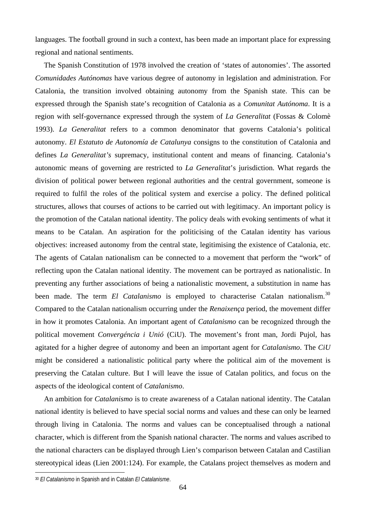languages. The football ground in such a context, has been made an important place for expressing regional and national sentiments.

The Spanish Constitution of 1978 involved the creation of 'states of autonomies'. The assorted *Comunidades Autónomas* have various degree of autonomy in legislation and administration. For Catalonia, the transition involved obtaining autonomy from the Spanish state. This can be expressed through the Spanish state's recognition of Catalonia as a *Comunitat Autónoma*. It is a region with self-governance expressed through the system of *La Generalitat* (Fossas & Colomè 1993). *La Generalitat* refers to a common denominator that governs Catalonia's political autonomy. *El Estatuto de Autonomía de Catalunya* consigns to the constitution of Catalonia and defines *La Generalitat's* supremacy, institutional content and means of financing. Catalonia's autonomic means of governing are restricted to *La Generalitat*'s jurisdiction. What regards the division of political power between regional authorities and the central government, someone is required to fulfil the roles of the political system and exercise a policy. The defined political structures, allows that courses of actions to be carried out with legitimacy. An important policy is the promotion of the Catalan national identity. The policy deals with evoking sentiments of what it means to be Catalan. An aspiration for the politicising of the Catalan identity has various objectives: increased autonomy from the central state, legitimising the existence of Catalonia, etc. The agents of Catalan nationalism can be connected to a movement that perform the "work" of reflecting upon the Catalan national identity. The movement can be portrayed as nationalistic. In preventing any further associations of being a nationalistic movement, a substitution in name has been made. The term *El Catalanismo* is employed to characterise Catalan nationalism.<sup>[30](#page-63-0)</sup> Compared to the Catalan nationalism occurring under the *Renaixença* period, the movement differ in how it promotes Catalonia. An important agent of *Catalanismo* can be recognized through the political movement *Convergéncia i Unió* (CiU). The movement's front man, Jordi Pujol, has agitated for a higher degree of autonomy and been an important agent for *Catalanismo*. The *CiU* might be considered a nationalistic political party where the political aim of the movement is preserving the Catalan culture. But I will leave the issue of Catalan politics, and focus on the aspects of the ideological content of *Catalanismo*.

An ambition for *Catalanismo* is to create awareness of a Catalan national identity. The Catalan national identity is believed to have special social norms and values and these can only be learned through living in Catalonia. The norms and values can be conceptualised through a national character, which is different from the Spanish national character. The norms and values ascribed to the national characters can be displayed through Lien's comparison between Catalan and Castilian stereotypical ideas (Lien 2001:124). For example, the Catalans project themselves as modern and

<span id="page-63-0"></span><sup>30</sup> *El Catalanismo* in Spanish and in Catalan *El Catalanisme*.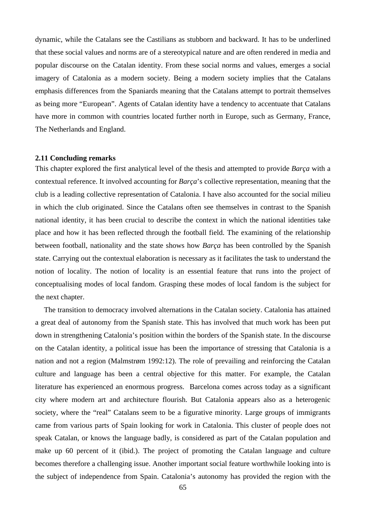dynamic, while the Catalans see the Castilians as stubborn and backward. It has to be underlined that these social values and norms are of a stereotypical nature and are often rendered in media and popular discourse on the Catalan identity. From these social norms and values, emerges a social imagery of Catalonia as a modern society. Being a modern society implies that the Catalans emphasis differences from the Spaniards meaning that the Catalans attempt to portrait themselves as being more "European". Agents of Catalan identity have a tendency to accentuate that Catalans have more in common with countries located further north in Europe, such as Germany, France, The Netherlands and England.

#### **2.11 Concluding remarks**

This chapter explored the first analytical level of the thesis and attempted to provide *Barça* with a contextual reference. It involved accounting for *Barça*'s collective representation, meaning that the club is a leading collective representation of Catalonia. I have also accounted for the social milieu in which the club originated. Since the Catalans often see themselves in contrast to the Spanish national identity, it has been crucial to describe the context in which the national identities take place and how it has been reflected through the football field. The examining of the relationship between football, nationality and the state shows how *Barça* has been controlled by the Spanish state. Carrying out the contextual elaboration is necessary as it facilitates the task to understand the notion of locality. The notion of locality is an essential feature that runs into the project of conceptualising modes of local fandom. Grasping these modes of local fandom is the subject for the next chapter.

The transition to democracy involved alternations in the Catalan society. Catalonia has attained a great deal of autonomy from the Spanish state. This has involved that much work has been put down in strengthening Catalonia's position within the borders of the Spanish state. In the discourse on the Catalan identity, a political issue has been the importance of stressing that Catalonia is a nation and not a region (Malmstrøm 1992:12). The role of prevailing and reinforcing the Catalan culture and language has been a central objective for this matter. For example, the Catalan literature has experienced an enormous progress. Barcelona comes across today as a significant city where modern art and architecture flourish. But Catalonia appears also as a heterogenic society, where the "real" Catalans seem to be a figurative minority. Large groups of immigrants came from various parts of Spain looking for work in Catalonia. This cluster of people does not speak Catalan, or knows the language badly, is considered as part of the Catalan population and make up 60 percent of it (ibid.). The project of promoting the Catalan language and culture becomes therefore a challenging issue. Another important social feature worthwhile looking into is the subject of independence from Spain. Catalonia's autonomy has provided the region with the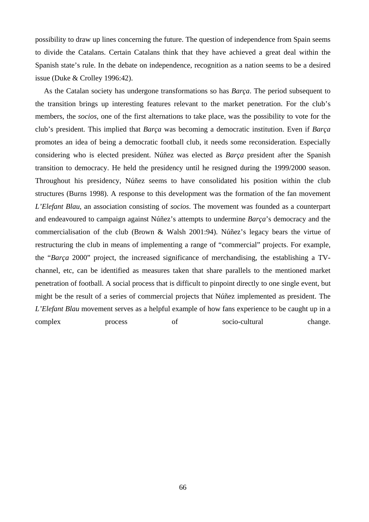possibility to draw up lines concerning the future. The question of independence from Spain seems to divide the Catalans. Certain Catalans think that they have achieved a great deal within the Spanish state's rule. In the debate on independence, recognition as a nation seems to be a desired issue (Duke & Crolley 1996:42).

As the Catalan society has undergone transformations so has *Barça*. The period subsequent to the transition brings up interesting features relevant to the market penetration. For the club's members, the *socios*, one of the first alternations to take place, was the possibility to vote for the club's president. This implied that *Barça* was becoming a democratic institution. Even if *Barça* promotes an idea of being a democratic football club, it needs some reconsideration. Especially considering who is elected president. Núñez was elected as *Barça* president after the Spanish transition to democracy. He held the presidency until he resigned during the 1999/2000 season. Throughout his presidency, Núñez seems to have consolidated his position within the club structures (Burns 1998). A response to this development was the formation of the fan movement *L'Elefant Blau*, an association consisting of *socios*. The movement was founded as a counterpart and endeavoured to campaign against Núñez's attempts to undermine *Barça*'s democracy and the commercialisation of the club (Brown & Walsh 2001:94). Núñez's legacy bears the virtue of restructuring the club in means of implementing a range of "commercial" projects. For example, the "*Barça* 2000" project, the increased significance of merchandising, the establishing a TVchannel, etc, can be identified as measures taken that share parallels to the mentioned market penetration of football. A social process that is difficult to pinpoint directly to one single event, but might be the result of a series of commercial projects that Núñez implemented as president. The *L'Elefant Blau* movement serves as a helpful example of how fans experience to be caught up in a complex process of socio-cultural change.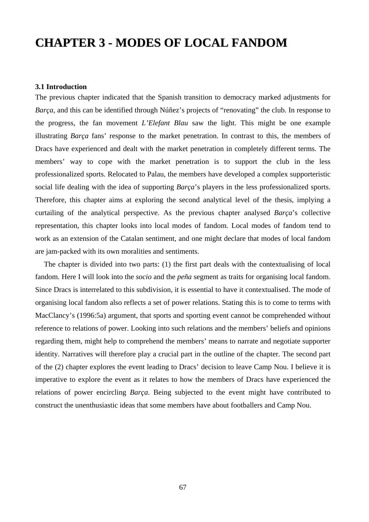# **CHAPTER 3 - MODES OF LOCAL FANDOM**

## **3.1 Introduction**

The previous chapter indicated that the Spanish transition to democracy marked adjustments for *Barça*, and this can be identified through Núñez's projects of "renovating" the club. In response to the progress, the fan movement *L'Elefant Blau* saw the light. This might be one example illustrating *Barça* fans' response to the market penetration. In contrast to this, the members of Dracs have experienced and dealt with the market penetration in completely different terms. The members' way to cope with the market penetration is to support the club in the less professionalized sports. Relocated to Palau, the members have developed a complex supporteristic social life dealing with the idea of supporting *Barça*'s players in the less professionalized sports. Therefore, this chapter aims at exploring the second analytical level of the thesis, implying a curtailing of the analytical perspective. As the previous chapter analysed *Barça*'s collective representation, this chapter looks into local modes of fandom. Local modes of fandom tend to work as an extension of the Catalan sentiment, and one might declare that modes of local fandom are jam-packed with its own moralities and sentiments.

The chapter is divided into two parts: (1) the first part deals with the contextualising of local fandom. Here I will look into the *socio* and the *peña* segment as traits for organising local fandom. Since Dracs is interrelated to this subdivision, it is essential to have it contextualised. The mode of organising local fandom also reflects a set of power relations. Stating this is to come to terms with MacClancy's (1996:5a) argument, that sports and sporting event cannot be comprehended without reference to relations of power. Looking into such relations and the members' beliefs and opinions regarding them, might help to comprehend the members' means to narrate and negotiate supporter identity. Narratives will therefore play a crucial part in the outline of the chapter. The second part of the (2) chapter explores the event leading to Dracs' decision to leave Camp Nou. I believe it is imperative to explore the event as it relates to how the members of Dracs have experienced the relations of power encircling *Barça*. Being subjected to the event might have contributed to construct the unenthusiastic ideas that some members have about footballers and Camp Nou.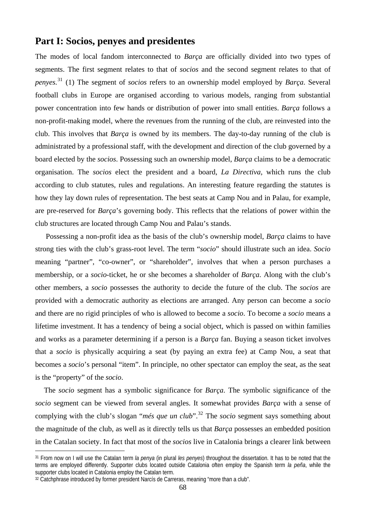## **Part I: Socios, penyes and presidentes**

The modes of local fandom interconnected to *Barça* are officially divided into two types of segments. The first segment relates to that of *socios* and the second segment relates to that of *penyes.* [31](#page-67-0) (1) The segment of *socios* refers to an ownership model employed by *Barça*. Several football clubs in Europe are organised according to various models, ranging from substantial power concentration into few hands or distribution of power into small entities. *Barça* follows a non-profit-making model, where the revenues from the running of the club, are reinvested into the club. This involves that *Barça* is owned by its members. The day-to-day running of the club is administrated by a professional staff, with the development and direction of the club governed by a board elected by the *socios*. Possessing such an ownership model, *Barça* claims to be a democratic organisation. The *socios* elect the president and a board, *La Directiva*, which runs the club according to club statutes, rules and regulations. An interesting feature regarding the statutes is how they lay down rules of representation. The best seats at Camp Nou and in Palau, for example, are pre-reserved for *Barça*'s governing body. This reflects that the relations of power within the club structures are located through Camp Nou and Palau's stands.

 Possessing a non-profit idea as the basis of the club's ownership model, *Barça* claims to have strong ties with the club's grass-root level. The term "*socio*" should illustrate such an idea. *Socio* meaning "partner", "co-owner", or "shareholder", involves that when a person purchases a membership, or a *socio*-ticket, he or she becomes a shareholder of *Barça*. Along with the club's other members, a *socio* possesses the authority to decide the future of the club. The *socios* are provided with a democratic authority as elections are arranged. Any person can become a *socio* and there are no rigid principles of who is allowed to become a *socio*. To become a *socio* means a lifetime investment. It has a tendency of being a social object, which is passed on within families and works as a parameter determining if a person is a *Barça* fan. Buying a season ticket involves that a *socio* is physically acquiring a seat (by paying an extra fee) at Camp Nou, a seat that becomes a *socio*'s personal "item". In principle, no other spectator can employ the seat, as the seat is the "property" of the *socio*.

 The *socio* segment has a symbolic significance for *Barça*. The symbolic significance of the *socio* segment can be viewed from several angles. It somewhat provides *Barça* with a sense of complying with the club's slogan "*més que un club*".<sup>[32](#page-67-1)</sup> The *socio* segment says something about the magnitude of the club, as well as it directly tells us that *Barça* possesses an embedded position in the Catalan society. In fact that most of the *socios* live in Catalonia brings a clearer link between

<span id="page-67-0"></span><sup>31</sup> From now on I will use the Catalan term *la penya* (in plural *les penyes*) throughout the dissertation. It has to be noted that the terms are employed differently. Supporter clubs located outside Catalonia often employ the Spanish term *la peña*, while the supporter clubs located in Catalonia employ the Catalan term.

<span id="page-67-1"></span><sup>&</sup>lt;sup>32</sup> Catchphrase introduced by former president Narcís de Carreras, meaning "more than a club".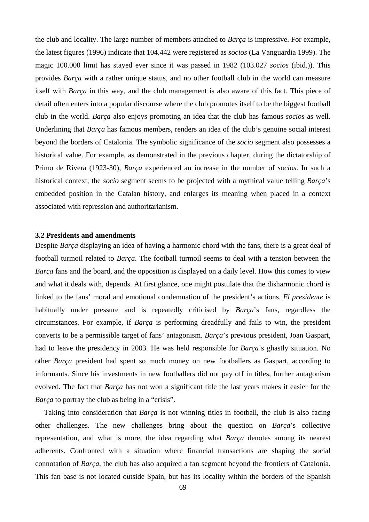the club and locality. The large number of members attached to *Barça* is impressive. For example, the latest figures (1996) indicate that 104.442 were registered as *socios* (La Vanguardia 1999). The magic 100.000 limit has stayed ever since it was passed in 1982 (103.027 *socios* (ibid.)). This provides *Barça* with a rather unique status, and no other football club in the world can measure itself with *Barça* in this way, and the club management is also aware of this fact. This piece of detail often enters into a popular discourse where the club promotes itself to be the biggest football club in the world. *Barça* also enjoys promoting an idea that the club has famous *socios* as well. Underlining that *Barça* has famous members, renders an idea of the club's genuine social interest beyond the borders of Catalonia. The symbolic significance of the *socio* segment also possesses a historical value. For example, as demonstrated in the previous chapter, during the dictatorship of Primo de Rivera (1923-30), *Barça* experienced an increase in the number of *socios*. In such a historical context, the *socio* segment seems to be projected with a mythical value telling *Barça*'s embedded position in the Catalan history, and enlarges its meaning when placed in a context associated with repression and authoritarianism.

#### **3.2 Presidents and amendments**

Despite *Barça* displaying an idea of having a harmonic chord with the fans, there is a great deal of football turmoil related to *Barça*. The football turmoil seems to deal with a tension between the *Barça* fans and the board, and the opposition is displayed on a daily level. How this comes to view and what it deals with, depends. At first glance, one might postulate that the disharmonic chord is linked to the fans' moral and emotional condemnation of the president's actions. *El presidente* is habitually under pressure and is repeatedly criticised by *Barça*'s fans, regardless the circumstances. For example, if *Barça* is performing dreadfully and fails to win, the president converts to be a permissible target of fans' antagonism. *Barça*'s previous president, Joan Gaspart, had to leave the presidency in 2003. He was held responsible for *Barça*'s ghastly situation. No other *Barça* president had spent so much money on new footballers as Gaspart, according to informants. Since his investments in new footballers did not pay off in titles, further antagonism evolved. The fact that *Barça* has not won a significant title the last years makes it easier for the *Barça* to portray the club as being in a "crisis".

Taking into consideration that *Barça* is not winning titles in football, the club is also facing other challenges. The new challenges bring about the question on *Barça*'s collective representation, and what is more, the idea regarding what *Barça* denotes among its nearest adherents. Confronted with a situation where financial transactions are shaping the social connotation of *Barça*, the club has also acquired a fan segment beyond the frontiers of Catalonia. This fan base is not located outside Spain, but has its locality within the borders of the Spanish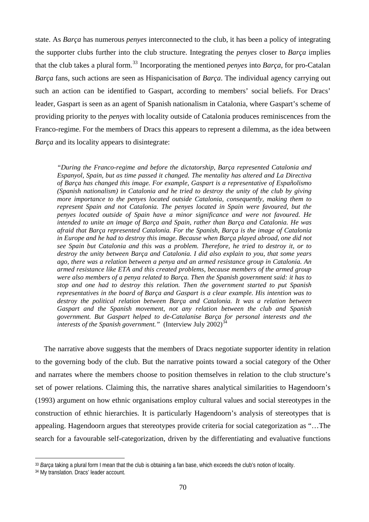state. As *Barça* has numerous *penyes* interconnected to the club, it has been a policy of integrating the supporter clubs further into the club structure. Integrating the *penyes* closer to *Barça* implies that the club takes a plural form.[33](#page-69-0) Incorporating the mentioned *penyes* into *Barça*, for pro-Catalan *Barça* fans, such actions are seen as Hispanicisation of *Barça*. The individual agency carrying out such an action can be identified to Gaspart, according to members' social beliefs. For Dracs' leader, Gaspart is seen as an agent of Spanish nationalism in Catalonia, where Gaspart's scheme of providing priority to the *penyes* with locality outside of Catalonia produces reminiscences from the Franco-regime. For the members of Dracs this appears to represent a dilemma, as the idea between *Barça* and its locality appears to disintegrate:

*"During the Franco-regime and before the dictatorship, Barça represented Catalonia and Espanyol, Spain, but as time passed it changed. The mentality has altered and La Directiva of Barça has changed this image. For example, Gaspart is a representative of Españolismo (Spanish nationalism) in Catalonia and he tried to destroy the unity of the club by giving more importance to the penyes located outside Catalonia, consequently, making them to represent Spain and not Catalonia. The penyes located in Spain were favoured, but the penyes located outside of Spain have a minor significance and were not favoured. He intended to unite an image of Barça and Spain, rather than Barça and Catalonia. He was afraid that Barça represented Catalonia. For the Spanish, Barça is the image of Catalonia in Europe and he had to destroy this image. Because when Barça played abroad, one did not see Spain but Catalonia and this was a problem. Therefore, he tried to destroy it, or to destroy the unity between Barça and Catalonia. I did also explain to you, that some years ago, there was a relation between a penya and an armed resistance group in Catalonia. An armed resistance like ETA and this created problems, because members of the armed group were also members of a penya related to Barça. Then the Spanish government said: it has to stop and one had to destroy this relation. Then the government started to put Spanish representatives in the board of Barça and Gaspart is a clear example. His intention was to destroy the political relation between Barça and Catalonia. It was a relation between Gaspart and the Spanish movement, not any relation between the club and Spanish government. But Gaspart helped to de-Catalanise Barça for personal interests and the interests of the Spanish government.*" (Interview July 2002)<sup>3</sup>

The narrative above suggests that the members of Dracs negotiate supporter identity in relation to the governing body of the club. But the narrative points toward a social category of the Other and narrates where the members choose to position themselves in relation to the club structure's set of power relations. Claiming this, the narrative shares analytical similarities to Hagendoorn's (1993) argument on how ethnic organisations employ cultural values and social stereotypes in the construction of ethnic hierarchies. It is particularly Hagendoorn's analysis of stereotypes that is appealing. Hagendoorn argues that stereotypes provide criteria for social categorization as "…The search for a favourable self-categorization, driven by the differentiating and evaluative functions

<span id="page-69-0"></span><sup>33</sup> *Barça* taking a plural form I mean that the club is obtaining a fan base, which exceeds the club's notion of locality.

<span id="page-69-1"></span><sup>34</sup> My translation. Dracs' leader account.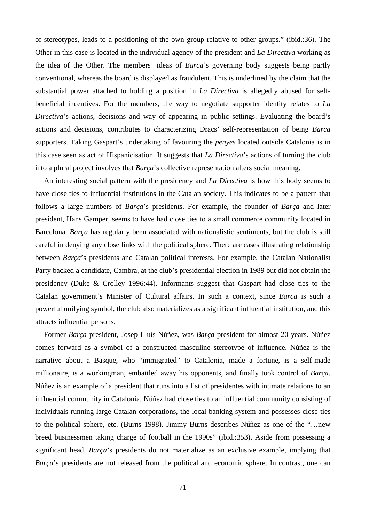of stereotypes, leads to a positioning of the own group relative to other groups." (ibid.:36). The Other in this case is located in the individual agency of the president and *La Directiva* working as the idea of the Other. The members' ideas of *Barça*'s governing body suggests being partly conventional, whereas the board is displayed as fraudulent. This is underlined by the claim that the substantial power attached to holding a position in *La Directiva* is allegedly abused for selfbeneficial incentives. For the members, the way to negotiate supporter identity relates to *La Directiva*'s actions, decisions and way of appearing in public settings. Evaluating the board's actions and decisions, contributes to characterizing Dracs' self-representation of being *Barça* supporters. Taking Gaspart's undertaking of favouring the *penyes* located outside Catalonia is in this case seen as act of Hispanicisation. It suggests that *La Directiva*'s actions of turning the club into a plural project involves that *Barça*'s collective representation alters social meaning.

An interesting social pattern with the presidency and *La Directiva* is how this body seems to have close ties to influential institutions in the Catalan society. This indicates to be a pattern that follows a large numbers of *Barça*'s presidents. For example, the founder of *Barça* and later president, Hans Gamper, seems to have had close ties to a small commerce community located in Barcelona. *Barça* has regularly been associated with nationalistic sentiments, but the club is still careful in denying any close links with the political sphere. There are cases illustrating relationship between *Barça*'s presidents and Catalan political interests. For example, the Catalan Nationalist Party backed a candidate, Cambra, at the club's presidential election in 1989 but did not obtain the presidency (Duke & Crolley 1996:44). Informants suggest that Gaspart had close ties to the Catalan government's Minister of Cultural affairs. In such a context, since *Barça* is such a powerful unifying symbol, the club also materializes as a significant influential institution, and this attracts influential persons.

Former *Barça* president, Josep Lluís Núñez, was *Barça* president for almost 20 years. Núñez comes forward as a symbol of a constructed masculine stereotype of influence. Núñez is the narrative about a Basque, who "immigrated" to Catalonia, made a fortune, is a self-made millionaire, is a workingman, embattled away his opponents, and finally took control of *Barça*. Núñez is an example of a president that runs into a list of presidentes with intimate relations to an influential community in Catalonia. Núñez had close ties to an influential community consisting of individuals running large Catalan corporations, the local banking system and possesses close ties to the political sphere, etc. (Burns 1998). Jimmy Burns describes Núñez as one of the "…new breed businessmen taking charge of football in the 1990s" (ibid.:353). Aside from possessing a significant head, *Barça*'s presidents do not materialize as an exclusive example, implying that *Barça*'s presidents are not released from the political and economic sphere. In contrast, one can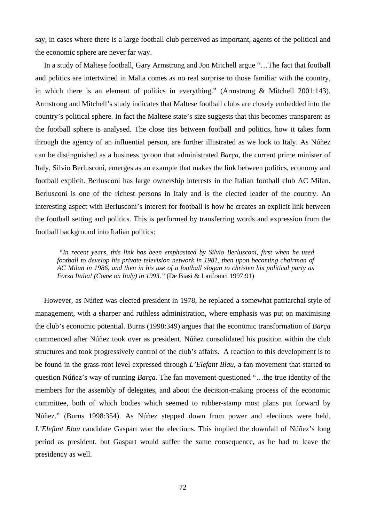say, in cases where there is a large football club perceived as important, agents of the political and the economic sphere are never far way.

In a study of Maltese football, Gary Armstrong and Jon Mitchell argue "…The fact that football and politics are intertwined in Malta comes as no real surprise to those familiar with the country, in which there is an element of politics in everything." (Armstrong & Mitchell 2001:143). Armstrong and Mitchell's study indicates that Maltese football clubs are closely embedded into the country's political sphere. In fact the Maltese state's size suggests that this becomes transparent as the football sphere is analysed. The close ties between football and politics, how it takes form through the agency of an influential person, are further illustrated as we look to Italy. As Núñez can be distinguished as a business tycoon that administrated *Barça*, the current prime minister of Italy, Silvio Berlusconi, emerges as an example that makes the link between politics, economy and football explicit. Berlusconi has large ownership interests in the Italian football club AC Milan. Berlusconi is one of the richest persons in Italy and is the elected leader of the country. An interesting aspect with Berlusconi's interest for football is how he creates an explicit link between the football setting and politics. This is performed by transferring words and expression from the football background into Italian politics:

*"In recent years, this link has been emphasized by Silvio Berlusconi, first when he used football to develop his private television network in 1981, then upon becoming chairman of AC Milan in 1986, and then in his use of a football slogan to christen his political party as Forza Italia! (Come on Italy) in 1993."* (De Biasi & Lanfranci 1997:91)

However, as Núñez was elected president in 1978, he replaced a somewhat patriarchal style of management, with a sharper and ruthless administration, where emphasis was put on maximising the club's economic potential. Burns (1998:349) argues that the economic transformation of *Barça* commenced after Núñez took over as president. Núñez consolidated his position within the club structures and took progressively control of the club's affairs. A reaction to this development is to be found in the grass-root level expressed through *L'Elefant Blau*, a fan movement that started to question Núñez's way of running *Barça*. The fan movement questioned "…the true identity of the members for the assembly of delegates, and about the decision-making process of the economic committee, both of which bodies which seemed to rubber-stamp most plans put forward by Núñez." (Burns 1998:354). As Núñez stepped down from power and elections were held, *L'Elefant Blau* candidate Gaspart won the elections. This implied the downfall of Núñez's long period as president, but Gaspart would suffer the same consequence, as he had to leave the presidency as well.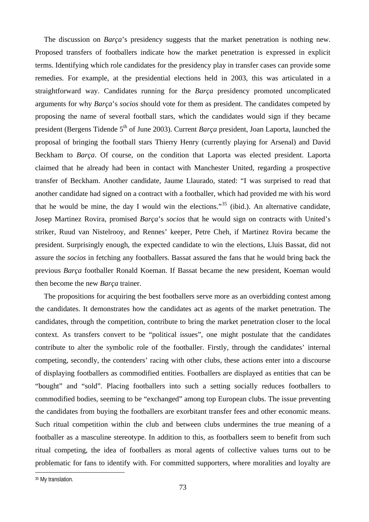The discussion on *Barça*'s presidency suggests that the market penetration is nothing new. Proposed transfers of footballers indicate how the market penetration is expressed in explicit terms. Identifying which role candidates for the presidency play in transfer cases can provide some remedies. For example, at the presidential elections held in 2003, this was articulated in a straightforward way. Candidates running for the *Barça* presidency promoted uncomplicated arguments for why *Barça*'s *socios* should vote for them as president. The candidates competed by proposing the name of several football stars, which the candidates would sign if they became president (Bergens Tidende 5<sup>th</sup> of June 2003). Current *Barça* president, Joan Laporta, launched the proposal of bringing the football stars Thierry Henry (currently playing for Arsenal) and David Beckham to *Barça*. Of course, on the condition that Laporta was elected president. Laporta claimed that he already had been in contact with Manchester United, regarding a prospective transfer of Beckham. Another candidate, Jaume Llaurado, stated: "I was surprised to read that another candidate had signed on a contract with a footballer, which had provided me with his word that he would be mine, the day I would win the elections."<sup>[35](#page-72-0)</sup> (ibid.). An alternative candidate, Josep Martinez Rovira, promised *Barça*'s *socios* that he would sign on contracts with United's striker, Ruud van Nistelrooy, and Rennes' keeper, Petre Cheh, if Martinez Rovira became the president. Surprisingly enough, the expected candidate to win the elections, Lluis Bassat, did not assure the *socios* in fetching any footballers. Bassat assured the fans that he would bring back the previous *Barça* footballer Ronald Koeman. If Bassat became the new president, Koeman would then become the new *Barça* trainer.

The propositions for acquiring the best footballers serve more as an overbidding contest among the candidates. It demonstrates how the candidates act as agents of the market penetration. The candidates, through the competition, contribute to bring the market penetration closer to the local context. As transfers convert to be "political issues", one might postulate that the candidates contribute to alter the symbolic role of the footballer. Firstly, through the candidates' internal competing, secondly, the contenders' racing with other clubs, these actions enter into a discourse of displaying footballers as commodified entities. Footballers are displayed as entities that can be "bought" and "sold". Placing footballers into such a setting socially reduces footballers to commodified bodies, seeming to be "exchanged" among top European clubs. The issue preventing the candidates from buying the footballers are exorbitant transfer fees and other economic means. Such ritual competition within the club and between clubs undermines the true meaning of a footballer as a masculine stereotype. In addition to this, as footballers seem to benefit from such ritual competing, the idea of footballers as moral agents of collective values turns out to be problematic for fans to identify with. For committed supporters, where moralities and loyalty are

<span id="page-72-0"></span><sup>&</sup>lt;sup>35</sup> My translation.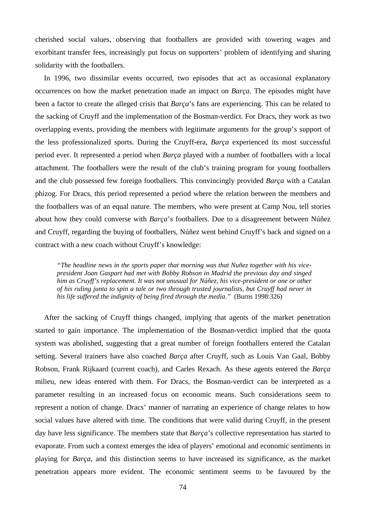cherished social values, observing that footballers are provided with towering wages and exorbitant transfer fees, increasingly put focus on supporters' problem of identifying and sharing solidarity with the footballers.

In 1996, two dissimilar events occurred, two episodes that act as occasional explanatory occurrences on how the market penetration made an impact on *Barça*. The episodes might have been a factor to create the alleged crisis that *Barça*'s fans are experiencing. This can be related to the sacking of Cruyff and the implementation of the Bosman-verdict. For Dracs, they work as two overlapping events, providing the members with legitimate arguments for the group's support of the less professionalized sports. During the Cruyff-era, *Barça* experienced its most successful period ever. It represented a period when *Barça* played with a number of footballers with a local attachment. The footballers were the result of the club's training program for young footballers and the club possessed few foreign footballers. This convincingly provided *Barça* with a Catalan phizog. For Dracs, this period represented a period where the relation between the members and the footballers was of an equal nature. The members, who were present at Camp Nou, tell stories about how they could converse with *Barça*'s footballers. Due to a disagreement between Núñez and Cruyff, regarding the buying of footballers, Núñez went behind Cruyff's back and signed on a contract with a new coach without Cruyff's knowledge:

*"The headline news in the sports paper that morning was that Nuñez together with his vicepresident Joan Gaspart had met with Bobby Robson in Madrid the previous day and singed him as Cruyff's replacement. It was not unusual for Núñez, his vice-president or one or other of his ruling junta to spin a tale or two through trusted journalists, but Cruyff had never in his life suffered the indignity of being fired through the media."* (Burns 1998:326)

After the sacking of Cruyff things changed, implying that agents of the market penetration started to gain importance. The implementation of the Bosman-verdict implied that the quota system was abolished, suggesting that a great number of foreign footballers entered the Catalan setting. Several trainers have also coached *Barça* after Cruyff, such as Louis Van Gaal, Bobby Robson, Frank Rijkaard (current coach), and Carles Rexach. As these agents entered the *Barça* milieu, new ideas entered with them. For Dracs, the Bosman-verdict can be interpreted as a parameter resulting in an increased focus on economic means. Such considerations seem to represent a notion of change. Dracs' manner of narrating an experience of change relates to how social values have altered with time. The conditions that were valid during Cruyff, in the present day have less significance. The members state that *Barça*'s collective representation has started to evaporate. From such a context emerges the idea of players' emotional and economic sentiments in playing for *Barça*, and this distinction seems to have increased its significance, as the market penetration appears more evident. The economic sentiment seems to be favoured by the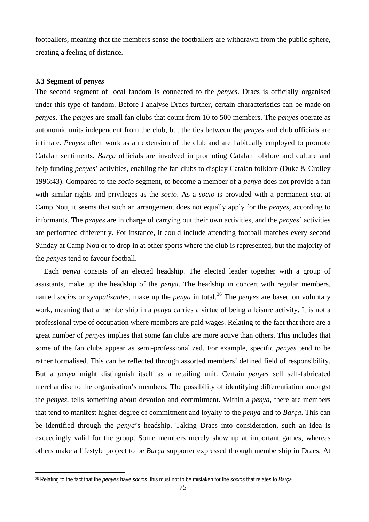footballers, meaning that the members sense the footballers are withdrawn from the public sphere, creating a feeling of distance.

## **3.3 Segment of** *penyes*

 $\overline{a}$ 

The second segment of local fandom is connected to the *penyes*. Dracs is officially organised under this type of fandom. Before I analyse Dracs further, certain characteristics can be made on *penyes*. The *penyes* are small fan clubs that count from 10 to 500 members. The *penyes* operate as autonomic units independent from the club, but the ties between the *penyes* and club officials are intimate. *Penyes* often work as an extension of the club and are habitually employed to promote Catalan sentiments. *Barça* officials are involved in promoting Catalan folklore and culture and help funding *penyes*' activities, enabling the fan clubs to display Catalan folklore (Duke & Crolley 1996:43). Compared to the *socio* segment, to become a member of a *penya* does not provide a fan with similar rights and privileges as the *socio*. As a *socio* is provided with a permanent seat at Camp Nou, it seems that such an arrangement does not equally apply for the *penyes*, according to informants. The *penyes* are in charge of carrying out their own activities, and the *penyes'* activities are performed differently. For instance, it could include attending football matches every second Sunday at Camp Nou or to drop in at other sports where the club is represented, but the majority of the *penyes* tend to favour football.

Each *penya* consists of an elected headship. The elected leader together with a group of assistants, make up the headship of the *penya*. The headship in concert with regular members, named *socios* or *sympatizantes*, make up the *penya* in total.<sup>[36](#page-74-0)</sup> The *penyes* are based on voluntary work, meaning that a membership in a *penya* carries a virtue of being a leisure activity. It is not a professional type of occupation where members are paid wages. Relating to the fact that there are a great number of *penyes* implies that some fan clubs are more active than others. This includes that some of the fan clubs appear as semi-professionalized. For example, specific *penyes* tend to be rather formalised. This can be reflected through assorted members' defined field of responsibility. But a *penya* might distinguish itself as a retailing unit. Certain *penyes* sell self-fabricated merchandise to the organisation's members. The possibility of identifying differentiation amongst the *penyes*, tells something about devotion and commitment. Within a *penya,* there are members that tend to manifest higher degree of commitment and loyalty to the *penya* and to *Barça*. This can be identified through the *penya*'s headship. Taking Dracs into consideration, such an idea is exceedingly valid for the group. Some members merely show up at important games, whereas others make a lifestyle project to be *Barça* supporter expressed through membership in Dracs. At

<span id="page-74-0"></span><sup>36</sup> Relating to the fact that the *penyes* have *socios*, this must not to be mistaken for the *socios* that relates to *Barça*.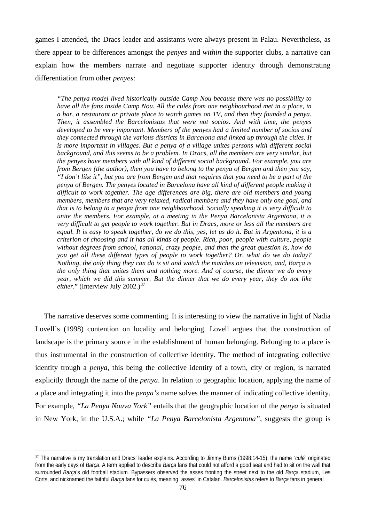games I attended, the Dracs leader and assistants were always present in Palau. Nevertheless, as there appear to be differences amongst the *penyes* and *within* the supporter clubs, a narrative can explain how the members narrate and negotiate supporter identity through demonstrating differentiation from other *penyes*:

*"The penya model lived historically outside Camp Nou because there was no possibility to have all the fans inside Camp Nou. All the culés from one neighbourhood met in a place, in a bar, a restaurant or private place to watch games on TV, and then they founded a penya. Then, it assembled the Barcelonistas that were not socios. And with time, the penyes developed to be very important. Members of the penyes had a limited number of socios and they connected through the various districts in Barcelona and linked up through the cities. It is more important in villages. But a penya of a village unites persons with different social background, and this seems to be a problem. In Dracs, all the members are very similar, but the penyes have members with all kind of different social background. For example, you are from Bergen (the author), then you have to belong to the penya of Bergen and then you say, "I don't like it", but you are from Bergen and that requires that you need to be a part of the penya of Bergen. The penyes located in Barcelona have all kind of different people making it difficult to work together. The age differences are big, there are old members and young members, members that are very relaxed, radical members and they have only one goal, and that is to belong to a penya from one neighbourhood. Socially speaking it is very difficult to unite the members. For example, at a meeting in the Penya Barcelonista Argentona, it is very difficult to get people to work together. But in Dracs, more or less all the members are equal. It is easy to speak together, do we do this, yes, let us do it. But in Argentona, it is a criterion of choosing and it has all kinds of people. Rich, poor, people with culture, people without degrees from school, rational, crazy people, and then the great question is, how do you get all these different types of people to work together? Or, what do we do today? Nothing, the only thing they can do is sit and watch the matches on television, and, Barça is the only thing that unites them and nothing more. And of course, the dinner we do every year, which we did this summer. But the dinner that we do every year, they do not like either.*" (Interview July 2002.)<sup>[37](#page-75-0)</sup>

The narrative deserves some commenting. It is interesting to view the narrative in light of Nadia Lovell's (1998) contention on locality and belonging. Lovell argues that the construction of landscape is the primary source in the establishment of human belonging. Belonging to a place is thus instrumental in the construction of collective identity. The method of integrating collective identity trough a *penya*, this being the collective identity of a town, city or region, is narrated explicitly through the name of the *penya*. In relation to geographic location, applying the name of a place and integrating it into the *penya's* name solves the manner of indicating collective identity. For example, *"La Penya Nouva York"* entails that the geographic location of the *penya* is situated in New York, in the U.S.A.; while *"La Penya Barcelonista Argentona"*, suggests the group is

<span id="page-75-0"></span><sup>37</sup> The narrative is my translation and Dracs' leader explains. According to Jimmy Burns (1998:14-15), the name "*culé*" originated from the early days of *Barça*. A term applied to describe *Barça* fans that could not afford a good seat and had to sit on the wall that surrounded *Barça*'s old football stadium. Bypassers observed the asses fronting the street next to the old *Barça* stadium, Les Corts, and nicknamed the faithful *Barça* fans for culés, meaning "asses" in Catalan. *Barcelonistas* refers to *Barça* fans in general.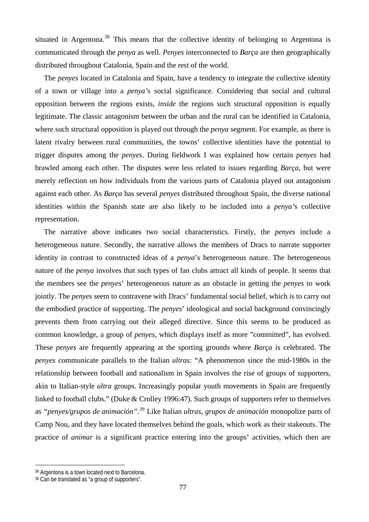situated in Argentona.<sup>[38](#page-76-0)</sup> This means that the collective identity of belonging to Argentona is communicated through the *penya* as well. *Penyes* interconnected to *Barça* are then geographically distributed throughout Catalonia, Spain and the rest of the world.

The *penyes* located in Catalonia and Spain, have a tendency to integrate the collective identity of a town or village into a *penya'*s social significance. Considering that social and cultural opposition between the regions exists, *inside* the regions such structural opposition is equally legitimate. The classic antagonism between the urban and the rural can be identified in Catalonia, where such structural opposition is played out through the *penya* segment. For example, as there is latent rivalry between rural communities, the towns' collective identities have the potential to trigger disputes among the *penyes*. During fieldwork I was explained how certain *penyes* had brawled among each other. The disputes were less related to issues regarding *Barça*, but were merely reflection on how individuals from the various parts of Catalonia played out antagonism against each other. As *Barça* has several *penyes* distributed throughout Spain, the diverse national identities within the Spanish state are also likely to be included into a *penya'*s collective representation.

The narrative above indicates two social characteristics. Firstly, the *penyes* include a heterogeneous nature. Secondly, the narrative allows the members of Dracs to narrate supporter identity in contrast to constructed ideas of a *penya*'s heterogeneous nature. The heterogeneous nature of the *penya* involves that such types of fan clubs attract all kinds of people. It seems that the members see the *penyes*' heterogeneous nature as an obstacle in getting the *penyes* to work jointly. The *penyes* seem to contravene with Dracs' fundamental social belief, which is to carry out the embodied practice of supporting. The *penyes*' ideological and social background convincingly prevents them from carrying out their alleged directive. Since this seems to be produced as common knowledge, a group of *penyes*, which displays itself as more "committed", has evolved. These *penyes* are frequently appearing at the sporting grounds where *Barça* is celebrated. The *penyes* communicate parallels to the Italian *ultras*: "A phenomenon since the mid-1980s in the relationship between football and nationalism in Spain involves the rise of groups of supporters, akin to Italian-style *ultra* groups. Increasingly popular youth movements in Spain are frequently linked to football clubs." (Duke & Crolley 1996:47). Such groups of supporters refer to themselves as *"penyes/grupos de animación"*. *[39](#page-76-1)* Like Italian *ultras*, *grupos de animación* monopolize parts of Camp Nou, and they have located themselves behind the goals, which work as their stakeouts. The practice of *animar* is a significant practice entering into the groups' activities, which then are

<span id="page-76-0"></span><sup>38</sup> Argentona is a town located next to Barcelona.

<span id="page-76-1"></span><sup>39</sup> Can be translated as "a group of supporters".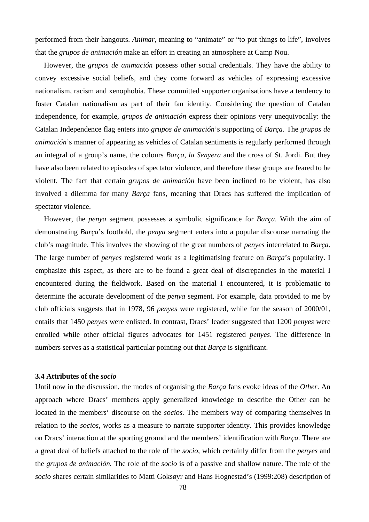performed from their hangouts. *Animar*, meaning to "animate" or "to put things to life", involves that the *grupos de animación* make an effort in creating an atmosphere at Camp Nou.

However, the *grupos de animación* possess other social credentials. They have the ability to convey excessive social beliefs, and they come forward as vehicles of expressing excessive nationalism, racism and xenophobia. These committed supporter organisations have a tendency to foster Catalan nationalism as part of their fan identity. Considering the question of Catalan independence, for example, *grupos de animación* express their opinions very unequivocally: the Catalan Independence flag enters into *grupos de animación*'s supporting of *Barça*. The *grupos de animación*'s manner of appearing as vehicles of Catalan sentiments is regularly performed through an integral of a group's name, the colours *Barça*, *la Senyera* and the cross of St. Jordi. But they have also been related to episodes of spectator violence, and therefore these groups are feared to be violent. The fact that certain *grupos de animación* have been inclined to be violent, has also involved a dilemma for many *Barça* fans, meaning that Dracs has suffered the implication of spectator violence.

However, the *penya* segment possesses a symbolic significance for *Barça*. With the aim of demonstrating *Barça*'s foothold, the *penya* segment enters into a popular discourse narrating the club's magnitude. This involves the showing of the great numbers of *penyes* interrelated to *Barça*. The large number of *penyes* registered work as a legitimatising feature on *Barça*'s popularity. I emphasize this aspect, as there are to be found a great deal of discrepancies in the material I encountered during the fieldwork. Based on the material I encountered, it is problematic to determine the accurate development of the *penya* segment. For example, data provided to me by club officials suggests that in 1978, 96 *penyes* were registered, while for the season of 2000/01, entails that 1450 *penyes* were enlisted. In contrast, Dracs' leader suggested that 1200 *penyes* were enrolled while other official figures advocates for 1451 registered *penyes*. The difference in numbers serves as a statistical particular pointing out that *Barça* is significant.

# **3.4 Attributes of the** *socio*

Until now in the discussion, the modes of organising the *Barça* fans evoke ideas of the *Other*. An approach where Dracs' members apply generalized knowledge to describe the Other can be located in the members' discourse on the *socios.* The members way of comparing themselves in relation to the *socios*, works as a measure to narrate supporter identity. This provides knowledge on Dracs' interaction at the sporting ground and the members' identification with *Barça*. There are a great deal of beliefs attached to the role of the *socio*, which certainly differ from the *penyes* and the *grupos de animación.* The role of the *socio* is of a passive and shallow nature. The role of the *socio* shares certain similarities to Matti Goksøyr and Hans Hognestad's (1999:208) description of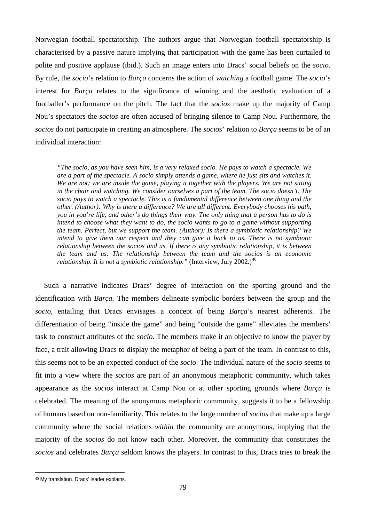Norwegian football spectatorship. The authors argue that Norwegian football spectatorship is characterised by a passive nature implying that participation with the game has been curtailed to polite and positive applause (ibid.). Such an image enters into Dracs' social beliefs on the *socio*. By rule, the *socio*'s relation to *Barça* concerns the action of *watching* a football game. The *socio*'s interest for *Barça* relates to the significance of winning and the aesthetic evaluation of a footballer's performance on the pitch. The fact that the *socios* make up the majority of Camp Nou's spectators the *socios* are often accused of bringing silence to Camp Nou. Furthermore, the *socios* do not participate in creating an atmosphere. The *socio*s' relation to *Barça* seems to be of an individual interaction:

*"The socio, as you have seen him, is a very relaxed socio. He pays to watch a spectacle. We are a part of the spectacle. A socio simply attends a game, where he just sits and watches it. We are not; we are inside the game, playing it together with the players. We are not sitting in the chair and watching. We consider ourselves a part of the team. The socio doesn't. The socio pays to watch a spectacle. This is a fundamental difference between one thing and the other. (Author): Why is there a difference? We are all different. Everybody chooses his path, you in you're life, and other's do things their way. The only thing that a person has to do is intend to choose what they want to do, the socio wants to go to a game without supporting the team. Perfect, but we support the team. (Author): Is there a symbiotic relationship? We intend to give them our respect and they can give it back to us. There is no symbiotic relationship between the socios and us. If there is any symbiotic relationship, it is between the team and us. The relationship between the team and the socios is an economic relationship. It is not a symbiotic relationship.*" (Interview, July 2002.)<sup>[40](#page-78-0)</sup>

Such a narrative indicates Dracs' degree of interaction on the sporting ground and the identification with *Barça*. The members delineate symbolic borders between the group and the *socio*, entailing that Dracs envisages a concept of being *Barça*'s nearest adherents. The differentiation of being "inside the game" and being "outside the game" alleviates the members' task to construct attributes of the *socio*. The members make it an objective to know the player by face, a trait allowing Dracs to display the metaphor of being a part of the team. In contrast to this, this seems not to be an expected conduct of the *socio*. The individual nature of the *socio* seems to fit into a view where the *socios* are part of an anonymous metaphoric community, which takes appearance as the *socios* interact at Camp Nou or at other sporting grounds where *Barça* is celebrated. The meaning of the anonymous metaphoric community, suggests it to be a fellowship of humans based on non-familiarity. This relates to the large number of *socios* that make up a large community where the social relations *within* the community are anonymous, implying that the majority of the *socios* do not know each other. Moreover, the community that constitutes the *socios* and celebrates *Barça* seldom knows the players. In contrast to this, Dracs tries to break the

<span id="page-78-0"></span><sup>40</sup> My translation. Dracs' leader explains.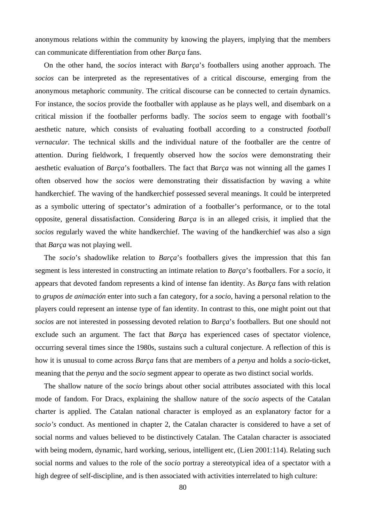anonymous relations within the community by knowing the players, implying that the members can communicate differentiation from other *Barça* fans.

On the other hand, the *socios* interact with *Barça*'s footballers using another approach. The *socios* can be interpreted as the representatives of a critical discourse, emerging from the anonymous metaphoric community. The critical discourse can be connected to certain dynamics. For instance, the s*ocios* provide the footballer with applause as he plays well, and disembark on a critical mission if the footballer performs badly. The *socios* seem to engage with football's aesthetic nature, which consists of evaluating football according to a constructed *football vernacular*. The technical skills and the individual nature of the footballer are the centre of attention. During fieldwork, I frequently observed how the s*ocios* were demonstrating their aesthetic evaluation of *Barça*'s footballers. The fact that *Barça* was not winning all the games I often observed how the *socios* were demonstrating their dissatisfaction by waving a white handkerchief. The waving of the handkerchief possessed several meanings. It could be interpreted as a symbolic uttering of spectator's admiration of a footballer's performance, or to the total opposite, general dissatisfaction. Considering *Barça* is in an alleged crisis, it implied that the *socios* regularly waved the white handkerchief. The waving of the handkerchief was also a sign that *Barça* was not playing well.

The *socio*'s shadowlike relation to *Barça*'s footballers gives the impression that this fan segment is less interested in constructing an intimate relation to *Barça*'s footballers. For a *socio,* it appears that devoted fandom represents a kind of intense fan identity. As *Barça* fans with relation to *grupos de animación* enter into such a fan category, for a *socio*, having a personal relation to the players could represent an intense type of fan identity. In contrast to this, one might point out that *socios* are not interested in possessing devoted relation to *Barça*'s footballers. But one should not exclude such an argument. The fact that *Barça* has experienced cases of spectator violence, occurring several times since the 1980s, sustains such a cultural conjecture. A reflection of this is how it is unusual to come across *Barça* fans that are members of a *penya* and holds a *socio*-ticket, meaning that the *penya* and the *socio* segment appear to operate as two distinct social worlds.

The shallow nature of the *socio* brings about other social attributes associated with this local mode of fandom. For Dracs, explaining the shallow nature of the *socio* aspects of the Catalan charter is applied. The Catalan national character is employed as an explanatory factor for a *socio's* conduct. As mentioned in chapter 2, the Catalan character is considered to have a set of social norms and values believed to be distinctively Catalan. The Catalan character is associated with being modern, dynamic, hard working, serious, intelligent etc, (Lien 2001:114). Relating such social norms and values to the role of the *socio* portray a stereotypical idea of a spectator with a high degree of self-discipline, and is then associated with activities interrelated to high culture: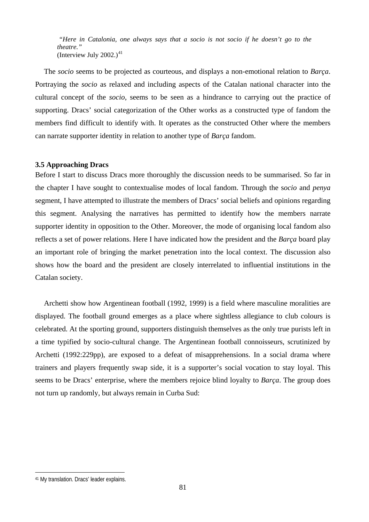*"Here in Catalonia, one always says that a socio is not socio if he doesn't go to the theatre."* (Interview July  $2002.$ )<sup>[41](#page-80-0)</sup>

The *socio* seems to be projected as courteous, and displays a non-emotional relation to *Barça*. Portraying the *socio* as relaxed and including aspects of the Catalan national character into the cultural concept of the *socio*, seems to be seen as a hindrance to carrying out the practice of supporting. Dracs' social categorization of the Other works as a constructed type of fandom the members find difficult to identify with. It operates as the constructed Other where the members can narrate supporter identity in relation to another type of *Barça* fandom.

# **3.5 Approaching Dracs**

Before I start to discuss Dracs more thoroughly the discussion needs to be summarised. So far in the chapter I have sought to contextualise modes of local fandom. Through the s*ocio* and *penya* segment, I have attempted to illustrate the members of Dracs' social beliefs and opinions regarding this segment. Analysing the narratives has permitted to identify how the members narrate supporter identity in opposition to the Other. Moreover, the mode of organising local fandom also reflects a set of power relations. Here I have indicated how the president and the *Barça* board play an important role of bringing the market penetration into the local context. The discussion also shows how the board and the president are closely interrelated to influential institutions in the Catalan society.

Archetti show how Argentinean football (1992, 1999) is a field where masculine moralities are displayed. The football ground emerges as a place where sightless allegiance to club colours is celebrated. At the sporting ground, supporters distinguish themselves as the only true purists left in a time typified by socio-cultural change. The Argentinean football connoisseurs, scrutinized by Archetti (1992:229pp), are exposed to a defeat of misapprehensions. In a social drama where trainers and players frequently swap side, it is a supporter's social vocation to stay loyal. This seems to be Dracs' enterprise, where the members rejoice blind loyalty to *Barça*. The group does not turn up randomly, but always remain in Curba Sud:

<span id="page-80-0"></span><sup>41</sup> My translation. Dracs' leader explains.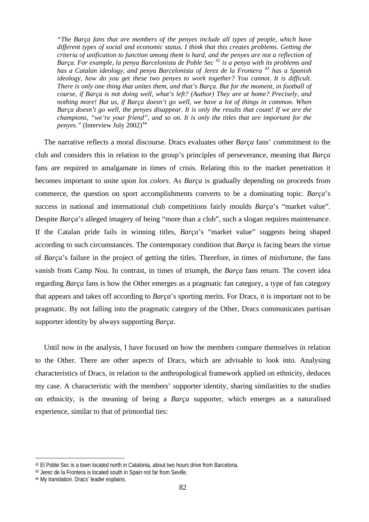*"The Barça fans that are members of the penyes include all types of people, which have different types of social and economic status. I think that this creates problems. Getting the criteria of unification to function among them is hard, and the penyes are not a reflection of Barça. For example, la penya Barcelonista de Poble Sec [42](#page-81-0) is a penya with its problems and has a Catalan ideology, and penya Barcelonista of Jerez de la Frontera [43](#page-81-1) has a Spanish ideology, how do you get these two penyes to work together? You cannot. It is difficult. There is only one thing that unites them, and that's Barça. But for the moment, in football of course, if Barça is not doing well, what's left? (Author) They are at home? Precisely, and nothing more! But us, if Barça doesn't go well, we have a lot of things in common. When Barça doesn't go well, the penyes disappear. It is only the results that count! If we are the champions, "we're your friend", and so on. It is only the titles that are important for the penyes."* (Interview July 2002)<sup>[44](#page-81-2)</sup>

The narrative reflects a moral discourse. Dracs evaluates other *Barça* fans' commitment to the club and considers this in relation to the group's principles of perseverance, meaning that *Barça* fans are required to amalgamate in times of crisis. Relating this to the market penetration it becomes important to unite upon *los colors*. As *Barça* is gradually depending on proceeds from commerce, the question on sport accomplishments converts to be a dominating topic. *Barça*'s success in national and international club competitions fairly moulds *Barça*'s "market value". Despite *Barça*'s alleged imagery of being "more than a club", such a slogan requires maintenance. If the Catalan pride fails in winning titles, *Barça*'s "market value" suggests being shaped according to such circumstances. The contemporary condition that *Barça* is facing bears the virtue of *Barça*'s failure in the project of getting the titles. Therefore, in times of misfortune, the fans vanish from Camp Nou. In contrast, in times of triumph, the *Barça* fans return. The covert idea regarding *Barça* fans is how the Other emerges as a pragmatic fan category, a type of fan category that appears and takes off according to *Barça*'s sporting merits. For Dracs, it is important not to be pragmatic. By not falling into the pragmatic category of the Other, Dracs communicates partisan supporter identity by always supporting *Barça*.

Until now in the analysis, I have focused on how the members compare themselves in relation to the Other. There are other aspects of Dracs, which are advisable to look into. Analysing characteristics of Dracs, in relation to the anthropological framework applied on ethnicity, deduces my case. A characteristic with the members' supporter identity, sharing similarities to the studies on ethnicity, is the meaning of being a *Barça* supporter, which emerges as a naturalised experience, similar to that of primordial ties:

<span id="page-81-0"></span><sup>42</sup> El Poble Sec is a town located north in Catalonia, about two hours drive from Barcelona.

<span id="page-81-1"></span><sup>43</sup> Jerez de la Frontera is located south in Spain not far from Seville.

<span id="page-81-2"></span><sup>44</sup> My translation. Dracs' leader explains.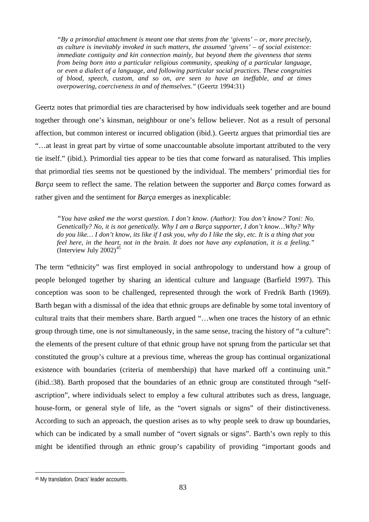*"By a primordial attachment is meant one that stems from the 'givens' – or, more precisely, as culture is inevitably invoked in such matters, the assumed 'givens' – of social existence: immediate contiguity and kin connection mainly, but beyond them the givenness that stems from being born into a particular religious community, speaking of a particular language, or even a dialect of a language, and following particular social practices. These congruities of blood, speech, custom, and so on, are seen to have an ineffable, and at times overpowering, coerciveness in and of themselves."* (Geertz 1994:31)

Geertz notes that primordial ties are characterised by how individuals seek together and are bound together through one's kinsman, neighbour or one's fellow believer. Not as a result of personal affection, but common interest or incurred obligation (ibid.). Geertz argues that primordial ties are "…at least in great part by virtue of some unaccountable absolute important attributed to the very tie itself." (ibid.). Primordial ties appear to be ties that come forward as naturalised. This implies that primordial ties seems not be questioned by the individual. The members' primordial ties for *Barça* seem to reflect the same. The relation between the supporter and *Barça* comes forward as rather given and the sentiment for *Barça* emerges as inexplicable:

*"You have asked me the worst question. I don't know. (Author): You don't know? Toni: No. Genetically? No, it is not genetically. Why I am a Barça supporter, I don't know…Why? Why do you like… I don't know, its like if I ask you, why do I like the sky, etc. It is a thing that you feel here, in the heart, not in the brain. It does not have any explanation, it is a feeling."*  (Interview July  $2002$ )<sup>[45](#page-82-0)</sup>

The term "ethnicity" was first employed in social anthropology to understand how a group of people belonged together by sharing an identical culture and language (Barfield 1997). This conception was soon to be challenged, represented through the work of Fredrik Barth (1969). Barth began with a dismissal of the idea that ethnic groups are definable by some total inventory of cultural traits that their members share. Barth argued "…when one traces the history of an ethnic group through time, one is *not* simultaneously, in the same sense, tracing the history of "a culture": the elements of the present culture of that ethnic group have not sprung from the particular set that constituted the group's culture at a previous time, whereas the group has continual organizational existence with boundaries (criteria of membership) that have marked off a continuing unit." (ibid.:38). Barth proposed that the boundaries of an ethnic group are constituted through "selfascription", where individuals select to employ a few cultural attributes such as dress, language, house-form, or general style of life, as the "overt signals or signs" of their distinctiveness. According to such an approach, the question arises as to why people seek to draw up boundaries, which can be indicated by a small number of "overt signals or signs". Barth's own reply to this might be identified through an ethnic group's capability of providing "important goods and

<span id="page-82-0"></span><sup>45</sup> My translation. Dracs' leader accounts.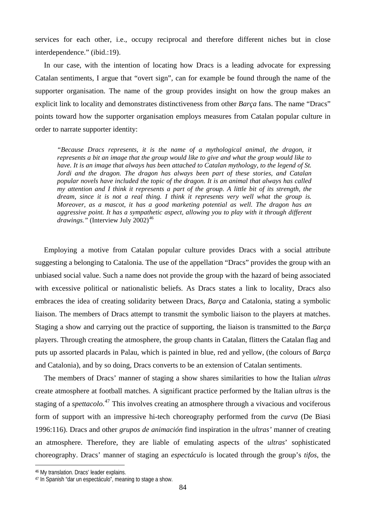services for each other, i.e., occupy reciprocal and therefore different niches but in close interdependence." (ibid.:19).

In our case, with the intention of locating how Dracs is a leading advocate for expressing Catalan sentiments, I argue that "overt sign", can for example be found through the name of the supporter organisation. The name of the group provides insight on how the group makes an explicit link to locality and demonstrates distinctiveness from other *Barça* fans. The name "Dracs" points toward how the supporter organisation employs measures from Catalan popular culture in order to narrate supporter identity:

*"Because Dracs represents, it is the name of a mythological animal, the dragon, it represents a bit an image that the group would like to give and what the group would like to have. It is an image that always has been attached to Catalan mythology, to the legend of St. Jordi and the dragon. The dragon has always been part of these stories, and Catalan popular novels have included the topic of the dragon. It is an animal that always has called my attention and I think it represents a part of the group. A little bit of its strength, the dream, since it is not a real thing. I think it represents very well what the group is. Moreover, as a mascot, it has a good marketing potential as well. The dragon has an aggressive point. It has a sympathetic aspect, allowing you to play with it through different drawings."* (Interview July 2002)<sup>[46](#page-83-0)</sup>

Employing a motive from Catalan popular culture provides Dracs with a social attribute suggesting a belonging to Catalonia. The use of the appellation "Dracs" provides the group with an unbiased social value. Such a name does not provide the group with the hazard of being associated with excessive political or nationalistic beliefs. As Dracs states a link to locality, Dracs also embraces the idea of creating solidarity between Dracs, *Barça* and Catalonia, stating a symbolic liaison. The members of Dracs attempt to transmit the symbolic liaison to the players at matches. Staging a show and carrying out the practice of supporting, the liaison is transmitted to the *Barça* players. Through creating the atmosphere, the group chants in Catalan, flitters the Catalan flag and puts up assorted placards in Palau, which is painted in blue, red and yellow, (the colours of *Barça* and Catalonia), and by so doing, Dracs converts to be an extension of Catalan sentiments.

The members of Dracs' manner of staging a show shares similarities to how the Italian *ultras* create atmosphere at football matches. A significant practice performed by the Italian *ultras* is the staging of a *spettacolo*. [47](#page-83-1) This involves creating an atmosphere through a vivacious and vociferous form of support with an impressive hi-tech choreography performed from the *curva* (De Biasi 1996:116). Dracs and other *grupos de animación* find inspiration in the *ultras'* manner of creating an atmosphere. Therefore, they are liable of emulating aspects of the *ultras*' sophisticated choreography. Dracs' manner of staging an *espectáculo* is located through the group's *tifos*, the

<span id="page-83-0"></span><sup>46</sup> My translation. Dracs' leader explains.

<span id="page-83-1"></span><sup>47</sup> In Spanish "dar un espectáculo", meaning to stage a show.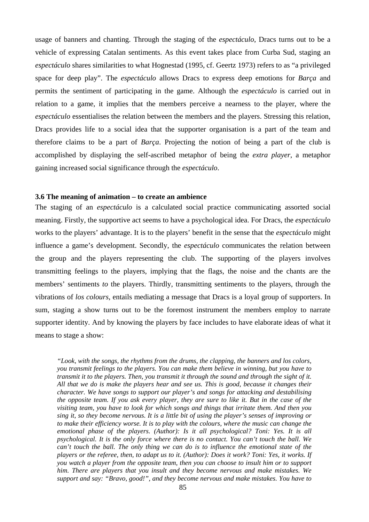usage of banners and chanting. Through the staging of the *espectáculo*, Dracs turns out to be a vehicle of expressing Catalan sentiments. As this event takes place from Curba Sud, staging an *espectáculo* shares similarities to what Hognestad (1995, cf. Geertz 1973) refers to as "a privileged space for deep play". The *espectáculo* allows Dracs to express deep emotions for *Barça* and permits the sentiment of participating in the game. Although the *espectáculo* is carried out in relation to a game, it implies that the members perceive a nearness to the player, where the *espectáculo* essentialises the relation between the members and the players. Stressing this relation, Dracs provides life to a social idea that the supporter organisation is a part of the team and therefore claims to be a part of *Barça*. Projecting the notion of being a part of the club is accomplished by displaying the self-ascribed metaphor of being the *extra player*, a metaphor gaining increased social significance through the *espectáculo*.

#### **3.6 The meaning of animation – to create an ambience**

The staging of an *espectáculo* is a calculated social practice communicating assorted social meaning. Firstly, the supportive act seems to have a psychological idea. For Dracs, the *espectáculo* works to the players' advantage. It is to the players' benefit in the sense that the *espectáculo* might influence a game's development. Secondly, the *espectáculo* communicates the relation between the group and the players representing the club. The supporting of the players involves transmitting feelings to the players, implying that the flags, the noise and the chants are the members' sentiments *to* the players. Thirdly, transmitting sentiments to the players, through the vibrations of *los colours*, entails mediating a message that Dracs is a loyal group of supporters. In sum, staging a show turns out to be the foremost instrument the members employ to narrate supporter identity. And by knowing the players by face includes to have elaborate ideas of what it means to stage a show:

*"Look, with the songs, the rhythms from the drums, the clapping, the banners and los colors, you transmit feelings to the players. You can make them believe in winning, but you have to transmit it to the players. Then, you transmit it through the sound and through the sight of it. All that we do is make the players hear and see us. This is good, because it changes their character. We have songs to support our player's and songs for attacking and destabilising the opposite team. If you ask every player, they are sure to like it. But in the case of the visiting team, you have to look for which songs and things that irritate them. And then you sing it, so they become nervous. It is a little bit of using the player's senses of improving or to make their efficiency worse. It is to play with the colours, where the music can change the emotional phase of the players. (Author): Is it all psychological? Toni: Yes. It is all psychological. It is the only force where there is no contact. You can't touch the ball. We can't touch the ball. The only thing we can do is to influence the emotional state of the players or the referee, then, to adapt us to it. (Author): Does it work? Toni: Yes, it works. If you watch a player from the opposite team, then you can choose to insult him or to support him. There are players that you insult and they become nervous and make mistakes. We support and say: "Bravo, good!", and they become nervous and make mistakes. You have to*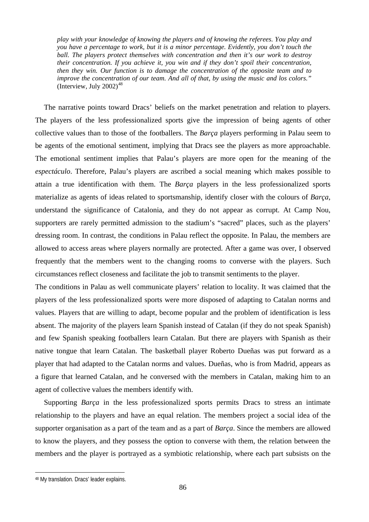*play with your knowledge of knowing the players and of knowing the referees. You play and you have a percentage to work, but it is a minor percentage. Evidently, you don't touch the ball. The players protect themselves with concentration and then it's our work to destroy their concentration. If you achieve it, you win and if they don't spoil their concentration, then they win. Our function is to damage the concentration of the opposite team and to improve the concentration of our team. And all of that, by using the music and los colors."*  (Interview, July  $2002$ )<sup>[48](#page-85-0)</sup>

The narrative points toward Dracs' beliefs on the market penetration and relation to players. The players of the less professionalized sports give the impression of being agents of other collective values than to those of the footballers. The *Barça* players performing in Palau seem to be agents of the emotional sentiment, implying that Dracs see the players as more approachable. The emotional sentiment implies that Palau's players are more open for the meaning of the *espectáculo*. Therefore, Palau's players are ascribed a social meaning which makes possible to attain a true identification with them. The *Barça* players in the less professionalized sports materialize as agents of ideas related to sportsmanship, identify closer with the colours of *Barça*, understand the significance of Catalonia, and they do not appear as corrupt. At Camp Nou, supporters are rarely permitted admission to the stadium's "sacred" places, such as the players' dressing room. In contrast, the conditions in Palau reflect the opposite. In Palau, the members are allowed to access areas where players normally are protected. After a game was over, I observed frequently that the members went to the changing rooms to converse with the players. Such circumstances reflect closeness and facilitate the job to transmit sentiments to the player.

The conditions in Palau as well communicate players' relation to locality. It was claimed that the players of the less professionalized sports were more disposed of adapting to Catalan norms and values. Players that are willing to adapt, become popular and the problem of identification is less absent. The majority of the players learn Spanish instead of Catalan (if they do not speak Spanish) and few Spanish speaking footballers learn Catalan. But there are players with Spanish as their native tongue that learn Catalan. The basketball player Roberto Dueñas was put forward as a player that had adapted to the Catalan norms and values. Dueñas, who is from Madrid, appears as a figure that learned Catalan, and he conversed with the members in Catalan, making him to an agent of collective values the members identify with.

Supporting *Barça* in the less professionalized sports permits Dracs to stress an intimate relationship to the players and have an equal relation. The members project a social idea of the supporter organisation as a part of the team and as a part of *Barça*. Since the members are allowed to know the players, and they possess the option to converse with them, the relation between the members and the player is portrayed as a symbiotic relationship, where each part subsists on the

<span id="page-85-0"></span><sup>48</sup> My translation. Dracs' leader explains.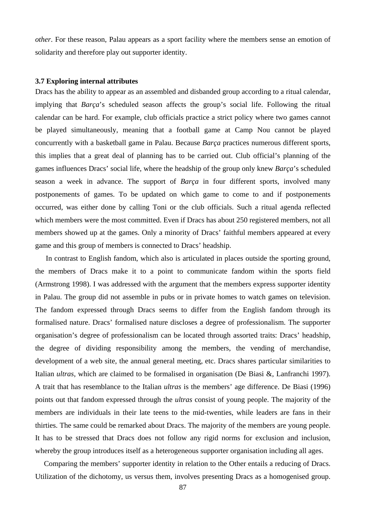*other*. For these reason, Palau appears as a sport facility where the members sense an emotion of solidarity and therefore play out supporter identity.

#### **3.7 Exploring internal attributes**

Dracs has the ability to appear as an assembled and disbanded group according to a ritual calendar, implying that *Barça*'s scheduled season affects the group's social life. Following the ritual calendar can be hard. For example, club officials practice a strict policy where two games cannot be played simultaneously, meaning that a football game at Camp Nou cannot be played concurrently with a basketball game in Palau. Because *Barça* practices numerous different sports, this implies that a great deal of planning has to be carried out. Club official's planning of the games influences Dracs' social life, where the headship of the group only knew *Barça*'s scheduled season a week in advance. The support of *Barça* in four different sports, involved many postponements of games. To be updated on which game to come to and if postponements occurred, was either done by calling Toni or the club officials. Such a ritual agenda reflected which members were the most committed. Even if Dracs has about 250 registered members, not all members showed up at the games. Only a minority of Dracs' faithful members appeared at every game and this group of members is connected to Dracs' headship.

 In contrast to English fandom, which also is articulated in places outside the sporting ground, the members of Dracs make it to a point to communicate fandom within the sports field (Armstrong 1998). I was addressed with the argument that the members express supporter identity in Palau. The group did not assemble in pubs or in private homes to watch games on television. The fandom expressed through Dracs seems to differ from the English fandom through its formalised nature. Dracs' formalised nature discloses a degree of professionalism. The supporter organisation's degree of professionalism can be located through assorted traits: Dracs' headship, the degree of dividing responsibility among the members, the vending of merchandise, development of a web site, the annual general meeting, etc. Dracs shares particular similarities to Italian *ultras*, which are claimed to be formalised in organisation (De Biasi &, Lanfranchi 1997). A trait that has resemblance to the Italian *ultras* is the members' age difference. De Biasi (1996) points out that fandom expressed through the *ultras* consist of young people. The majority of the members are individuals in their late teens to the mid-twenties, while leaders are fans in their thirties. The same could be remarked about Dracs. The majority of the members are young people. It has to be stressed that Dracs does not follow any rigid norms for exclusion and inclusion, whereby the group introduces itself as a heterogeneous supporter organisation including all ages.

Comparing the members' supporter identity in relation to the Other entails a reducing of Dracs. Utilization of the dichotomy, us versus them, involves presenting Dracs as a homogenised group.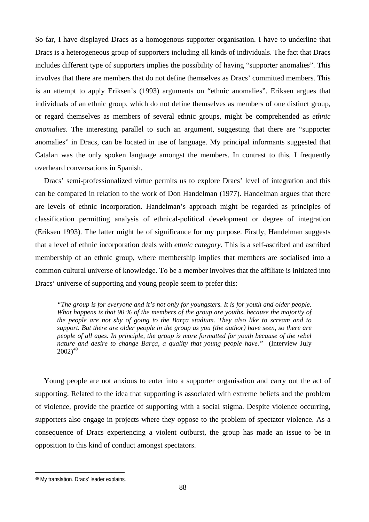So far, I have displayed Dracs as a homogenous supporter organisation. I have to underline that Dracs is a heterogeneous group of supporters including all kinds of individuals. The fact that Dracs includes different type of supporters implies the possibility of having "supporter anomalies". This involves that there are members that do not define themselves as Dracs' committed members. This is an attempt to apply Eriksen's (1993) arguments on "ethnic anomalies". Eriksen argues that individuals of an ethnic group, which do not define themselves as members of one distinct group, or regard themselves as members of several ethnic groups, might be comprehended as *ethnic anomalies*. The interesting parallel to such an argument, suggesting that there are "supporter anomalies" in Dracs, can be located in use of language. My principal informants suggested that Catalan was the only spoken language amongst the members. In contrast to this, I frequently overheard conversations in Spanish.

Dracs' semi-professionalized virtue permits us to explore Dracs' level of integration and this can be compared in relation to the work of Don Handelman (1977). Handelman argues that there are levels of ethnic incorporation. Handelman's approach might be regarded as principles of classification permitting analysis of ethnical-political development or degree of integration (Eriksen 1993). The latter might be of significance for my purpose. Firstly, Handelman suggests that a level of ethnic incorporation deals with *ethnic category*. This is a self-ascribed and ascribed membership of an ethnic group, where membership implies that members are socialised into a common cultural universe of knowledge. To be a member involves that the affiliate is initiated into Dracs' universe of supporting and young people seem to prefer this:

*"The group is for everyone and it's not only for youngsters. It is for youth and older people. What happens is that 90 % of the members of the group are youths, because the majority of the people are not shy of going to the Barça stadium. They also like to scream and to support. But there are older people in the group as you (the author) have seen, so there are people of all ages. In principle, the group is more formatted for youth because of the rebel nature and desire to change Barça, a quality that young people have."* (Interview July  $2002)^{49}$  $2002)^{49}$  $2002)^{49}$ 

Young people are not anxious to enter into a supporter organisation and carry out the act of supporting. Related to the idea that supporting is associated with extreme beliefs and the problem of violence, provide the practice of supporting with a social stigma. Despite violence occurring, supporters also engage in projects where they oppose to the problem of spectator violence. As a consequence of Dracs experiencing a violent outburst, the group has made an issue to be in opposition to this kind of conduct amongst spectators.

<span id="page-87-0"></span><sup>49</sup> My translation. Dracs' leader explains.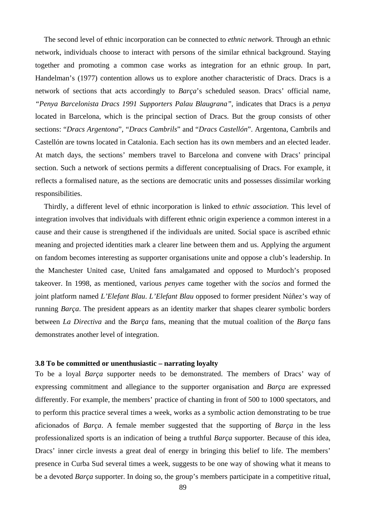The second level of ethnic incorporation can be connected to *ethnic network*. Through an ethnic network, individuals choose to interact with persons of the similar ethnical background. Staying together and promoting a common case works as integration for an ethnic group. In part, Handelman's (1977) contention allows us to explore another characteristic of Dracs. Dracs is a network of sections that acts accordingly to *Barça*'s scheduled season. Dracs' official name, *"Penya Barcelonista Dracs 1991 Supporters Palau Blaugrana"*, indicates that Dracs is a *penya* located in Barcelona, which is the principal section of Dracs. But the group consists of other sections: "*Dracs Argentona*", "*Dracs Cambrils*" and "*Dracs Castellón*". Argentona, Cambrils and Castellón are towns located in Catalonia. Each section has its own members and an elected leader. At match days, the sections' members travel to Barcelona and convene with Dracs' principal section. Such a network of sections permits a different conceptualising of Dracs. For example, it reflects a formalised nature, as the sections are democratic units and possesses dissimilar working responsibilities.

Thirdly, a different level of ethnic incorporation is linked to *ethnic association*. This level of integration involves that individuals with different ethnic origin experience a common interest in a cause and their cause is strengthened if the individuals are united. Social space is ascribed ethnic meaning and projected identities mark a clearer line between them and us. Applying the argument on fandom becomes interesting as supporter organisations unite and oppose a club's leadership. In the Manchester United case, United fans amalgamated and opposed to Murdoch's proposed takeover. In 1998, as mentioned, various *penyes* came together with the *socios* and formed the joint platform named *L'Elefant Blau*. *L'Elefant Blau* opposed to former president Núñez's way of running *Barça*. The president appears as an identity marker that shapes clearer symbolic borders between *La Directiva* and the *Barça* fans, meaning that the mutual coalition of the *Barça* fans demonstrates another level of integration.

# **3.8 To be committed or unenthusiastic – narrating loyalty**

To be a loyal *Barça* supporter needs to be demonstrated. The members of Dracs' way of expressing commitment and allegiance to the supporter organisation and *Barça* are expressed differently. For example, the members' practice of chanting in front of 500 to 1000 spectators, and to perform this practice several times a week, works as a symbolic action demonstrating to be true aficionados of *Barça*. A female member suggested that the supporting of *Barça* in the less professionalized sports is an indication of being a truthful *Barça* supporter. Because of this idea, Dracs' inner circle invests a great deal of energy in bringing this belief to life. The members' presence in Curba Sud several times a week, suggests to be one way of showing what it means to be a devoted *Barça* supporter. In doing so, the group's members participate in a competitive ritual,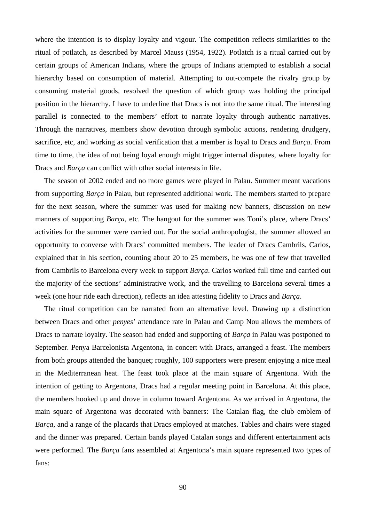where the intention is to display loyalty and vigour. The competition reflects similarities to the ritual of potlatch, as described by Marcel Mauss (1954, 1922). Potlatch is a ritual carried out by certain groups of American Indians, where the groups of Indians attempted to establish a social hierarchy based on consumption of material. Attempting to out-compete the rivalry group by consuming material goods, resolved the question of which group was holding the principal position in the hierarchy. I have to underline that Dracs is not into the same ritual. The interesting parallel is connected to the members' effort to narrate loyalty through authentic narratives. Through the narratives, members show devotion through symbolic actions, rendering drudgery, sacrifice, etc, and working as social verification that a member is loyal to Dracs and *Barça*. From time to time, the idea of not being loyal enough might trigger internal disputes, where loyalty for Dracs and *Barça* can conflict with other social interests in life.

The season of 2002 ended and no more games were played in Palau. Summer meant vacations from supporting *Barça* in Palau, but represented additional work. The members started to prepare for the next season, where the summer was used for making new banners, discussion on new manners of supporting *Barça*, etc. The hangout for the summer was Toni's place, where Dracs' activities for the summer were carried out. For the social anthropologist, the summer allowed an opportunity to converse with Dracs' committed members. The leader of Dracs Cambrils, Carlos, explained that in his section, counting about 20 to 25 members, he was one of few that travelled from Cambrils to Barcelona every week to support *Barça*. Carlos worked full time and carried out the majority of the sections' administrative work, and the travelling to Barcelona several times a week (one hour ride each direction), reflects an idea attesting fidelity to Dracs and *Barça*.

The ritual competition can be narrated from an alternative level. Drawing up a distinction between Dracs and other *penyes*' attendance rate in Palau and Camp Nou allows the members of Dracs to narrate loyalty. The season had ended and supporting of *Barça* in Palau was postponed to September. Penya Barcelonista Argentona, in concert with Dracs, arranged a feast. The members from both groups attended the banquet; roughly, 100 supporters were present enjoying a nice meal in the Mediterranean heat. The feast took place at the main square of Argentona. With the intention of getting to Argentona, Dracs had a regular meeting point in Barcelona. At this place, the members hooked up and drove in column toward Argentona. As we arrived in Argentona, the main square of Argentona was decorated with banners: The Catalan flag, the club emblem of *Barça*, and a range of the placards that Dracs employed at matches. Tables and chairs were staged and the dinner was prepared. Certain bands played Catalan songs and different entertainment acts were performed. The *Barça* fans assembled at Argentona's main square represented two types of fans: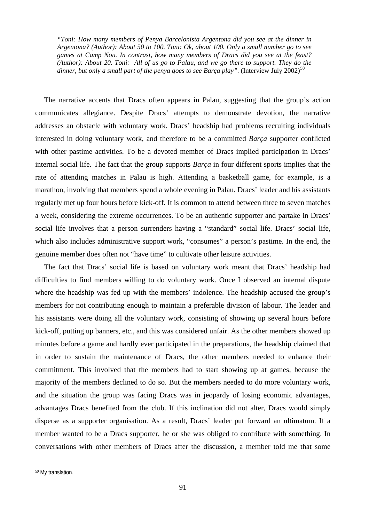*"Toni: How many members of Penya Barcelonista Argentona did you see at the dinner in Argentona? (Author): About 50 to 100. Toni: Ok, about 100. Only a small number go to see games at Camp Nou. In contrast, how many members of Dracs did you see at the feast? (Author): About 20. Toni: All of us go to Palau, and we go there to support. They do the dinner, but only a small part of the penya goes to see Barça play".* (Interview July 2002)<sup>[50](#page-90-0)</sup>

The narrative accents that Dracs often appears in Palau, suggesting that the group's action communicates allegiance. Despite Dracs' attempts to demonstrate devotion, the narrative addresses an obstacle with voluntary work. Dracs' headship had problems recruiting individuals interested in doing voluntary work, and therefore to be a committed *Barça* supporter conflicted with other pastime activities. To be a devoted member of Dracs implied participation in Dracs' internal social life. The fact that the group supports *Barça* in four different sports implies that the rate of attending matches in Palau is high. Attending a basketball game, for example, is a marathon, involving that members spend a whole evening in Palau. Dracs' leader and his assistants regularly met up four hours before kick-off. It is common to attend between three to seven matches a week, considering the extreme occurrences. To be an authentic supporter and partake in Dracs' social life involves that a person surrenders having a "standard" social life. Dracs' social life, which also includes administrative support work, "consumes" a person's pastime. In the end, the genuine member does often not "have time" to cultivate other leisure activities.

The fact that Dracs' social life is based on voluntary work meant that Dracs' headship had difficulties to find members willing to do voluntary work. Once I observed an internal dispute where the headship was fed up with the members' indolence. The headship accused the group's members for not contributing enough to maintain a preferable division of labour. The leader and his assistants were doing all the voluntary work, consisting of showing up several hours before kick-off, putting up banners, etc., and this was considered unfair. As the other members showed up minutes before a game and hardly ever participated in the preparations, the headship claimed that in order to sustain the maintenance of Dracs, the other members needed to enhance their commitment. This involved that the members had to start showing up at games, because the majority of the members declined to do so. But the members needed to do more voluntary work, and the situation the group was facing Dracs was in jeopardy of losing economic advantages, advantages Dracs benefited from the club. If this inclination did not alter, Dracs would simply disperse as a supporter organisation. As a result, Dracs' leader put forward an ultimatum. If a member wanted to be a Dracs supporter, he or she was obliged to contribute with something. In conversations with other members of Dracs after the discussion, a member told me that some

<span id="page-90-0"></span><sup>50</sup> My translation.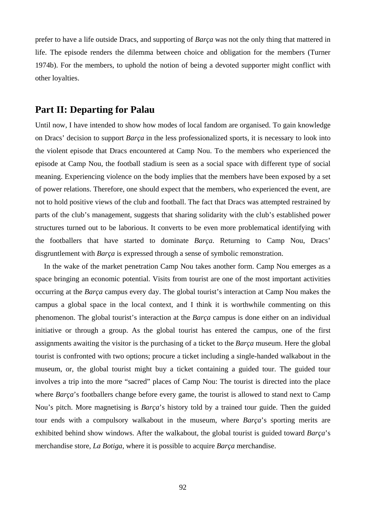prefer to have a life outside Dracs, and supporting of *Barça* was not the only thing that mattered in life. The episode renders the dilemma between choice and obligation for the members (Turner 1974b). For the members, to uphold the notion of being a devoted supporter might conflict with other loyalties.

# **Part II: Departing for Palau**

Until now, I have intended to show how modes of local fandom are organised. To gain knowledge on Dracs' decision to support *Barça* in the less professionalized sports, it is necessary to look into the violent episode that Dracs encountered at Camp Nou. To the members who experienced the episode at Camp Nou, the football stadium is seen as a social space with different type of social meaning. Experiencing violence on the body implies that the members have been exposed by a set of power relations. Therefore, one should expect that the members, who experienced the event, are not to hold positive views of the club and football. The fact that Dracs was attempted restrained by parts of the club's management, suggests that sharing solidarity with the club's established power structures turned out to be laborious. It converts to be even more problematical identifying with the footballers that have started to dominate *Barça*. Returning to Camp Nou, Dracs' disgruntlement with *Barça* is expressed through a sense of symbolic remonstration.

In the wake of the market penetration Camp Nou takes another form. Camp Nou emerges as a space bringing an economic potential. Visits from tourist are one of the most important activities occurring at the *Barça* campus every day. The global tourist's interaction at Camp Nou makes the campus a global space in the local context, and I think it is worthwhile commenting on this phenomenon. The global tourist's interaction at the *Barça* campus is done either on an individual initiative or through a group. As the global tourist has entered the campus, one of the first assignments awaiting the visitor is the purchasing of a ticket to the *Barça* museum. Here the global tourist is confronted with two options; procure a ticket including a single-handed walkabout in the museum, or, the global tourist might buy a ticket containing a guided tour. The guided tour involves a trip into the more "sacred" places of Camp Nou: The tourist is directed into the place where *Barça*'s footballers change before every game, the tourist is allowed to stand next to Camp Nou's pitch. More magnetising is *Barça*'s history told by a trained tour guide. Then the guided tour ends with a compulsory walkabout in the museum, where *Barça*'s sporting merits are exhibited behind show windows. After the walkabout, the global tourist is guided toward *Barça*'s merchandise store, *La Botiga*, where it is possible to acquire *Barça* merchandise.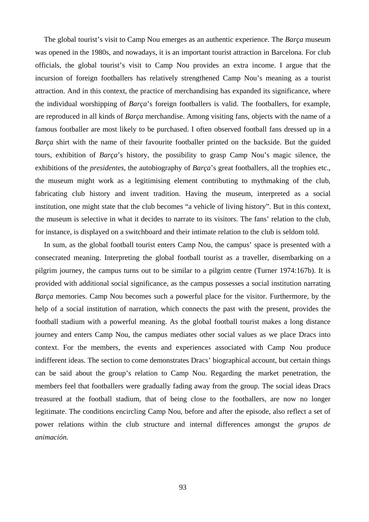The global tourist's visit to Camp Nou emerges as an authentic experience. The *Barça* museum was opened in the 1980s, and nowadays, it is an important tourist attraction in Barcelona. For club officials, the global tourist's visit to Camp Nou provides an extra income. I argue that the incursion of foreign footballers has relatively strengthened Camp Nou's meaning as a tourist attraction. And in this context, the practice of merchandising has expanded its significance, where the individual worshipping of *Barça*'s foreign footballers is valid. The footballers, for example, are reproduced in all kinds of *Barça* merchandise. Among visiting fans, objects with the name of a famous footballer are most likely to be purchased. I often observed football fans dressed up in a *Barça* shirt with the name of their favourite footballer printed on the backside. But the guided tours, exhibition of *Barça*'s history, the possibility to grasp Camp Nou's magic silence, the exhibitions of the *presidentes*, the autobiography of *Barça*'s great footballers, all the trophies etc., the museum might work as a legitimising element contributing to mythmaking of the club, fabricating club history and invent tradition. Having the museum, interpreted as a social institution, one might state that the club becomes "a vehicle of living history". But in this context, the museum is selective in what it decides to narrate to its visitors. The fans' relation to the club, for instance, is displayed on a switchboard and their intimate relation to the club is seldom told.

In sum, as the global football tourist enters Camp Nou, the campus' space is presented with a consecrated meaning. Interpreting the global football tourist as a traveller, disembarking on a pilgrim journey, the campus turns out to be similar to a pilgrim centre (Turner 1974:167b). It is provided with additional social significance, as the campus possesses a social institution narrating *Barça* memories. Camp Nou becomes such a powerful place for the visitor. Furthermore, by the help of a social institution of narration, which connects the past with the present, provides the football stadium with a powerful meaning. As the global football tourist makes a long distance journey and enters Camp Nou, the campus mediates other social values as we place Dracs into context. For the members, the events and experiences associated with Camp Nou produce indifferent ideas. The section to come demonstrates Dracs' biographical account, but certain things can be said about the group's relation to Camp Nou. Regarding the market penetration, the members feel that footballers were gradually fading away from the group. The social ideas Dracs treasured at the football stadium, that of being close to the footballers, are now no longer legitimate. The conditions encircling Camp Nou, before and after the episode, also reflect a set of power relations within the club structure and internal differences amongst the *grupos de animación.*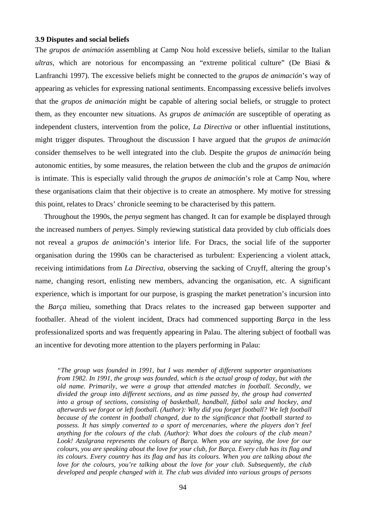#### **3.9 Disputes and social beliefs**

The *grupos de animación* assembling at Camp Nou hold excessive beliefs, similar to the Italian *ultras*, which are notorious for encompassing an "extreme political culture" (De Biasi & Lanfranchi 1997). The excessive beliefs might be connected to the *grupos de animación*'s way of appearing as vehicles for expressing national sentiments. Encompassing excessive beliefs involves that the *grupos de animación* might be capable of altering social beliefs, or struggle to protect them, as they encounter new situations. As *grupos de animación* are susceptible of operating as independent clusters, intervention from the police, *La Directiva* or other influential institutions, might trigger disputes. Throughout the discussion I have argued that the *grupos de animación* consider themselves to be well integrated into the club. Despite the *grupos de animación* being autonomic entities, by some measures, the relation between the club and the *grupos de animación* is intimate. This is especially valid through the *grupos de animación*'s role at Camp Nou, where these organisations claim that their objective is to create an atmosphere. My motive for stressing this point, relates to Dracs' chronicle seeming to be characterised by this pattern.

Throughout the 1990s, the *penya* segment has changed. It can for example be displayed through the increased numbers of *penyes*. Simply reviewing statistical data provided by club officials does not reveal a *grupos de animación*'s interior life. For Dracs, the social life of the supporter organisation during the 1990s can be characterised as turbulent: Experiencing a violent attack, receiving intimidations from *La Directiva*, observing the sacking of Cruyff, altering the group's name, changing resort, enlisting new members, advancing the organisation, etc. A significant experience, which is important for our purpose, is grasping the market penetration's incursion into the *Barça* milieu, something that Dracs relates to the increased gap between supporter and footballer. Ahead of the violent incident, Dracs had commenced supporting *Barça* in the less professionalized sports and was frequently appearing in Palau. The altering subject of football was an incentive for devoting more attention to the players performing in Palau:

*"The group was founded in 1991, but I was member of different supporter organisations from 1982. In 1991, the group was founded, which is the actual group of today, but with the old name. Primarily, we were a group that attended matches in football. Secondly, we divided the group into different sections, and as time passed by, the group had converted into a group of sections, consisting of basketball, handball, fútbol sala and hockey, and afterwards we forgot or left football. (Author): Why did you forget football? We left football because of the content in football changed, due to the significance that football started to possess. It has simply converted to a sport of mercenaries, where the players don't feel anything for the colours of the club. (Author): What does the colours of the club mean? Look! Azulgrana represents the colours of Barça. When you are saying, the love for our colours, you are speaking about the love for your club, for Barça. Every club has its flag and its colours. Every country has its flag and has its colours. When you are talking about the love for the colours, you're talking about the love for your club. Subsequently, the club developed and people changed with it. The club was divided into various groups of persons*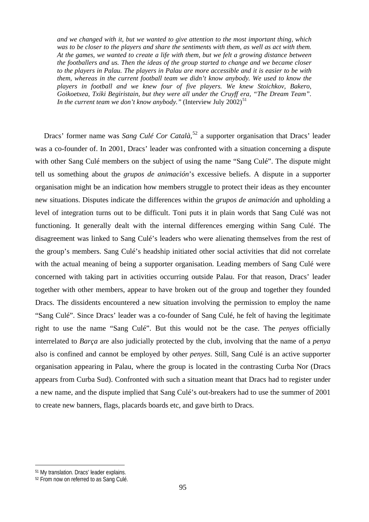*and we changed with it, but we wanted to give attention to the most important thing, which was to be closer to the players and share the sentiments with them, as well as act with them. At the games, we wanted to create a life with them, but we felt a growing distance between the footballers and us. Then the ideas of the group started to change and we became closer to the players in Palau. The players in Palau are more accessible and it is easier to be with them, whereas in the current football team we didn't know anybody. We used to know the players in football and we knew four of five players. We knew Stoichkov, Bakero, Goikoetxea, Txiki Begiristain, but they were all under the Cruyff era, "The Dream Team". In the current team we don't know anybody.*" (Interview July 2002)<sup>[51](#page-94-0)</sup>

Dracs' former name was Sang Culé Cor Català,<sup>[52](#page-94-1)</sup> a supporter organisation that Dracs' leader was a co-founder of. In 2001, Dracs' leader was confronted with a situation concerning a dispute with other Sang Culé members on the subject of using the name "Sang Culé". The dispute might tell us something about the *grupos de animación*'s excessive beliefs. A dispute in a supporter organisation might be an indication how members struggle to protect their ideas as they encounter new situations. Disputes indicate the differences within the *grupos de animación* and upholding a level of integration turns out to be difficult. Toni puts it in plain words that Sang Culé was not functioning. It generally dealt with the internal differences emerging within Sang Culé. The disagreement was linked to Sang Culé's leaders who were alienating themselves from the rest of the group's members. Sang Culé's headship initiated other social activities that did not correlate with the actual meaning of being a supporter organisation. Leading members of Sang Culé were concerned with taking part in activities occurring outside Palau. For that reason, Dracs' leader together with other members, appear to have broken out of the group and together they founded Dracs. The dissidents encountered a new situation involving the permission to employ the name "Sang Culé". Since Dracs' leader was a co-founder of Sang Culé, he felt of having the legitimate right to use the name "Sang Culé". But this would not be the case. The *penyes* officially interrelated to *Barça* are also judicially protected by the club, involving that the name of a *penya* also is confined and cannot be employed by other *penyes*. Still, Sang Culé is an active supporter organisation appearing in Palau, where the group is located in the contrasting Curba Nor (Dracs appears from Curba Sud). Confronted with such a situation meant that Dracs had to register under a new name, and the dispute implied that Sang Culé's out-breakers had to use the summer of 2001 to create new banners, flags, placards boards etc, and gave birth to Dracs.

<span id="page-94-0"></span><sup>51</sup> My translation. Dracs' leader explains.

<span id="page-94-1"></span><sup>&</sup>lt;sup>52</sup> From now on referred to as Sang Culé.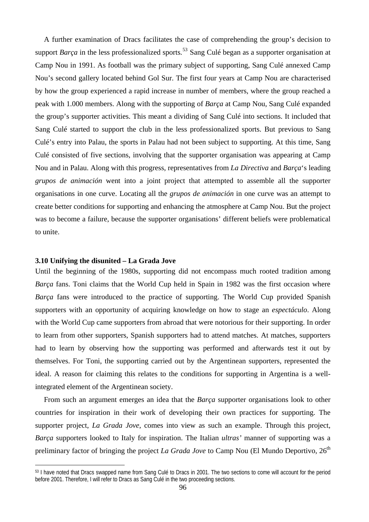A further examination of Dracs facilitates the case of comprehending the group's decision to support *Barca* in the less professionalized sports.<sup>[53](#page-95-0)</sup> Sang Culé began as a supporter organisation at Camp Nou in 1991. As football was the primary subject of supporting, Sang Culé annexed Camp Nou's second gallery located behind Gol Sur. The first four years at Camp Nou are characterised by how the group experienced a rapid increase in number of members, where the group reached a peak with 1.000 members. Along with the supporting of *Barça* at Camp Nou, Sang Culé expanded the group's supporter activities. This meant a dividing of Sang Culé into sections. It included that Sang Culé started to support the club in the less professionalized sports. But previous to Sang Culé's entry into Palau, the sports in Palau had not been subject to supporting. At this time, Sang Culé consisted of five sections, involving that the supporter organisation was appearing at Camp Nou and in Palau. Along with this progress, representatives from *La Directiva* and *Barça*'s leading *grupos de animación* went into a joint project that attempted to assemble all the supporter organisations in one curve. Locating all the *grupos de animación* in one curve was an attempt to create better conditions for supporting and enhancing the atmosphere at Camp Nou. But the project was to become a failure, because the supporter organisations' different beliefs were problematical to unite.

# **3.10 Unifying the disunited – La Grada Jove**

 $\overline{a}$ 

Until the beginning of the 1980s, supporting did not encompass much rooted tradition among *Barça* fans. Toni claims that the World Cup held in Spain in 1982 was the first occasion where *Barça* fans were introduced to the practice of supporting. The World Cup provided Spanish supporters with an opportunity of acquiring knowledge on how to stage an *espectáculo*. Along with the World Cup came supporters from abroad that were notorious for their supporting. In order to learn from other supporters, Spanish supporters had to attend matches. At matches, supporters had to learn by observing how the supporting was performed and afterwards test it out by themselves. For Toni, the supporting carried out by the Argentinean supporters, represented the ideal. A reason for claiming this relates to the conditions for supporting in Argentina is a wellintegrated element of the Argentinean society.

From such an argument emerges an idea that the *Barça* supporter organisations look to other countries for inspiration in their work of developing their own practices for supporting. The supporter project, *La Grada Jove*, comes into view as such an example. Through this project, *Barça* supporters looked to Italy for inspiration. The Italian *ultras'* manner of supporting was a preliminary factor of bringing the project *La Grada Jove* to Camp Nou (El Mundo Deportivo, 26<sup>th</sup>

<span id="page-95-0"></span><sup>53</sup> I have noted that Dracs swapped name from Sang Culé to Dracs in 2001. The two sections to come will account for the period before 2001. Therefore, I will refer to Dracs as Sang Culé in the two proceeding sections.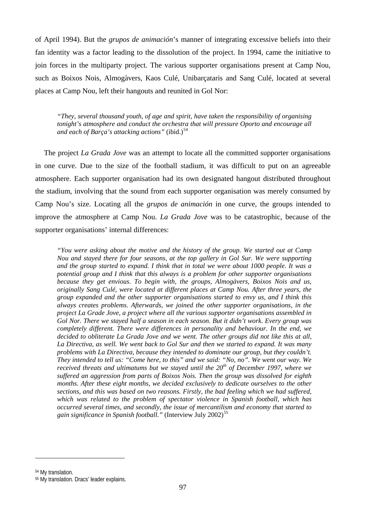of April 1994). But the *grupos de animación*'s manner of integrating excessive beliefs into their fan identity was a factor leading to the dissolution of the project. In 1994, came the initiative to join forces in the multiparty project. The various supporter organisations present at Camp Nou, such as Boixos Nois, Almogàvers, Kaos Culé, Unibarçataris and Sang Culé, located at several places at Camp Nou, left their hangouts and reunited in Gol Nor:

*"They, several thousand youth, of age and spirit, have taken the responsibility of organising tonight's atmosphere and conduct the orchestra that will pressure Oporto and encourage all and each of Barça's attacking actions*" (ibid.)<sup>[54](#page-96-0)</sup>

The project *La Grada Jove* was an attempt to locate all the committed supporter organisations in one curve. Due to the size of the football stadium, it was difficult to put on an agreeable atmosphere. Each supporter organisation had its own designated hangout distributed throughout the stadium, involving that the sound from each supporter organisation was merely consumed by Camp Nou's size. Locating all the *grupos de animación* in one curve, the groups intended to improve the atmosphere at Camp Nou. *La Grada Jove* was to be catastrophic, because of the supporter organisations' internal differences:

*"You were asking about the motive and the history of the group. We started out at Camp Nou and stayed there for four seasons, at the top gallery in Gol Sur. We were supporting and the group started to expand. I think that in total we were about 1000 people. It was a potential group and I think that this always is a problem for other supporter organisations because they get envious. To begin with, the groups, Almogàvers, Boixos Nois and us, originally Sang Culé, were located at different places at Camp Nou. After three years, the group expanded and the other supporter organisations started to envy us, and I think this always creates problems. Afterwards, we joined the other supporter organisations, in the project La Grade Jove, a project where all the various supporter organisations assembled in Gol Nor. There we stayed half a season in each season. But it didn't work. Every group was completely different. There were differences in personality and behaviour. In the end, we decided to obliterate La Grada Jove and we went. The other groups did not like this at all, La Directiva, as well. We went back to Gol Sur and then we started to expand. It was many problems with La Directiva, because they intended to dominate our group, but they couldn't. They intended to tell us: "Come here, to this" and we said: "No, no". We went our way. We received threats and ultimatums but we stayed until the 20th of December 1997, where we suffered an aggression from parts of Boixos Nois. Then the group was dissolved for eighth months. After these eight months, we decided exclusively to dedicate ourselves to the other sections, and this was based on two reasons. Firstly, the bad feeling which we had suffered, which was related to the problem of spectator violence in Spanish football, which has occurred several times, and secondly, the issue of mercantilism and economy that started to gain significance in Spanish football.*" (Interview July 2002)<sup>[55](#page-96-1)</sup>

<span id="page-96-0"></span><sup>54</sup> My translation.

<span id="page-96-1"></span><sup>55</sup> My translation. Dracs' leader explains.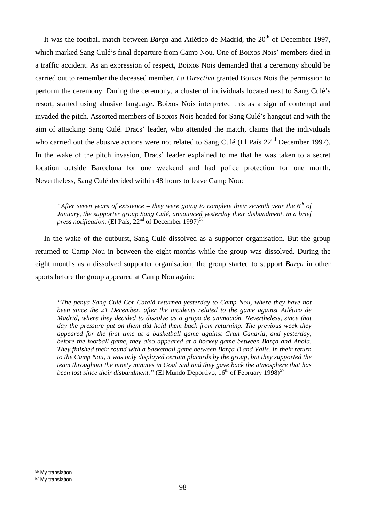It was the football match between *Barca* and Atlético de Madrid, the 20<sup>th</sup> of December 1997, which marked Sang Culé's final departure from Camp Nou. One of Boixos Nois' members died in a traffic accident. As an expression of respect, Boixos Nois demanded that a ceremony should be carried out to remember the deceased member. *La Directiva* granted Boixos Nois the permission to perform the ceremony. During the ceremony, a cluster of individuals located next to Sang Culé's resort, started using abusive language. Boixos Nois interpreted this as a sign of contempt and invaded the pitch. Assorted members of Boixos Nois headed for Sang Culé's hangout and with the aim of attacking Sang Culé. Dracs' leader, who attended the match, claims that the individuals who carried out the abusive actions were not related to Sang Culé (El País 22<sup>nd</sup> December 1997). In the wake of the pitch invasion, Dracs' leader explained to me that he was taken to a secret location outside Barcelona for one weekend and had police protection for one month. Nevertheless, Sang Culé decided within 48 hours to leave Camp Nou:

*"After seven years of existence – they were going to complete their seventh year the 6th of*  January, the supporter group Sang Culé, announced yesterday their disbandment, in a brief *press notification.* (El País,  $22<sup>nd</sup>$  of December 1997)<sup>[56](#page-97-0)</sup>

 In the wake of the outburst, Sang Culé dissolved as a supporter organisation. But the group returned to Camp Nou in between the eight months while the group was dissolved. During the eight months as a dissolved supporter organisation, the group started to support *Barça* in other sports before the group appeared at Camp Nou again:

*"The penya Sang Culé Cor Català returned yesterday to Camp Nou, where they have not been since the 21 December, after the incidents related to the game against Atlético de Madrid, where they decided to dissolve as a grupo de animación. Nevertheless, since that day the pressure put on them did hold them back from returning. The previous week they appeared for the first time at a basketball game against Gran Canaria, and yesterday, before the football game, they also appeared at a hockey game between Barça and Anoia. They finished their round with a basketball game between Barça B and Valls. In their return to the Camp Nou, it was only displayed certain placards by the group, but they supported the team throughout the ninety minutes in Goal Sud and they gave back the atmosphere that has been lost since their disbandment.*" (El Mundo Deportivo, 16<sup>th</sup> of February 1998)<sup>[57](#page-97-1)</sup>

<span id="page-97-0"></span>56 My translation.

<span id="page-97-1"></span><sup>57</sup> My translation.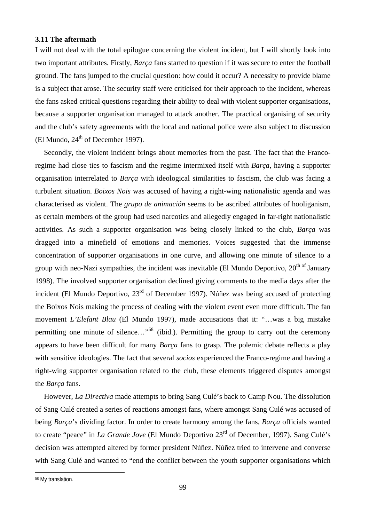# **3.11 The aftermath**

I will not deal with the total epilogue concerning the violent incident, but I will shortly look into two important attributes. Firstly, *Barça* fans started to question if it was secure to enter the football ground. The fans jumped to the crucial question: how could it occur? A necessity to provide blame is a subject that arose. The security staff were criticised for their approach to the incident, whereas the fans asked critical questions regarding their ability to deal with violent supporter organisations, because a supporter organisation managed to attack another. The practical organising of security and the club's safety agreements with the local and national police were also subject to discussion (El Mundo,  $24<sup>th</sup>$  of December 1997).

Secondly, the violent incident brings about memories from the past. The fact that the Francoregime had close ties to fascism and the regime intermixed itself with *Barça*, having a supporter organisation interrelated to *Barça* with ideological similarities to fascism, the club was facing a turbulent situation. *Boixos Nois* was accused of having a right-wing nationalistic agenda and was characterised as violent. The *grupo de animación* seems to be ascribed attributes of hooliganism, as certain members of the group had used narcotics and allegedly engaged in far-right nationalistic activities. As such a supporter organisation was being closely linked to the club, *Barça* was dragged into a minefield of emotions and memories. Voices suggested that the immense concentration of supporter organisations in one curve, and allowing one minute of silence to a group with neo-Nazi sympathies, the incident was inevitable (El Mundo Deportivo,  $20<sup>th of</sup> January$ ) 1998). The involved supporter organisation declined giving comments to the media days after the incident (El Mundo Deportivo, 23<sup>rd</sup> of December 1997). Núñez was being accused of protecting the Boixos Nois making the process of dealing with the violent event even more difficult. The fan movement *L'Elefant Blau* (El Mundo 1997), made accusations that it: "…was a big mistake permitting one minute of silence..."<sup>[58](#page-98-0)</sup> (ibid.). Permitting the group to carry out the ceremony appears to have been difficult for many *Barça* fans to grasp. The polemic debate reflects a play with sensitive ideologies. The fact that several *socios* experienced the Franco-regime and having a right-wing supporter organisation related to the club, these elements triggered disputes amongst the *Barça* fans.

 However, *La Directiva* made attempts to bring Sang Culé's back to Camp Nou. The dissolution of Sang Culé created a series of reactions amongst fans, where amongst Sang Culé was accused of being *Barça*'s dividing factor. In order to create harmony among the fans, *Barça* officials wanted to create "peace" in *La Grande Jove* (El Mundo Deportivo 23rd of December, 1997). Sang Culé's decision was attempted altered by former president Núñez. Núñez tried to intervene and converse with Sang Culé and wanted to "end the conflict between the youth supporter organisations which

<span id="page-98-0"></span><sup>58</sup> My translation.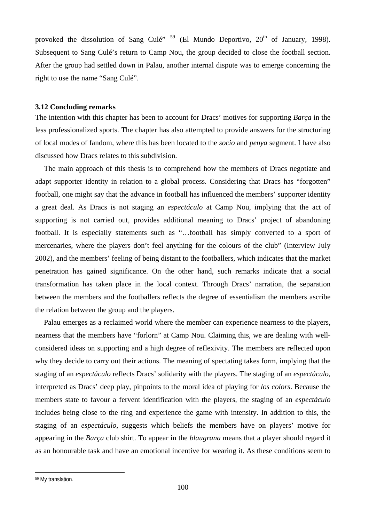provoked the dissolution of Sang Culé<sup>", [59](#page-99-0)</sup> (El Mundo Deportivo,  $20<sup>th</sup>$  of January, 1998). Subsequent to Sang Culé's return to Camp Nou, the group decided to close the football section. After the group had settled down in Palau, another internal dispute was to emerge concerning the right to use the name "Sang Culé".

# **3.12 Concluding remarks**

The intention with this chapter has been to account for Dracs' motives for supporting *Barça* in the less professionalized sports. The chapter has also attempted to provide answers for the structuring of local modes of fandom, where this has been located to the *socio* and *penya* segment. I have also discussed how Dracs relates to this subdivision.

The main approach of this thesis is to comprehend how the members of Dracs negotiate and adapt supporter identity in relation to a global process. Considering that Dracs has "forgotten" football, one might say that the advance in football has influenced the members' supporter identity a great deal. As Dracs is not staging an *espectáculo* at Camp Nou, implying that the act of supporting is not carried out, provides additional meaning to Dracs' project of abandoning football. It is especially statements such as "…football has simply converted to a sport of mercenaries, where the players don't feel anything for the colours of the club" (Interview July 2002), and the members' feeling of being distant to the footballers, which indicates that the market penetration has gained significance. On the other hand, such remarks indicate that a social transformation has taken place in the local context. Through Dracs' narration, the separation between the members and the footballers reflects the degree of essentialism the members ascribe the relation between the group and the players.

Palau emerges as a reclaimed world where the member can experience nearness to the players, nearness that the members have "forlorn" at Camp Nou. Claiming this, we are dealing with wellconsidered ideas on supporting and a high degree of reflexivity. The members are reflected upon why they decide to carry out their actions. The meaning of spectating takes form, implying that the staging of an *espectáculo* reflects Dracs' solidarity with the players. The staging of an *espectáculo*, interpreted as Dracs' deep play, pinpoints to the moral idea of playing for *los colors*. Because the members state to favour a fervent identification with the players, the staging of an *espectáculo* includes being close to the ring and experience the game with intensity. In addition to this, the staging of an *espectáculo*, suggests which beliefs the members have on players' motive for appearing in the *Barça* club shirt. To appear in the *blaugrana* means that a player should regard it as an honourable task and have an emotional incentive for wearing it. As these conditions seem to

<span id="page-99-0"></span><sup>59</sup> My translation.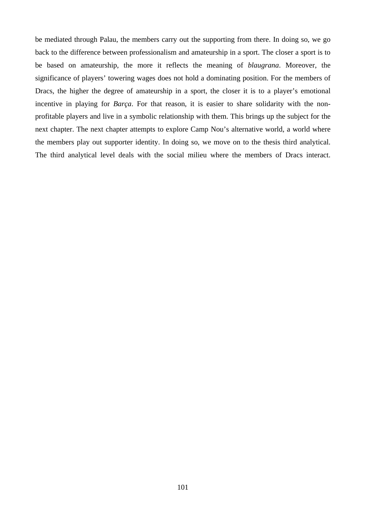be mediated through Palau, the members carry out the supporting from there. In doing so, we go back to the difference between professionalism and amateurship in a sport. The closer a sport is to be based on amateurship, the more it reflects the meaning of *blaugrana*. Moreover, the significance of players' towering wages does not hold a dominating position. For the members of Dracs, the higher the degree of amateurship in a sport, the closer it is to a player's emotional incentive in playing for *Barça*. For that reason, it is easier to share solidarity with the nonprofitable players and live in a symbolic relationship with them. This brings up the subject for the next chapter. The next chapter attempts to explore Camp Nou's alternative world, a world where the members play out supporter identity. In doing so, we move on to the thesis third analytical. The third analytical level deals with the social milieu where the members of Dracs interact.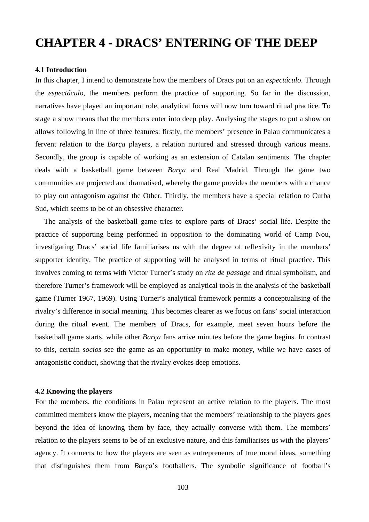# **CHAPTER 4 - DRACS' ENTERING OF THE DEEP**

#### **4.1 Introduction**

In this chapter, I intend to demonstrate how the members of Dracs put on an *espectáculo*. Through the *espectáculo,* the members perform the practice of supporting. So far in the discussion, narratives have played an important role, analytical focus will now turn toward ritual practice. To stage a show means that the members enter into deep play. Analysing the stages to put a show on allows following in line of three features: firstly, the members' presence in Palau communicates a fervent relation to the *Barça* players, a relation nurtured and stressed through various means. Secondly, the group is capable of working as an extension of Catalan sentiments. The chapter deals with a basketball game between *Barça* and Real Madrid. Through the game two communities are projected and dramatised, whereby the game provides the members with a chance to play out antagonism against the Other. Thirdly, the members have a special relation to Curba Sud, which seems to be of an obsessive character.

The analysis of the basketball game tries to explore parts of Dracs' social life. Despite the practice of supporting being performed in opposition to the dominating world of Camp Nou, investigating Dracs' social life familiarises us with the degree of reflexivity in the members' supporter identity. The practice of supporting will be analysed in terms of ritual practice. This involves coming to terms with Victor Turner's study on *rite de passage* and ritual symbolism, and therefore Turner's framework will be employed as analytical tools in the analysis of the basketball game (Turner 1967, 1969). Using Turner's analytical framework permits a conceptualising of the rivalry's difference in social meaning. This becomes clearer as we focus on fans' social interaction during the ritual event. The members of Dracs, for example, meet seven hours before the basketball game starts, while other *Barça* fans arrive minutes before the game begins. In contrast to this, certain *socios* see the game as an opportunity to make money, while we have cases of antagonistic conduct, showing that the rivalry evokes deep emotions.

## **4.2 Knowing the players**

For the members, the conditions in Palau represent an active relation to the players. The most committed members know the players, meaning that the members' relationship to the players goes beyond the idea of knowing them by face, they actually converse with them. The members' relation to the players seems to be of an exclusive nature, and this familiarises us with the players' agency. It connects to how the players are seen as entrepreneurs of true moral ideas, something that distinguishes them from *Barça*'s footballers. The symbolic significance of football's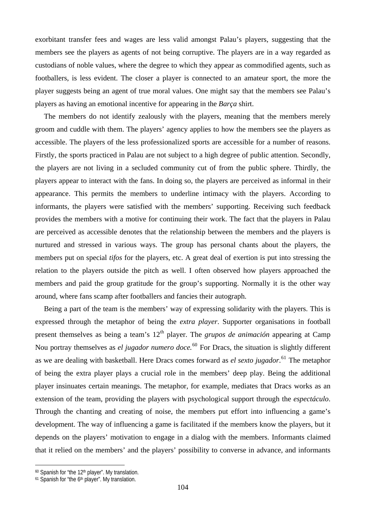exorbitant transfer fees and wages are less valid amongst Palau's players, suggesting that the members see the players as agents of not being corruptive. The players are in a way regarded as custodians of noble values, where the degree to which they appear as commodified agents, such as footballers, is less evident. The closer a player is connected to an amateur sport, the more the player suggests being an agent of true moral values. One might say that the members see Palau's players as having an emotional incentive for appearing in the *Barça* shirt.

The members do not identify zealously with the players, meaning that the members merely groom and cuddle with them. The players' agency applies to how the members see the players as accessible. The players of the less professionalized sports are accessible for a number of reasons. Firstly, the sports practiced in Palau are not subject to a high degree of public attention. Secondly, the players are not living in a secluded community cut of from the public sphere. Thirdly, the players appear to interact with the fans. In doing so, the players are perceived as informal in their appearance. This permits the members to underline intimacy with the players. According to informants, the players were satisfied with the members' supporting. Receiving such feedback provides the members with a motive for continuing their work. The fact that the players in Palau are perceived as accessible denotes that the relationship between the members and the players is nurtured and stressed in various ways. The group has personal chants about the players, the members put on special *tifos* for the players, etc. A great deal of exertion is put into stressing the relation to the players outside the pitch as well. I often observed how players approached the members and paid the group gratitude for the group's supporting. Normally it is the other way around, where fans scamp after footballers and fancies their autograph.

Being a part of the team is the members' way of expressing solidarity with the players. This is expressed through the metaphor of being the *extra player*. Supporter organisations in football present themselves as being a team's 12<sup>th</sup> player. The *grupos de animación* appearing at Camp Nou portray themselves as *el jugador numero doce.*[60](#page-103-0) For Dracs, the situation is slightly different as we are dealing with basketball. Here Dracs comes forward as *el sexto jugador*. [61](#page-103-1) The metaphor of being the extra player plays a crucial role in the members' deep play. Being the additional player insinuates certain meanings. The metaphor, for example, mediates that Dracs works as an extension of the team, providing the players with psychological support through the *espectáculo*. Through the chanting and creating of noise, the members put effort into influencing a game's development. The way of influencing a game is facilitated if the members know the players, but it depends on the players' motivation to engage in a dialog with the members. Informants claimed that it relied on the members' and the players' possibility to converse in advance, and informants

<span id="page-103-0"></span><sup>60</sup> Spanish for "the 12th player". My translation.

<span id="page-103-1"></span><sup>&</sup>lt;sup>61</sup> Spanish for "the 6<sup>th</sup> player". My translation.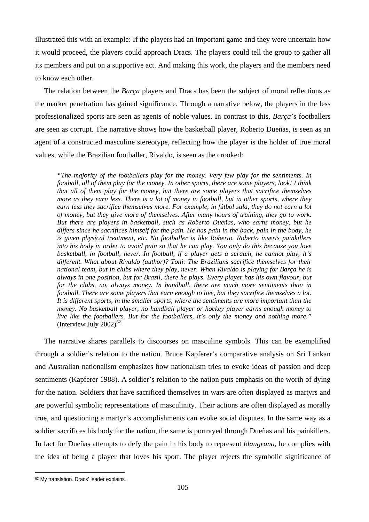illustrated this with an example: If the players had an important game and they were uncertain how it would proceed, the players could approach Dracs. The players could tell the group to gather all its members and put on a supportive act. And making this work, the players and the members need to know each other.

The relation between the *Barça* players and Dracs has been the subject of moral reflections as the market penetration has gained significance. Through a narrative below, the players in the less professionalized sports are seen as agents of noble values. In contrast to this, *Barça*'s footballers are seen as corrupt. The narrative shows how the basketball player, Roberto Dueñas, is seen as an agent of a constructed masculine stereotype, reflecting how the player is the holder of true moral values, while the Brazilian footballer, Rivaldo, is seen as the crooked:

*"The majority of the footballers play for the money. Very few play for the sentiments. In football, all of them play for the money. In other sports, there are some players, look! I think that all of them play for the money, but there are some players that sacrifice themselves more as they earn less. There is a lot of money in football, but in other sports, where they earn less they sacrifice themselves more. For example, in fútbol sala, they do not earn a lot of money, but they give more of themselves. After many hours of training, they go to work. But there are players in basketball, such as Roberto Dueñas, who earns money, but he differs since he sacrifices himself for the pain. He has pain in the back, pain in the body, he is given physical treatment, etc. No footballer is like Roberto. Roberto inserts painkillers into his body in order to avoid pain so that he can play. You only do this because you love basketball, in football, never. In football, if a player gets a scratch, he cannot play, it's different. What about Rivaldo (author)? Toni: The Brazilians sacrifice themselves for their national team, but in clubs where they play, never. When Rivaldo is playing for Barça he is always in one position, but for Brazil, there he plays. Every player has his own flavour, but*  for the clubs, no, always money. In handball, there are much more sentiments than in *football. There are some players that earn enough to live, but they sacrifice themselves a lot. It is different sports, in the smaller sports, where the sentiments are more important than the money. No basketball player, no handball player or hockey player earns enough money to live like the footballers. But for the footballers, it's only the money and nothing more."*  (Interview July 2002) $^{62}$  $^{62}$  $^{62}$ 

 The narrative shares parallels to discourses on masculine symbols. This can be exemplified through a soldier's relation to the nation. Bruce Kapferer's comparative analysis on Sri Lankan and Australian nationalism emphasizes how nationalism tries to evoke ideas of passion and deep sentiments (Kapferer 1988). A soldier's relation to the nation puts emphasis on the worth of dying for the nation. Soldiers that have sacrificed themselves in wars are often displayed as martyrs and are powerful symbolic representations of masculinity. Their actions are often displayed as morally true, and questioning a martyr's accomplishments can evoke social disputes. In the same way as a soldier sacrifices his body for the nation, the same is portrayed through Dueñas and his painkillers. In fact for Dueñas attempts to defy the pain in his body to represent *blaugrana*, he complies with the idea of being a player that loves his sport. The player rejects the symbolic significance of

<span id="page-104-0"></span><sup>62</sup> My translation. Dracs' leader explains.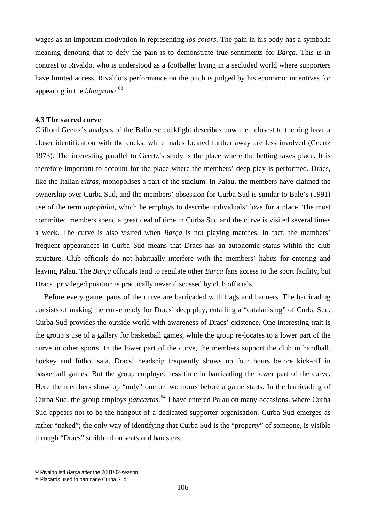wages as an important motivation in representing *los colors*. The pain in his body has a symbolic meaning denoting that to defy the pain is to demonstrate true sentiments for *Barça*. This is in contrast to Rivaldo, who is understood as a footballer living in a secluded world where supporters have limited access. Rivaldo's performance on the pitch is judged by his economic incentives for appearing in the *blaugrana*. [63](#page-105-0)

# **4.3 The sacred curve**

Clifford Geertz's analysis of the Balinese cockfight describes how men closest to the ring have a closer identification with the cocks, while males located further away are less involved (Geertz 1973). The interesting parallel to Geertz's study is the place where the betting takes place. It is therefore important to account for the place where the members' deep play is performed. Dracs, like the Italian *ultras*, monopolises a part of the stadium. In Palau, the members have claimed the ownership over Curba Sud, and the members' obsession for Curba Sud is similar to Bale's (1991) use of the term *topophilia*, which he employs to describe individuals' love for a place. The most committed members spend a great deal of time in Curba Sud and the curve is visited several times a week. The curve is also visited when *Barça* is not playing matches. In fact, the members' frequent appearances in Curba Sud means that Dracs has an autonomic status within the club structure. Club officials do not habitually interfere with the members' habits for entering and leaving Palau. The *Barça* officials tend to regulate other *Barça* fans access to the sport facility, but Dracs' privileged position is practically never discussed by club officials.

Before every game, parts of the curve are barricaded with flags and banners. The barricading consists of making the curve ready for Dracs' deep play, entailing a "catalanising" of Curba Sud. Curba Sud provides the outside world with awareness of Dracs' existence. One interesting trait is the group's use of a gallery for basketball games, while the group re-locates to a lower part of the curve in other sports. In the lower part of the curve, the members support the club in handball, hockey and fútbol sala. Dracs' headship frequently shows up four hours before kick-off in basketball games. But the group employed less time in barricading the lower part of the curve. Here the members show up "only" one or two hours before a game starts. In the barricading of Curba Sud, the group employs *pancartas.*[64](#page-105-1) I have entered Palau on many occasions, where Curba Sud appears not to be the hangout of a dedicated supporter organisation. Curba Sud emerges as rather "naked"; the only way of identifying that Curba Sud is the "property" of someone, is visible through "Dracs" scribbled on seats and banisters.

<span id="page-105-0"></span><sup>63</sup> Rivaldo left *Barça* after the 2001/02-season.

<span id="page-105-1"></span><sup>64</sup> Placards used to barricade Curba Sud.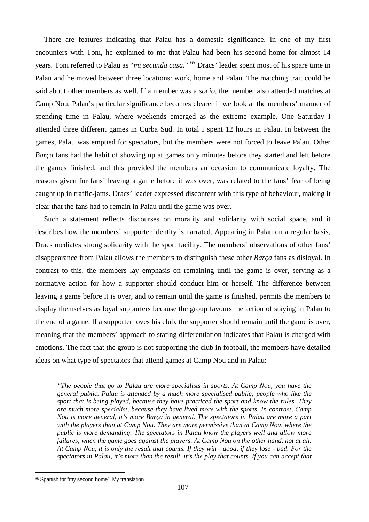There are features indicating that Palau has a domestic significance. In one of my first encounters with Toni, he explained to me that Palau had been his second home for almost 14 years. Toni referred to Palau as "*mi secunda casa*." [65](#page-106-0) Dracs' leader spent most of his spare time in Palau and he moved between three locations: work, home and Palau. The matching trait could be said about other members as well. If a member was a *socio*, the member also attended matches at Camp Nou. Palau's particular significance becomes clearer if we look at the members' manner of spending time in Palau, where weekends emerged as the extreme example. One Saturday I attended three different games in Curba Sud. In total I spent 12 hours in Palau. In between the games, Palau was emptied for spectators, but the members were not forced to leave Palau. Other *Barça* fans had the habit of showing up at games only minutes before they started and left before the games finished, and this provided the members an occasion to communicate loyalty. The reasons given for fans' leaving a game before it was over, was related to the fans' fear of being caught up in traffic-jams. Dracs' leader expressed discontent with this type of behaviour, making it clear that the fans had to remain in Palau until the game was over.

Such a statement reflects discourses on morality and solidarity with social space, and it describes how the members' supporter identity is narrated. Appearing in Palau on a regular basis, Dracs mediates strong solidarity with the sport facility. The members' observations of other fans' disappearance from Palau allows the members to distinguish these other *Barça* fans as disloyal. In contrast to this, the members lay emphasis on remaining until the game is over, serving as a normative action for how a supporter should conduct him or herself. The difference between leaving a game before it is over, and to remain until the game is finished, permits the members to display themselves as loyal supporters because the group favours the action of staying in Palau to the end of a game. If a supporter loves his club, the supporter should remain until the game is over, meaning that the members' approach to stating differentiation indicates that Palau is charged with emotions. The fact that the group is not supporting the club in football, the members have detailed ideas on what type of spectators that attend games at Camp Nou and in Palau:

*"The people that go to Palau are more specialists in sports. At Camp Nou, you have the general public. Palau is attended by a much more specialised public; people who like the sport that is being played, because they have practiced the sport and know the rules. They are much more specialist, because they have lived more with the sports. In contrast, Camp Nou is more general, it's more Barça in general. The spectators in Palau are more a part with the players than at Camp Nou. They are more permissive than at Camp Nou, where the public is more demanding. The spectators in Palau know the players well and allow more failures, when the game goes against the players. At Camp Nou on the other hand, not at all. At Camp Nou, it is only the result that counts. If they win - good, if they lose - bad. For the spectators in Palau, it's more than the result, it's the play that counts. If you can accept that* 

<span id="page-106-0"></span><sup>65</sup> Spanish for "my second home". My translation.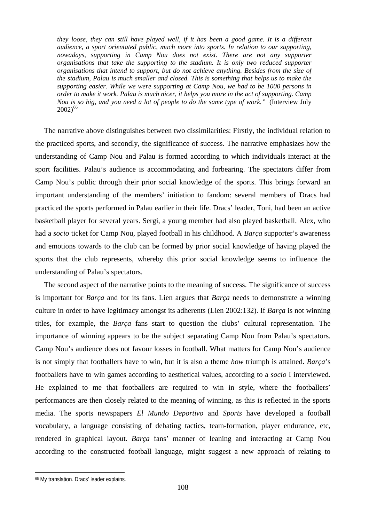*they loose, they can still have played well, if it has been a good game. It is a different audience, a sport orientated public, much more into sports. In relation to our supporting, nowadays, supporting in Camp Nou does not exist. There are not any supporter organisations that take the supporting to the stadium. It is only two reduced supporter organisations that intend to support, but do not achieve anything. Besides from the size of the stadium, Palau is much smaller and closed. This is something that helps us to make the supporting easier. While we were supporting at Camp Nou, we had to be 1000 persons in order to make it work. Palau is much nicer, it helps you more in the act of supporting. Camp Nou is so big, and you need a lot of people to do the same type of work."* (Interview July  $2002^{66}$  $2002^{66}$  $2002^{66}$ 

The narrative above distinguishes between two dissimilarities: Firstly, the individual relation to the practiced sports, and secondly, the significance of success. The narrative emphasizes how the understanding of Camp Nou and Palau is formed according to which individuals interact at the sport facilities. Palau's audience is accommodating and forbearing. The spectators differ from Camp Nou's public through their prior social knowledge of the sports. This brings forward an important understanding of the members' initiation to fandom: several members of Dracs had practiced the sports performed in Palau earlier in their life. Dracs' leader, Toni, had been an active basketball player for several years. Sergi, a young member had also played basketball. Alex, who had a *socio* ticket for Camp Nou, played football in his childhood. A *Barça* supporter's awareness and emotions towards to the club can be formed by prior social knowledge of having played the sports that the club represents, whereby this prior social knowledge seems to influence the understanding of Palau's spectators.

The second aspect of the narrative points to the meaning of success. The significance of success is important for *Barça* and for its fans. Lien argues that *Barça* needs to demonstrate a winning culture in order to have legitimacy amongst its adherents (Lien 2002:132). If *Barça* is not winning titles, for example, the *Barça* fans start to question the clubs' cultural representation. The importance of winning appears to be the subject separating Camp Nou from Palau's spectators. Camp Nou's audience does not favour losses in football. What matters for Camp Nou's audience is not simply that footballers have to win, but it is also a theme *how* triumph is attained. *Barça*'s footballers have to win games according to aesthetical values, according to a *socio* I interviewed. He explained to me that footballers are required to win in style, where the footballers' performances are then closely related to the meaning of winning, as this is reflected in the sports media. The sports newspapers *El Mundo Deportivo* and *Sports* have developed a football vocabulary, a language consisting of debating tactics, team-formation, player endurance, etc, rendered in graphical layout. *Barça* fans' manner of leaning and interacting at Camp Nou according to the constructed football language, might suggest a new approach of relating to

<span id="page-107-0"></span><sup>66</sup> My translation. Dracs' leader explains.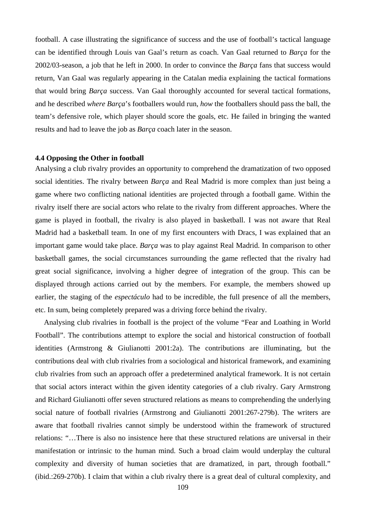football. A case illustrating the significance of success and the use of football's tactical language can be identified through Louis van Gaal's return as coach. Van Gaal returned to *Barça* for the 2002/03-season, a job that he left in 2000. In order to convince the *Barça* fans that success would return, Van Gaal was regularly appearing in the Catalan media explaining the tactical formations that would bring *Barça* success. Van Gaal thoroughly accounted for several tactical formations, and he described *where Barça*'s footballers would run, *how* the footballers should pass the ball, the team's defensive role, which player should score the goals, etc. He failed in bringing the wanted results and had to leave the job as *Barça* coach later in the season.

#### **4.4 Opposing the Other in football**

Analysing a club rivalry provides an opportunity to comprehend the dramatization of two opposed social identities. The rivalry between *Barça* and Real Madrid is more complex than just being a game where two conflicting national identities are projected through a football game. Within the rivalry itself there are social actors who relate to the rivalry from different approaches. Where the game is played in football, the rivalry is also played in basketball. I was not aware that Real Madrid had a basketball team. In one of my first encounters with Dracs, I was explained that an important game would take place. *Barça* was to play against Real Madrid. In comparison to other basketball games, the social circumstances surrounding the game reflected that the rivalry had great social significance, involving a higher degree of integration of the group. This can be displayed through actions carried out by the members. For example, the members showed up earlier, the staging of the *espectáculo* had to be incredible, the full presence of all the members, etc. In sum, being completely prepared was a driving force behind the rivalry.

Analysing club rivalries in football is the project of the volume "Fear and Loathing in World Football". The contributions attempt to explore the social and historical construction of football identities (Armstrong & Giulianotti 2001:2a). The contributions are illuminating, but the contributions deal with club rivalries from a sociological and historical framework, and examining club rivalries from such an approach offer a predetermined analytical framework. It is not certain that social actors interact within the given identity categories of a club rivalry. Gary Armstrong and Richard Giulianotti offer seven structured relations as means to comprehending the underlying social nature of football rivalries (Armstrong and Giulianotti 2001:267-279b). The writers are aware that football rivalries cannot simply be understood within the framework of structured relations: "…There is also no insistence here that these structured relations are universal in their manifestation or intrinsic to the human mind. Such a broad claim would underplay the cultural complexity and diversity of human societies that are dramatized, in part, through football." (ibid.:269-270b). I claim that within a club rivalry there is a great deal of cultural complexity, and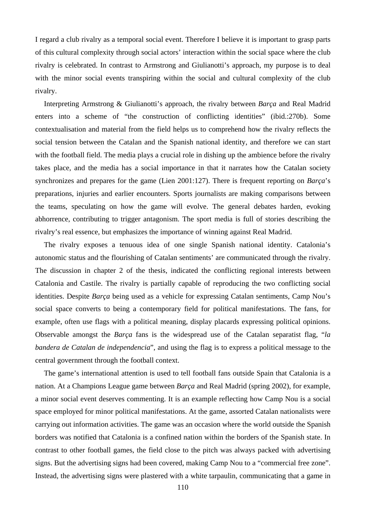I regard a club rivalry as a temporal social event. Therefore I believe it is important to grasp parts of this cultural complexity through social actors' interaction within the social space where the club rivalry is celebrated. In contrast to Armstrong and Giulianotti's approach, my purpose is to deal with the minor social events transpiring within the social and cultural complexity of the club rivalry.

Interpreting Armstrong & Giulianotti's approach, the rivalry between *Barça* and Real Madrid enters into a scheme of "the construction of conflicting identities" (ibid.:270b). Some contextualisation and material from the field helps us to comprehend how the rivalry reflects the social tension between the Catalan and the Spanish national identity, and therefore we can start with the football field. The media plays a crucial role in dishing up the ambience before the rivalry takes place, and the media has a social importance in that it narrates how the Catalan society synchronizes and prepares for the game (Lien 2001:127). There is frequent reporting on *Barça*'s preparations, injuries and earlier encounters. Sports journalists are making comparisons between the teams, speculating on how the game will evolve. The general debates harden, evoking abhorrence, contributing to trigger antagonism. The sport media is full of stories describing the rivalry's real essence, but emphasizes the importance of winning against Real Madrid.

The rivalry exposes a tenuous idea of one single Spanish national identity. Catalonia's autonomic status and the flourishing of Catalan sentiments' are communicated through the rivalry. The discussion in chapter 2 of the thesis, indicated the conflicting regional interests between Catalonia and Castile. The rivalry is partially capable of reproducing the two conflicting social identities. Despite *Barça* being used as a vehicle for expressing Catalan sentiments, Camp Nou's social space converts to being a contemporary field for political manifestations. The fans, for example, often use flags with a political meaning, display placards expressing political opinions. Observable amongst the *Barça* fans is the widespread use of the Catalan separatist flag, "*la bandera de Catalan de independencia*", and using the flag is to express a political message to the central government through the football context.

The game's international attention is used to tell football fans outside Spain that Catalonia is a nation. At a Champions League game between *Barça* and Real Madrid (spring 2002), for example, a minor social event deserves commenting. It is an example reflecting how Camp Nou is a social space employed for minor political manifestations. At the game, assorted Catalan nationalists were carrying out information activities. The game was an occasion where the world outside the Spanish borders was notified that Catalonia is a confined nation within the borders of the Spanish state. In contrast to other football games, the field close to the pitch was always packed with advertising signs. But the advertising signs had been covered, making Camp Nou to a "commercial free zone". Instead, the advertising signs were plastered with a white tarpaulin, communicating that a game in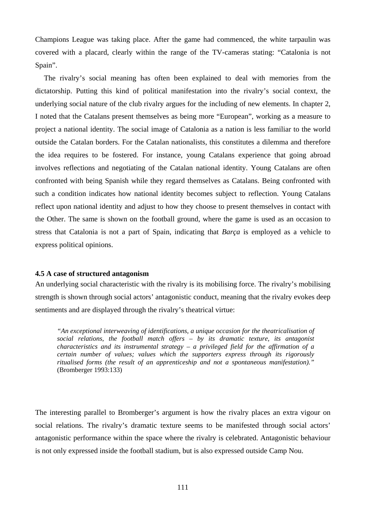Champions League was taking place. After the game had commenced, the white tarpaulin was covered with a placard, clearly within the range of the TV-cameras stating: "Catalonia is not Spain".

The rivalry's social meaning has often been explained to deal with memories from the dictatorship. Putting this kind of political manifestation into the rivalry's social context, the underlying social nature of the club rivalry argues for the including of new elements. In chapter 2, I noted that the Catalans present themselves as being more "European", working as a measure to project a national identity. The social image of Catalonia as a nation is less familiar to the world outside the Catalan borders. For the Catalan nationalists, this constitutes a dilemma and therefore the idea requires to be fostered. For instance, young Catalans experience that going abroad involves reflections and negotiating of the Catalan national identity. Young Catalans are often confronted with being Spanish while they regard themselves as Catalans. Being confronted with such a condition indicates how national identity becomes subject to reflection. Young Catalans reflect upon national identity and adjust to how they choose to present themselves in contact with the Other. The same is shown on the football ground, where the game is used as an occasion to stress that Catalonia is not a part of Spain, indicating that *Barça* is employed as a vehicle to express political opinions.

#### **4.5 A case of structured antagonism**

An underlying social characteristic with the rivalry is its mobilising force. The rivalry's mobilising strength is shown through social actors' antagonistic conduct, meaning that the rivalry evokes deep sentiments and are displayed through the rivalry's theatrical virtue:

*"An exceptional interweaving of identifications, a unique occasion for the theatricalisation of social relations, the football match offers – by its dramatic texture, its antagonist characteristics and its instrumental strategy – a privileged field for the affirmation of a certain number of values; values which the supporters express through its rigorously ritualised forms (the result of an apprenticeship and not a spontaneous manifestation)."*  (Bromberger 1993:133)

The interesting parallel to Bromberger's argument is how the rivalry places an extra vigour on social relations. The rivalry's dramatic texture seems to be manifested through social actors' antagonistic performance within the space where the rivalry is celebrated. Antagonistic behaviour is not only expressed inside the football stadium, but is also expressed outside Camp Nou.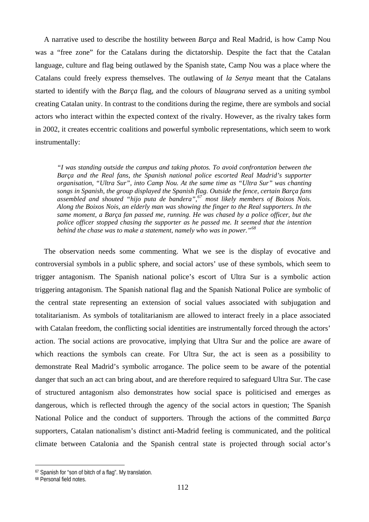A narrative used to describe the hostility between *Barça* and Real Madrid, is how Camp Nou was a "free zone" for the Catalans during the dictatorship. Despite the fact that the Catalan language, culture and flag being outlawed by the Spanish state, Camp Nou was a place where the Catalans could freely express themselves. The outlawing of *la Senya* meant that the Catalans started to identify with the *Barça* flag, and the colours of *blaugrana* served as a uniting symbol creating Catalan unity. In contrast to the conditions during the regime, there are symbols and social actors who interact within the expected context of the rivalry. However, as the rivalry takes form in 2002, it creates eccentric coalitions and powerful symbolic representations, which seem to work instrumentally:

*"I was standing outside the campus and taking photos. To avoid confrontation between the Barça and the Real fans, the Spanish national police escorted Real Madrid's supporter organisation, "Ultra Sur", into Camp Nou. At the same time as "Ultra Sur" was chanting songs in Spanish, the group displayed the Spanish flag. Outside the fence, certain Barça fans assembled and shouted "hijo puta de bandera",[67](#page-111-0) most likely members of Boixos Nois. Along the Boixos Nois, an elderly man was showing the finger to the Real supporters. In the same moment, a Barça fan passed me, running. He was chased by a police officer, but the police officer stopped chasing the supporter as he passed me. It seemed that the intention behind the chase was to make a statement, namely who was in power."[68](#page-111-1)* 

The observation needs some commenting. What we see is the display of evocative and controversial symbols in a public sphere, and social actors' use of these symbols, which seem to trigger antagonism. The Spanish national police's escort of Ultra Sur is a symbolic action triggering antagonism. The Spanish national flag and the Spanish National Police are symbolic of the central state representing an extension of social values associated with subjugation and totalitarianism. As symbols of totalitarianism are allowed to interact freely in a place associated with Catalan freedom, the conflicting social identities are instrumentally forced through the actors' action. The social actions are provocative, implying that Ultra Sur and the police are aware of which reactions the symbols can create. For Ultra Sur, the act is seen as a possibility to demonstrate Real Madrid's symbolic arrogance. The police seem to be aware of the potential danger that such an act can bring about, and are therefore required to safeguard Ultra Sur. The case of structured antagonism also demonstrates how social space is politicised and emerges as dangerous, which is reflected through the agency of the social actors in question; The Spanish National Police and the conduct of supporters. Through the actions of the committed *Barça* supporters, Catalan nationalism's distinct anti-Madrid feeling is communicated, and the political climate between Catalonia and the Spanish central state is projected through social actor's

 $\overline{a}$ 

<span id="page-111-0"></span><sup>67</sup> Spanish for "son of bitch of a flag". My translation.

<span id="page-111-1"></span><sup>68</sup> Personal field notes.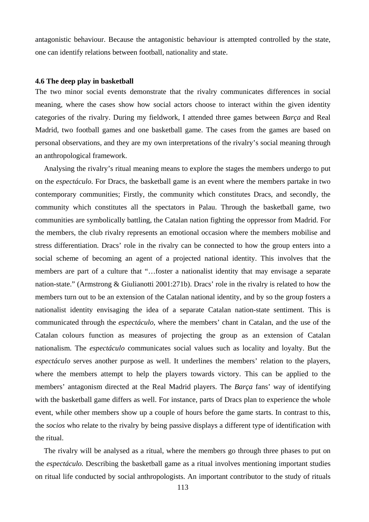antagonistic behaviour. Because the antagonistic behaviour is attempted controlled by the state, one can identify relations between football, nationality and state.

#### **4.6 The deep play in basketball**

The two minor social events demonstrate that the rivalry communicates differences in social meaning, where the cases show how social actors choose to interact within the given identity categories of the rivalry. During my fieldwork, I attended three games between *Barça* and Real Madrid, two football games and one basketball game. The cases from the games are based on personal observations, and they are my own interpretations of the rivalry's social meaning through an anthropological framework.

Analysing the rivalry's ritual meaning means to explore the stages the members undergo to put on the *espectáculo*. For Dracs, the basketball game is an event where the members partake in two contemporary communities; Firstly, the community which constitutes Dracs, and secondly, the community which constitutes all the spectators in Palau. Through the basketball game, two communities are symbolically battling, the Catalan nation fighting the oppressor from Madrid. For the members, the club rivalry represents an emotional occasion where the members mobilise and stress differentiation. Dracs' role in the rivalry can be connected to how the group enters into a social scheme of becoming an agent of a projected national identity. This involves that the members are part of a culture that "…foster a nationalist identity that may envisage a separate nation-state." (Armstrong & Giulianotti 2001:271b). Dracs' role in the rivalry is related to how the members turn out to be an extension of the Catalan national identity, and by so the group fosters a nationalist identity envisaging the idea of a separate Catalan nation-state sentiment. This is communicated through the *espectáculo*, where the members' chant in Catalan, and the use of the Catalan colours function as measures of projecting the group as an extension of Catalan nationalism. The *espectáculo* communicates social values such as locality and loyalty. But the *espectáculo* serves another purpose as well. It underlines the members' relation to the players, where the members attempt to help the players towards victory. This can be applied to the members' antagonism directed at the Real Madrid players. The *Barça* fans' way of identifying with the basketball game differs as well. For instance, parts of Dracs plan to experience the whole event, while other members show up a couple of hours before the game starts. In contrast to this, the *socios* who relate to the rivalry by being passive displays a different type of identification with the ritual.

The rivalry will be analysed as a ritual, where the members go through three phases to put on the *espectáculo.* Describing the basketball game as a ritual involves mentioning important studies on ritual life conducted by social anthropologists. An important contributor to the study of rituals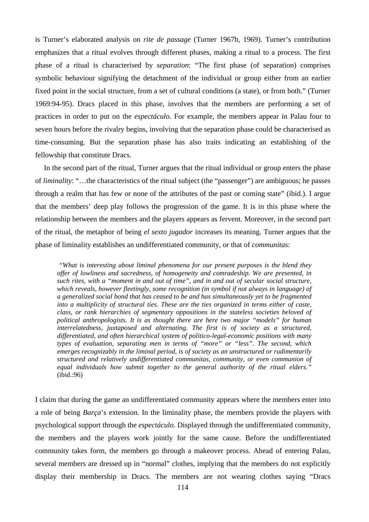is Turner's elaborated analysis on *rite de passage* (Turner 1967b, 1969). Turner's contribution emphasizes that a ritual evolves through different phases, making a ritual to a process. The first phase of a ritual is characterised by *separation*: "The first phase (of separation) comprises symbolic behaviour signifying the detachment of the individual or group either from an earlier fixed point in the social structure, from a set of cultural conditions (a state), or from both." (Turner 1969:94-95). Dracs placed in this phase, involves that the members are performing a set of practices in order to put on the *espectáculo*. For example, the members appear in Palau four to seven hours before the rivalry begins, involving that the separation phase could be characterised as time-consuming. But the separation phase has also traits indicating an establishing of the fellowship that constitute Dracs.

In the second part of the ritual, Turner argues that the ritual individual or group enters the phase of *liminality*: "…the characteristics of the ritual subject (the "passenger") are ambiguous; he passes through a realm that has few or none of the attributes of the past or coming state" (ibid.). I argue that the members' deep play follows the progression of the game. It is in this phase where the relationship between the members and the players appears as fervent. Moreover, in the second part of the ritual, the metaphor of being *el sexto jugador* increases its meaning. Turner argues that the phase of liminality establishes an undifferentiated community, or that of *communitas*:

 *"What is interesting about liminal phenomena for our present purposes is the blend they offer of lowliness and sacredness, of homogeneity and comradeship. We are presented, in such rites, with a "moment in and out of time", and in and out of secular social structure, which reveals, however fleetingly, some recognition (in symbol if not always in language) of a generalized social bond that has ceased to be and has simultaneously yet to be fragmented into a multiplicity of structural ties. These are the ties organized in terms either of caste, class, or rank hierarchies of segmentary oppositions in the stateless societies beloved of political anthropologists. It is as thought there are here two major "models" for human interrelatedness, juxtaposed and alternating. The first is of society as a structured, differentiated, and often hierarchical system of politico-legal-economic positions with many types of evaluation, separating men in terms of "more" or "less". The second, which emerges recognizably in the liminal period, is of society as an unstructured or rudimentarily structured and relatively undifferentiated communitas, community, or even communion of equal individuals how submit together to the general authority of the ritual elders."*  (ibid.:96)

I claim that during the game an undifferentiated community appears where the members enter into a role of being *Barça*'s extension. In the liminality phase, the members provide the players with psychological support through the *espectáculo*. Displayed through the undifferentiated community, the members and the players work jointly for the same cause. Before the undifferentiated community takes form, the members go through a makeover process. Ahead of entering Palau, several members are dressed up in "normal" clothes, implying that the members do not explicitly display their membership in Dracs. The members are not wearing clothes saying "Dracs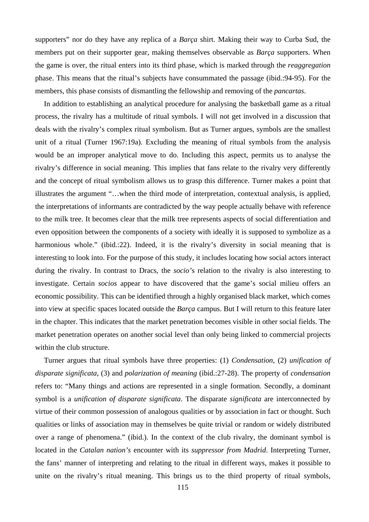supporters" nor do they have any replica of a *Barça* shirt. Making their way to Curba Sud, the members put on their supporter gear, making themselves observable as *Barça* supporters. When the game is over, the ritual enters into its third phase, which is marked through the *reaggregation* phase. This means that the ritual's subjects have consummated the passage (ibid.:94-95). For the members, this phase consists of dismantling the fellowship and removing of the *pancartas*.

In addition to establishing an analytical procedure for analysing the basketball game as a ritual process, the rivalry has a multitude of ritual symbols. I will not get involved in a discussion that deals with the rivalry's complex ritual symbolism. But as Turner argues, symbols are the smallest unit of a ritual (Turner 1967:19a). Excluding the meaning of ritual symbols from the analysis would be an improper analytical move to do. Including this aspect, permits us to analyse the rivalry's difference in social meaning. This implies that fans relate to the rivalry very differently and the concept of ritual symbolism allows us to grasp this difference. Turner makes a point that illustrates the argument "…when the third mode of interpretation, contextual analysis, is applied, the interpretations of informants are contradicted by the way people actually behave with reference to the milk tree. It becomes clear that the milk tree represents aspects of social differentiation and even opposition between the components of a society with ideally it is supposed to symbolize as a harmonious whole." (ibid.:22). Indeed, it is the rivalry's diversity in social meaning that is interesting to look into. For the purpose of this study, it includes locating how social actors interact during the rivalry. In contrast to Dracs, the *socio'*s relation to the rivalry is also interesting to investigate. Certain *socios* appear to have discovered that the game's social milieu offers an economic possibility. This can be identified through a highly organised black market, which comes into view at specific spaces located outside the *Barça* campus. But I will return to this feature later in the chapter. This indicates that the market penetration becomes visible in other social fields. The market penetration operates on another social level than only being linked to commercial projects within the club structure.

Turner argues that ritual symbols have three properties: (1) *Condensation*, (2) *unification of disparate significata*, (3) and *polarization of meaning* (ibid.:27-28). The property of *condensation* refers to: "Many things and actions are represented in a single formation. Secondly, a dominant symbol is a *unification of disparate significata*. The disparate *significata* are interconnected by virtue of their common possession of analogous qualities or by association in fact or thought. Such qualities or links of association may in themselves be quite trivial or random or widely distributed over a range of phenomena." (ibid.). In the context of the club rivalry, the dominant symbol is located in the *Catalan nation's* encounter with its *suppressor from Madrid*. Interpreting Turner, the fans' manner of interpreting and relating to the ritual in different ways, makes it possible to unite on the rivalry's ritual meaning. This brings us to the third property of ritual symbols,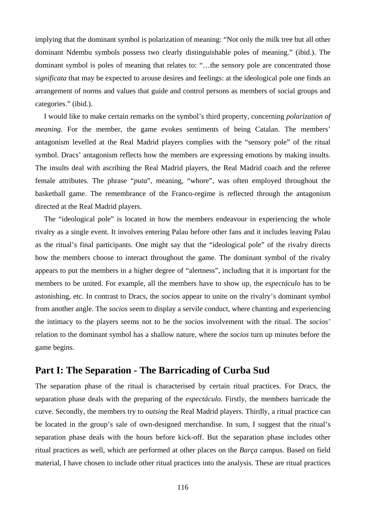implying that the dominant symbol is polarization of meaning: "Not only the milk tree but all other dominant Ndembu symbols possess two clearly distinguishable poles of meaning." (ibid.). The dominant symbol is poles of meaning that relates to: "…the sensory pole are concentrated those *significata* that may be expected to arouse desires and feelings: at the ideological pole one finds an arrangement of norms and values that guide and control persons as members of social groups and categories." (ibid.).

I would like to make certain remarks on the symbol's third property, concerning *polarization of meaning*. For the member, the game evokes sentiments of being Catalan. The members' antagonism levelled at the Real Madrid players complies with the "sensory pole" of the ritual symbol. Dracs' antagonism reflects how the members are expressing emotions by making insults. The insults deal with ascribing the Real Madrid players, the Real Madrid coach and the referee female attributes. The phrase "*puta*", meaning, "whore", was often employed throughout the basketball game. The remembrance of the Franco-regime is reflected through the antagonism directed at the Real Madrid players.

The "ideological pole" is located in how the members endeavour in experiencing the whole rivalry as a single event. It involves entering Palau before other fans and it includes leaving Palau as the ritual's final participants. One might say that the "ideological pole" of the rivalry directs how the members choose to interact throughout the game. The dominant symbol of the rivalry appears to put the members in a higher degree of "alertness", including that it is important for the members to be united. For example, all the members have to show up, the *espectáculo* has to be astonishing, etc. In contrast to Dracs, the *socios* appear to unite on the rivalry's dominant symbol from another angle. The *socios* seem to display a servile conduct, where chanting and experiencing the intimacy to the players seems not to be the *socio*s involvement with the ritual. The *socios'* relation to the dominant symbol has a shallow nature, where the *socios* turn up minutes before the game begins.

# **Part I: The Separation - The Barricading of Curba Sud**

The separation phase of the ritual is characterised by certain ritual practices. For Dracs, the separation phase deals with the preparing of the *espectáculo*. Firstly, the members barricade the curve. Secondly, the members try to *outsing* the Real Madrid players. Thirdly, a ritual practice can be located in the group's sale of own-designed merchandise. In sum, I suggest that the ritual's separation phase deals with the hours before kick-off. But the separation phase includes other ritual practices as well, which are performed at other places on the *Barça* campus. Based on field material, I have chosen to include other ritual practices into the analysis. These are ritual practices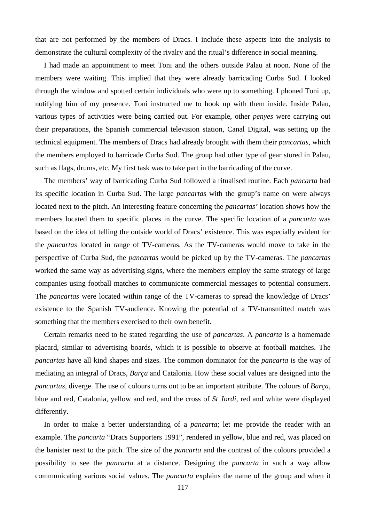that are not performed by the members of Dracs. I include these aspects into the analysis to demonstrate the cultural complexity of the rivalry and the ritual's difference in social meaning.

I had made an appointment to meet Toni and the others outside Palau at noon. None of the members were waiting. This implied that they were already barricading Curba Sud. I looked through the window and spotted certain individuals who were up to something. I phoned Toni up, notifying him of my presence. Toni instructed me to hook up with them inside. Inside Palau, various types of activities were being carried out. For example, other *penyes* were carrying out their preparations, the Spanish commercial television station, Canal Digital, was setting up the technical equipment. The members of Dracs had already brought with them their *pancartas*, which the members employed to barricade Curba Sud. The group had other type of gear stored in Palau, such as flags, drums, etc. My first task was to take part in the barricading of the curve.

The members' way of barricading Curba Sud followed a ritualised routine. Each *pancarta* had its specific location in Curba Sud. The large *pancartas* with the group's name on were always located next to the pitch. An interesting feature concerning the *pancartas'* location shows how the members located them to specific places in the curve. The specific location of a *pancarta* was based on the idea of telling the outside world of Dracs' existence. This was especially evident for the *pancartas* located in range of TV-cameras. As the TV-cameras would move to take in the perspective of Curba Sud, the *pancartas* would be picked up by the TV-cameras. The *pancartas* worked the same way as advertising signs, where the members employ the same strategy of large companies using football matches to communicate commercial messages to potential consumers. The *pancartas* were located within range of the TV-cameras to spread the knowledge of Dracs' existence to the Spanish TV-audience. Knowing the potential of a TV-transmitted match was something that the members exercised to their own benefit.

Certain remarks need to be stated regarding the use of *pancartas*. A *pancarta* is a homemade placard, similar to advertising boards, which it is possible to observe at football matches. The *pancartas* have all kind shapes and sizes. The common dominator for the *pancarta* is the way of mediating an integral of Dracs, *Barça* and Catalonia. How these social values are designed into the *pancartas*, diverge. The use of colours turns out to be an important attribute. The colours of *Barça*, blue and red, Catalonia, yellow and red, and the cross of *St Jordi*, red and white were displayed differently.

In order to make a better understanding of a *pancarta*; let me provide the reader with an example. The *pancarta* "Dracs Supporters 1991", rendered in yellow, blue and red, was placed on the banister next to the pitch. The size of the *pancarta* and the contrast of the colours provided a possibility to see the *pancarta* at a distance. Designing the *pancarta* in such a way allow communicating various social values. The *pancarta* explains the name of the group and when it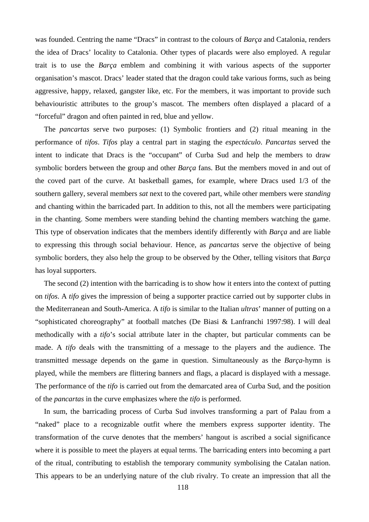was founded. Centring the name "Dracs" in contrast to the colours of *Barça* and Catalonia, renders the idea of Dracs' locality to Catalonia. Other types of placards were also employed. A regular trait is to use the *Barça* emblem and combining it with various aspects of the supporter organisation's mascot. Dracs' leader stated that the dragon could take various forms, such as being aggressive, happy, relaxed, gangster like, etc. For the members, it was important to provide such behaviouristic attributes to the group's mascot. The members often displayed a placard of a "forceful" dragon and often painted in red, blue and yellow.

The *pancartas* serve two purposes: (1) Symbolic frontiers and (2) ritual meaning in the performance of *tifos*. *Tifos* play a central part in staging the *espectáculo*. *Pancartas* served the intent to indicate that Dracs is the "occupant" of Curba Sud and help the members to draw symbolic borders between the group and other *Barça* fans. But the members moved in and out of the coved part of the curve. At basketball games, for example, where Dracs used 1/3 of the southern gallery, several members *sat* next to the covered part, while other members were *standing* and chanting within the barricaded part. In addition to this, not all the members were participating in the chanting. Some members were standing behind the chanting members watching the game. This type of observation indicates that the members identify differently with *Barça* and are liable to expressing this through social behaviour. Hence, as *pancartas* serve the objective of being symbolic borders, they also help the group to be observed by the Other, telling visitors that *Barça* has loyal supporters.

The second (2) intention with the barricading is to show how it enters into the context of putting on *tifos*. A *tifo* gives the impression of being a supporter practice carried out by supporter clubs in the Mediterranean and South-America. A *tifo* is similar to the Italian *ultras*' manner of putting on a "sophisticated choreography" at football matches (De Biasi & Lanfranchi 1997:98). I will deal methodically with a *tifo*'s social attribute later in the chapter, but particular comments can be made. A *tifo* deals with the transmitting of a message to the players and the audience. The transmitted message depends on the game in question. Simultaneously as the *Barça*-hymn is played, while the members are flittering banners and flags, a placard is displayed with a message. The performance of the *tifo* is carried out from the demarcated area of Curba Sud, and the position of the *pancartas* in the curve emphasizes where the *tifo* is performed.

In sum, the barricading process of Curba Sud involves transforming a part of Palau from a "naked" place to a recognizable outfit where the members express supporter identity. The transformation of the curve denotes that the members' hangout is ascribed a social significance where it is possible to meet the players at equal terms. The barricading enters into becoming a part of the ritual, contributing to establish the temporary community symbolising the Catalan nation. This appears to be an underlying nature of the club rivalry. To create an impression that all the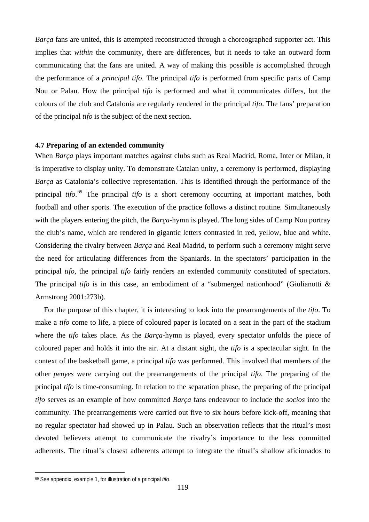*Barça* fans are united, this is attempted reconstructed through a choreographed supporter act. This implies that *within* the community, there are differences, but it needs to take an outward form communicating that the fans are united. A way of making this possible is accomplished through the performance of a *principal tifo*. The principal *tifo* is performed from specific parts of Camp Nou or Palau. How the principal *tifo* is performed and what it communicates differs, but the colours of the club and Catalonia are regularly rendered in the principal *tifo*. The fans' preparation of the principal *tifo* is the subject of the next section.

## **4.7 Preparing of an extended community**

When *Barça* plays important matches against clubs such as Real Madrid, Roma, Inter or Milan, it is imperative to display unity. To demonstrate Catalan unity, a ceremony is performed, displaying *Barça* as Catalonia's collective representation. This is identified through the performance of the principal *tifo*. [69](#page-118-0) The principal *tifo* is a short ceremony occurring at important matches, both football and other sports. The execution of the practice follows a distinct routine. Simultaneously with the players entering the pitch, the *Barça*-hymn is played. The long sides of Camp Nou portray the club's name, which are rendered in gigantic letters contrasted in red, yellow, blue and white. Considering the rivalry between *Barça* and Real Madrid, to perform such a ceremony might serve the need for articulating differences from the Spaniards. In the spectators' participation in the principal *tifo*, the principal *tifo* fairly renders an extended community constituted of spectators. The principal *tifo* is in this case, an embodiment of a "submerged nationhood" (Giulianotti & Armstrong 2001:273b).

For the purpose of this chapter, it is interesting to look into the prearrangements of the *tifo*. To make a *tifo* come to life, a piece of coloured paper is located on a seat in the part of the stadium where the *tifo* takes place. As the *Barça*-hymn is played, every spectator unfolds the piece of coloured paper and holds it into the air. At a distant sight, the *tifo* is a spectacular sight. In the context of the basketball game, a principal *tifo* was performed. This involved that members of the other *penyes* were carrying out the prearrangements of the principal *tifo*. The preparing of the principal *tifo* is time-consuming. In relation to the separation phase, the preparing of the principal *tifo* serves as an example of how committed *Barça* fans endeavour to include the *socios* into the community. The prearrangements were carried out five to six hours before kick-off, meaning that no regular spectator had showed up in Palau. Such an observation reflects that the ritual's most devoted believers attempt to communicate the rivalry's importance to the less committed adherents. The ritual's closest adherents attempt to integrate the ritual's shallow aficionados to

 $\overline{a}$ 

<span id="page-118-0"></span><sup>69</sup> See appendix, example 1, for illustration of a principal *tifo*.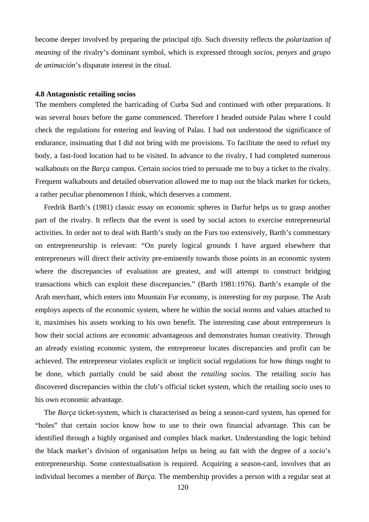become deeper involved by preparing the principal *tifo*. Such diversity reflects the *polarization of meaning* of the rivalry's dominant symbol, which is expressed through *socios*, *penyes* and *grupo de animación*'s disparate interest in the ritual.

#### **4.8 Antagonistic retailing socios**

The members completed the barricading of Curba Sud and continued with other preparations. It was several hours before the game commenced. Therefore I headed outside Palau where I could check the regulations for entering and leaving of Palau. I had not understood the significance of endurance, insinuating that I did not bring with me provisions. To facilitate the need to refuel my body, a fast-food location had to be visited. In advance to the rivalry, I had completed numerous walkabouts on the *Barça* campus. Certain *socios* tried to persuade me to buy a ticket to the rivalry. Frequent walkabouts and detailed observation allowed me to map out the black market for tickets, a rather peculiar phenomenon I think, which deserves a comment.

Fredrik Barth's (1981) classic essay on economic spheres in Darfur helps us to grasp another part of the rivalry. It reflects that the event is used by social actors to exercise entrepreneurial activities. In order not to deal with Barth's study on the Furs too extensively, Barth's commentary on entrepreneurship is relevant: "On purely logical grounds I have argued elsewhere that entrepreneurs will direct their activity pre-eminently towards those points in an economic system where the discrepancies of evaluation are greatest, and will attempt to construct bridging transactions which can exploit these discrepancies." (Barth 1981:1976). Barth's example of the Arab merchant, which enters into Mountain Fur economy, is interesting for my purpose. The Arab employs aspects of the economic system, where he within the social norms and values attached to it, maximises his assets working to his own benefit. The interesting case about entrepreneurs is how their social actions are economic advantageous and demonstrates human creativity. Through an already existing economic system, the entrepreneur locates discrepancies and profit can be achieved. The entrepreneur violates explicit or implicit social regulations for how things ought to be done, which partially could be said about the *retailing socios*. The retailing *socio* has discovered discrepancies within the club's official ticket system, which the retailing *socio* uses to his own economic advantage.

The *Barça* ticket-system, which is characterised as being a season-card system, has opened for "holes" that certain *socios* know how to use to their own financial advantage. This can be identified through a highly organised and complex black market. Understanding the logic behind the black market's division of organisation helps us being au fait with the degree of a *socio*'s entrepreneurship. Some contextualisation is required. Acquiring a season-card, involves that an individual becomes a member of *Barça*. The membership provides a person with a regular seat at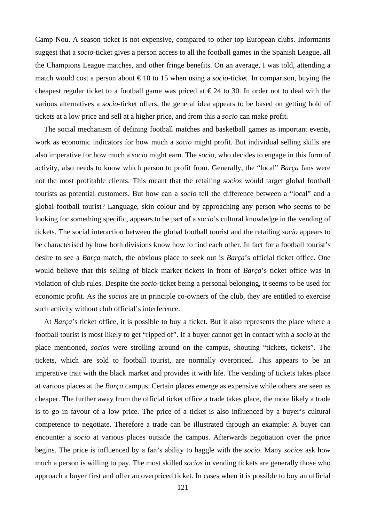Camp Nou. A season ticket is not expensive, compared to other top European clubs. Informants suggest that a *socio*-ticket gives a person access to all the football games in the Spanish League, all the Champions League matches, and other fringe benefits. On an average, I was told, attending a match would cost a person about  $\epsilon$ 10 to 15 when using a *socio*-ticket. In comparison, buying the cheapest regular ticket to a football game was priced at  $\epsilon$ 24 to 30. In order not to deal with the various alternatives a *socio*-ticket offers, the general idea appears to be based on getting hold of tickets at a low price and sell at a higher price, and from this a *socio* can make profit.

The social mechanism of defining football matches and basketball games as important events, work as economic indicators for how much a *socio* might profit. But individual selling skills are also imperative for how much a *socio* might earn. The s*ocio*, who decides to engage in this form of activity, also needs to know which person to profit from. Generally, the "local" *Barça* fans were not the most profitable clients. This meant that the retailing *socios* would target global football tourists as potential customers. But how can a *socio* tell the difference between a "local" and a global football tourist? Language, skin colour and by approaching any person who seems to be looking for something specific, appears to be part of a *socio*'s cultural knowledge in the vending of tickets. The social interaction between the global football tourist and the retailing *socio* appears to be characterised by how both divisions know how to find each other. In fact for a football tourist's desire to see a *Barça* match, the obvious place to seek out is *Barça*'s official ticket office. One would believe that this selling of black market tickets in front of *Barça*'s ticket office was in violation of club rules. Despite the *socio*-ticket being a personal belonging, it seems to be used for economic profit. As the *socios* are in principle co-owners of the club, they are entitled to exercise such activity without club official's interference.

At *Barça*'s ticket office, it is possible to buy a ticket. But it also represents the place where a football tourist is most likely to get "ripped of". If a buyer cannot get in contact with a *socio* at the place mentioned, *socios* were strolling around on the campus, shouting "tickets, tickets". The tickets, which are sold to football tourist, are normally overpriced. This appears to be an imperative trait with the black market and provides it with life. The vending of tickets takes place at various places at the *Barça* campus. Certain places emerge as expensive while others are seen as cheaper. The further away from the official ticket office a trade takes place, the more likely a trade is to go in favour of a low price. The price of a ticket is also influenced by a buyer's cultural competence to negotiate. Therefore a trade can be illustrated through an example: A buyer can encounter a *socio* at various places outside the campus. Afterwards negotiation over the price begins. The price is influenced by a fan's ability to haggle with the *socio*. Many *socios* ask how much a person is willing to pay. The most skilled *socios* in vending tickets are generally those who approach a buyer first and offer an overpriced ticket. In cases when it is possible to buy an official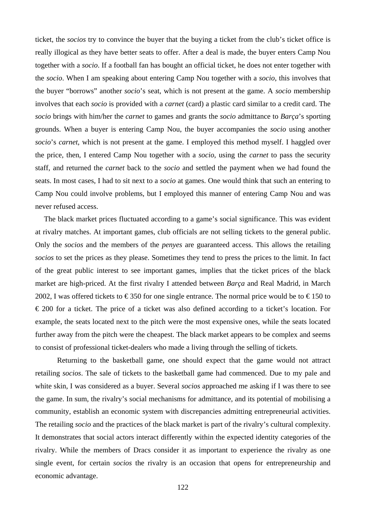ticket, the *socios* try to convince the buyer that the buying a ticket from the club's ticket office is really illogical as they have better seats to offer. After a deal is made, the buyer enters Camp Nou together with a *socio*. If a football fan has bought an official ticket, he does not enter together with the *socio*. When I am speaking about entering Camp Nou together with a *socio*, this involves that the buyer "borrows" another *socio*'s seat, which is not present at the game. A *socio* membership involves that each *socio* is provided with a *carnet* (card) a plastic card similar to a credit card. The *socio* brings with him/her the *carnet* to games and grants the *socio* admittance to *Barça*'s sporting grounds. When a buyer is entering Camp Nou, the buyer accompanies the *socio* using another *socio*'s *carnet*, which is not present at the game. I employed this method myself. I haggled over the price, then, I entered Camp Nou together with a *socio*, using the *carnet* to pass the security staff, and returned the *carnet* back to the *socio* and settled the payment when we had found the seats. In most cases, I had to sit next to a *socio* at games. One would think that such an entering to Camp Nou could involve problems, but I employed this manner of entering Camp Nou and was never refused access.

The black market prices fluctuated according to a game's social significance. This was evident at rivalry matches. At important games, club officials are not selling tickets to the general public. Only the *socios* and the members of the *penyes* are guaranteed access. This allows the retailing *socios* to set the prices as they please. Sometimes they tend to press the prices to the limit. In fact of the great public interest to see important games, implies that the ticket prices of the black market are high-priced. At the first rivalry I attended between *Barça* and Real Madrid, in March 2002, I was offered tickets to  $\epsilon$ 350 for one single entrance. The normal price would be to  $\epsilon$ 150 to € 200 for a ticket. The price of a ticket was also defined according to a ticket's location. For example, the seats located next to the pitch were the most expensive ones, while the seats located further away from the pitch were the cheapest. The black market appears to be complex and seems to consist of professional ticket-dealers who made a living through the selling of tickets.

Returning to the basketball game, one should expect that the game would not attract retailing *socios*. The sale of tickets to the basketball game had commenced. Due to my pale and white skin, I was considered as a buyer. Several *socios* approached me asking if I was there to see the game. In sum, the rivalry's social mechanisms for admittance, and its potential of mobilising a community, establish an economic system with discrepancies admitting entrepreneurial activities. The retailing *socio* and the practices of the black market is part of the rivalry's cultural complexity. It demonstrates that social actors interact differently within the expected identity categories of the rivalry. While the members of Dracs consider it as important to experience the rivalry as one single event, for certain *socios* the rivalry is an occasion that opens for entrepreneurship and economic advantage.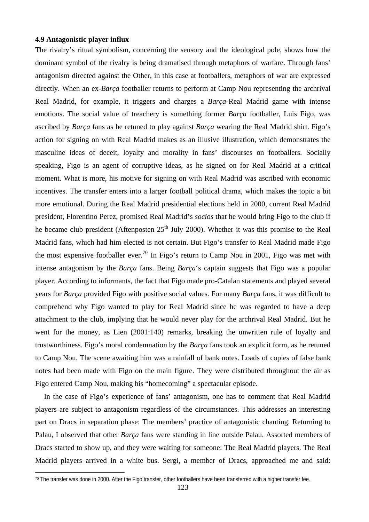### **4.9 Antagonistic player influx**

 $\overline{a}$ 

The rivalry's ritual symbolism, concerning the sensory and the ideological pole, shows how the dominant symbol of the rivalry is being dramatised through metaphors of warfare. Through fans' antagonism directed against the Other, in this case at footballers, metaphors of war are expressed directly. When an ex-*Barça* footballer returns to perform at Camp Nou representing the archrival Real Madrid, for example, it triggers and charges a *Barça-*Real Madrid game with intense emotions. The social value of treachery is something former *Barça* footballer, Luis Figo, was ascribed by *Barça* fans as he retuned to play against *Barça* wearing the Real Madrid shirt. Figo's action for signing on with Real Madrid makes as an illusive illustration, which demonstrates the masculine ideas of deceit, loyalty and morality in fans' discourses on footballers. Socially speaking, Figo is an agent of corruptive ideas, as he signed on for Real Madrid at a critical moment. What is more, his motive for signing on with Real Madrid was ascribed with economic incentives. The transfer enters into a larger football political drama, which makes the topic a bit more emotional. During the Real Madrid presidential elections held in 2000, current Real Madrid president, Florentino Perez, promised Real Madrid's *socios* that he would bring Figo to the club if he became club president (Aftenposten  $25<sup>th</sup>$  July 2000). Whether it was this promise to the Real Madrid fans, which had him elected is not certain. But Figo's transfer to Real Madrid made Figo the most expensive footballer ever.<sup>[70](#page-122-0)</sup> In Figo's return to Camp Nou in 2001, Figo was met with intense antagonism by the *Barça* fans. Being *Barça*'s captain suggests that Figo was a popular player. According to informants, the fact that Figo made pro-Catalan statements and played several years for *Barça* provided Figo with positive social values. For many *Barça* fans, it was difficult to comprehend why Figo wanted to play for Real Madrid since he was regarded to have a deep attachment to the club, implying that he would never play for the archrival Real Madrid. But he went for the money, as Lien (2001:140) remarks, breaking the unwritten rule of loyalty and trustworthiness. Figo's moral condemnation by the *Barça* fans took an explicit form, as he retuned to Camp Nou. The scene awaiting him was a rainfall of bank notes. Loads of copies of false bank notes had been made with Figo on the main figure. They were distributed throughout the air as Figo entered Camp Nou, making his "homecoming" a spectacular episode.

In the case of Figo's experience of fans' antagonism, one has to comment that Real Madrid players are subject to antagonism regardless of the circumstances. This addresses an interesting part on Dracs in separation phase: The members' practice of antagonistic chanting. Returning to Palau, I observed that other *Barça* fans were standing in line outside Palau. Assorted members of Dracs started to show up, and they were waiting for someone: The Real Madrid players. The Real Madrid players arrived in a white bus. Sergi, a member of Dracs, approached me and said:

<span id="page-122-0"></span><sup>&</sup>lt;sup>70</sup> The transfer was done in 2000. After the Figo transfer, other footballers have been transferred with a higher transfer fee.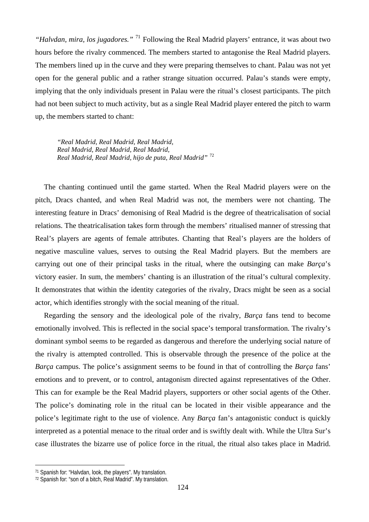*"Halvdan, mira, los jugadores."* [71](#page-123-0) Following the Real Madrid players' entrance, it was about two hours before the rivalry commenced. The members started to antagonise the Real Madrid players. The members lined up in the curve and they were preparing themselves to chant. Palau was not yet open for the general public and a rather strange situation occurred. Palau's stands were empty, implying that the only individuals present in Palau were the ritual's closest participants. The pitch had not been subject to much activity, but as a single Real Madrid player entered the pitch to warm up, the members started to chant:

*"Real Madrid, Real Madrid, Real Madrid, Real Madrid, Real Madrid, Real Madrid, Real Madrid, Real Madrid, hijo de puta, Real Madrid"* [72](#page-123-1)

The chanting continued until the game started. When the Real Madrid players were on the pitch, Dracs chanted, and when Real Madrid was not, the members were not chanting. The interesting feature in Dracs' demonising of Real Madrid is the degree of theatricalisation of social relations. The theatricalisation takes form through the members' ritualised manner of stressing that Real's players are agents of female attributes. Chanting that Real's players are the holders of negative masculine values, serves to outsing the Real Madrid players. But the members are carrying out one of their principal tasks in the ritual, where the outsinging can make *Barça*'s victory easier. In sum, the members' chanting is an illustration of the ritual's cultural complexity. It demonstrates that within the identity categories of the rivalry, Dracs might be seen as a social actor, which identifies strongly with the social meaning of the ritual.

Regarding the sensory and the ideological pole of the rivalry, *Barça* fans tend to become emotionally involved. This is reflected in the social space's temporal transformation. The rivalry's dominant symbol seems to be regarded as dangerous and therefore the underlying social nature of the rivalry is attempted controlled. This is observable through the presence of the police at the *Barça* campus. The police's assignment seems to be found in that of controlling the *Barça* fans' emotions and to prevent, or to control, antagonism directed against representatives of the Other. This can for example be the Real Madrid players, supporters or other social agents of the Other. The police's dominating role in the ritual can be located in their visible appearance and the police's legitimate right to the use of violence. Any *Barça* fan's antagonistic conduct is quickly interpreted as a potential menace to the ritual order and is swiftly dealt with. While the Ultra Sur's case illustrates the bizarre use of police force in the ritual, the ritual also takes place in Madrid.

 $\overline{a}$ 

<span id="page-123-0"></span><sup>71</sup> Spanish for: "Halvdan, look, the players". My translation.

<span id="page-123-1"></span><sup>72</sup> Spanish for: "son of a bitch, Real Madrid". My translation.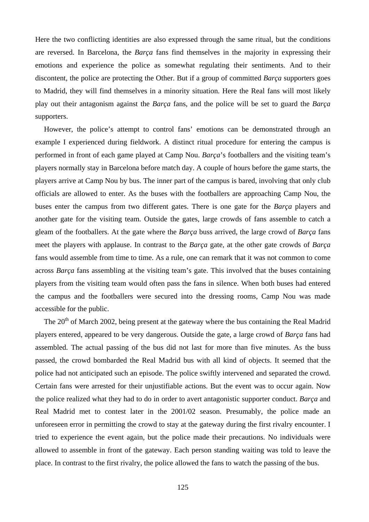Here the two conflicting identities are also expressed through the same ritual, but the conditions are reversed. In Barcelona, the *Barça* fans find themselves in the majority in expressing their emotions and experience the police as somewhat regulating their sentiments. And to their discontent, the police are protecting the Other. But if a group of committed *Barça* supporters goes to Madrid, they will find themselves in a minority situation. Here the Real fans will most likely play out their antagonism against the *Barça* fans, and the police will be set to guard the *Barça* supporters.

However, the police's attempt to control fans' emotions can be demonstrated through an example I experienced during fieldwork. A distinct ritual procedure for entering the campus is performed in front of each game played at Camp Nou. *Barça*'s footballers and the visiting team's players normally stay in Barcelona before match day. A couple of hours before the game starts, the players arrive at Camp Nou by bus. The inner part of the campus is bared, involving that only club officials are allowed to enter. As the buses with the footballers are approaching Camp Nou, the buses enter the campus from two different gates. There is one gate for the *Barça* players and another gate for the visiting team. Outside the gates, large crowds of fans assemble to catch a gleam of the footballers. At the gate where the *Barça* buss arrived, the large crowd of *Barça* fans meet the players with applause. In contrast to the *Barça* gate, at the other gate crowds of *Barça* fans would assemble from time to time. As a rule, one can remark that it was not common to come across *Barça* fans assembling at the visiting team's gate. This involved that the buses containing players from the visiting team would often pass the fans in silence. When both buses had entered the campus and the footballers were secured into the dressing rooms, Camp Nou was made accessible for the public.

The 20<sup>th</sup> of March 2002, being present at the gateway where the bus containing the Real Madrid players entered, appeared to be very dangerous. Outside the gate, a large crowd of *Barça* fans had assembled. The actual passing of the bus did not last for more than five minutes. As the buss passed, the crowd bombarded the Real Madrid bus with all kind of objects. It seemed that the police had not anticipated such an episode. The police swiftly intervened and separated the crowd. Certain fans were arrested for their unjustifiable actions. But the event was to occur again. Now the police realized what they had to do in order to avert antagonistic supporter conduct. *Barça* and Real Madrid met to contest later in the 2001/02 season. Presumably, the police made an unforeseen error in permitting the crowd to stay at the gateway during the first rivalry encounter. I tried to experience the event again, but the police made their precautions. No individuals were allowed to assemble in front of the gateway. Each person standing waiting was told to leave the place. In contrast to the first rivalry, the police allowed the fans to watch the passing of the bus.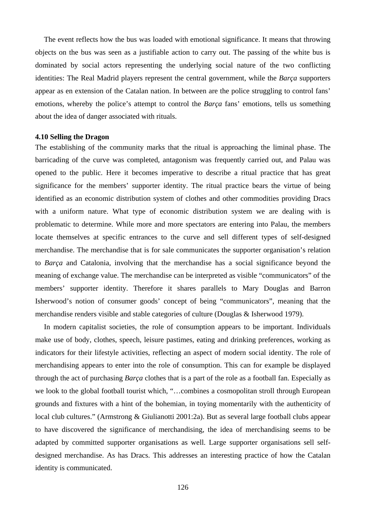The event reflects how the bus was loaded with emotional significance. It means that throwing objects on the bus was seen as a justifiable action to carry out. The passing of the white bus is dominated by social actors representing the underlying social nature of the two conflicting identities: The Real Madrid players represent the central government, while the *Barça* supporters appear as en extension of the Catalan nation. In between are the police struggling to control fans' emotions, whereby the police's attempt to control the *Barça* fans' emotions, tells us something about the idea of danger associated with rituals.

#### **4.10 Selling the Dragon**

The establishing of the community marks that the ritual is approaching the liminal phase. The barricading of the curve was completed, antagonism was frequently carried out, and Palau was opened to the public. Here it becomes imperative to describe a ritual practice that has great significance for the members' supporter identity. The ritual practice bears the virtue of being identified as an economic distribution system of clothes and other commodities providing Dracs with a uniform nature. What type of economic distribution system we are dealing with is problematic to determine. While more and more spectators are entering into Palau, the members locate themselves at specific entrances to the curve and sell different types of self-designed merchandise. The merchandise that is for sale communicates the supporter organisation's relation to *Barça* and Catalonia, involving that the merchandise has a social significance beyond the meaning of exchange value. The merchandise can be interpreted as visible "communicators" of the members' supporter identity. Therefore it shares parallels to Mary Douglas and Barron Isherwood's notion of consumer goods' concept of being "communicators", meaning that the merchandise renders visible and stable categories of culture (Douglas & Isherwood 1979).

In modern capitalist societies, the role of consumption appears to be important. Individuals make use of body, clothes, speech, leisure pastimes, eating and drinking preferences, working as indicators for their lifestyle activities, reflecting an aspect of modern social identity. The role of merchandising appears to enter into the role of consumption. This can for example be displayed through the act of purchasing *Barça* clothes that is a part of the role as a football fan. Especially as we look to the global football tourist which, "…combines a cosmopolitan stroll through European grounds and fixtures with a hint of the bohemian, in toying momentarily with the authenticity of local club cultures." (Armstrong & Giulianotti 2001:2a). But as several large football clubs appear to have discovered the significance of merchandising, the idea of merchandising seems to be adapted by committed supporter organisations as well. Large supporter organisations sell selfdesigned merchandise. As has Dracs. This addresses an interesting practice of how the Catalan identity is communicated.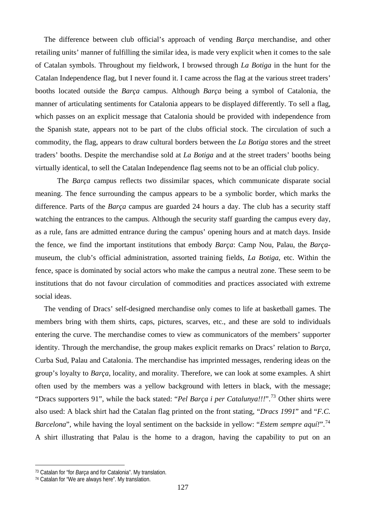The difference between club official's approach of vending *Barça* merchandise, and other retailing units' manner of fulfilling the similar idea, is made very explicit when it comes to the sale of Catalan symbols. Throughout my fieldwork, I browsed through *La Botiga* in the hunt for the Catalan Independence flag, but I never found it. I came across the flag at the various street traders' booths located outside the *Barça* campus. Although *Barça* being a symbol of Catalonia, the manner of articulating sentiments for Catalonia appears to be displayed differently. To sell a flag, which passes on an explicit message that Catalonia should be provided with independence from the Spanish state, appears not to be part of the clubs official stock. The circulation of such a commodity, the flag, appears to draw cultural borders between the *La Botiga* stores and the street traders' booths. Despite the merchandise sold at *La Botiga* and at the street traders' booths being virtually identical, to sell the Catalan Independence flag seems not to be an official club policy.

The *Barça* campus reflects two dissimilar spaces, which communicate disparate social meaning. The fence surrounding the campus appears to be a symbolic border, which marks the difference. Parts of the *Barça* campus are guarded 24 hours a day. The club has a security staff watching the entrances to the campus. Although the security staff guarding the campus every day, as a rule, fans are admitted entrance during the campus' opening hours and at match days. Inside the fence, we find the important institutions that embody *Barça*: Camp Nou, Palau, the *Barça*museum, the club's official administration, assorted training fields, *La Botiga*, etc. Within the fence, space is dominated by social actors who make the campus a neutral zone. These seem to be institutions that do not favour circulation of commodities and practices associated with extreme social ideas.

The vending of Dracs' self-designed merchandise only comes to life at basketball games. The members bring with them shirts, caps, pictures, scarves, etc., and these are sold to individuals entering the curve. The merchandise comes to view as communicators of the members' supporter identity. Through the merchandise, the group makes explicit remarks on Dracs' relation to *Barça*, Curba Sud, Palau and Catalonia. The merchandise has imprinted messages, rendering ideas on the group's loyalty to *Barça*, locality, and morality. Therefore, we can look at some examples. A shirt often used by the members was a yellow background with letters in black, with the message; "Dracs supporters 91", while the back stated: "*Pel Barça i per Catalunya!!!*".[73](#page-126-0) Other shirts were also used: A black shirt had the Catalan flag printed on the front stating, "*Dracs 1991*" and "*F.C. Barcelona*", while having the loyal sentiment on the backside in yellow: "*Estem sempre aquí!*".<sup>[74](#page-126-1)</sup> A shirt illustrating that Palau is the home to a dragon, having the capability to put on an

 $\overline{a}$ 

<span id="page-126-0"></span><sup>73</sup> Catalan for "for *Barça* and for Catalonia". My translation.

<span id="page-126-1"></span><sup>74</sup> Catalan for "We are always here". My translation.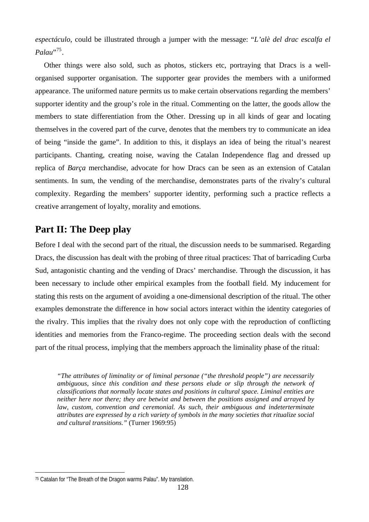*espectáculo*, could be illustrated through a jumper with the message: "*L'alè del drac escalfa el Palau*"<sup>[75](#page-127-0)</sup>

Other things were also sold, such as photos, stickers etc, portraying that Dracs is a wellorganised supporter organisation. The supporter gear provides the members with a uniformed appearance. The uniformed nature permits us to make certain observations regarding the members' supporter identity and the group's role in the ritual. Commenting on the latter, the goods allow the members to state differentiation from the Other. Dressing up in all kinds of gear and locating themselves in the covered part of the curve, denotes that the members try to communicate an idea of being "inside the game". In addition to this, it displays an idea of being the ritual's nearest participants. Chanting, creating noise, waving the Catalan Independence flag and dressed up replica of *Barça* merchandise, advocate for how Dracs can be seen as an extension of Catalan sentiments. In sum, the vending of the merchandise, demonstrates parts of the rivalry's cultural complexity. Regarding the members' supporter identity, performing such a practice reflects a creative arrangement of loyalty, morality and emotions.

# **Part II: The Deep play**

Before I deal with the second part of the ritual, the discussion needs to be summarised. Regarding Dracs, the discussion has dealt with the probing of three ritual practices: That of barricading Curba Sud, antagonistic chanting and the vending of Dracs' merchandise. Through the discussion, it has been necessary to include other empirical examples from the football field. My inducement for stating this rests on the argument of avoiding a one-dimensional description of the ritual. The other examples demonstrate the difference in how social actors interact within the identity categories of the rivalry. This implies that the rivalry does not only cope with the reproduction of conflicting identities and memories from the Franco-regime. The proceeding section deals with the second part of the ritual process, implying that the members approach the liminality phase of the ritual:

*"The attributes of liminality or of liminal personae ("the threshold people") are necessarily ambiguous, since this condition and these persons elude or slip through the network of classifications that normally locate states and positions in cultural space. Liminal entities are neither here nor there; they are betwixt and between the positions assigned and arrayed by law, custom, convention and ceremonial. As such, their ambiguous and indeterterminate attributes are expressed by a rich variety of symbols in the many societies that ritualize social and cultural transitions."* (Turner 1969:95)

 $\overline{a}$ 

<span id="page-127-0"></span><sup>75</sup> Catalan for "The Breath of the Dragon warms Palau". My translation.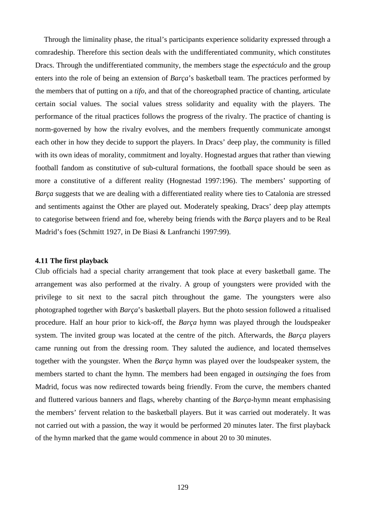Through the liminality phase, the ritual's participants experience solidarity expressed through a comradeship. Therefore this section deals with the undifferentiated community, which constitutes Dracs. Through the undifferentiated community, the members stage the *espectáculo* and the group enters into the role of being an extension of *Barça*'s basketball team. The practices performed by the members that of putting on a *tifo*, and that of the choreographed practice of chanting, articulate certain social values. The social values stress solidarity and equality with the players. The performance of the ritual practices follows the progress of the rivalry. The practice of chanting is norm-governed by how the rivalry evolves, and the members frequently communicate amongst each other in how they decide to support the players. In Dracs' deep play, the community is filled with its own ideas of morality, commitment and loyalty. Hognestad argues that rather than viewing football fandom as constitutive of sub-cultural formations, the football space should be seen as more a constitutive of a different reality (Hognestad 1997:196). The members' supporting of *Barça* suggests that we are dealing with a differentiated reality where ties to Catalonia are stressed and sentiments against the Other are played out. Moderately speaking, Dracs' deep play attempts to categorise between friend and foe, whereby being friends with the *Barça* players and to be Real Madrid's foes (Schmitt 1927, in De Biasi & Lanfranchi 1997:99).

#### **4.11 The first playback**

Club officials had a special charity arrangement that took place at every basketball game. The arrangement was also performed at the rivalry. A group of youngsters were provided with the privilege to sit next to the sacral pitch throughout the game. The youngsters were also photographed together with *Barça*'s basketball players. But the photo session followed a ritualised procedure. Half an hour prior to kick-off, the *Barça* hymn was played through the loudspeaker system. The invited group was located at the centre of the pitch. Afterwards, the *Barça* players came running out from the dressing room. They saluted the audience, and located themselves together with the youngster. When the *Barça* hymn was played over the loudspeaker system, the members started to chant the hymn. The members had been engaged in *outsinging* the foes from Madrid, focus was now redirected towards being friendly. From the curve, the members chanted and fluttered various banners and flags, whereby chanting of the *Barça*-hymn meant emphasising the members' fervent relation to the basketball players. But it was carried out moderately. It was not carried out with a passion, the way it would be performed 20 minutes later. The first playback of the hymn marked that the game would commence in about 20 to 30 minutes.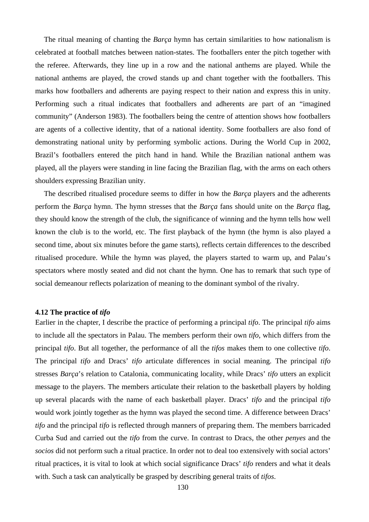The ritual meaning of chanting the *Barça* hymn has certain similarities to how nationalism is celebrated at football matches between nation-states. The footballers enter the pitch together with the referee. Afterwards, they line up in a row and the national anthems are played. While the national anthems are played, the crowd stands up and chant together with the footballers. This marks how footballers and adherents are paying respect to their nation and express this in unity. Performing such a ritual indicates that footballers and adherents are part of an "imagined community" (Anderson 1983). The footballers being the centre of attention shows how footballers are agents of a collective identity, that of a national identity. Some footballers are also fond of demonstrating national unity by performing symbolic actions. During the World Cup in 2002, Brazil's footballers entered the pitch hand in hand. While the Brazilian national anthem was played, all the players were standing in line facing the Brazilian flag, with the arms on each others shoulders expressing Brazilian unity.

The described ritualised procedure seems to differ in how the *Barça* players and the adherents perform the *Barça* hymn. The hymn stresses that the *Barça* fans should unite on the *Barça* flag, they should know the strength of the club, the significance of winning and the hymn tells how well known the club is to the world, etc. The first playback of the hymn (the hymn is also played a second time, about six minutes before the game starts), reflects certain differences to the described ritualised procedure. While the hymn was played, the players started to warm up, and Palau's spectators where mostly seated and did not chant the hymn. One has to remark that such type of social demeanour reflects polarization of meaning to the dominant symbol of the rivalry.

#### **4.12 The practice of** *tifo*

Earlier in the chapter, I describe the practice of performing a principal *tifo*. The principal *tifo* aims to include all the spectators in Palau. The members perform their own *tifo*, which differs from the principal *tifo*. But all together, the performance of all the *tifos* makes them to one collective *tifo*. The principal *tifo* and Dracs' *tifo* articulate differences in social meaning. The principal *tifo* stresses *Barça*'s relation to Catalonia, communicating locality, while Dracs' *tifo* utters an explicit message to the players. The members articulate their relation to the basketball players by holding up several placards with the name of each basketball player. Dracs' *tifo* and the principal *tifo* would work jointly together as the hymn was played the second time. A difference between Dracs' *tifo* and the principal *tifo* is reflected through manners of preparing them. The members barricaded Curba Sud and carried out the *tifo* from the curve. In contrast to Dracs, the other *penyes* and the *socios* did not perform such a ritual practice. In order not to deal too extensively with social actors' ritual practices, it is vital to look at which social significance Dracs' *tifo* renders and what it deals with. Such a task can analytically be grasped by describing general traits of *tifos*.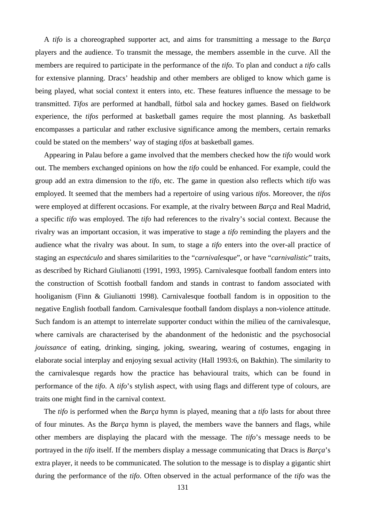A *tifo* is a choreographed supporter act, and aims for transmitting a message to the *Barça* players and the audience. To transmit the message, the members assemble in the curve. All the members are required to participate in the performance of the *tifo*. To plan and conduct a *tifo* calls for extensive planning. Dracs' headship and other members are obliged to know which game is being played, what social context it enters into, etc. These features influence the message to be transmitted. *Tifos* are performed at handball, fútbol sala and hockey games. Based on fieldwork experience, the *tifos* performed at basketball games require the most planning. As basketball encompasses a particular and rather exclusive significance among the members, certain remarks could be stated on the members' way of staging *tifos* at basketball games.

Appearing in Palau before a game involved that the members checked how the *tifo* would work out. The members exchanged opinions on how the *tifo* could be enhanced. For example, could the group add an extra dimension to the *tifo*, etc. The game in question also reflects which *tifo* was employed. It seemed that the members had a repertoire of using various *tifos*. Moreover, the *tifos* were employed at different occasions. For example, at the rivalry between *Barça* and Real Madrid, a specific *tifo* was employed. The *tifo* had references to the rivalry's social context. Because the rivalry was an important occasion, it was imperative to stage a *tifo* reminding the players and the audience what the rivalry was about. In sum, to stage a *tifo* enters into the over-all practice of staging an *espectáculo* and shares similarities to the "*carnivalesque*", or have "*carnivalistic*" traits, as described by Richard Giulianotti (1991, 1993, 1995). Carnivalesque football fandom enters into the construction of Scottish football fandom and stands in contrast to fandom associated with hooliganism (Finn & Giulianotti 1998). Carnivalesque football fandom is in opposition to the negative English football fandom. Carnivalesque football fandom displays a non-violence attitude. Such fandom is an attempt to interrelate supporter conduct within the milieu of the carnivalesque, where carnivals are characterised by the abandonment of the hedonistic and the psychosocial *jouissance* of eating, drinking, singing, joking, swearing, wearing of costumes, engaging in elaborate social interplay and enjoying sexual activity (Hall 1993:6, on Bakthin). The similarity to the carnivalesque regards how the practice has behavioural traits, which can be found in performance of the *tifo*. A *tifo*'s stylish aspect, with using flags and different type of colours, are traits one might find in the carnival context.

The *tifo* is performed when the *Barça* hymn is played, meaning that a *tifo* lasts for about three of four minutes. As the *Barça* hymn is played, the members wave the banners and flags, while other members are displaying the placard with the message. The *tifo*'s message needs to be portrayed in the *tifo* itself. If the members display a message communicating that Dracs is *Barça*'s extra player, it needs to be communicated. The solution to the message is to display a gigantic shirt during the performance of the *tifo*. Often observed in the actual performance of the *tifo* was the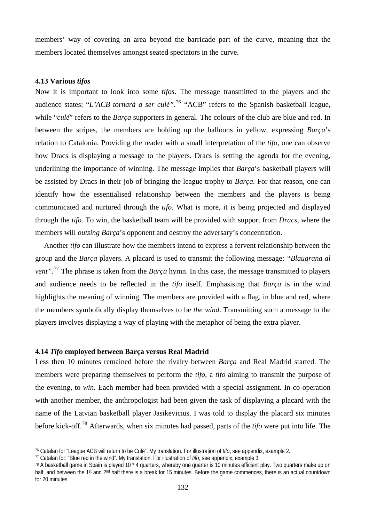members' way of covering an area beyond the barricade part of the curve, meaning that the members located themselves amongst seated spectators in the curve.

## **4.13 Various** *tifos*

 $\overline{a}$ 

Now it is important to look into some *tifos*. The message transmitted to the players and the audience states: "*L'ACB tornará a ser culé"*. [76](#page-131-0) "ACB" refers to the Spanish basketball league, while "*culé*" refers to the *Barça* supporters in general. The colours of the club are blue and red. In between the stripes, the members are holding up the balloons in yellow, expressing *Barça*'s relation to Catalonia. Providing the reader with a small interpretation of the *tifo*, one can observe how Dracs is displaying a message to the players. Dracs is setting the agenda for the evening, underlining the importance of winning. The message implies that *Barça*'s basketball players will be assisted by Dracs in their job of bringing the league trophy to *Barça*. For that reason, one can identify how the essentialised relationship between the members and the players is being communicated and nurtured through the *tifo*. What is more, it is being projected and displayed through the *tifo*. To win, the basketball team will be provided with support from *Dracs*, where the members will *outsing Barça*'s opponent and destroy the adversary's concentration.

Another *tifo* can illustrate how the members intend to express a fervent relationship between the group and the *Barça* players. A placard is used to transmit the following message: *"Blaugrana al vent"*. [77](#page-131-1) The phrase is taken from the *Barça* hymn. In this case, the message transmitted to players and audience needs to be reflected in the *tifo* itself. Emphasising that *Barça* is in the wind highlights the meaning of winning. The members are provided with a flag, in blue and red, where the members symbolically display themselves to be *the wind*. Transmitting such a message to the players involves displaying a way of playing with the metaphor of being the extra player.

## **4.14** *Tifo* **employed between Barça versus Real Madrid**

Less then 10 minutes remained before the rivalry between *Barça* and Real Madrid started. The members were preparing themselves to perform the *tifo*, a *tifo* aiming to transmit the purpose of the evening, to *win*. Each member had been provided with a special assignment. In co-operation with another member, the anthropologist had been given the task of displaying a placard with the name of the Latvian basketball player Jasikevicius. I was told to display the placard six minutes before kick-off.[78](#page-131-2) Afterwards, when six minutes had passed, parts of the *tifo* were put into life. The

<span id="page-131-0"></span><sup>76</sup> Catalan for "League ACB will return to be Culé". My translation. For illustration of *tifo*, see appendix, example 2.

<span id="page-131-1"></span><sup>77</sup> Catalan for: "Blue red in the wind". My translation. For illustration of *tifo*, see appendix, example 3.

<span id="page-131-2"></span><sup>78</sup> A basketball game in Spain is played 10 \* 4 quarters, whereby one quarter is 10 minutes efficient play. Two quarters make up on half, and between the 1st and 2<sup>nd</sup> half there is a break for 15 minutes. Before the game commences, there is an actual countdown for 20 minutes.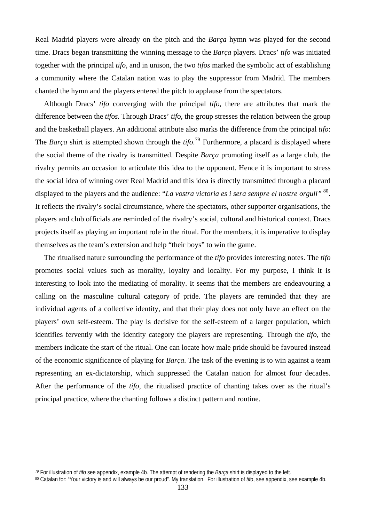Real Madrid players were already on the pitch and the *Barça* hymn was played for the second time. Dracs began transmitting the winning message to the *Barça* players. Dracs' *tifo* was initiated together with the principal *tifo*, and in unison, the two *tifos* marked the symbolic act of establishing a community where the Catalan nation was to play the suppressor from Madrid. The members chanted the hymn and the players entered the pitch to applause from the spectators.

Although Dracs' *tifo* converging with the principal *tifo*, there are attributes that mark the difference between the *tifos.* Through Dracs' *tifo*, the group stresses the relation between the group and the basketball players. An additional attribute also marks the difference from the principal *tifo*: The *Barça* shirt is attempted shown through the *tifo*. [79](#page-132-0) Furthermore, a placard is displayed where the social theme of the rivalry is transmitted. Despite *Barça* promoting itself as a large club, the rivalry permits an occasion to articulate this idea to the opponent. Hence it is important to stress the social idea of winning over Real Madrid and this idea is directly transmitted through a placard displayed to the players and the audience: "*La vostra victoria es i sera sempre el nostre orgull*" <sup>[80](#page-132-1)</sup>. It reflects the rivalry's social circumstance, where the spectators, other supporter organisations, the players and club officials are reminded of the rivalry's social, cultural and historical context. Dracs projects itself as playing an important role in the ritual. For the members, it is imperative to display themselves as the team's extension and help "their boys" to win the game.

The ritualised nature surrounding the performance of the *tifo* provides interesting notes. The *tifo* promotes social values such as morality, loyalty and locality. For my purpose, I think it is interesting to look into the mediating of morality. It seems that the members are endeavouring a calling on the masculine cultural category of pride. The players are reminded that they are individual agents of a collective identity, and that their play does not only have an effect on the players' own self-esteem. The play is decisive for the self-esteem of a larger population, which identifies fervently with the identity category the players are representing. Through the *tifo*, the members indicate the start of the ritual. One can locate how male pride should be favoured instead of the economic significance of playing for *Barça*. The task of the evening is to win against a team representing an ex-dictatorship, which suppressed the Catalan nation for almost four decades. After the performance of the *tifo*, the ritualised practice of chanting takes over as the ritual's principal practice, where the chanting follows a distinct pattern and routine.

 $\overline{a}$ 

<span id="page-132-0"></span><sup>79</sup> For illustration of *tifo* see appendix, example 4b. The attempt of rendering the *Barça* shirt is displayed to the left.

<span id="page-132-1"></span><sup>80</sup> Catalan for: "Your victory is and will always be our proud". My translation. For illustration of *tifo*, see appendix, see example 4b.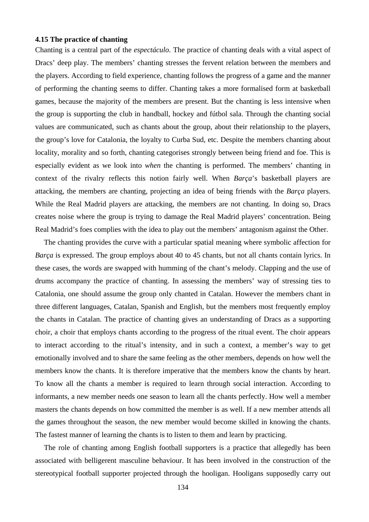## **4.15 The practice of chanting**

Chanting is a central part of the *espectáculo*. The practice of chanting deals with a vital aspect of Dracs' deep play. The members' chanting stresses the fervent relation between the members and the players. According to field experience, chanting follows the progress of a game and the manner of performing the chanting seems to differ. Chanting takes a more formalised form at basketball games, because the majority of the members are present. But the chanting is less intensive when the group is supporting the club in handball, hockey and fútbol sala. Through the chanting social values are communicated, such as chants about the group, about their relationship to the players, the group's love for Catalonia, the loyalty to Curba Sud, etc. Despite the members chanting about locality, morality and so forth, chanting categorises strongly between being friend and foe. This is especially evident as we look into *when* the chanting is performed. The members' chanting in context of the rivalry reflects this notion fairly well. When *Barça*'s basketball players are attacking, the members are chanting, projecting an idea of being friends with the *Barça* players. While the Real Madrid players are attacking, the members are not chanting. In doing so, Dracs creates noise where the group is trying to damage the Real Madrid players' concentration. Being Real Madrid's foes complies with the idea to play out the members' antagonism against the Other.

The chanting provides the curve with a particular spatial meaning where symbolic affection for *Barça* is expressed. The group employs about 40 to 45 chants, but not all chants contain lyrics. In these cases, the words are swapped with humming of the chant's melody. Clapping and the use of drums accompany the practice of chanting. In assessing the members' way of stressing ties to Catalonia, one should assume the group only chanted in Catalan. However the members chant in three different languages, Catalan, Spanish and English, but the members most frequently employ the chants in Catalan. The practice of chanting gives an understanding of Dracs as a supporting choir, a choir that employs chants according to the progress of the ritual event. The choir appears to interact according to the ritual's intensity, and in such a context, a member's way to get emotionally involved and to share the same feeling as the other members, depends on how well the members know the chants. It is therefore imperative that the members know the chants by heart. To know all the chants a member is required to learn through social interaction. According to informants, a new member needs one season to learn all the chants perfectly. How well a member masters the chants depends on how committed the member is as well. If a new member attends all the games throughout the season, the new member would become skilled in knowing the chants. The fastest manner of learning the chants is to listen to them and learn by practicing.

The role of chanting among English football supporters is a practice that allegedly has been associated with belligerent masculine behaviour. It has been involved in the construction of the stereotypical football supporter projected through the hooligan. Hooligans supposedly carry out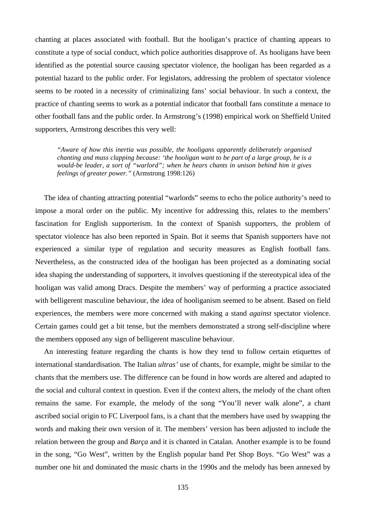chanting at places associated with football. But the hooligan's practice of chanting appears to constitute a type of social conduct, which police authorities disapprove of. As hooligans have been identified as the potential source causing spectator violence, the hooligan has been regarded as a potential hazard to the public order. For legislators, addressing the problem of spectator violence seems to be rooted in a necessity of criminalizing fans' social behaviour. In such a context, the practice of chanting seems to work as a potential indicator that football fans constitute a menace to other football fans and the public order. In Armstrong's (1998) empirical work on Sheffield United supporters, Armstrong describes this very well:

*"Aware of how this inertia was possible, the hooligans apparently deliberately organised chanting and mass clapping because: 'the hooligan want to be part of a large group, he is a would-be leader, a sort of "warlord"; when he hears chants in unison behind him it gives feelings of greater power."* (Armstrong 1998:126)

The idea of chanting attracting potential "warlords" seems to echo the police authority's need to impose a moral order on the public. My incentive for addressing this, relates to the members' fascination for English supporterism. In the context of Spanish supporters, the problem of spectator violence has also been reported in Spain. But it seems that Spanish supporters have not experienced a similar type of regulation and security measures as English football fans. Nevertheless, as the constructed idea of the hooligan has been projected as a dominating social idea shaping the understanding of supporters, it involves questioning if the stereotypical idea of the hooligan was valid among Dracs. Despite the members' way of performing a practice associated with belligerent masculine behaviour, the idea of hooliganism seemed to be absent. Based on field experiences, the members were more concerned with making a stand *against* spectator violence. Certain games could get a bit tense, but the members demonstrated a strong self-discipline where the members opposed any sign of belligerent masculine behaviour.

An interesting feature regarding the chants is how they tend to follow certain etiquettes of international standardisation. The Italian *ultras'* use of chants, for example, might be similar to the chants that the members use. The difference can be found in how words are altered and adapted to the social and cultural context in question. Even if the context alters, the melody of the chant often remains the same. For example, the melody of the song "You'll never walk alone", a chant ascribed social origin to FC Liverpool fans, is a chant that the members have used by swapping the words and making their own version of it. The members' version has been adjusted to include the relation between the group and *Barça* and it is chanted in Catalan. Another example is to be found in the song, "Go West", written by the English popular band Pet Shop Boys. "Go West" was a number one hit and dominated the music charts in the 1990s and the melody has been annexed by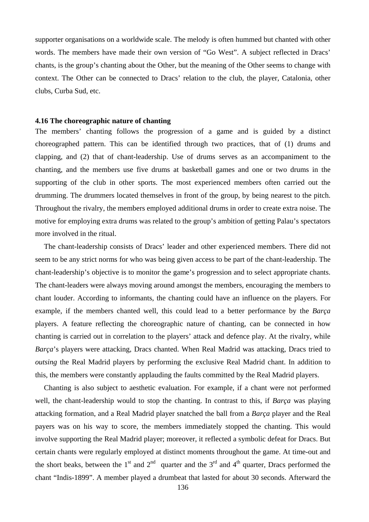supporter organisations on a worldwide scale. The melody is often hummed but chanted with other words. The members have made their own version of "Go West". A subject reflected in Dracs' chants, is the group's chanting about the Other, but the meaning of the Other seems to change with context. The Other can be connected to Dracs' relation to the club, the player, Catalonia, other clubs, Curba Sud, etc.

#### **4.16 The choreographic nature of chanting**

The members' chanting follows the progression of a game and is guided by a distinct choreographed pattern. This can be identified through two practices, that of (1) drums and clapping, and (2) that of chant-leadership. Use of drums serves as an accompaniment to the chanting, and the members use five drums at basketball games and one or two drums in the supporting of the club in other sports. The most experienced members often carried out the drumming. The drummers located themselves in front of the group, by being nearest to the pitch. Throughout the rivalry, the members employed additional drums in order to create extra noise. The motive for employing extra drums was related to the group's ambition of getting Palau's spectators more involved in the ritual.

The chant-leadership consists of Dracs' leader and other experienced members. There did not seem to be any strict norms for who was being given access to be part of the chant-leadership. The chant-leadership's objective is to monitor the game's progression and to select appropriate chants. The chant-leaders were always moving around amongst the members, encouraging the members to chant louder. According to informants, the chanting could have an influence on the players. For example, if the members chanted well, this could lead to a better performance by the *Barça* players. A feature reflecting the choreographic nature of chanting, can be connected in how chanting is carried out in correlation to the players' attack and defence play. At the rivalry, while *Barça*'s players were attacking, Dracs chanted. When Real Madrid was attacking, Dracs tried to *outsing* the Real Madrid players by performing the exclusive Real Madrid chant. In addition to this, the members were constantly applauding the faults committed by the Real Madrid players.

Chanting is also subject to aesthetic evaluation. For example, if a chant were not performed well, the chant-leadership would to stop the chanting. In contrast to this, if *Barça* was playing attacking formation, and a Real Madrid player snatched the ball from a *Barça* player and the Real payers was on his way to score, the members immediately stopped the chanting. This would involve supporting the Real Madrid player; moreover, it reflected a symbolic defeat for Dracs. But certain chants were regularly employed at distinct moments throughout the game. At time-out and the short beaks, between the 1<sup>st</sup> and 2<sup>nd</sup> quarter and the 3<sup>rd</sup> and 4<sup>th</sup> quarter. Dracs performed the chant "Indis-1899". A member played a drumbeat that lasted for about 30 seconds. Afterward the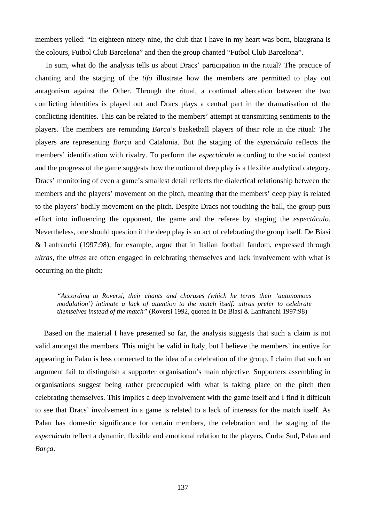members yelled: "In eighteen ninety-nine, the club that I have in my heart was born, blaugrana is the colours, Futbol Club Barcelona" and then the group chanted "Futbol Club Barcelona".

 In sum, what do the analysis tells us about Dracs' participation in the ritual? The practice of chanting and the staging of the *tifo* illustrate how the members are permitted to play out antagonism against the Other. Through the ritual, a continual altercation between the two conflicting identities is played out and Dracs plays a central part in the dramatisation of the conflicting identities. This can be related to the members' attempt at transmitting sentiments to the players. The members are reminding *Barça*'s basketball players of their role in the ritual: The players are representing *Barça* and Catalonia. But the staging of the *espectáculo* reflects the members' identification with rivalry. To perform the *espectáculo* according to the social context and the progress of the game suggests how the notion of deep play is a flexible analytical category. Dracs' monitoring of even a game's smallest detail reflects the dialectical relationship between the members and the players' movement on the pitch, meaning that the members' deep play is related to the players' bodily movement on the pitch. Despite Dracs not touching the ball, the group puts effort into influencing the opponent, the game and the referee by staging the *espectáculo*. Nevertheless, one should question if the deep play is an act of celebrating the group itself. De Biasi & Lanfranchi (1997:98), for example, argue that in Italian football fandom, expressed through *ultras*, the *ultras* are often engaged in celebrating themselves and lack involvement with what is occurring on the pitch:

*"According to Roversi, their chants and choruses (which he terms their 'autonomous modulation') intimate a lack of attention to the match itself: ultras prefer to celebrate themselves instead of the match"* (Roversi 1992, quoted in De Biasi & Lanfranchi 1997:98)

 Based on the material I have presented so far, the analysis suggests that such a claim is not valid amongst the members. This might be valid in Italy, but I believe the members' incentive for appearing in Palau is less connected to the idea of a celebration of the group. I claim that such an argument fail to distinguish a supporter organisation's main objective. Supporters assembling in organisations suggest being rather preoccupied with what is taking place on the pitch then celebrating themselves. This implies a deep involvement with the game itself and I find it difficult to see that Dracs' involvement in a game is related to a lack of interests for the match itself. As Palau has domestic significance for certain members, the celebration and the staging of the *espectáculo* reflect a dynamic, flexible and emotional relation to the players, Curba Sud, Palau and *Barça*.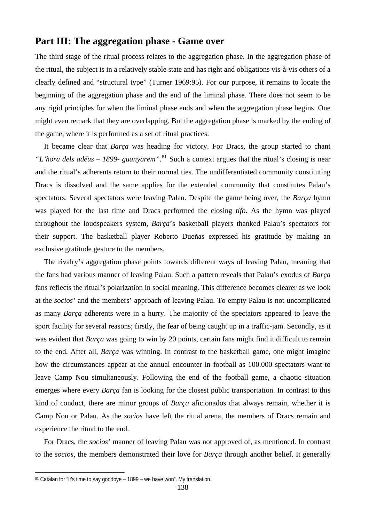# **Part III: The aggregation phase - Game over**

The third stage of the ritual process relates to the aggregation phase. In the aggregation phase of the ritual, the subject is in a relatively stable state and has right and obligations vis-à-vis others of a clearly defined and "structural type" (Turner 1969:95). For our purpose, it remains to locate the beginning of the aggregation phase and the end of the liminal phase. There does not seem to be any rigid principles for when the liminal phase ends and when the aggregation phase begins. One might even remark that they are overlapping. But the aggregation phase is marked by the ending of the game, where it is performed as a set of ritual practices.

It became clear that *Barça* was heading for victory. For Dracs, the group started to chant *"L'hora dels adéus – 1899- guanyarem"*. [81](#page-137-0) Such a context argues that the ritual's closing is near and the ritual's adherents return to their normal ties. The undifferentiated community constituting Dracs is dissolved and the same applies for the extended community that constitutes Palau's spectators. Several spectators were leaving Palau. Despite the game being over, the *Barça* hymn was played for the last time and Dracs performed the closing *tifo*. As the hymn was played throughout the loudspeakers system, *Barça*'s basketball players thanked Palau's spectators for their support. The basketball player Roberto Dueñas expressed his gratitude by making an exclusive gratitude gesture to the members.

The rivalry's aggregation phase points towards different ways of leaving Palau, meaning that the fans had various manner of leaving Palau. Such a pattern reveals that Palau's exodus of *Barça* fans reflects the ritual's polarization in social meaning. This difference becomes clearer as we look at the *socios'* and the members' approach of leaving Palau. To empty Palau is not uncomplicated as many *Barça* adherents were in a hurry. The majority of the spectators appeared to leave the sport facility for several reasons; firstly, the fear of being caught up in a traffic-jam. Secondly, as it was evident that *Barça* was going to win by 20 points, certain fans might find it difficult to remain to the end. After all, *Barça* was winning. In contrast to the basketball game, one might imagine how the circumstances appear at the annual encounter in football as 100.000 spectators want to leave Camp Nou simultaneously. Following the end of the football game, a chaotic situation emerges where every *Barça* fan is looking for the closest public transportation. In contrast to this kind of conduct, there are minor groups of *Barça* aficionados that always remain, whether it is Camp Nou or Palau. As the *socios* have left the ritual arena, the members of Dracs remain and experience the ritual to the end.

For Dracs, the *socios*' manner of leaving Palau was not approved of, as mentioned. In contrast to the *socios*, the members demonstrated their love for *Barça* through another belief. It generally

 $\overline{a}$ 

<span id="page-137-0"></span><sup>81</sup> Catalan for "It's time to say goodbye – 1899 – we have won". My translation.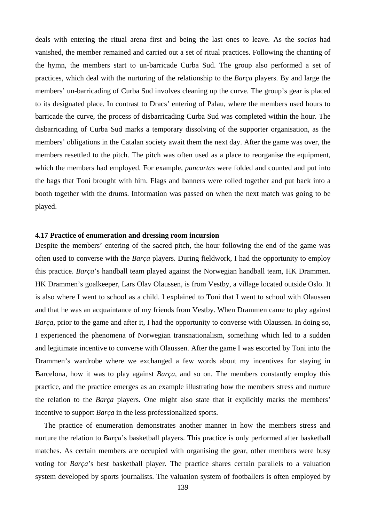deals with entering the ritual arena first and being the last ones to leave. As the *socios* had vanished, the member remained and carried out a set of ritual practices. Following the chanting of the hymn, the members start to un-barricade Curba Sud. The group also performed a set of practices, which deal with the nurturing of the relationship to the *Barça* players. By and large the members' un-barricading of Curba Sud involves cleaning up the curve. The group's gear is placed to its designated place. In contrast to Dracs' entering of Palau, where the members used hours to barricade the curve, the process of disbarricading Curba Sud was completed within the hour. The disbarricading of Curba Sud marks a temporary dissolving of the supporter organisation, as the members' obligations in the Catalan society await them the next day. After the game was over, the members resettled to the pitch. The pitch was often used as a place to reorganise the equipment, which the members had employed. For example, *pancartas* were folded and counted and put into the bags that Toni brought with him. Flags and banners were rolled together and put back into a booth together with the drums. Information was passed on when the next match was going to be played.

### **4.17 Practice of enumeration and dressing room incursion**

Despite the members' entering of the sacred pitch, the hour following the end of the game was often used to converse with the *Barça* players. During fieldwork, I had the opportunity to employ this practice. *Barça*'s handball team played against the Norwegian handball team, HK Drammen. HK Drammen's goalkeeper, Lars Olav Olaussen, is from Vestby, a village located outside Oslo. It is also where I went to school as a child. I explained to Toni that I went to school with Olaussen and that he was an acquaintance of my friends from Vestby. When Drammen came to play against *Barça*, prior to the game and after it, I had the opportunity to converse with Olaussen. In doing so, I experienced the phenomena of Norwegian transnationalism, something which led to a sudden and legitimate incentive to converse with Olaussen. After the game I was escorted by Toni into the Drammen's wardrobe where we exchanged a few words about my incentives for staying in Barcelona, how it was to play against *Barça*, and so on. The members constantly employ this practice, and the practice emerges as an example illustrating how the members stress and nurture the relation to the *Barça* players. One might also state that it explicitly marks the members' incentive to support *Barça* in the less professionalized sports.

The practice of enumeration demonstrates another manner in how the members stress and nurture the relation to *Barça*'s basketball players. This practice is only performed after basketball matches. As certain members are occupied with organising the gear, other members were busy voting for *Barça*'s best basketball player. The practice shares certain parallels to a valuation system developed by sports journalists. The valuation system of footballers is often employed by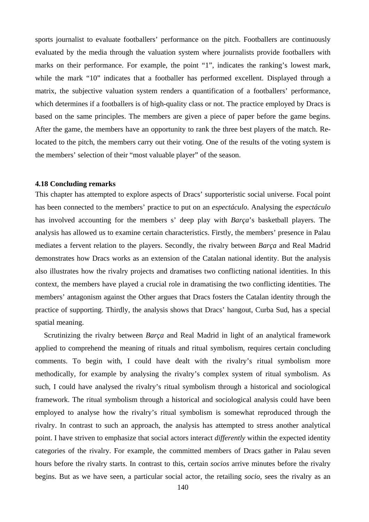sports journalist to evaluate footballers' performance on the pitch. Footballers are continuously evaluated by the media through the valuation system where journalists provide footballers with marks on their performance. For example, the point "1", indicates the ranking's lowest mark, while the mark "10" indicates that a footballer has performed excellent. Displayed through a matrix, the subjective valuation system renders a quantification of a footballers' performance, which determines if a footballers is of high-quality class or not. The practice employed by Dracs is based on the same principles. The members are given a piece of paper before the game begins. After the game, the members have an opportunity to rank the three best players of the match. Relocated to the pitch, the members carry out their voting. One of the results of the voting system is the members' selection of their "most valuable player" of the season.

## **4.18 Concluding remarks**

This chapter has attempted to explore aspects of Dracs' supporteristic social universe. Focal point has been connected to the members' practice to put on an *espectáculo*. Analysing the *espectáculo* has involved accounting for the members s' deep play with *Barça*'s basketball players. The analysis has allowed us to examine certain characteristics. Firstly, the members' presence in Palau mediates a fervent relation to the players. Secondly, the rivalry between *Barça* and Real Madrid demonstrates how Dracs works as an extension of the Catalan national identity. But the analysis also illustrates how the rivalry projects and dramatises two conflicting national identities. In this context, the members have played a crucial role in dramatising the two conflicting identities. The members' antagonism against the Other argues that Dracs fosters the Catalan identity through the practice of supporting. Thirdly, the analysis shows that Dracs' hangout, Curba Sud, has a special spatial meaning.

Scrutinizing the rivalry between *Barça* and Real Madrid in light of an analytical framework applied to comprehend the meaning of rituals and ritual symbolism, requires certain concluding comments. To begin with, I could have dealt with the rivalry's ritual symbolism more methodically, for example by analysing the rivalry's complex system of ritual symbolism. As such, I could have analysed the rivalry's ritual symbolism through a historical and sociological framework. The ritual symbolism through a historical and sociological analysis could have been employed to analyse how the rivalry's ritual symbolism is somewhat reproduced through the rivalry. In contrast to such an approach, the analysis has attempted to stress another analytical point. I have striven to emphasize that social actors interact *differently* within the expected identity categories of the rivalry. For example, the committed members of Dracs gather in Palau seven hours before the rivalry starts. In contrast to this, certain *socios* arrive minutes before the rivalry begins. But as we have seen, a particular social actor, the retailing *socio*, sees the rivalry as an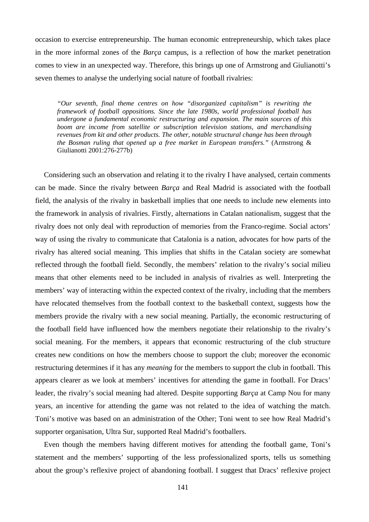occasion to exercise entrepreneurship. The human economic entrepreneurship, which takes place in the more informal zones of the *Barça* campus, is a reflection of how the market penetration comes to view in an unexpected way. Therefore, this brings up one of Armstrong and Giulianotti's seven themes to analyse the underlying social nature of football rivalries:

*"Our seventh, final theme centres on how "disorganized capitalism" is rewriting the framework of football oppositions. Since the late 1980s, world professional football has undergone a fundamental economic restructuring and expansion. The main sources of this boom are income from satellite or subscription television stations, and merchandising revenues from kit and other products. The other, notable structural change has been through the Bosman ruling that opened up a free market in European transfers."* (Armstrong & Giulianotti 2001:276-277b)

Considering such an observation and relating it to the rivalry I have analysed, certain comments can be made. Since the rivalry between *Barça* and Real Madrid is associated with the football field, the analysis of the rivalry in basketball implies that one needs to include new elements into the framework in analysis of rivalries. Firstly, alternations in Catalan nationalism, suggest that the rivalry does not only deal with reproduction of memories from the Franco-regime. Social actors' way of using the rivalry to communicate that Catalonia is a nation, advocates for how parts of the rivalry has altered social meaning. This implies that shifts in the Catalan society are somewhat reflected through the football field. Secondly, the members' relation to the rivalry's social milieu means that other elements need to be included in analysis of rivalries as well. Interpreting the members' way of interacting within the expected context of the rivalry, including that the members have relocated themselves from the football context to the basketball context, suggests how the members provide the rivalry with a new social meaning. Partially, the economic restructuring of the football field have influenced how the members negotiate their relationship to the rivalry's social meaning. For the members, it appears that economic restructuring of the club structure creates new conditions on how the members choose to support the club; moreover the economic restructuring determines if it has any *meaning* for the members to support the club in football. This appears clearer as we look at members' incentives for attending the game in football. For Dracs' leader, the rivalry's social meaning had altered. Despite supporting *Barça* at Camp Nou for many years, an incentive for attending the game was not related to the idea of watching the match. Toni's motive was based on an administration of the Other; Toni went to see how Real Madrid's supporter organisation, Ultra Sur, supported Real Madrid's footballers.

Even though the members having different motives for attending the football game, Toni's statement and the members' supporting of the less professionalized sports, tells us something about the group's reflexive project of abandoning football. I suggest that Dracs' reflexive project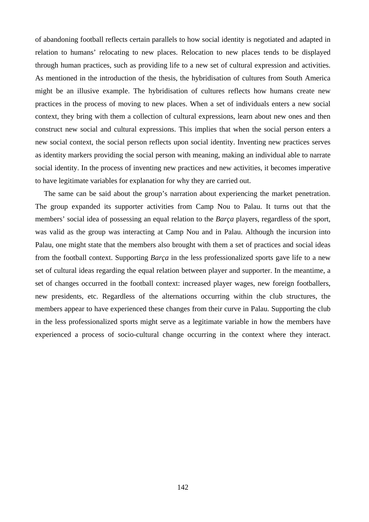of abandoning football reflects certain parallels to how social identity is negotiated and adapted in relation to humans' relocating to new places. Relocation to new places tends to be displayed through human practices, such as providing life to a new set of cultural expression and activities. As mentioned in the introduction of the thesis, the hybridisation of cultures from South America might be an illusive example. The hybridisation of cultures reflects how humans create new practices in the process of moving to new places. When a set of individuals enters a new social context, they bring with them a collection of cultural expressions, learn about new ones and then construct new social and cultural expressions. This implies that when the social person enters a new social context, the social person reflects upon social identity. Inventing new practices serves as identity markers providing the social person with meaning, making an individual able to narrate social identity. In the process of inventing new practices and new activities, it becomes imperative to have legitimate variables for explanation for why they are carried out.

The same can be said about the group's narration about experiencing the market penetration. The group expanded its supporter activities from Camp Nou to Palau. It turns out that the members' social idea of possessing an equal relation to the *Barça* players, regardless of the sport, was valid as the group was interacting at Camp Nou and in Palau. Although the incursion into Palau, one might state that the members also brought with them a set of practices and social ideas from the football context. Supporting *Barça* in the less professionalized sports gave life to a new set of cultural ideas regarding the equal relation between player and supporter. In the meantime, a set of changes occurred in the football context: increased player wages, new foreign footballers, new presidents, etc. Regardless of the alternations occurring within the club structures, the members appear to have experienced these changes from their curve in Palau. Supporting the club in the less professionalized sports might serve as a legitimate variable in how the members have experienced a process of socio-cultural change occurring in the context where they interact.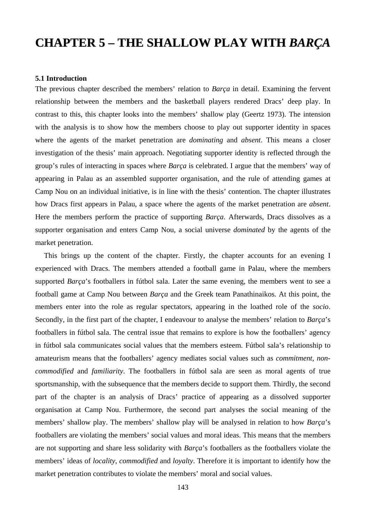# **CHAPTER 5 – THE SHALLOW PLAY WITH** *BARÇA*

#### **5.1 Introduction**

The previous chapter described the members' relation to *Barça* in detail. Examining the fervent relationship between the members and the basketball players rendered Dracs' deep play. In contrast to this, this chapter looks into the members' shallow play (Geertz 1973). The intension with the analysis is to show how the members choose to play out supporter identity in spaces where the agents of the market penetration are *dominating* and *absent*. This means a closer investigation of the thesis' main approach. Negotiating supporter identity is reflected through the group's rules of interacting in spaces where *Barça* is celebrated. I argue that the members' way of appearing in Palau as an assembled supporter organisation, and the rule of attending games at Camp Nou on an individual initiative, is in line with the thesis' contention. The chapter illustrates how Dracs first appears in Palau, a space where the agents of the market penetration are *absent*. Here the members perform the practice of supporting *Barça*. Afterwards, Dracs dissolves as a supporter organisation and enters Camp Nou, a social universe *dominated* by the agents of the market penetration.

This brings up the content of the chapter. Firstly, the chapter accounts for an evening I experienced with Dracs. The members attended a football game in Palau, where the members supported *Barça*'s footballers in fútbol sala. Later the same evening, the members went to see a football game at Camp Nou between *Barça* and the Greek team Panathinaikos. At this point, the members enter into the role as regular spectators, appearing in the loathed role of the *socio*. Secondly, in the first part of the chapter, I endeavour to analyse the members' relation to *Barça*'s footballers in fútbol sala. The central issue that remains to explore is how the footballers' agency in fútbol sala communicates social values that the members esteem. Fútbol sala's relationship to amateurism means that the footballers' agency mediates social values such as *commitment*, *noncommodified* and *familiarity*. The footballers in fútbol sala are seen as moral agents of true sportsmanship, with the subsequence that the members decide to support them. Thirdly, the second part of the chapter is an analysis of Dracs' practice of appearing as a dissolved supporter organisation at Camp Nou. Furthermore, the second part analyses the social meaning of the members' shallow play. The members' shallow play will be analysed in relation to how *Barça*'s footballers are violating the members' social values and moral ideas. This means that the members are not supporting and share less solidarity with *Barça*'s footballers as the footballers violate the members' ideas of *locality*, *commodified* and *loyalty*. Therefore it is important to identify how the market penetration contributes to violate the members' moral and social values.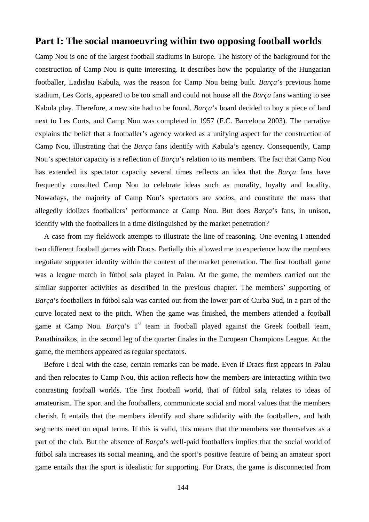# **Part I: The social manoeuvring within two opposing football worlds**

Camp Nou is one of the largest football stadiums in Europe. The history of the background for the construction of Camp Nou is quite interesting. It describes how the popularity of the Hungarian footballer, Ladislau Kabula, was the reason for Camp Nou being built. *Barça*'s previous home stadium, Les Corts, appeared to be too small and could not house all the *Barça* fans wanting to see Kabula play. Therefore, a new site had to be found. *Barça*'s board decided to buy a piece of land next to Les Corts, and Camp Nou was completed in 1957 (F.C. Barcelona 2003). The narrative explains the belief that a footballer's agency worked as a unifying aspect for the construction of Camp Nou, illustrating that the *Barça* fans identify with Kabula's agency. Consequently, Camp Nou's spectator capacity is a reflection of *Barça*'s relation to its members. The fact that Camp Nou has extended its spectator capacity several times reflects an idea that the *Barça* fans have frequently consulted Camp Nou to celebrate ideas such as morality, loyalty and locality. Nowadays, the majority of Camp Nou's spectators are *socios*, and constitute the mass that allegedly idolizes footballers' performance at Camp Nou. But does *Barça*'s fans, in unison, identify with the footballers in a time distinguished by the market penetration?

A case from my fieldwork attempts to illustrate the line of reasoning. One evening I attended two different football games with Dracs. Partially this allowed me to experience how the members negotiate supporter identity within the context of the market penetration. The first football game was a league match in fútbol sala played in Palau. At the game, the members carried out the similar supporter activities as described in the previous chapter. The members' supporting of *Barça*'s footballers in fútbol sala was carried out from the lower part of Curba Sud, in a part of the curve located next to the pitch. When the game was finished, the members attended a football game at Camp Nou. *Barca*'s 1<sup>st</sup> team in football played against the Greek football team, Panathinaikos, in the second leg of the quarter finales in the European Champions League. At the game, the members appeared as regular spectators.

Before I deal with the case, certain remarks can be made. Even if Dracs first appears in Palau and then relocates to Camp Nou, this action reflects how the members are interacting within two contrasting football worlds. The first football world, that of fútbol sala, relates to ideas of amateurism. The sport and the footballers, communicate social and moral values that the members cherish. It entails that the members identify and share solidarity with the footballers, and both segments meet on equal terms. If this is valid, this means that the members see themselves as a part of the club. But the absence of *Barça*'s well-paid footballers implies that the social world of fútbol sala increases its social meaning, and the sport's positive feature of being an amateur sport game entails that the sport is idealistic for supporting. For Dracs, the game is disconnected from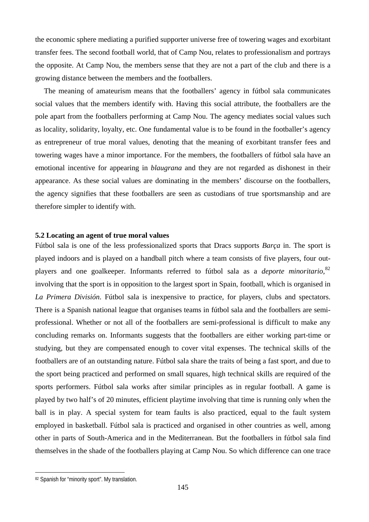the economic sphere mediating a purified supporter universe free of towering wages and exorbitant transfer fees. The second football world, that of Camp Nou, relates to professionalism and portrays the opposite. At Camp Nou, the members sense that they are not a part of the club and there is a growing distance between the members and the footballers.

The meaning of amateurism means that the footballers' agency in fútbol sala communicates social values that the members identify with. Having this social attribute, the footballers are the pole apart from the footballers performing at Camp Nou. The agency mediates social values such as locality, solidarity, loyalty, etc. One fundamental value is to be found in the footballer's agency as entrepreneur of true moral values, denoting that the meaning of exorbitant transfer fees and towering wages have a minor importance. For the members, the footballers of fútbol sala have an emotional incentive for appearing in *blaugrana* and they are not regarded as dishonest in their appearance. As these social values are dominating in the members' discourse on the footballers, the agency signifies that these footballers are seen as custodians of true sportsmanship and are therefore simpler to identify with.

### **5.2 Locating an agent of true moral values**

Fútbol sala is one of the less professionalized sports that Dracs supports *Barça* in. The sport is played indoors and is played on a handball pitch where a team consists of five players, four outplayers and one goalkeeper. Informants referred to fútbol sala as a *deporte minoritario,*[82](#page-144-0) involving that the sport is in opposition to the largest sport in Spain, football, which is organised in *La Primera División*. Fútbol sala is inexpensive to practice, for players, clubs and spectators. There is a Spanish national league that organises teams in fútbol sala and the footballers are semiprofessional. Whether or not all of the footballers are semi-professional is difficult to make any concluding remarks on. Informants suggests that the footballers are either working part-time or studying, but they are compensated enough to cover vital expenses. The technical skills of the footballers are of an outstanding nature. Fútbol sala share the traits of being a fast sport, and due to the sport being practiced and performed on small squares, high technical skills are required of the sports performers. Fútbol sala works after similar principles as in regular football. A game is played by two half's of 20 minutes, efficient playtime involving that time is running only when the ball is in play. A special system for team faults is also practiced, equal to the fault system employed in basketball. Fútbol sala is practiced and organised in other countries as well, among other in parts of South-America and in the Mediterranean. But the footballers in fútbol sala find themselves in the shade of the footballers playing at Camp Nou. So which difference can one trace

 $\overline{a}$ 

<span id="page-144-0"></span><sup>82</sup> Spanish for "minority sport". My translation.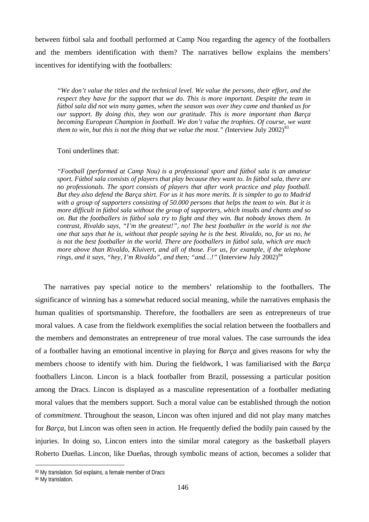between fútbol sala and football performed at Camp Nou regarding the agency of the footballers and the members identification with them? The narratives bellow explains the members' incentives for identifying with the footballers:

*"We don't value the titles and the technical level. We value the persons, their effort, and the respect they have for the support that we do. This is more important. Despite the team in fútbol sala did not win many games, when the season was over they came and thanked us for our support. By doing this, they won our gratitude. This is more important than Barça becoming European Champion in football. We don't value the trophies. Of course, we want them to win, but this is not the thing that we value the most.*" (Interview July 2002)<sup>[83](#page-145-0)</sup>

### Toni underlines that:

*"Football (performed at Camp Nou) is a professional sport and fútbol sala is an amateur sport. Fútbol sala consists of players that play because they want to. In fútbol sala, there are no professionals. The sport consists of players that after work practice and play football. But they also defend the Barça shirt. For us it has more merits. It is simpler to go to Madrid with a group of supporters consisting of 50.000 persons that helps the team to win. But it is more difficult in fútbol sala without the group of supporters, which insults and chants and so on. But the footballers in fútbol sala try to fight and they win. But nobody knows them. In contrast, Rivaldo says, "I'm the greatest!", no! The best footballer in the world is not the one that says that he is, without that people saying he is the best. Rivaldo, no, for us no, he is not the best footballer in the world. There are footballers in fútbol sala, which are much more above than Rivaldo, Kluivert, and all of those. For us, for example, if the telephone rings, and it says, "hey, I'm Rivaldo", and then; "and...!"* (Interview July  $2002$ )<sup>[84](#page-145-1)</sup>

The narratives pay special notice to the members' relationship to the footballers. The significance of winning has a somewhat reduced social meaning, while the narratives emphasis the human qualities of sportsmanship. Therefore, the footballers are seen as entrepreneurs of true moral values. A case from the fieldwork exemplifies the social relation between the footballers and the members and demonstrates an entrepreneur of true moral values. The case surrounds the idea of a footballer having an emotional incentive in playing for *Barça* and gives reasons for why the members choose to identify with him. During the fieldwork, I was familiarised with the *Barça* footballers Lincon. Lincon is a black footballer from Brazil, possessing a particular position among the Dracs. Lincon is displayed as a masculine representation of a footballer mediating moral values that the members support. Such a moral value can be established through the notion of *commitment*. Throughout the season, Lincon was often injured and did not play many matches for *Barça*, but Lincon was often seen in action. He frequently defied the bodily pain caused by the injuries. In doing so, Lincon enters into the similar moral category as the basketball players Roberto Dueñas. Lincon, like Dueñas, through symbolic means of action, becomes a solider that

 $\overline{a}$ 

<span id="page-145-0"></span><sup>83</sup> My translation. Sol explains, a female member of Dracs

<span id="page-145-1"></span><sup>84</sup> My translation.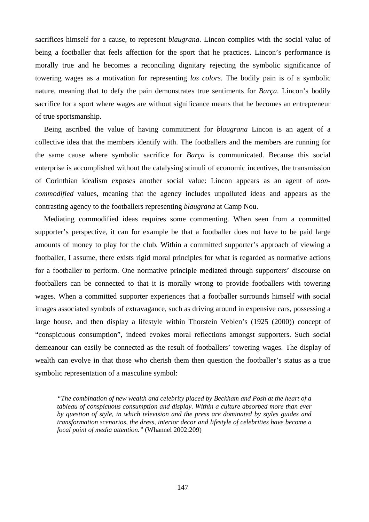sacrifices himself for a cause, to represent *blaugrana*. Lincon complies with the social value of being a footballer that feels affection for the sport that he practices. Lincon's performance is morally true and he becomes a reconciling dignitary rejecting the symbolic significance of towering wages as a motivation for representing *los colors*. The bodily pain is of a symbolic nature, meaning that to defy the pain demonstrates true sentiments for *Barça*. Lincon's bodily sacrifice for a sport where wages are without significance means that he becomes an entrepreneur of true sportsmanship.

Being ascribed the value of having commitment for *blaugrana* Lincon is an agent of a collective idea that the members identify with. The footballers and the members are running for the same cause where symbolic sacrifice for *Barça* is communicated. Because this social enterprise is accomplished without the catalysing stimuli of economic incentives, the transmission of Corinthian idealism exposes another social value: Lincon appears as an agent of *noncommodified* values, meaning that the agency includes unpolluted ideas and appears as the contrasting agency to the footballers representing *blaugrana* at Camp Nou.

Mediating commodified ideas requires some commenting. When seen from a committed supporter's perspective, it can for example be that a footballer does not have to be paid large amounts of money to play for the club. Within a committed supporter's approach of viewing a footballer, I assume, there exists rigid moral principles for what is regarded as normative actions for a footballer to perform. One normative principle mediated through supporters' discourse on footballers can be connected to that it is morally wrong to provide footballers with towering wages. When a committed supporter experiences that a footballer surrounds himself with social images associated symbols of extravagance, such as driving around in expensive cars, possessing a large house, and then display a lifestyle within Thorstein Veblen's (1925 (2000)) concept of "conspicuous consumption", indeed evokes moral reflections amongst supporters. Such social demeanour can easily be connected as the result of footballers' towering wages. The display of wealth can evolve in that those who cherish them then question the footballer's status as a true symbolic representation of a masculine symbol:

*"The combination of new wealth and celebrity placed by Beckham and Posh at the heart of a tableau of conspicuous consumption and display. Within a culture absorbed more than ever by question of style, in which television and the press are dominated by styles guides and transformation scenarios, the dress, interior decor and lifestyle of celebrities have become a focal point of media attention."* (Whannel 2002:209)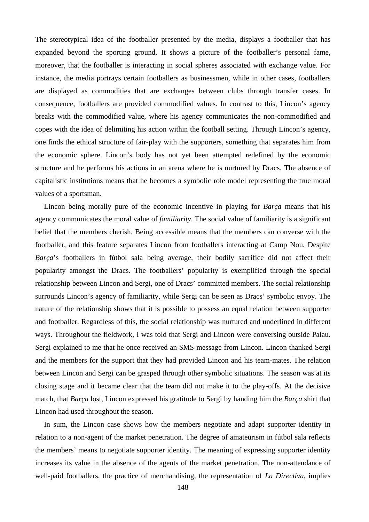The stereotypical idea of the footballer presented by the media, displays a footballer that has expanded beyond the sporting ground. It shows a picture of the footballer's personal fame, moreover, that the footballer is interacting in social spheres associated with exchange value. For instance, the media portrays certain footballers as businessmen, while in other cases, footballers are displayed as commodities that are exchanges between clubs through transfer cases. In consequence, footballers are provided commodified values. In contrast to this, Lincon's agency breaks with the commodified value, where his agency communicates the non-commodified and copes with the idea of delimiting his action within the football setting. Through Lincon's agency, one finds the ethical structure of fair-play with the supporters, something that separates him from the economic sphere. Lincon's body has not yet been attempted redefined by the economic structure and he performs his actions in an arena where he is nurtured by Dracs. The absence of capitalistic institutions means that he becomes a symbolic role model representing the true moral values of a sportsman.

Lincon being morally pure of the economic incentive in playing for *Barça* means that his agency communicates the moral value of *familiarity*. The social value of familiarity is a significant belief that the members cherish. Being accessible means that the members can converse with the footballer, and this feature separates Lincon from footballers interacting at Camp Nou. Despite *Barça*'s footballers in fútbol sala being average, their bodily sacrifice did not affect their popularity amongst the Dracs. The footballers' popularity is exemplified through the special relationship between Lincon and Sergi, one of Dracs' committed members. The social relationship surrounds Lincon's agency of familiarity, while Sergi can be seen as Dracs' symbolic envoy. The nature of the relationship shows that it is possible to possess an equal relation between supporter and footballer. Regardless of this, the social relationship was nurtured and underlined in different ways. Throughout the fieldwork, I was told that Sergi and Lincon were conversing outside Palau. Sergi explained to me that he once received an SMS-message from Lincon. Lincon thanked Sergi and the members for the support that they had provided Lincon and his team-mates. The relation between Lincon and Sergi can be grasped through other symbolic situations. The season was at its closing stage and it became clear that the team did not make it to the play-offs. At the decisive match, that *Barça* lost, Lincon expressed his gratitude to Sergi by handing him the *Barça* shirt that Lincon had used throughout the season.

In sum, the Lincon case shows how the members negotiate and adapt supporter identity in relation to a non-agent of the market penetration. The degree of amateurism in fútbol sala reflects the members' means to negotiate supporter identity. The meaning of expressing supporter identity increases its value in the absence of the agents of the market penetration. The non-attendance of well-paid footballers, the practice of merchandising, the representation of *La Directiva*, implies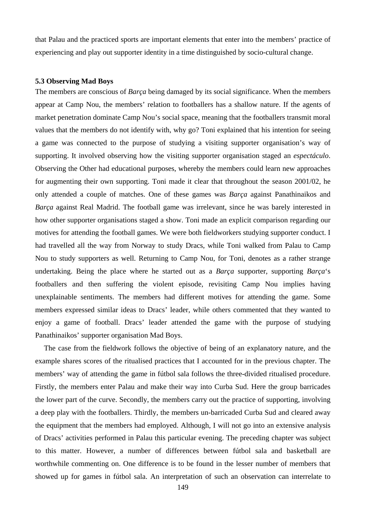that Palau and the practiced sports are important elements that enter into the members' practice of experiencing and play out supporter identity in a time distinguished by socio-cultural change.

#### **5.3 Observing Mad Boys**

The members are conscious of *Barça* being damaged by its social significance. When the members appear at Camp Nou, the members' relation to footballers has a shallow nature. If the agents of market penetration dominate Camp Nou's social space, meaning that the footballers transmit moral values that the members do not identify with, why go? Toni explained that his intention for seeing a game was connected to the purpose of studying a visiting supporter organisation's way of supporting. It involved observing how the visiting supporter organisation staged an *espectáculo*. Observing the Other had educational purposes, whereby the members could learn new approaches for augmenting their own supporting. Toni made it clear that throughout the season 2001/02, he only attended a couple of matches. One of these games was *Barça* against Panathinaikos and *Barça* against Real Madrid. The football game was irrelevant, since he was barely interested in how other supporter organisations staged a show. Toni made an explicit comparison regarding our motives for attending the football games. We were both fieldworkers studying supporter conduct. I had travelled all the way from Norway to study Dracs, while Toni walked from Palau to Camp Nou to study supporters as well. Returning to Camp Nou, for Toni, denotes as a rather strange undertaking. Being the place where he started out as a *Barça* supporter, supporting *Barça*'s footballers and then suffering the violent episode, revisiting Camp Nou implies having unexplainable sentiments. The members had different motives for attending the game. Some members expressed similar ideas to Dracs' leader, while others commented that they wanted to enjoy a game of football. Dracs' leader attended the game with the purpose of studying Panathinaikos' supporter organisation Mad Boys.

The case from the fieldwork follows the objective of being of an explanatory nature, and the example shares scores of the ritualised practices that I accounted for in the previous chapter. The members' way of attending the game in fútbol sala follows the three-divided ritualised procedure. Firstly, the members enter Palau and make their way into Curba Sud. Here the group barricades the lower part of the curve. Secondly, the members carry out the practice of supporting, involving a deep play with the footballers. Thirdly, the members un-barricaded Curba Sud and cleared away the equipment that the members had employed. Although, I will not go into an extensive analysis of Dracs' activities performed in Palau this particular evening. The preceding chapter was subject to this matter. However, a number of differences between fútbol sala and basketball are worthwhile commenting on. One difference is to be found in the lesser number of members that showed up for games in fútbol sala. An interpretation of such an observation can interrelate to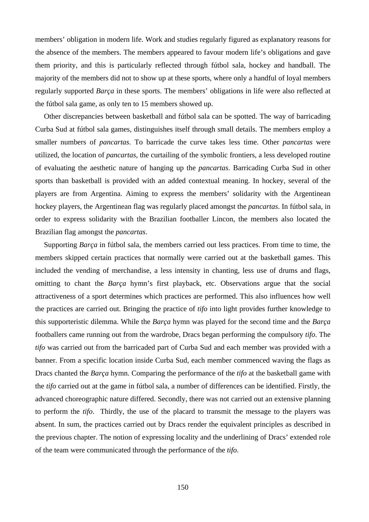members' obligation in modern life. Work and studies regularly figured as explanatory reasons for the absence of the members. The members appeared to favour modern life's obligations and gave them priority, and this is particularly reflected through fútbol sala, hockey and handball. The majority of the members did not to show up at these sports, where only a handful of loyal members regularly supported *Barça* in these sports. The members' obligations in life were also reflected at the fútbol sala game, as only ten to 15 members showed up.

Other discrepancies between basketball and fútbol sala can be spotted. The way of barricading Curba Sud at fútbol sala games, distinguishes itself through small details. The members employ a smaller numbers of *pancartas*. To barricade the curve takes less time. Other *pancartas* were utilized, the location of *pancartas*, the curtailing of the symbolic frontiers, a less developed routine of evaluating the aesthetic nature of hanging up the *pancartas*. Barricading Curba Sud in other sports than basketball is provided with an added contextual meaning. In hockey, several of the players are from Argentina. Aiming to express the members' solidarity with the Argentinean hockey players, the Argentinean flag was regularly placed amongst the *pancartas*. In fútbol sala, in order to express solidarity with the Brazilian footballer Lincon, the members also located the Brazilian flag amongst the *pancartas*.

Supporting *Barça* in fútbol sala, the members carried out less practices. From time to time, the members skipped certain practices that normally were carried out at the basketball games. This included the vending of merchandise, a less intensity in chanting, less use of drums and flags, omitting to chant the *Barça* hymn's first playback, etc. Observations argue that the social attractiveness of a sport determines which practices are performed. This also influences how well the practices are carried out. Bringing the practice of *tifo* into light provides further knowledge to this supporteristic dilemma. While the *Barça* hymn was played for the second time and the *Barça* footballers came running out from the wardrobe, Dracs began performing the compulsory *tifo*. The *tifo* was carried out from the barricaded part of Curba Sud and each member was provided with a banner. From a specific location inside Curba Sud, each member commenced waving the flags as Dracs chanted the *Barça* hymn. Comparing the performance of the *tifo* at the basketball game with the *tifo* carried out at the game in fútbol sala, a number of differences can be identified. Firstly, the advanced choreographic nature differed. Secondly, there was not carried out an extensive planning to perform the *tifo*. Thirdly, the use of the placard to transmit the message to the players was absent. In sum, the practices carried out by Dracs render the equivalent principles as described in the previous chapter. The notion of expressing locality and the underlining of Dracs' extended role of the team were communicated through the performance of the *tifo*.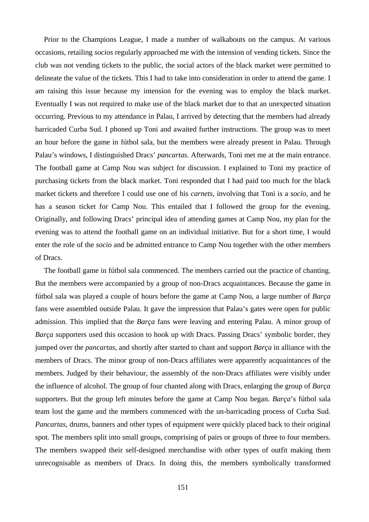Prior to the Champions League, I made a number of walkabouts on the campus. At various occasions, retailing *socios* regularly approached me with the intension of vending tickets. Since the club was not vending tickets to the public, the social actors of the black market were permitted to delineate the value of the tickets. This I had to take into consideration in order to attend the game. I am raising this issue because my intension for the evening was to employ the black market. Eventually I was not required to make use of the black market due to that an unexpected situation occurring. Previous to my attendance in Palau, I arrived by detecting that the members had already barricaded Curba Sud. I phoned up Toni and awaited further instructions. The group was to meet an hour before the game in fútbol sala, but the members were already present in Palau. Through Palau's windows, I distinguished Dracs' *pancartas*. Afterwards, Toni met me at the main entrance. The football game at Camp Nou was subject for discussion. I explained to Toni my practice of purchasing tickets from the black market. Toni responded that I had paid too much for the black market tickets and therefore I could use one of his *carnets*, involving that Toni is a *socio*, and he has a season ticket for Camp Nou. This entailed that I followed the group for the evening. Originally, and following Dracs' principal idea of attending games at Camp Nou, my plan for the evening was to attend the football game on an individual initiative. But for a short time, I would enter the role of the *socio* and be admitted entrance to Camp Nou together with the other members of Dracs.

The football game in fútbol sala commenced. The members carried out the practice of chanting. But the members were accompanied by a group of non-Dracs acquaintances. Because the game in fútbol sala was played a couple of hours before the game at Camp Nou, a large number of *Barça* fans were assembled outside Palau. It gave the impression that Palau's gates were open for public admission. This implied that the *Barça* fans were leaving and entering Palau. A minor group of *Barça* supporters used this occasion to hook up with Dracs. Passing Dracs' symbolic border, they jumped over the *pancartas*, and shortly after started to chant and support *Barça* in alliance with the members of Dracs. The minor group of non-Dracs affiliates were apparently acquaintances of the members. Judged by their behaviour, the assembly of the non-Dracs affiliates were visibly under the influence of alcohol. The group of four chanted along with Dracs, enlarging the group of *Barça* supporters. But the group left minutes before the game at Camp Nou began. *Barça*'s fútbol sala team lost the game and the members commenced with the un-barricading process of Curba Sud. *Pancartas*, drums, banners and other types of equipment were quickly placed back to their original spot. The members split into small groups, comprising of pairs or groups of three to four members. The members swapped their self-designed merchandise with other types of outfit making them unrecognisable as members of Dracs. In doing this, the members symbolically transformed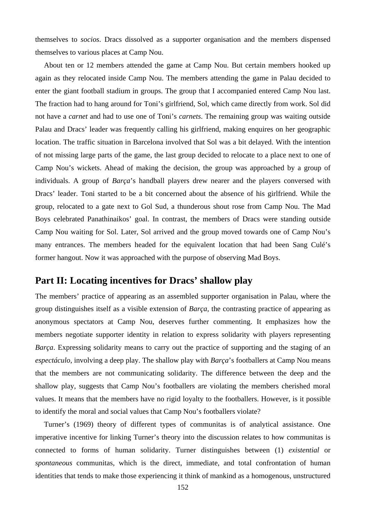themselves to *socios*. Dracs dissolved as a supporter organisation and the members dispensed themselves to various places at Camp Nou.

About ten or 12 members attended the game at Camp Nou. But certain members hooked up again as they relocated inside Camp Nou. The members attending the game in Palau decided to enter the giant football stadium in groups. The group that I accompanied entered Camp Nou last. The fraction had to hang around for Toni's girlfriend, Sol, which came directly from work. Sol did not have a *carnet* and had to use one of Toni's *carnets*. The remaining group was waiting outside Palau and Dracs' leader was frequently calling his girlfriend, making enquires on her geographic location. The traffic situation in Barcelona involved that Sol was a bit delayed. With the intention of not missing large parts of the game, the last group decided to relocate to a place next to one of Camp Nou's wickets. Ahead of making the decision, the group was approached by a group of individuals. A group of *Barça*'s handball players drew nearer and the players conversed with Dracs' leader. Toni started to be a bit concerned about the absence of his girlfriend. While the group, relocated to a gate next to Gol Sud, a thunderous shout rose from Camp Nou. The Mad Boys celebrated Panathinaikos' goal. In contrast, the members of Dracs were standing outside Camp Nou waiting for Sol. Later, Sol arrived and the group moved towards one of Camp Nou's many entrances. The members headed for the equivalent location that had been Sang Culé's former hangout. Now it was approached with the purpose of observing Mad Boys.

### **Part II: Locating incentives for Dracs' shallow play**

The members' practice of appearing as an assembled supporter organisation in Palau, where the group distinguishes itself as a visible extension of *Barça*, the contrasting practice of appearing as anonymous spectators at Camp Nou, deserves further commenting. It emphasizes how the members negotiate supporter identity in relation to express solidarity with players representing *Barça*. Expressing solidarity means to carry out the practice of supporting and the staging of an *espectáculo*, involving a deep play. The shallow play with *Barça*'s footballers at Camp Nou means that the members are not communicating solidarity. The difference between the deep and the shallow play, suggests that Camp Nou's footballers are violating the members cherished moral values. It means that the members have no rigid loyalty to the footballers. However, is it possible to identify the moral and social values that Camp Nou's footballers violate?

Turner's (1969) theory of different types of communitas is of analytical assistance. One imperative incentive for linking Turner's theory into the discussion relates to how communitas is connected to forms of human solidarity. Turner distinguishes between (1) *existential* or *spontaneous* communitas, which is the direct, immediate, and total confrontation of human identities that tends to make those experiencing it think of mankind as a homogenous, unstructured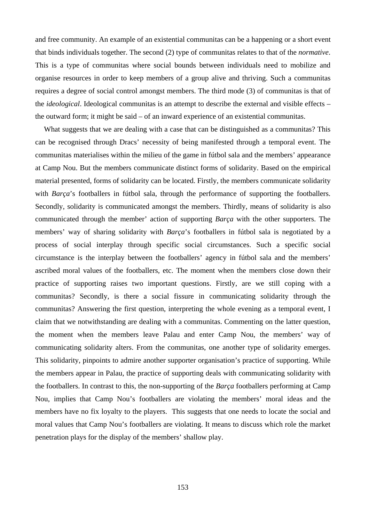and free community. An example of an existential communitas can be a happening or a short event that binds individuals together. The second (2) type of communitas relates to that of the *normative*. This is a type of communitas where social bounds between individuals need to mobilize and organise resources in order to keep members of a group alive and thriving. Such a communitas requires a degree of social control amongst members. The third mode (3) of communitas is that of the *ideological*. Ideological communitas is an attempt to describe the external and visible effects – the outward form; it might be said – of an inward experience of an existential communitas.

What suggests that we are dealing with a case that can be distinguished as a communitas? This can be recognised through Dracs' necessity of being manifested through a temporal event. The communitas materialises within the milieu of the game in fútbol sala and the members' appearance at Camp Nou. But the members communicate distinct forms of solidarity. Based on the empirical material presented, forms of solidarity can be located. Firstly, the members communicate solidarity with *Barca*'s footballers in fútbol sala, through the performance of supporting the footballers. Secondly, solidarity is communicated amongst the members. Thirdly, means of solidarity is also communicated through the member' action of supporting *Barça* with the other supporters. The members' way of sharing solidarity with *Barça*'s footballers in fútbol sala is negotiated by a process of social interplay through specific social circumstances. Such a specific social circumstance is the interplay between the footballers' agency in fútbol sala and the members' ascribed moral values of the footballers, etc. The moment when the members close down their practice of supporting raises two important questions. Firstly, are we still coping with a communitas? Secondly, is there a social fissure in communicating solidarity through the communitas? Answering the first question, interpreting the whole evening as a temporal event, I claim that we notwithstanding are dealing with a communitas. Commenting on the latter question, the moment when the members leave Palau and enter Camp Nou, the members' way of communicating solidarity alters. From the communitas, one another type of solidarity emerges. This solidarity, pinpoints to admire another supporter organisation's practice of supporting. While the members appear in Palau, the practice of supporting deals with communicating solidarity with the footballers. In contrast to this, the non-supporting of the *Barça* footballers performing at Camp Nou, implies that Camp Nou's footballers are violating the members' moral ideas and the members have no fix loyalty to the players. This suggests that one needs to locate the social and moral values that Camp Nou's footballers are violating. It means to discuss which role the market penetration plays for the display of the members' shallow play.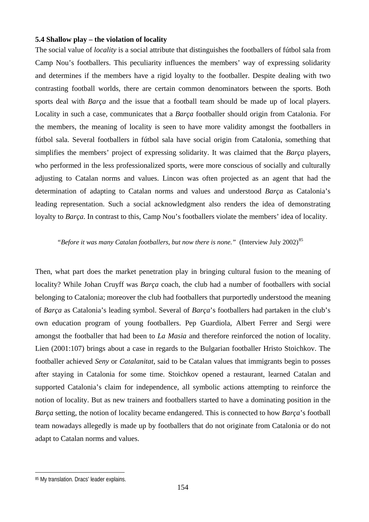### **5.4 Shallow play – the violation of locality**

The social value of *locality* is a social attribute that distinguishes the footballers of fútbol sala from Camp Nou's footballers. This peculiarity influences the members' way of expressing solidarity and determines if the members have a rigid loyalty to the footballer. Despite dealing with two contrasting football worlds, there are certain common denominators between the sports. Both sports deal with *Barça* and the issue that a football team should be made up of local players. Locality in such a case, communicates that a *Barça* footballer should origin from Catalonia. For the members, the meaning of locality is seen to have more validity amongst the footballers in fútbol sala. Several footballers in fútbol sala have social origin from Catalonia, something that simplifies the members' project of expressing solidarity. It was claimed that the *Barça* players, who performed in the less professionalized sports, were more conscious of socially and culturally adjusting to Catalan norms and values. Lincon was often projected as an agent that had the determination of adapting to Catalan norms and values and understood *Barça* as Catalonia's leading representation. Such a social acknowledgment also renders the idea of demonstrating loyalty to *Barça*. In contrast to this, Camp Nou's footballers violate the members' idea of locality.

### *"Before it was many Catalan footballers, but now there is none."* (Interview July 2002)<sup>[85](#page-153-0)</sup>

Then, what part does the market penetration play in bringing cultural fusion to the meaning of locality? While Johan Cruyff was *Barça* coach, the club had a number of footballers with social belonging to Catalonia; moreover the club had footballers that purportedly understood the meaning of *Barça* as Catalonia's leading symbol. Several of *Barça*'s footballers had partaken in the club's own education program of young footballers. Pep Guardiola, Albert Ferrer and Sergi were amongst the footballer that had been to *La Masia* and therefore reinforced the notion of locality. Lien (2001:107) brings about a case in regards to the Bulgarian footballer Hristo Stoichkov. The footballer achieved *Seny* or *Catalanitat*, said to be Catalan values that immigrants begin to posses after staying in Catalonia for some time. Stoichkov opened a restaurant, learned Catalan and supported Catalonia's claim for independence, all symbolic actions attempting to reinforce the notion of locality. But as new trainers and footballers started to have a dominating position in the *Barça* setting, the notion of locality became endangered. This is connected to how *Barça*'s football team nowadays allegedly is made up by footballers that do not originate from Catalonia or do not adapt to Catalan norms and values.

 $\overline{a}$ 

<span id="page-153-0"></span><sup>85</sup> My translation. Dracs' leader explains.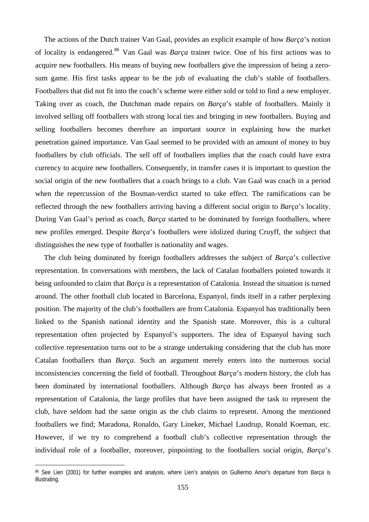The actions of the Dutch trainer Van Gaal, provides an explicit example of how *Barça*'s notion of locality is endangered.[86](#page-154-0) Van Gaal was *Barça* trainer twice. One of his first actions was to acquire new footballers. His means of buying new footballers give the impression of being a zerosum game. His first tasks appear to be the job of evaluating the club's stable of footballers. Footballers that did not fit into the coach's scheme were either sold or told to find a new employer. Taking over as coach, the Dutchman made repairs on *Barça*'s stable of footballers. Mainly it involved selling off footballers with strong local ties and bringing in new footballers. Buying and selling footballers becomes therefore an important source in explaining how the market penetration gained importance. Van Gaal seemed to be provided with an amount of money to buy footballers by club officials. The sell off of footballers implies that the coach could have extra currency to acquire new footballers. Consequently, in transfer cases it is important to question the social origin of the new footballers that a coach brings to a club. Van Gaal was coach in a period when the repercussion of the Bosman-verdict started to take effect. The ramifications can be reflected through the new footballers arriving having a different social origin to *Barça*'s locality. During Van Gaal's period as coach, *Barça* started to be dominated by foreign footballers, where new profiles emerged. Despite *Barça*'s footballers were idolized during Cruyff, the subject that distinguishes the new type of footballer is nationality and wages.

The club being dominated by foreign footballers addresses the subject of *Barça*'s collective representation. In conversations with members, the lack of Catalan footballers pointed towards it being unfounded to claim that *Barça* is a representation of Catalonia. Instead the situation is turned around. The other football club located in Barcelona, Espanyol, finds itself in a rather perplexing position. The majority of the club's footballers are from Catalonia. Espanyol has traditionally been linked to the Spanish national identity and the Spanish state. Moreover, this is a cultural representation often projected by Espanyol's supporters. The idea of Espanyol having such collective representation turns out to be a strange undertaking considering that the club has more Catalan footballers than *Barça*. Such an argument merely enters into the numerous social inconsistencies concerning the field of football. Throughout *Barça*'s modern history, the club has been dominated by international footballers. Although *Barça* has always been fronted as a representation of Catalonia, the large profiles that have been assigned the task to represent the club, have seldom had the same origin as the club claims to represent. Among the mentioned footballers we find; Maradona, Ronaldo, Gary Lineker, Michael Laudrup, Ronald Koeman, etc. However, if we try to comprehend a football club's collective representation through the individual role of a footballer, moreover, pinpointing to the footballers social origin, *Barça*'s

 $\overline{a}$ 

<span id="page-154-0"></span><sup>86</sup> See Lien (2001) for further examples and analysis, where Lien's analysis on Gulliermo Amor's departure from *Barça* is illustrating.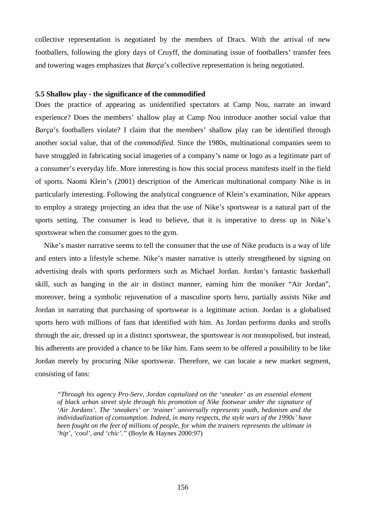collective representation is negotiated by the members of Dracs. With the arrival of new footballers, following the glory days of Cruyff, the dominating issue of footballers' transfer fees and towering wages emphasizes that *Barça*'s collective representation is being negotiated.

### **5.5 Shallow play - the significance of the commodified**

Does the practice of appearing as unidentified spectators at Camp Nou, narrate an inward experience? Does the members' shallow play at Camp Nou introduce another social value that *Barça*'s footballers violate? I claim that the members' shallow play can be identified through another social value, that of the *commodified*. Since the 1980s, multinational companies seem to have struggled in fabricating social imageries of a company's name or logo as a legitimate part of a consumer's everyday life. More interesting is how this social process manifests itself in the field of sports. Naomi Klein's (2001) description of the American multinational company Nike is in particularly interesting. Following the analytical congruence of Klein's examination, Nike appears to employ a strategy projecting an idea that the use of Nike's sportswear is a natural part of the sports setting. The consumer is lead to believe, that it is imperative to dress up in Nike's sportswear when the consumer goes to the gym.

Nike's master narrative seems to tell the consumer that the use of Nike products is a way of life and enters into a lifestyle scheme. Nike's master narrative is utterly strengthened by signing on advertising deals with sports performers such as Michael Jordan. Jordan's fantastic basketball skill, such as hanging in the air in distinct manner, earning him the moniker "Air Jordan", moreover, being a symbolic rejuvenation of a masculine sports hero, partially assists Nike and Jordan in narrating that purchasing of sportswear is a legitimate action. Jordan is a globalised sports hero with millions of fans that identified with him. As Jordan performs dunks and strolls through the air, dressed up in a distinct sportswear, the sportswear is *not* monopolised, but instead, his adherents are provided a chance to be like him. Fans seem to be offered a possibility to be like Jordan merely by procuring Nike sportswear. Therefore, we can locate a new market segment, consisting of fans:

*"Through his agency Pro-Serv, Jordan capitalized on the 'sneaker' as an essential element of black urban street style through his promotion of Nike footwear under the signature of 'Air Jordans'. The 'sneakers' or 'trainer' universally represents youth, hedonism and the individualization of consumption. Indeed, in many respects, the style wars of the 1990s' have been fought on the feet of millions of people, for whim the trainers represents the ultimate in 'hip', 'cool', and 'chic'."* (Boyle & Haynes 2000:97)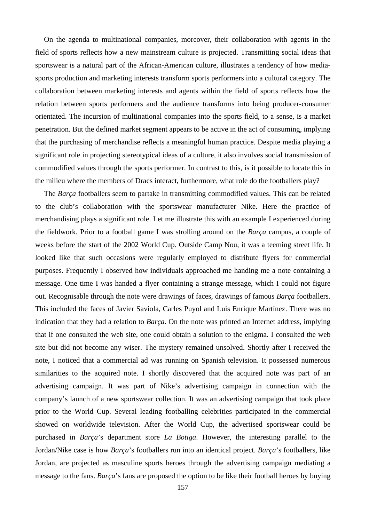On the agenda to multinational companies, moreover, their collaboration with agents in the field of sports reflects how a new mainstream culture is projected. Transmitting social ideas that sportswear is a natural part of the African-American culture, illustrates a tendency of how mediasports production and marketing interests transform sports performers into a cultural category. The collaboration between marketing interests and agents within the field of sports reflects how the relation between sports performers and the audience transforms into being producer-consumer orientated. The incursion of multinational companies into the sports field, to a sense, is a market penetration. But the defined market segment appears to be active in the act of consuming, implying that the purchasing of merchandise reflects a meaningful human practice. Despite media playing a significant role in projecting stereotypical ideas of a culture, it also involves social transmission of commodified values through the sports performer. In contrast to this, is it possible to locate this in the milieu where the members of Dracs interact, furthermore, what role do the footballers play?

The *Barça* footballers seem to partake in transmitting commodified values. This can be related to the club's collaboration with the sportswear manufacturer Nike. Here the practice of merchandising plays a significant role. Let me illustrate this with an example I experienced during the fieldwork. Prior to a football game I was strolling around on the *Barça* campus, a couple of weeks before the start of the 2002 World Cup. Outside Camp Nou, it was a teeming street life. It looked like that such occasions were regularly employed to distribute flyers for commercial purposes. Frequently I observed how individuals approached me handing me a note containing a message. One time I was handed a flyer containing a strange message, which I could not figure out. Recognisable through the note were drawings of faces, drawings of famous *Barça* footballers. This included the faces of Javier Saviola, Carles Puyol and Luis Enrique Martínez. There was no indication that they had a relation to *Barça*. On the note was printed an Internet address, implying that if one consulted the web site, one could obtain a solution to the enigma. I consulted the web site but did not become any wiser. The mystery remained unsolved. Shortly after I received the note, I noticed that a commercial ad was running on Spanish television. It possessed numerous similarities to the acquired note. I shortly discovered that the acquired note was part of an advertising campaign. It was part of Nike's advertising campaign in connection with the company's launch of a new sportswear collection. It was an advertising campaign that took place prior to the World Cup. Several leading footballing celebrities participated in the commercial showed on worldwide television. After the World Cup, the advertised sportswear could be purchased in *Barça*'s department store *La Botiga*. However, the interesting parallel to the Jordan/Nike case is how *Barça*'s footballers run into an identical project. *Barça*'s footballers, like Jordan, are projected as masculine sports heroes through the advertising campaign mediating a message to the fans. *Barça*'s fans are proposed the option to be like their football heroes by buying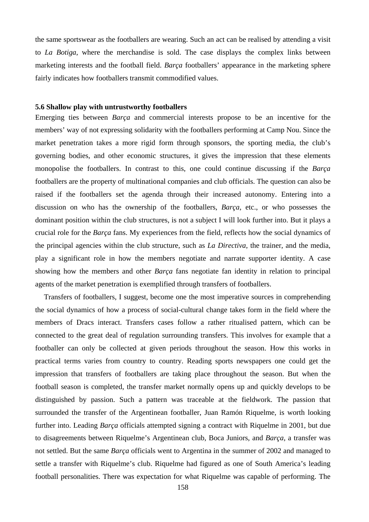the same sportswear as the footballers are wearing. Such an act can be realised by attending a visit to *La Botiga*, where the merchandise is sold. The case displays the complex links between marketing interests and the football field. *Barça* footballers' appearance in the marketing sphere fairly indicates how footballers transmit commodified values.

### **5.6 Shallow play with untrustworthy footballers**

Emerging ties between *Barça* and commercial interests propose to be an incentive for the members' way of not expressing solidarity with the footballers performing at Camp Nou. Since the market penetration takes a more rigid form through sponsors, the sporting media, the club's governing bodies, and other economic structures, it gives the impression that these elements monopolise the footballers. In contrast to this, one could continue discussing if the *Barça* footballers are the property of multinational companies and club officials. The question can also be raised if the footballers set the agenda through their increased autonomy. Entering into a discussion on who has the ownership of the footballers, *Barça*, etc., or who possesses the dominant position within the club structures, is not a subject I will look further into. But it plays a crucial role for the *Barça* fans. My experiences from the field, reflects how the social dynamics of the principal agencies within the club structure, such as *La Directiva*, the trainer, and the media, play a significant role in how the members negotiate and narrate supporter identity. A case showing how the members and other *Barça* fans negotiate fan identity in relation to principal agents of the market penetration is exemplified through transfers of footballers.

Transfers of footballers, I suggest, become one the most imperative sources in comprehending the social dynamics of how a process of social-cultural change takes form in the field where the members of Dracs interact. Transfers cases follow a rather ritualised pattern, which can be connected to the great deal of regulation surrounding transfers. This involves for example that a footballer can only be collected at given periods throughout the season. How this works in practical terms varies from country to country. Reading sports newspapers one could get the impression that transfers of footballers are taking place throughout the season. But when the football season is completed, the transfer market normally opens up and quickly develops to be distinguished by passion. Such a pattern was traceable at the fieldwork. The passion that surrounded the transfer of the Argentinean footballer, Juan Ramón Riquelme, is worth looking further into. Leading *Barça* officials attempted signing a contract with Riquelme in 2001, but due to disagreements between Riquelme's Argentinean club, Boca Juniors, and *Barça*, a transfer was not settled. But the same *Barça* officials went to Argentina in the summer of 2002 and managed to settle a transfer with Riquelme's club. Riquelme had figured as one of South America's leading football personalities. There was expectation for what Riquelme was capable of performing. The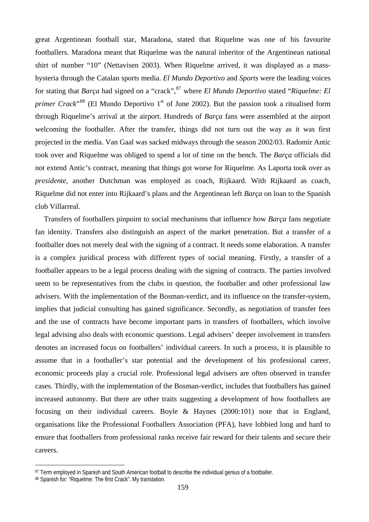great Argentinean football star, Maradona, stated that Riquelme was one of his favourite footballers. Maradona meant that Riquelme was the natural inheritor of the Argentinean national shirt of number "10" (Nettavisen 2003). When Riquelme arrived, it was displayed as a masshysteria through the Catalan sports media. *El Mundo Deportivo* and *Sports* were the leading voices for stating that *Barça* had signed on a "crack", <sup>[87](#page-158-0)</sup> where *El Mundo Deportivo* stated "*Riquelme: El primer Crack*<sup>[88](#page-158-1)</sup> (El Mundo Deportivo 1<sup>st</sup> of June 2002). But the passion took a ritualised form through Riquelme's arrival at the airport. Hundreds of *Barça* fans were assembled at the airport welcoming the footballer. After the transfer, things did not turn out the way as it was first projected in the media. Van Gaal was sacked midways through the season 2002/03. Radomir Antic took over and Riquelme was obliged to spend a lot of time on the bench. The *Barça* officials did not extend Antic's contract, meaning that things got worse for Riquelme. As Laporta took over as *presidente,* another Dutchman was employed as coach, Rijkaard. With Rijkaard as coach, Riquelme did not enter into Rijkaard's plans and the Argentinean left *Barça* on loan to the Spanish club Villarreal.

Transfers of footballers pinpoint to social mechanisms that influence how *Barça* fans negotiate fan identity. Transfers also distinguish an aspect of the market penetration. But a transfer of a footballer does not merely deal with the signing of a contract. It needs some elaboration. A transfer is a complex juridical process with different types of social meaning. Firstly, a transfer of a footballer appears to be a legal process dealing with the signing of contracts. The parties involved seem to be representatives from the clubs in question, the footballer and other professional law advisers. With the implementation of the Bosman-verdict, and its influence on the transfer-system, implies that judicial consulting has gained significance. Secondly, as negotiation of transfer fees and the use of contracts have become important parts in transfers of footballers, which involve legal advising also deals with economic questions. Legal advisers' deeper involvement in transfers denotes an increased focus on footballers' individual careers. In such a process, it is plausible to assume that in a footballer's star potential and the development of his professional career, economic proceeds play a crucial role. Professional legal advisers are often observed in transfer cases. Thirdly, with the implementation of the Bosman-verdict, includes that footballers has gained increased autonomy. But there are other traits suggesting a development of how footballers are focusing on their individual careers. Boyle & Haynes (2000:101) note that in England, organisations like the Professional Footballers Association (PFA), have lobbied long and hard to ensure that footballers from professional ranks receive fair reward for their talents and secure their careers.

 $\overline{a}$ 

<span id="page-158-0"></span><sup>87</sup> Term employed in Spanish and South American football to describe the individual genius of a footballer.

<span id="page-158-1"></span><sup>88</sup> Spanish for: "Riquelme: The first Crack". My translation.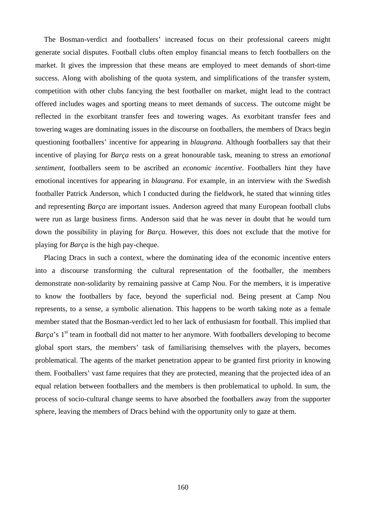The Bosman-verdict and footballers' increased focus on their professional careers might generate social disputes. Football clubs often employ financial means to fetch footballers on the market. It gives the impression that these means are employed to meet demands of short-time success. Along with abolishing of the quota system, and simplifications of the transfer system, competition with other clubs fancying the best footballer on market, might lead to the contract offered includes wages and sporting means to meet demands of success. The outcome might be reflected in the exorbitant transfer fees and towering wages. As exorbitant transfer fees and towering wages are dominating issues in the discourse on footballers, the members of Dracs begin questioning footballers' incentive for appearing in *blaugrana*. Although footballers say that their incentive of playing for *Barça* rests on a great honourable task, meaning to stress an *emotional sentiment*, footballers seem to be ascribed an *economic incentive*. Footballers hint they have emotional incentives for appearing in *blaugrana*. For example, in an interview with the Swedish footballer Patrick Anderson, which I conducted during the fieldwork, he stated that winning titles and representing *Barça* are important issues. Anderson agreed that many European football clubs were run as large business firms. Anderson said that he was never in doubt that he would turn down the possibility in playing for *Barça*. However, this does not exclude that the motive for playing for *Barça* is the high pay-cheque.

Placing Dracs in such a context, where the dominating idea of the economic incentive enters into a discourse transforming the cultural representation of the footballer, the members demonstrate non-solidarity by remaining passive at Camp Nou. For the members, it is imperative to know the footballers by face, beyond the superficial nod. Being present at Camp Nou represents, to a sense, a symbolic alienation. This happens to be worth taking note as a female member stated that the Bosman-verdict led to her lack of enthusiasm for football. This implied that *Barça*'s 1<sup>st</sup> team in football did not matter to her anymore. With footballers developing to become global sport stars, the members' task of familiarising themselves with the players, becomes problematical. The agents of the market penetration appear to be granted first priority in knowing them. Footballers' vast fame requires that they are protected, meaning that the projected idea of an equal relation between footballers and the members is then problematical to uphold. In sum, the process of socio-cultural change seems to have absorbed the footballers away from the supporter sphere, leaving the members of Dracs behind with the opportunity only to gaze at them.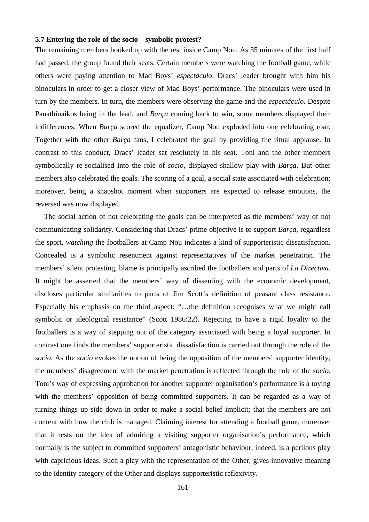### **5.7 Entering the role of the socio – symbolic protest?**

The remaining members hooked up with the rest inside Camp Nou. As 35 minutes of the first half had passed, the group found their seats. Certain members were watching the football game, while others were paying attention to Mad Boys' *espectáculo*. Dracs' leader brought with him his binoculars in order to get a closer view of Mad Boys' performance. The binoculars were used in turn by the members. In turn, the members were observing the game and the *espectáculo*. Despite Panathinaikos being in the lead, and *Barça* coming back to win, some members displayed their indifferences. When *Barça* scored the equalizer, Camp Nou exploded into one celebrating roar. Together with the other *Barça* fans, I celebrated the goal by providing the ritual applause. In contrast to this conduct, Dracs' leader sat resolutely in his seat. Toni and the other members symbolically re-socialised into the role of *socio*, displayed shallow play with *Barça*. But other members also celebrated the goals. The scoring of a goal, a social state associated with celebration; moreover, being a snapshot moment when supporters are expected to release emotions, the reversed was now displayed.

The social action of not celebrating the goals can be interpreted as the members' way of not communicating solidarity. Considering that Dracs' prime objective is to support *Barça*, regardless the sport, *watching* the footballers at Camp Nou indicates a kind of supporteristic dissatisfaction. Concealed is a symbolic resentment against representatives of the market penetration. The members' silent protesting, blame is principally ascribed the footballers and parts of *La Directiva*. It might be asserted that the members' way of dissenting with the economic development, discloses particular similarities to parts of Jim Scott's definition of peasant class resistance. Especially his emphasis on the third aspect: "…the definition recognises what we might call symbolic or ideological resistance" (Scott 1986:22). Rejecting to have a rigid loyalty to the footballers is a way of stepping out of the category associated with being a loyal supporter. In contrast one finds the members' supporteristic dissatisfaction is carried out through the role of the *socio*. As the *socio* evokes the notion of being the opposition of the members' supporter identity, the members' disagreement with the market penetration is reflected through the role of the *socio*. Toni's way of expressing approbation for another supporter organisation's performance is a toying with the members' opposition of being committed supporters. It can be regarded as a way of turning things up side down in order to make a social belief implicit; that the members are not content with how the club is managed. Claiming interest for attending a football game, moreover that it rests on the idea of admiring a visiting supporter organisation's performance, which normally is the subject to committed supporters' antagonistic behaviour, indeed, is a perilous play with capricious ideas. Such a play with the representation of the Other, gives innovative meaning to the identity category of the Other and displays supporteristic reflexivity.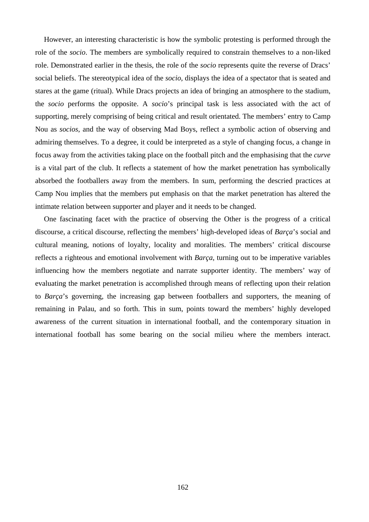However, an interesting characteristic is how the symbolic protesting is performed through the role of the *socio*. The members are symbolically required to constrain themselves to a non-liked role. Demonstrated earlier in the thesis, the role of the *socio* represents quite the reverse of Dracs' social beliefs. The stereotypical idea of the *socio*, displays the idea of a spectator that is seated and stares at the game (ritual). While Dracs projects an idea of bringing an atmosphere to the stadium, the *socio* performs the opposite. A *socio*'s principal task is less associated with the act of supporting, merely comprising of being critical and result orientated. The members' entry to Camp Nou as *socios*, and the way of observing Mad Boys, reflect a symbolic action of observing and admiring themselves. To a degree, it could be interpreted as a style of changing focus, a change in focus away from the activities taking place on the football pitch and the emphasising that the *curve* is a vital part of the club. It reflects a statement of how the market penetration has symbolically absorbed the footballers away from the members. In sum, performing the descried practices at Camp Nou implies that the members put emphasis on that the market penetration has altered the intimate relation between supporter and player and it needs to be changed.

One fascinating facet with the practice of observing the Other is the progress of a critical discourse, a critical discourse, reflecting the members' high-developed ideas of *Barça*'s social and cultural meaning, notions of loyalty, locality and moralities. The members' critical discourse reflects a righteous and emotional involvement with *Barça*, turning out to be imperative variables influencing how the members negotiate and narrate supporter identity. The members' way of evaluating the market penetration is accomplished through means of reflecting upon their relation to *Barça*'s governing, the increasing gap between footballers and supporters, the meaning of remaining in Palau, and so forth. This in sum, points toward the members' highly developed awareness of the current situation in international football, and the contemporary situation in international football has some bearing on the social milieu where the members interact.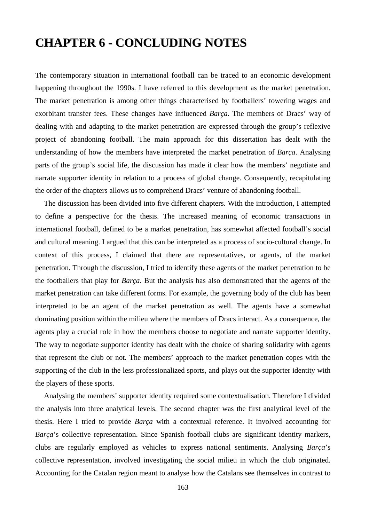# **CHAPTER 6 - CONCLUDING NOTES**

The contemporary situation in international football can be traced to an economic development happening throughout the 1990s. I have referred to this development as the market penetration. The market penetration is among other things characterised by footballers' towering wages and exorbitant transfer fees. These changes have influenced *Barça*. The members of Dracs' way of dealing with and adapting to the market penetration are expressed through the group's reflexive project of abandoning football. The main approach for this dissertation has dealt with the understanding of how the members have interpreted the market penetration of *Barça*. Analysing parts of the group's social life, the discussion has made it clear how the members' negotiate and narrate supporter identity in relation to a process of global change. Consequently, recapitulating the order of the chapters allows us to comprehend Dracs' venture of abandoning football.

The discussion has been divided into five different chapters. With the introduction, I attempted to define a perspective for the thesis. The increased meaning of economic transactions in international football, defined to be a market penetration, has somewhat affected football's social and cultural meaning. I argued that this can be interpreted as a process of socio-cultural change. In context of this process, I claimed that there are representatives, or agents, of the market penetration. Through the discussion, I tried to identify these agents of the market penetration to be the footballers that play for *Barça*. But the analysis has also demonstrated that the agents of the market penetration can take different forms. For example, the governing body of the club has been interpreted to be an agent of the market penetration as well. The agents have a somewhat dominating position within the milieu where the members of Dracs interact. As a consequence, the agents play a crucial role in how the members choose to negotiate and narrate supporter identity. The way to negotiate supporter identity has dealt with the choice of sharing solidarity with agents that represent the club or not. The members' approach to the market penetration copes with the supporting of the club in the less professionalized sports, and plays out the supporter identity with the players of these sports.

Analysing the members' supporter identity required some contextualisation. Therefore I divided the analysis into three analytical levels. The second chapter was the first analytical level of the thesis. Here I tried to provide *Barça* with a contextual reference. It involved accounting for *Barça*'s collective representation. Since Spanish football clubs are significant identity markers, clubs are regularly employed as vehicles to express national sentiments. Analysing *Barça*'s collective representation, involved investigating the social milieu in which the club originated. Accounting for the Catalan region meant to analyse how the Catalans see themselves in contrast to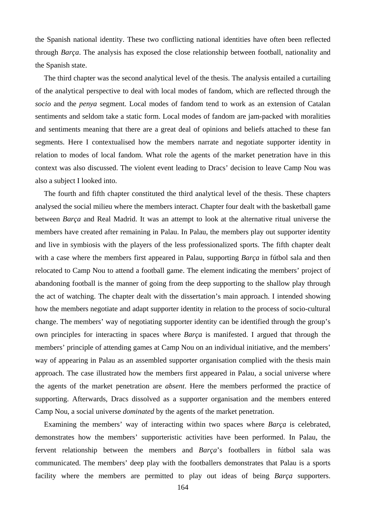the Spanish national identity. These two conflicting national identities have often been reflected through *Barça*. The analysis has exposed the close relationship between football, nationality and the Spanish state.

The third chapter was the second analytical level of the thesis. The analysis entailed a curtailing of the analytical perspective to deal with local modes of fandom, which are reflected through the *socio* and the *penya* segment. Local modes of fandom tend to work as an extension of Catalan sentiments and seldom take a static form. Local modes of fandom are jam-packed with moralities and sentiments meaning that there are a great deal of opinions and beliefs attached to these fan segments. Here I contextualised how the members narrate and negotiate supporter identity in relation to modes of local fandom. What role the agents of the market penetration have in this context was also discussed. The violent event leading to Dracs' decision to leave Camp Nou was also a subject I looked into.

The fourth and fifth chapter constituted the third analytical level of the thesis. These chapters analysed the social milieu where the members interact. Chapter four dealt with the basketball game between *Barça* and Real Madrid. It was an attempt to look at the alternative ritual universe the members have created after remaining in Palau. In Palau, the members play out supporter identity and live in symbiosis with the players of the less professionalized sports. The fifth chapter dealt with a case where the members first appeared in Palau, supporting *Barça* in fútbol sala and then relocated to Camp Nou to attend a football game. The element indicating the members' project of abandoning football is the manner of going from the deep supporting to the shallow play through the act of watching. The chapter dealt with the dissertation's main approach. I intended showing how the members negotiate and adapt supporter identity in relation to the process of socio-cultural change. The members' way of negotiating supporter identity can be identified through the group's own principles for interacting in spaces where *Barça* is manifested. I argued that through the members' principle of attending games at Camp Nou on an individual initiative, and the members' way of appearing in Palau as an assembled supporter organisation complied with the thesis main approach. The case illustrated how the members first appeared in Palau, a social universe where the agents of the market penetration are *absent*. Here the members performed the practice of supporting. Afterwards, Dracs dissolved as a supporter organisation and the members entered Camp Nou, a social universe *dominated* by the agents of the market penetration.

Examining the members' way of interacting within two spaces where *Barça* is celebrated, demonstrates how the members' supporteristic activities have been performed. In Palau, the fervent relationship between the members and *Barça*'s footballers in fútbol sala was communicated. The members' deep play with the footballers demonstrates that Palau is a sports facility where the members are permitted to play out ideas of being *Barça* supporters.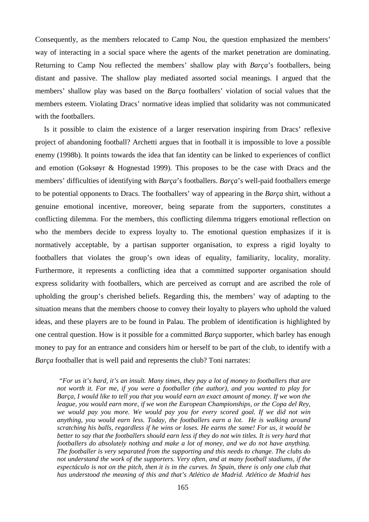Consequently, as the members relocated to Camp Nou, the question emphasized the members' way of interacting in a social space where the agents of the market penetration are dominating. Returning to Camp Nou reflected the members' shallow play with *Barça*'s footballers, being distant and passive. The shallow play mediated assorted social meanings. I argued that the members' shallow play was based on the *Barça* footballers' violation of social values that the members esteem. Violating Dracs' normative ideas implied that solidarity was not communicated with the footballers.

Is it possible to claim the existence of a larger reservation inspiring from Dracs' reflexive project of abandoning football? Archetti argues that in football it is impossible to love a possible enemy (1998b). It points towards the idea that fan identity can be linked to experiences of conflict and emotion (Goksøyr & Hognestad 1999). This proposes to be the case with Dracs and the members' difficulties of identifying with *Barça*'s footballers. *Barça*'s well-paid footballers emerge to be potential opponents to Dracs. The footballers' way of appearing in the *Barça* shirt, without a genuine emotional incentive, moreover, being separate from the supporters, constitutes a conflicting dilemma. For the members, this conflicting dilemma triggers emotional reflection on who the members decide to express loyalty to. The emotional question emphasizes if it is normatively acceptable, by a partisan supporter organisation, to express a rigid loyalty to footballers that violates the group's own ideas of equality, familiarity, locality, morality. Furthermore, it represents a conflicting idea that a committed supporter organisation should express solidarity with footballers, which are perceived as corrupt and are ascribed the role of upholding the group's cherished beliefs. Regarding this, the members' way of adapting to the situation means that the members choose to convey their loyalty to players who uphold the valued ideas, and these players are to be found in Palau. The problem of identification is highlighted by one central question. How is it possible for a committed *Barça* supporter, which barley has enough money to pay for an entrance and considers him or herself to be part of the club, to identify with a *Barça* footballer that is well paid and represents the club? Toni narrates:

 *"For us it's hard, it's an insult. Many times, they pay a lot of money to footballers that are not worth it. For me, if you were a footballer (the author), and you wanted to play for Barça, I would like to tell you that you would earn an exact amount of money. If we won the league, you would earn more, if we won the European Championships, or the Copa del Rey, we would pay you more. We would pay you for every scored goal. If we did not win anything, you would earn less. Today, the footballers earn a lot. He is walking around scratching his balls, regardless if he wins or loses. He earns the same! For us, it would be better to say that the footballers should earn less if they do not win titles. It is very hard that footballers do absolutely nothing and make a lot of money, and we do not have anything. The footballer is very separated from the supporting and this needs to change. The clubs do not understand the work of the supporters. Very often, and at many football stadiums, if the espectáculo is not on the pitch, then it is in the curves. In Spain, there is only one club that has understood the meaning of this and that's Atlético de Madrid. Atlético de Madrid has*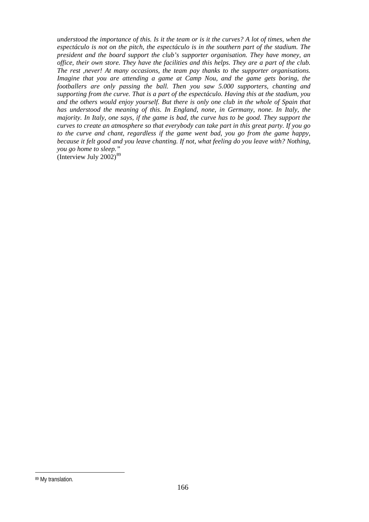*understood the importance of this. Is it the team or is it the curves? A lot of times, when the espectáculo is not on the pitch, the espectáculo is in the southern part of the stadium. The president and the board support the club's supporter organisation. They have money, an office, their own store. They have the facilities and this helps. They are a part of the club. The rest ,never! At many occasions, the team pay thanks to the supporter organisations. Imagine that you are attending a game at Camp Nou, and the game gets boring, the footballers are only passing the ball. Then you saw 5.000 supporters, chanting and supporting from the curve. That is a part of the espectáculo. Having this at the stadium, you and the others would enjoy yourself. But there is only one club in the whole of Spain that has understood the meaning of this. In England, none, in Germany, none. In Italy, the majority. In Italy, one says, if the game is bad, the curve has to be good. They support the curves to create an atmosphere so that everybody can take part in this great party. If you go to the curve and chant, regardless if the game went bad, you go from the game happy, because it felt good and you leave chanting. If not, what feeling do you leave with? Nothing, you go home to sleep."* 

(Interview July  $2002$ )<sup>[89](#page-165-0)</sup>

 $\overline{a}$ 

<span id="page-165-0"></span><sup>89</sup> My translation.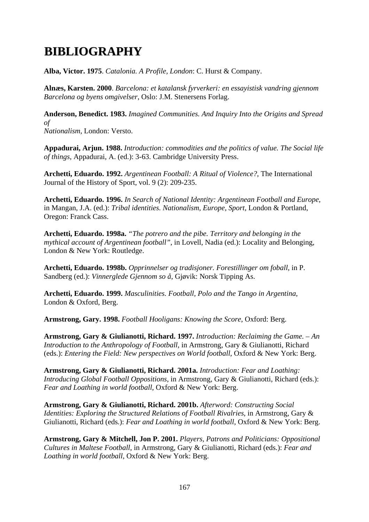# **BIBLIOGRAPHY IBLIOGRAPHY**

**Alba, Victor. 1975**. *Catalonia. A Profile, London*: C. Hurst & Company.

**Alnæs, Karsten. 2000**. *Barcelona: et katalansk fyrverkeri: en essayistisk vandring gjennom Barcelona og byens omgivelser*, Oslo: J.M. Stenersens Forlag.

**Anderson, Benedict. 1983.** *Imagined Communities. And Inquiry Into the Origins and Spread of Nationalism*, London: Versto.

**Appadurai, Arjun. 1988.** *Introduction: commodities and the politics of value. The Social life of things*, Appadurai, A. (ed.): 3-63. Cambridge University Press.

**Archetti, Eduardo. 1992.** *Argentinean Football: A Ritual of Violence?*, The International Journal of the History of Sport, vol. 9 (2): 209-235.

**Archetti, Eduardo. 1996.** *In Search of National Identity: Argentinean Football and Europe*, in Mangan, J.A. (ed.): *Tribal identities. Nationalism, Europe, Sport*, London & Portland, Oregon: Franck Cass.

**Archetti, Eduardo. 1998a.** *"The potrero and the pibe. Territory and belonging in the mythical account of Argentinean football"*, in Lovell, Nadia (ed.): Locality and Belonging, London & New York: Routledge.

**Archetti, Eduardo. 1998b.** *Opprinnelser og tradisjoner. Forestillinger om foball*, in P. Sandberg (ed.): *Vinnerglede Gjennom so å*, Gjøvik: Norsk Tipping As.

**Archetti, Eduardo. 1999.** *Masculinities. Football, Polo and the Tango in Argentina*, London & Oxford, Berg.

**Armstrong, Gary. 1998.** *Football Hooligans: Knowing the Score*, Oxford: Berg.

**Armstrong, Gary & Giulianotti, Richard. 1997.** *Introduction: Reclaiming the Game. – An Introduction to the Anthropology of Football*, in Armstrong, Gary & Giulianotti, Richard (eds.): *Entering the Field: New perspectives on World football*, Oxford & New York: Berg.

**Armstrong, Gary & Giulianotti, Richard. 2001a.** *Introduction: Fear and Loathing: Introducing Global Football Oppositions*, in Armstrong, Gary & Giulianotti, Richard (eds.): *Fear and Loathing in world football*, Oxford & New York: Berg.

**Armstrong, Gary & Giulianotti, Richard. 2001b.** *Afterword: Constructing Social Identities: Exploring the Structured Relations of Football Rivalries*, in Armstrong, Gary & Giulianotti, Richard (eds.): *Fear and Loathing in world football*, Oxford & New York: Berg.

**Armstrong, Gary & Mitchell, Jon P. 2001.** *Players, Patrons and Politicians: Oppositional Cultures in Maltese Football*, in Armstrong, Gary & Giulianotti, Richard (eds.): *Fear and Loathing in world football*, Oxford & New York: Berg.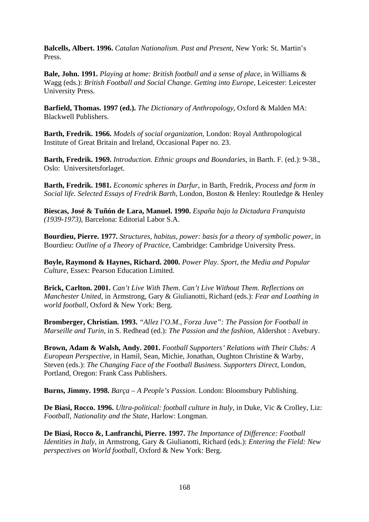**Balcells, Albert. 1996.** *Catalan Nationalism. Past and Present*, New York: St. Martin's Press.

**Bale, John. 1991.** *Playing at home: British football and a sense of place*, in Williams & Wagg (eds.): *British Football and Social Change. Getting into Europe*, Leicester: Leicester University Press.

**Barfield, Thomas. 1997 (ed.).** *The Dictionary of Anthropology*, Oxford & Malden MA: Blackwell Publishers.

**Barth, Fredrik. 1966.** *Models of social organization*, London: Royal Anthropological Institute of Great Britain and Ireland, Occasional Paper no. 23.

**Barth, Fredrik. 1969.** *Introduction. Ethnic groups and Boundaries*, in Barth. F. (ed.): 9-38., Oslo: Universitetsforlaget.

**Barth, Fredrik. 1981.** *Economic spheres in Darfur*, in Barth, Fredrik, *Process and form in Social life. Selected Essays of Fredrik Barth*, London, Boston & Henley: Routledge & Henley

**Biescas, José & Tuñón de Lara, Manuel. 1990.** *España bajo la Dictadura Franquista (1939-1973)*, Barcelona: Editorial Labor S.A.

**Bourdieu, Pierre. 1977.** *Structures, habitus, power: basis for a theory of symbolic power*, in Bourdieu: *Outline of a Theory of Practice*, Cambridge: Cambridge University Press.

**Boyle, Raymond & Haynes, Richard. 2000.** *Power Play. Sport, the Media and Popular Culture*, Essex: Pearson Education Limited.

**Brick, Carlton. 2001.** *Can't Live With Them. Can't Live Without Them. Reflections on Manchester United*, in Armstrong, Gary & Giulianotti, Richard (eds.): *Fear and Loathing in world football*, Oxford & New York: Berg.

**Bromberger, Christian. 1993.** *"Allez l'O.M., Forza Juve": The Passion for Football in Marseille and Turin*, in S. Redhead (ed.): *The Passion and the fashion*, Aldershot : Avebury.

**Brown, Adam & Walsh, Andy. 2001.** *Football Supporters' Relations with Their Clubs: A European Perspective*, in Hamil, Sean, Michie, Jonathan, Oughton Christine & Warby, Steven (eds.): *The Changing Face of the Football Business. Supporters Direct*, London, Portland, Oregon: Frank Cass Publishers.

**Burns, Jimmy. 1998.** *Barça – A People's Passion*. London: Bloomsbury Publishing.

**De Biasi, Rocco. 1996.** *Ultra-political: football culture in Italy*, in Duke, Vic & Crolley, Liz: *Football, Nationality and the State*, Harlow: Longman.

**De Biasi, Rocco &, Lanfranchi, Pierre. 1997.** *The Importance of Difference: Football Identities in Italy*, in Armstrong, Gary & Giulianotti, Richard (eds.): *Entering the Field: New perspectives on World football*, Oxford & New York: Berg.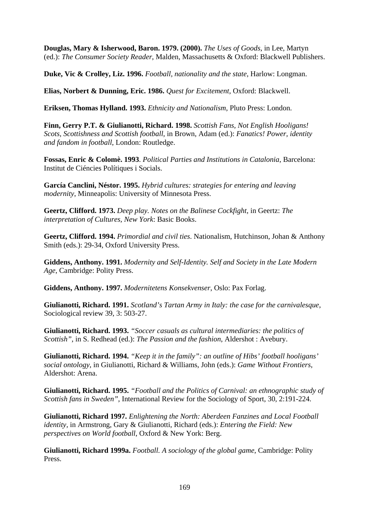**Douglas, Mary & Isherwood, Baron. 1979. (2000).** *The Uses of Goods*, in Lee, Martyn (ed.): *The Consumer Society Reader*, Malden, Massachusetts & Oxford: Blackwell Publishers.

**Duke, Vic & Crolley, Liz. 1996.** *Football, nationality and the state*, Harlow: Longman.

**Elias, Norbert & Dunning, Eric. 1986.** *Quest for Excitement*, Oxford: Blackwell.

**Eriksen, Thomas Hylland. 1993.** *Ethnicity and Nationalism*, Pluto Press: London.

**Finn, Gerry P.T. & Giulianotti, Richard. 1998.** *Scottish Fans, Not English Hooligans! Scots, Scottishness and Scottish football*, in Brown, Adam (ed.): *Fanatics! Power, identity and fandom in football*, London: Routledge.

**Fossas, Enric & Colomè. 1993**. *Political Parties and Institutions in Catalonia*, Barcelona: Institut de Ciéncies Polítiques i Socials.

**García Canclini, Néstor. 1995.** *Hybrid cultures: strategies for entering and leaving modernity*, Minneapolis: University of Minnesota Press.

**Geertz, Clifford. 1973.** *Deep play. Notes on the Balinese Cockfight*, in Geertz: *The interpretation of Cultures, New York*: Basic Books.

**Geertz, Clifford. 1994.** *Primordial and civil ties*. Nationalism, Hutchinson, Johan & Anthony Smith (eds.): 29-34, Oxford University Press.

**Giddens, Anthony. 1991.** *Modernity and Self-Identity. Self and Society in the Late Modern Age*, Cambridge: Polity Press.

**Giddens, Anthony. 1997.** *Modernitetens Konsekvenser*, Oslo: Pax Forlag.

**Giulianotti, Richard. 1991.** *Scotland's Tartan Army in Italy: the case for the carnivalesque*, Sociological review 39, 3: 503-27.

**Giulianotti, Richard. 1993.** *"Soccer casuals as cultural intermediaries: the politics of Scottish"*, in S. Redhead (ed.): *The Passion and the fashion*, Aldershot : Avebury.

**Giulianotti, Richard. 1994.** *"Keep it in the family": an outline of Hibs' football hooligans' social ontology*, in Giulianotti, Richard & Williams, John (eds.): *Game Without Frontiers*, Aldershot: Arena.

**Giulianotti, Richard. 1995.** *"Football and the Politics of Carnival: an ethnographic study of Scottish fans in Sweden"*, International Review for the Sociology of Sport, 30, 2:191-224.

**Giulianotti, Richard 1997.** *Enlightening the North: Aberdeen Fanzines and Local Football identity,* in Armstrong, Gary & Giulianotti, Richard (eds.): *Entering the Field: New perspectives on World football*, Oxford & New York: Berg.

**Giulianotti, Richard 1999a.** *Football. A sociology of the global game*, Cambridge: Polity Press.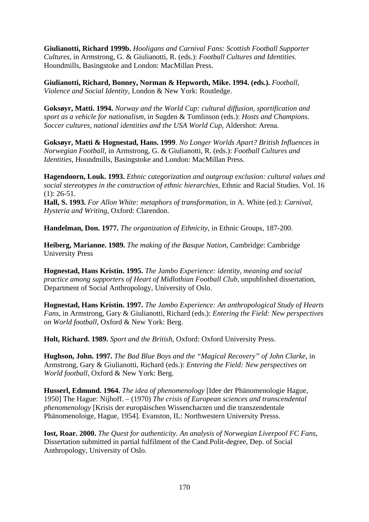**Giulianotti, Richard 1999b.** *Hooligans and Carnival Fans: Scottish Football Supporter Cultures*, in Armstrong, G. & Giulianotti, R. (eds.): *Football Cultures and Identities*. Houndmills, Basingstoke and London: MacMillan Press.

**Giulianotti, Richard, Bonney, Norman & Hepworth, Mike. 1994. (eds.).** *Football, Violence and Social Identity*, London & New York: Routledge.

**Goksøyr, Matti. 1994.** *Norway and the World Cup: cultural diffusion, sportification and sport as a vehicle for nationalism*, in Sugden & Tomlinson (eds.): *Hosts and Champions. Soccer cultures, national identities and the USA World Cup*, Aldershot: Arena.

**Goksøyr, Matti & Hognestad, Hans. 1999**. *No Longer Worlds Apart? British Influences in Norwegian Football*, in Armstrong, G. & Giulianotti, R. (eds.): *Football Cultures and Identities*, Houndmills, Basingstoke and London: MacMillan Press.

**Hagendoorn, Louk. 1993.** *Ethnic categorization and outgroup exclusion: cultural values and social stereotypes in the construction of ethnic hierarchies*, Ethnic and Racial Studies. Vol. 16  $(1): 26-51.$ 

**Hall, S. 1993.** *For Allon White: metaphors of transformation*, in A. White (ed.): *Carnival, Hysteria and Writing*, Oxford: Clarendon.

**Handelman, Don. 1977.** *The organization of Ethnicity*, in Ethnic Groups, 187-200.

**Heiberg, Marianne. 1989.** *The making of the Basque Nation*, Cambridge: Cambridge University Press

**Hognestad, Hans Kristin. 1995.** *The Jambo Experience: identity, meaning and social practice among supporters of Heart of Midlothian Football Club*, unpublished dissertation, Department of Social Anthropology, University of Oslo.

**Hognestad, Hans Kristin. 1997.** *The Jambo Experience: An anthropological Study of Hearts Fans*, in Armstrong, Gary & Giulianotti, Richard (eds.): *Entering the Field: New perspectives on World football*, Oxford & New York: Berg.

**Holt, Richard. 1989.** *Sport and the British*, Oxford: Oxford University Press.

**Hughson, John. 1997.** *The Bad Blue Boys and the "Magical Recovery" of John Clarke*, in Armstrong, Gary & Giulianotti, Richard (eds.): *Entering the Field: New perspectives on World football*, Oxford & New York: Berg.

**Husserl, Edmund. 1964.** *The idea of phenomenology* [Idee der Phänomenologie Hague, 1950] The Hague: Nijhoff. – (1970) *The crisis of European sciences and transcendental phenomenology* [Krisis der europäischen Wissenchacten und die transzendentale Phänomenoloige, Hague, 1954]. Evanston, IL: Northwestern University Presss.

**Iost, Roar. 2000.** *The Quest for authenticity. An analysis of Norwegian Liverpool FC Fans*, Dissertation submitted in partial fulfilment of the Cand.Polit-degree, Dep. of Social Anthropology, University of Oslo.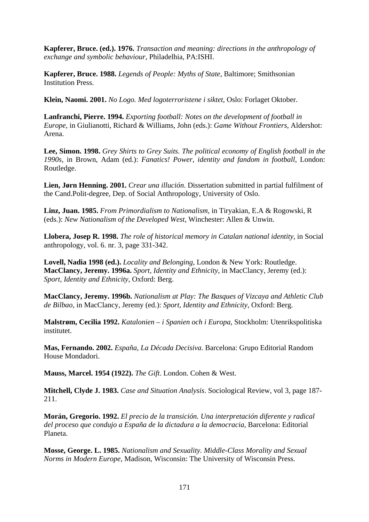**Kapferer, Bruce. (ed.). 1976.** *Transaction and meaning: directions in the anthropology of exchange and symbolic behaviour*, Philadelhia, PA:ISHI.

**Kapferer, Bruce. 1988.** *Legends of People: Myths of State*, Baltimore; Smithsonian Institution Press.

**Klein, Naomi. 2001.** *No Logo. Med logoterroristene i siktet*, Oslo: Forlaget Oktober.

**Lanfranchi, Pierre. 1994.** *Exporting football: Notes on the development of football in Europe*, in Giulianotti, Richard & Williams, John (eds.): *Game Without Frontiers*, Aldershot: Arena.

**Lee, Simon. 1998.** *Grey Shirts to Grey Suits. The political economy of English football in the 1990s*, in Brown, Adam (ed.): *Fanatics! Power, identity and fandom in football*, London: Routledge.

**Lien, Jørn Henning. 2001.** *Crear una illución*. Dissertation submitted in partial fulfilment of the Cand.Polit-degree, Dep. of Social Anthropology, University of Oslo.

**Linz, Juan. 1985.** *From Primordialism to Nationalism*, in Tiryakian, E.A & Rogowski, R (eds.): *New Nationalism of the Developed West*, Winchester: Allen & Unwin.

**Llobera, Josep R. 1998.** *The role of historical memory in Catalan national identity*, in Social anthropology, vol. 6. nr. 3, page 331-342.

**Lovell, Nadia 1998 (ed.).** *Locality and Belonging*, London & New York: Routledge. **MacClancy, Jeremy. 1996a.** *Sport, Identity and Ethnicity*, in MacClancy, Jeremy (ed.): *Sport, Identity and Ethnicity*, Oxford: Berg.

**MacClancy, Jeremy. 1996b.** *Nationalism at Play: The Basques of Vizcaya and Athletic Club de Bilbao*, in MacClancy, Jeremy (ed.): *Sport, Identity and Ethnicity*, Oxford: Berg.

**Malstrøm, Cecilia 1992.** *Katalonien – i Spanien och i Europa*, Stockholm: Utenrikspolitiska institutet.

**Mas, Fernando. 2002.** *España, La Década Decisiva*. Barcelona: Grupo Editorial Random House Mondadori.

**Mauss, Marcel. 1954 (1922).** *The Gift*. London. Cohen & West.

**Mitchell, Clyde J. 1983.** *Case and Situation Analysis*. Sociological Review, vol 3, page 187- 211.

**Morán, Gregorio. 1992.** *El precio de la transición. Una interpretación diferente y radical del proceso que condujo a España de la dictadura a la democracia*, Barcelona: Editorial Planeta.

**Mosse, George. L. 1985.** *Nationalism and Sexuality. Middle-Class Morality and Sexual Norms in Modern Europe*, Madison, Wisconsin: The University of Wisconsin Press.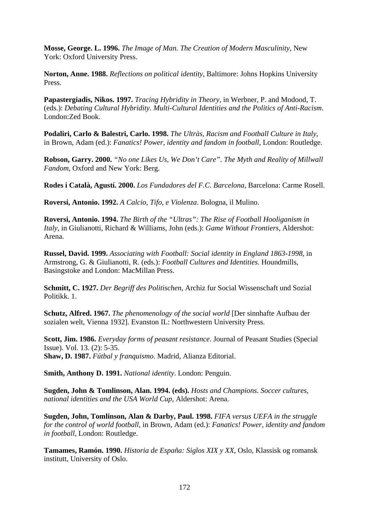**Mosse, George. L. 1996.** *The Image of Man. The Creation of Modern Masculinity*, New York: Oxford University Press.

**Norton, Anne. 1988.** *Reflections on political identity*, Baltimore: Johns Hopkins University Press.

**Papastergiadis, Nikos. 1997.** *Tracing Hybridity in Theory*, in Werbner, P. and Modood, T. (eds.): *Debating Cultural Hybridity. Multi-Cultural Identities and the Politics of Anti-Racism*. London:Zed Book.

**Podaliri, Carlo & Balestri, Carlo. 1998.** *The Ultràs, Racism and Football Culture in Italy*, in Brown, Adam (ed.): *Fanatics! Power, identity and fandom in football*, London: Routledge.

**Robson, Garry. 2000.** *"No one Likes Us, We Don't Care". The Myth and Reality of Millwall Fandom*, Oxford and New York: Berg.

**Rodes i Català, Agustí. 2000.** *Los Fundadores del F.C. Barcelona*, Barcelona: Carme Rosell.

**Roversi, Antonio. 1992.** *A Calcio, Tifo, e Violenza*. Bologna, il Mulino.

**Roversi, Antonio. 1994.** *The Birth of the "Ultras": The Rise of Football Hooliganism in Italy*, in Giulianotti, Richard & Williams, John (eds.): *Game Without Frontiers*, Aldershot: Arena.

**Russel, David. 1999.** *Associating with Football: Social identity in England 1863-1998*, in Armstrong, G. & Giulianotti, R. (eds.): *Football Cultures and Identities*. Houndmills, Basingstoke and London: MacMillan Press.

**Schmitt, C. 1927.** *Der Begriff des Politischen*, Archiz fur Social Wissenschaft und Sozial Politikk. 1.

**Schutz, Alfred. 1967.** *The phenomenology of the social world* [Der sinnhafte Aufbau der sozialen welt, Vienna 1932]. Evanston IL: Northwestern University Press.

**Scott, Jim. 1986.** *Everyday forms of peasant resistance*. Journal of Peasant Studies (Special Issue). Vol. 13. (2): 5-35. **Shaw, D. 1987.** *Fútbal y franquismo*. Madrid, Alianza Editorial.

**Smith, Anthony D. 1991.** *National identity*. London: Penguin.

**Sugden, John & Tomlinson, Alan. 1994. (eds).** *Hosts and Champions. Soccer cultures, national identities and the USA World Cup*, Aldershot: Arena.

**Sugden, John, Tomlinson, Alan & Darby, Paul. 1998.** *FIFA versus UEFA in the struggle for the control of world football*, in Brown, Adam (ed.): *Fanatics! Power, identity and fandom in football*, London: Routledge.

**Tamames, Ramón. 1990.** *Historia de España: Siglos XIX y XX*, Oslo, Klassisk og romansk institutt, University of Oslo.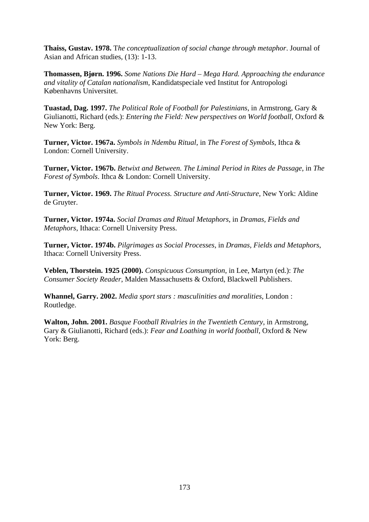**Thaiss, Gustav. 1978.** T*he conceptualization of social change through metaphor*. Journal of Asian and African studies, (13): 1-13.

**Thomassen, Bjørn. 1996.** *Some Nations Die Hard – Mega Hard. Approaching the endurance and vitality of Catalan nationalism*, Kandidatspeciale ved Institut for Antropologi Københavns Universitet.

**Tuastad, Dag. 1997.** *The Political Role of Football for Palestinians*, in Armstrong, Gary & Giulianotti, Richard (eds.): *Entering the Field: New perspectives on World football*, Oxford & New York: Berg.

**Turner, Victor. 1967a.** *Symbols in Ndembu Ritual*, in *The Forest of Symbols*, Ithca & London: Cornell University.

**Turner, Victor. 1967b.** *Betwixt and Between. The Liminal Period in Rites de Passage*, in *The Forest of Symbols*. Ithca & London: Cornell University.

**Turner, Victor. 1969.** *The Ritual Process. Structure and Anti-Structure*, New York: Aldine de Gruyter.

**Turner, Victor. 1974a.** *Social Dramas and Ritual Metaphors*, in *Dramas, Fields and Metaphors*, Ithaca: Cornell University Press.

**Turner, Victor. 1974b.** *Pilgrimages as Social Processes*, in *Dramas, Fields and Metaphors*, Ithaca: Cornell University Press.

**Veblen, Thorstein. 1925 (2000).** *Conspicuous Consumption*, in Lee, Martyn (ed.): *The Consumer Society Reader*, Malden Massachusetts & Oxford, Blackwell Publishers.

**Whannel, Garry. 2002.** *Media sport stars : masculinities and moralities*, London : Routledge.

**Walton, John. 2001.** *Basque Football Rivalries in the Twentieth Century*, in Armstrong, Gary & Giulianotti, Richard (eds.): *Fear and Loathing in world football*, Oxford & New York: Berg.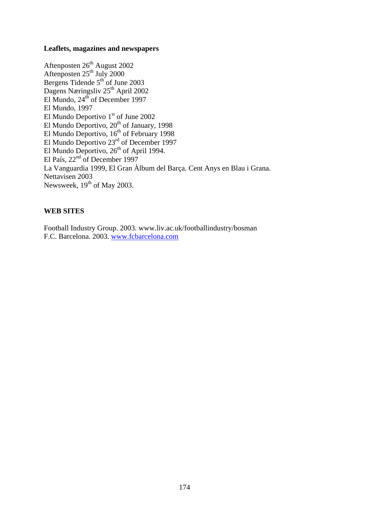### **Leaflets, magazines and newspapers**

Aftenposten 26<sup>th</sup> August 2002 Aftenposten  $25<sup>th</sup>$  July 2000 Bergens Tidende  $5<sup>th</sup>$  of June 2003 Dagens Næringsliv 25<sup>th</sup> April 2002 El Mundo,  $24^{th}$  of December 1997 El Mundo, 1997 El Mundo Deportivo 1<sup>st</sup> of June 2002 El Mundo Deportivo,  $20<sup>th</sup>$  of January, 1998 El Mundo Deportivo,  $16<sup>th</sup>$  of February 1998 El Mundo Deportivo 23<sup>rd</sup> of December 1997 El Mundo Deportivo,  $26<sup>th</sup>$  of April 1994. El País,  $22<sup>nd</sup>$  of December 1997 La Vanguardia 1999, El Gran Àlbum del Barça. Cent Anys en Blau i Grana. Nettavisen 2003 Newsweek,  $19<sup>th</sup>$  of May 2003.

### **WEB SITES**

Football Industry Group. 2003. www.liv.ac.uk/footballindustry/bosman F.C. Barcelona. 2003. [www.fcbarcelona.com](http://www.fcbarcelona.com/)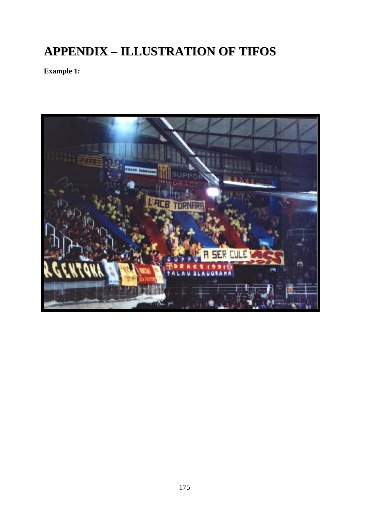# **APPENDIX – ILLUSTRATION OF TIFOS**

**Example 1:** 

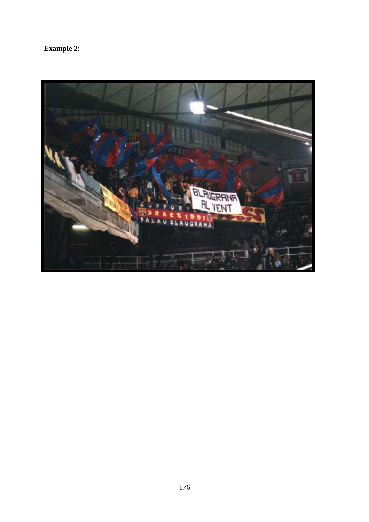**Example 2:** 

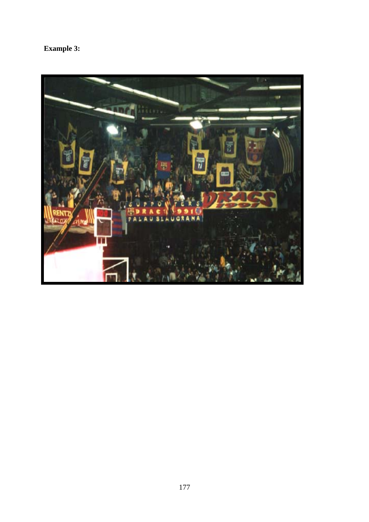# **Example 3:**

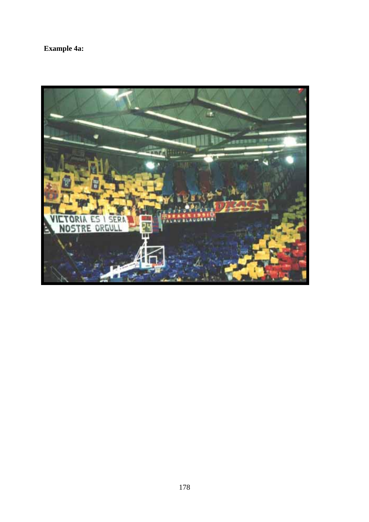# **Example 4a:**